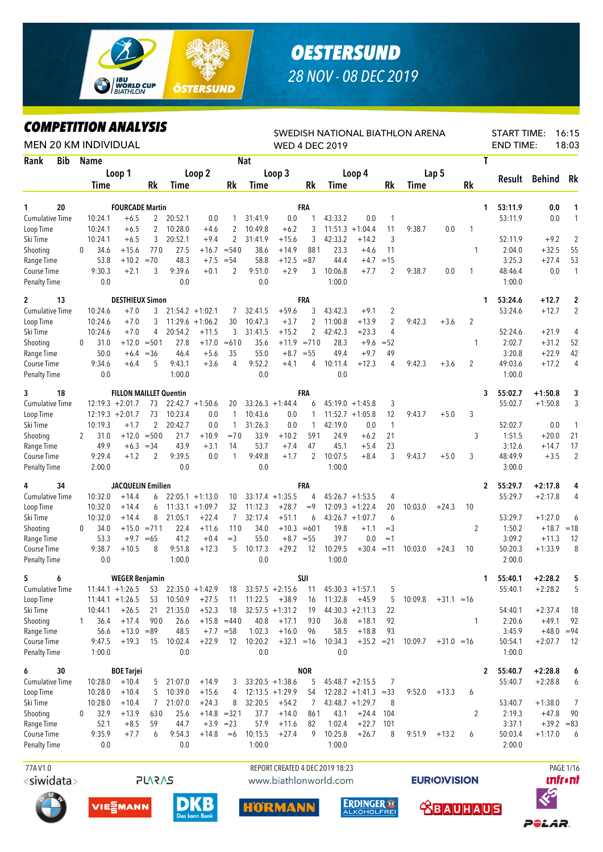

## *OESTERSUND 28 NOV - 08 DEC 2019*

*COMPETITION ANALYSIS*

| <b>COMPEILION ANALYSIS</b>  |                      |                               |                   |                    |                    |                              |                    |                                 |                  |                       |                          |               | SWEDISH NATIONAL BIATHLON ARENA |              |                |              | <b>START TIME:</b> |                         | 16:15                |
|-----------------------------|----------------------|-------------------------------|-------------------|--------------------|--------------------|------------------------------|--------------------|---------------------------------|------------------|-----------------------|--------------------------|---------------|---------------------------------|--------------|----------------|--------------|--------------------|-------------------------|----------------------|
| <b>MEN 20 KM INDIVIDUAL</b> |                      |                               |                   |                    |                    |                              |                    |                                 |                  | <b>WED 4 DEC 2019</b> |                          |               |                                 |              |                |              | <b>END TIME:</b>   |                         | 18:03                |
| Rank<br><b>Bib</b>          | <b>Name</b>          | Loop 1                        |                   |                    | Loop 2             |                              | <b>Nat</b>         | Loop 3                          |                  |                       | Loop 4                   |               |                                 | Lap 5        |                | T            |                    |                         |                      |
|                             | <b>Time</b>          |                               | <b>Rk</b>         | Time               |                    | Rk                           | Time               |                                 | Rk               | <b>Time</b>           |                          | Rk            | <b>Time</b>                     |              | <b>Rk</b>      |              | Result             | <b>Behind</b>           | Rk                   |
|                             |                      |                               |                   |                    |                    |                              |                    |                                 |                  |                       |                          |               |                                 |              |                |              |                    |                         |                      |
| 20<br>1                     |                      | <b>FOURCADE Martin</b>        |                   |                    |                    |                              |                    |                                 | <b>FRA</b>       |                       |                          |               |                                 |              |                | 1            | 53:11.9            | 0.0                     | 1                    |
| <b>Cumulative Time</b>      | 10:24.1<br>10:24.1   | $+6.5$<br>$+6.5$              | $\mathbf{2}$<br>2 | 20:52.1<br>10:28.0 | 0.0<br>$+4.6$      | 2                            | 31:41.9<br>10:49.8 | 0.0<br>$+6.2$                   | 3                | 43:33.2               | 0.0<br>$11:51.3 +1:04.4$ | 1<br>11       | 9:38.7                          | 0.0          | 1              |              | 53:11.9            | 0.0                     | $\mathbf{1}$         |
| Loop Time<br>Ski Time       | 10:24.1              | $+6.5$                        | 3                 | 20:52.1            | $+9.4$             | $\overline{2}$               | 31:41.9            | $+15.6$                         | 3                | 42:33.2               | $+14.2$                  | 3             |                                 |              |                |              | 52:11.9            | $+9.2$                  | $\overline{2}$       |
| Shooting                    | 34.6<br>0            | $+15.6$                       | 770               | 27.5               | $+16.7$            | $= 540$                      | 38.6               | $+14.9$                         | 881              | 23.3                  | $+4.6$                   | 11            |                                 |              | 1              |              | 2:04.0             | $+32.5$                 | 55                   |
| Range Time                  | 53.8                 | $+10.2$                       | $=70$             | 48.3               | $+7.5$             | $= 54$                       | 58.8               | $+12.5$                         | $= 87$           | 44.4                  | $+4.7$                   | $=15$         |                                 |              |                |              | 3:25.3             | $+27.4$                 | 53                   |
| Course Time                 | 9:30.3               | $+2.1$                        | 3                 | 9:39.6             | $+0.1$             | 2                            | 9:51.0             | $+2.9$                          | 3                | 10:06.8               | $+7.7$                   | 2             | 9:38.7                          | 0.0          | 1              |              | 48:46.4            | 0.0                     | $\mathbf{1}$         |
| <b>Penalty Time</b>         | 0.0                  |                               |                   | 0.0                |                    |                              | 0.0                |                                 |                  | 1:00.0                |                          |               |                                 |              |                |              | 1:00.0             |                         |                      |
| 13<br>$\overline{2}$        |                      | <b>DESTHIEUX Simon</b>        |                   |                    |                    |                              |                    |                                 | <b>FRA</b>       |                       |                          |               |                                 |              |                | 1            | 53:24.6            | $+12.7$                 | $\overline{2}$       |
| <b>Cumulative Time</b>      | 10:24.6              | $+7.0$                        | 3                 |                    | $21:54.2 + 1:02.1$ | 7                            | 32:41.5            | $+59.6$                         | 3                | 43:42.3               | $+9.1$                   | 2             |                                 |              |                |              | 53:24.6            | $+12.7$                 | $\overline{2}$       |
| Loop Time                   | 10:24.6              | $+7.0$                        | 3                 | 11:29.6            | $+1:06.2$          | 30                           | 10:47.3            | $+3.7$                          | 2                | 11:00.8               | $+13.9$                  | 2             | 9:42.3                          | $+3.6$       | $\overline{2}$ |              |                    |                         |                      |
| Ski Time                    | 10:24.6              | $+7.0$                        | 4                 | 20:54.2            | $+11.5$            | 3                            | 31:41.5            | $+15.2$                         | 2                | 42:42.3               | $+23.3$                  | 4             |                                 |              |                |              | 52:24.6            | $+21.9$                 | 4                    |
| Shooting                    | 31.0<br>0            | $+12.0$                       | $= 501$           | 27.8               | $+17.0$            | $=610$                       | 35.6               | $+11.9$                         | $= 710$          | 28.3                  | $+9.6$                   | $= 52$        |                                 |              | $\mathbf{1}$   |              | 2:02.7             | $+31.2$                 | 52                   |
| Range Time<br>Course Time   | 50.0<br>9:34.6       | $+6.4$<br>$+6.4$              | $=36$<br>5        | 46.4<br>9:43.1     | $+5.6$<br>$+3.6$   | 35<br>4                      | 55.0<br>9:52.2     | $+4.1$                          | $+8.7 = 55$<br>4 | 49.4<br>10:11.4       | $+9.7$<br>$+12.3$        | 49<br>4       | 9:42.3                          | $+3.6$       | 2              |              | 3:20.8<br>49:03.6  | $+22.9$<br>$+17.2$      | 42<br>$\overline{4}$ |
| <b>Penalty Time</b>         | 0.0                  |                               |                   | 1:00.0             |                    |                              | 0.0                |                                 |                  | 0.0                   |                          |               |                                 |              |                |              | 1:00.0             |                         |                      |
| 3<br>18                     |                      | <b>FILLON MAILLET Quentin</b> |                   |                    |                    |                              |                    |                                 | <b>FRA</b>       |                       |                          |               |                                 |              |                | 3            | 55:02.7            | $+1:50.8$               | 3                    |
| Cumulative Time             |                      | $12:19.3 + 2:01.7$            | 73                |                    | $22:42.7 + 1:50.6$ | 20                           |                    | $33:26.3 +1:44.4$               | 6                |                       | $45:19.0 +1:45.8$        | 3             |                                 |              |                |              | 55:02.7            | $+1:50.8$               | 3                    |
| Loop Time                   |                      | $12:19.3 + 2:01.7$            | 73                | 10:23.4            | 0.0                | 1                            | 10:43.6            | 0.0                             | 1                |                       | $11:52.7 + 1:05.8$       | 12            | 9:43.7                          | $+5.0$       | 3              |              |                    |                         |                      |
| Ski Time                    | 10:19.3              | $+1.7$                        | 2                 | 20:42.7            | 0.0                | $\mathbf{1}$                 | 31:26.3            | 0.0                             | 1                | 42:19.0               | 0.0                      | $\mathbf{1}$  |                                 |              |                |              | 52:02.7            | 0.0                     | 1                    |
| Shooting                    | $\mathbf{2}$<br>31.0 | $+12.0$                       | $= 500$           | 21.7               | $+10.9$            | $=70$                        | 33.9               | $+10.2$                         | 591              | 24.9                  | $+6.2$                   | 21            |                                 |              | 3              |              | 1:51.5             | $+20.0$                 | 21                   |
| Range Time                  | 49.9                 | $+6.3$                        | $= 34$            | 43.9               | $+3.1$             | 14                           | 53.7               | $+7.4$                          | 47               | 45.1                  | $+5.4$                   | 23            |                                 |              |                |              | 3:12.6             | $+14.7$                 | 17                   |
| Course Time                 | 9:29.4               | $+1.2$                        | 2                 | 9:39.5             | 0.0                | 1                            | 9:49.8             | $+1.7$                          | $\overline{2}$   | 10:07.5               | $+8.4$                   | 3             | 9:43.7                          | $+5.0$       | 3              |              | 48:49.9            | $+3.5$                  | $\overline{2}$       |
| Penalty Time                | 2:00.0               |                               |                   | 0.0                |                    |                              | 0.0                |                                 |                  | 1:00.0                |                          |               |                                 |              |                |              | 3:00.0             |                         |                      |
| 34<br>4                     |                      | JACQUELIN Emilien             |                   |                    |                    |                              |                    |                                 | <b>FRA</b>       |                       |                          |               |                                 |              |                | 2            | 55:29.7            | +2:17.8                 | 4                    |
| Cumulative Time             | 10:32.0              | $+14.4$                       | 6                 |                    | $22:05.1 + 1:13.0$ | 10                           |                    | $33:17.4 +1:35.5$               | 4                |                       | $45:26.7 +1:53.5$        | 4             |                                 |              |                |              | 55:29.7            | $+2:17.8$               | 4                    |
| Loop Time                   | 10:32.0              | $+14.4$                       | 6                 |                    | $11:33.1 + 1:09.7$ | 32                           | 11:12.3            | $+28.7$                         | $=9$             | 12:09.3               | $+1:22.4$                | 20            | 10:03.0                         | $+24.3$      | 10             |              |                    |                         |                      |
| Ski Time                    | 10:32.0              | $+14.4$                       | 8                 | 21:05.1            | $+22.4$            | 7                            | 32:17.4            | $+51.1$                         | 6                |                       | $43:26.7 +1:07.7$        | 6             |                                 |              |                |              | 53:29.7            | $+1:27.0$               | 6                    |
| Shooting                    | 34.0<br>0            | $+15.0$                       | $= 711$           | 22.4               | $+11.6$            | 110<br>$=$ 3                 | 34.0               |                                 | $+10.3 = 601$    | 19.8<br>39.7          | $+1.1$                   | $=$ 3<br>$=1$ |                                 |              | 2              |              | 1:50.2<br>3:09.2   | $+18.7$<br>$+11.3$      | $=18$                |
| Range Time<br>Course Time   | 53.3<br>9:38.7       | $+9.7$<br>$+10.5$             | $=65$<br>8        | 41.2<br>9:51.8     | $+0.4$<br>$+12.3$  | 5                            | 55.0<br>10:17.3    | $+8.7$<br>$+29.2$               | $= 55$<br>12     | 10:29.5               | 0.0<br>$+30.4$           | $=11$         | 10:03.0                         | $+24.3$      | 10             |              | 50:20.3            | $+1:33.9$               | 12<br>8              |
| <b>Penalty Time</b>         | 0.0                  |                               |                   | 1:00.0             |                    |                              | 0.0                |                                 |                  | 1:00.0                |                          |               |                                 |              |                |              | 2:00.0             |                         |                      |
| 5.<br>-6                    |                      | <b>WEGER Benjamin</b>         |                   |                    |                    |                              |                    |                                 | <b>SUI</b>       |                       |                          |               |                                 |              |                | 1.           | 55:40.1            | $+2:28.2$               | 5                    |
| Cumulative Time             |                      | $11:44.1 + 1:26.5$            | 53                |                    | $22:35.0 + 1:42.9$ | 18                           |                    | $33:57.5 + 2:15.6$              | 11               |                       | $45:30.3 +1:57.1$        | 5             |                                 |              |                |              | 55:40.1            | $+2:28.2$               | 5                    |
| Loop Time                   |                      | $11:44.1 + 1:26.5$            | 53                | 10:50.9            | $+27.5$            | 11                           | 11:22.5            | $+38.9$                         | 16               | 11:32.8               | $+45.9$                  | 5             | 10:09.8                         | $+31.1 = 16$ |                |              |                    |                         |                      |
| Ski Time                    | 10:44.1              | $+26.5$                       | 21                | 21:35.0            | $+52.3$            | 18                           |                    | $32:57.5 + 1:31.2$              | 19               |                       | $44:30.3 +2:11.3$        | 22            |                                 |              |                |              | 54:40.1            | $+2:37.4$               | 18                   |
| Shooting                    | 36.4<br>1            | $+17.4$                       | 900               | 26.6               |                    | $+15.8 = 440$                | 40.8               | $+17.1$                         | 930              | 36.8                  | $+18.1$                  | 92            |                                 |              | $\mathbf{1}$   |              | 2:20.6             | $+49.1$                 | 92                   |
| Range Time                  | 56.6                 | $+13.0 = 89$                  |                   | 48.5               |                    | $+7.7 = 58$                  | 1:02.3             | $+16.0$                         | 96               | 58.5                  | $+18.8$                  | 93            |                                 |              |                |              | 3:45.9             | $+48.0$                 | $= 94$               |
| Course Time                 | 9:47.5               | $+19.3$                       | 15                | 10:02.4            | $+22.9$            | 12                           | 10:20.2            | $+32.1 = 16$                    |                  | 10:34.3               | $+35.2 = 21$             |               | 10:09.7                         | $+31.0 = 16$ |                |              | 50:54.1            | $+2:07.7$               | 12                   |
| Penalty Time                | 1:00.0               |                               |                   | 0.0                |                    |                              | 0.0                |                                 |                  | 0.0                   |                          |               |                                 |              |                |              | 1:00.0             |                         |                      |
| 30<br>6                     |                      | <b>BOE Tarjei</b>             |                   |                    |                    |                              |                    |                                 | <b>NOR</b>       |                       |                          |               |                                 |              |                | $\mathbf{2}$ | 55:40.7            | $+2:28.8$               | 6                    |
| Cumulative Time             | 10:28.0              | $+10.4$                       | 5                 | 21:07.0            | $+14.9$            | 3                            |                    | $33:20.5 +1:38.6$               | 5                |                       | $45:48.7 +2:15.5$        | 7             |                                 |              |                |              | 55:40.7            | $+2:28.8$               | 6                    |
| Loop Time                   | 10:28.0              | $+10.4$                       | 5                 | 10:39.0            | $+15.6$            | 4                            |                    | $12:13.5 + 1:29.9$              | 54               |                       | $12:28.2 +1:41.3 = 33$   |               | 9:52.0                          | $+13.3$      | 6              |              |                    |                         |                      |
| Ski Time                    | 10:28.0              | $+10.4$                       | 7                 | 21:07.0            | $+24.3$            | 8                            | 32:20.5            | $+54.2$                         | 7                |                       | $43:48.7 + 1:29.7$       | 8             |                                 |              |                |              | 53:40.7            | $+1:38.0$               | 7                    |
| Shooting<br>Range Time      | 32.9<br>0<br>52.1    | $+13.9$<br>$+8.5$             | 630<br>59         | 25.6<br>44.7       |                    | $+14.8 = 321$<br>$+3.9 = 23$ | 37.7<br>57.9       | $+14.0$<br>$+11.6$              | 861<br>82        | 43.1<br>1:02.4        | $+24.4$<br>$+22.7$       | - 104<br>101  |                                 |              | 2              |              | 2:19.3<br>3:37.1   | $+47.8$<br>$+39.2 = 83$ | 90                   |
| Course Time                 | 9:35.9               | $+7.7$                        | 6                 | 9:54.3             | $+14.8$            | $=6$                         | 10:15.5            | $+27.4$                         | 9                | 10:25.8               | $+26.7$                  | 8             | 9:51.9                          | $+13.2$      | 6              |              | 50:03.4            | $+1:17.0$               | 6                    |
| <b>Penalty Time</b>         | 0.0                  |                               |                   | 0.0                |                    |                              | 1:00.0             |                                 |                  | 1:00.0                |                          |               |                                 |              |                |              | 2:00.0             |                         |                      |
|                             |                      |                               |                   |                    |                    |                              |                    |                                 |                  |                       |                          |               |                                 |              |                |              |                    |                         |                      |
| 77A V1.0                    |                      |                               |                   |                    |                    |                              |                    | REPORT CREATED 4 DEC 2019 18:23 |                  |                       |                          |               |                                 |              |                |              |                    |                         | PAGE 1/16            |

<siwidata>





**PLARAS** 





**EURIOVISION** 

*<u><u>Infront</u>*</u>

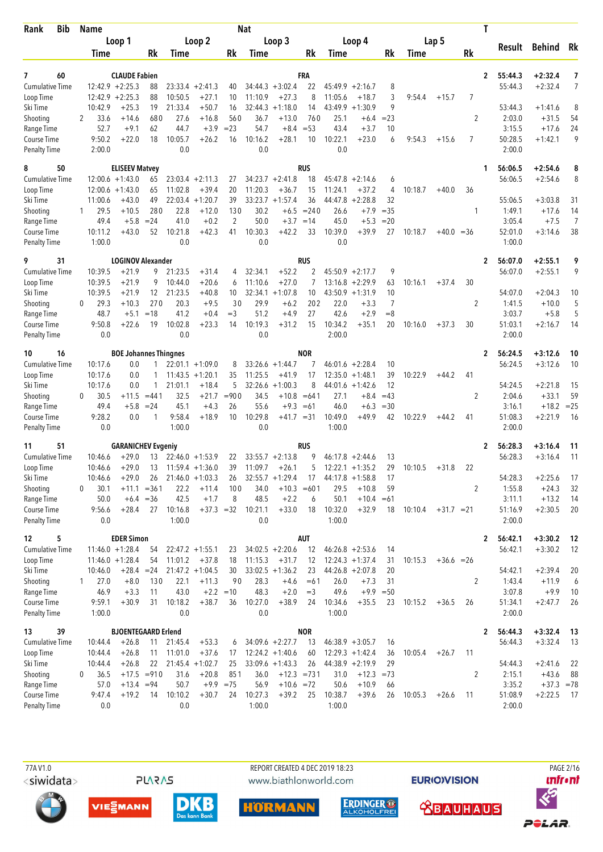| Loop 1<br>Loop 2<br>Loop 3<br>Loop 4<br>Lap 5<br><b>Behind</b><br>Rk<br>Result<br>Rk<br>Rk<br>Rk<br>Rk<br>Rk<br>Time<br>Time<br>Time<br>Time<br>Time<br>$\overline{ }$<br>60<br><b>CLAUDE Fabien</b><br>FRA<br>55:44.3<br>$+2:32.4$<br>7<br>$\mathbf{2}$<br>$12:42.9 + 2:25.3$<br>$+2:32.4$<br>Cumulative Time<br>88<br>$34:44.3 + 3:02.4$<br>22<br>$45:49.9 +2:16.7$<br>8<br>55:44.3<br>7<br>$23:33.4 +2:41.3$<br>40<br>$12:42.9 + 2:25.3$<br>8<br>3<br>88<br>10:50.5<br>$+27.1$<br>11:10.9<br>$+27.3$<br>11:05.6<br>$+18.7$<br>9:54.4<br>7<br>Loop Time<br>10<br>$+15.7$<br>9<br>10:42.9<br>$+25.3$<br>19<br>21:33.4<br>$+50.7$<br>32:44.3<br>$+1:18.0$<br>43:49.9<br>$+1:30.9$<br>53:44.3<br>8<br>16<br>14<br>$+1:41.6$<br>33.6<br>$+14.6$<br>680<br>27.6<br>$+16.8$<br>560<br>$+13.0$<br>25.1<br>$= 23$<br>2<br>2:03.0<br>$+31.5$<br>54<br>2<br>36.7<br>$+6.4$<br>760<br>52.7<br>$+9.1$<br>62<br>44.7<br>$+3.9$<br>$= 23$<br>54.7<br>$+8.4$<br>$= 53$<br>43.4<br>$+3.7$<br>10<br>3:15.5<br>24<br>Range Time<br>$+17.6$<br>9<br>9:50.2<br>$+22.0$<br>18<br>10:05.7<br>$+26.2$<br>16<br>10:16.2<br>$+28.1$<br>10<br>10:22.1<br>$+23.0$<br>6<br>9:54.3<br>7<br>50:28.5<br>$+1:42.1$<br>Course Time<br>$+15.6$<br>0.0<br>0.0<br>0.0<br>2:00.0<br>2:00.0<br>Penalty Time<br><b>RUS</b><br>50<br><b>ELISEEV Matvey</b><br>56:06.5<br>$+2:54.6$<br>8<br>1<br>$12:00.6 + 1:43.0$<br>$34:23.7 +2:41.8$<br>18<br>56:06.5<br>$+2:54.6$<br>8<br><b>Cumulative Time</b><br>65<br>$23:03.4 +2:11.3$<br>27<br>$45:47.8 +2:14.6$<br>6<br>$+39.4$<br>20<br>11:20.3<br>15<br>11:24.1<br>$+37.2$<br>4<br>10:18.7<br>$+40.0$<br>Loop Time<br>12:00.6<br>$+1:43.0$<br>65<br>11:02.8<br>$+36.7$<br>36<br>49<br>$+1:20.7$<br>39<br>$33:23.7 + 1:57.4$<br>36<br>$+2:28.8$<br>32<br>55:06.5<br>$+3:03.8$<br>Ski Time<br>11:00.6<br>$+43.0$<br>22:03.4<br>44:47.8<br>31<br>29.5<br>$+10.5$<br>280<br>22.8<br>$+12.0$<br>130<br>30.2<br>$+6.5 = 240$<br>26.6<br>$+7.9$<br>$=35$<br>1:49.1<br>$+17.6$<br>14<br>1<br>1<br>$= 24$<br>$+0.2$<br>2<br>50.0<br>45.0<br>3:05.4<br>$+7.5$<br>7<br>49.4<br>$+5.8$<br>41.0<br>$+3.7 = 14$<br>$+5.3$<br>$=20$<br>10:11.2<br>$+43.0$<br>52<br>10:21.8<br>$+42.3$<br>10:30.3<br>$+42.2$<br>33<br>10:39.0<br>$+39.9$<br>10:18.7<br>52:01.0<br>$+3:14.6$<br>38<br>41<br>27<br>$+40.0 = 36$<br>1:00.0<br>0.0<br>0.0<br>0.0<br>1:00.0<br><b>Penalty Time</b><br>31<br><b>LOGINOV Alexander</b><br>RUS<br>56:07.0<br>$+2:55.1$<br>9<br>2<br>9<br>56:07.0<br>10:39.5<br>$+21.9$<br>9<br>21:23.5<br>$+31.4$<br>32:34.1<br>$+52.2$<br>2<br>$45:50.9 +2:17.7$<br>$+2:55.1$<br>9<br>4<br>10:39.5<br>$+21.9$<br>9<br>10:44.0<br>$+20.6$<br>11:10.6<br>$+27.0$<br>$13:16.8 + 2:29.9$<br>63<br>10:16.1<br>30<br>7<br>$+37.4$<br>6<br>10:39.5<br>$+21.9$<br>12<br>21:23.5<br>$+40.8$<br>$32:34.1 + 1:07.8$<br>10<br>$43:50.9 +1:31.9$<br>10<br>54:07.0<br>$+2:04.3$<br>10<br>Ski Time<br>10<br>30<br>29.9<br>22.0<br>7<br>29.3<br>$+10.3$<br>270<br>20.3<br>$+9.5$<br>$+6.2$<br>202<br>$+3.3$<br>2<br>$+10.0$<br>5<br>Shooting<br>$\Omega$<br>1:41.5<br>27<br>42.6<br>48.7<br>$+5.1$<br>$=18$<br>41.2<br>$+0.4$<br>$=$ 3<br>51.2<br>$+4.9$<br>$+2.9$<br>$=8$<br>3:03.7<br>$+5.8$<br>5<br>Range Time<br>10:19.3<br>10:34.2<br>9:50.8<br>$+22.6$<br>10:02.8<br>$+23.3$<br>14<br>$+31.2$<br>15<br>$+35.1$<br>20<br>30<br>51:03.1<br>14<br>Course Time<br>19<br>10:16.0<br>$+37.3$<br>$+2:16.7$<br>0.0<br>0.0<br>0.0<br>2:00.0<br>2:00.0<br><b>NOR</b><br>16<br><b>BOE Johannes Thingnes</b><br>56:24.5<br>$+3:12.6$<br>10<br>10<br>$\mathbf{2}$<br>56:24.5<br><b>Cumulative Time</b><br>10:17.6<br>0.0<br>$22:01.1 + 1:09.0$<br>$33:26.6 + 1:44.7$<br>$46:01.6 +2:28.4$<br>10<br>$+3:12.6$<br>10<br>8<br>7<br>39<br>10:17.6<br>$11:43.5 + 1:20.1$<br>35<br>11:25.5<br>$+41.9$<br>17<br>12:35.0<br>$+1:48.1$<br>10:22.9<br>41<br>Loop Time<br>0.0<br>1<br>$+44.2$<br>10:17.6<br>$+18.4$<br>5<br>32:26.6<br>$+1:00.3$<br>8<br>$44:01.6 +1:42.6$<br>12<br>54:24.5<br>$+2:21.8$<br>0.0<br>21:01.1<br>15<br>59<br>30.5<br>32.5<br>$+21.7$<br>$= 900$<br>34.5<br>$+10.8 = 641$<br>27.1<br>$=43$<br>2<br>2:04.6<br>$+33.1$<br>$+11.5$<br>$= 441$<br>$+8.4$<br>$\Omega$<br>49.4<br>$+5.8$<br>45.1<br>$+4.3$<br>26<br>55.6<br>$+9.3$<br>46.0<br>$+6.3$<br>$=30$<br>3:16.1<br>$+18.2$<br>$=25$<br>Range Time<br>$= 24$<br>$=61$<br>10:29.8<br>10:49.0<br>9:28.2<br>9:58.4<br>$+18.9$<br>10<br>$+49.9$<br>42<br>10:22.9<br>41<br>51:08.3<br>$+2:21.9$<br>-16<br>Course Time<br>0.0<br>$\mathbf{1}$<br>$+41.7 = 31$<br>$+44.2$<br>1:00.0<br>0.0<br>1:00.0<br>2:00.0<br><b>Penalty Time</b><br>0.0<br><b>RUS</b><br>56:28.3<br>$+3:16.4$<br>11<br>51<br><b>GARANICHEV Evgeniy</b><br>2<br>11<br>56:28.3<br><b>Cumulative Time</b><br>$+29.0$<br>$33:55.7 + 2:13.8$<br>9<br>$+3:16.4$<br>11<br>10:46.6<br>13<br>$22:46.0 + 1:53.9$<br>22<br>46:17.8<br>$+2:44.6$<br>13<br>$+29.0$<br>13<br>39<br>11:09.7<br>$+26.1$<br>5<br>$12:22.1 + 1:35.2$<br>29<br>10:10.5<br>Loop Time<br>10:46.6<br>$11:59.4 + 1:36.0$<br>$+31.8$<br>22<br>$32:55.7 + 1:29.4$<br>54:28.3<br>$+2:25.6$<br>$+29.0$<br>$21:46.0 + 1:03.3$<br>$44:17.8 +1:58.8$<br>10:46.6<br>26<br>26<br>17<br>17<br>17<br>22.2<br>100<br>29.5<br>$+10.8$<br>2<br>1:55.8<br>$+24.3$<br>32<br>30.1<br>$+11.1 = 361$<br>$+11.4$<br>34.0<br>$+10.3 = 601$<br>59<br>0<br>$+6.4 = 36$<br>42.5<br>8<br>48.5<br>$+2.2$<br>50.1<br>$+10.4 = 61$<br>3:11.1<br>$+13.2$<br>50.0<br>$+1.7$<br>14<br>6<br>Course Time<br>9:56.6<br>10:16.8<br>$+37.3 = 32$<br>$+33.0$<br>18<br>10:32.0<br>$+32.9$<br>51:16.9<br>$+2:30.5$<br>20<br>$+28.4$<br>27<br>10:21.1<br>18<br>10:10.4<br>$+31.7 = 21$<br>Penalty Time<br>1:00.0<br>0.0<br>1:00.0<br>2:00.0<br>0.0<br><b>EDER Simon</b><br><b>AUT</b><br>5<br>56:42.1<br>$+3:30.2$<br>$\mathbf{2}$<br>-12<br>$11:46.0 + 1:28.4$<br>12<br>$46:26.8 + 2:53.6$<br>56:42.1<br>$+3:30.2$<br>12<br><b>Cumulative Time</b><br>54<br>$22:47.2 +1:55.1$<br>$34:02.5 +2:20.6$<br>23<br>14<br>$11:46.0 + 1:28.4$<br>11:15.3<br>Loop Time<br>54<br>11:01.2<br>$+37.8$<br>18<br>$+31.7$<br>12<br>$12:24.3 + 1:37.4$<br>31<br>10:15.3<br>$+36.6 = 26$<br>$+28.4 = 24$<br>$21:47.2 +1:04.5$<br>30<br>$33:02.5 +1:36.2$<br>$44:26.8 + 2:07.8$<br>20<br>54:42.1<br>$+2:39.4$<br>Ski Time<br>10:46.0<br>23<br>20<br>Shooting<br>27.0<br>$+8.0$<br>130<br>90<br>28.3<br>26.0<br>2<br>1:43.4<br>22.1<br>$+11.3$<br>$+4.6$<br>$+7.3$<br>31<br>$+11.9$<br>6<br>1<br>$=61$<br>Range Time<br>43.0<br>$+2.2 = 10$<br>48.3<br>49.6<br>3:07.8<br>$+9.9$<br>46.9<br>$+3.3$<br>11<br>$+2.0$<br>$=$ 3<br>$+9.9$<br>$=50$<br>10<br>9:59.1<br>$+30.9$<br>10:18.2<br>$+38.7$<br>10:27.0<br>10:34.6<br>31<br>36<br>$+38.9$<br>24<br>$+35.5$<br>23<br>10:15.2<br>$+36.5$<br>26<br>51:34.1<br>$+2:47.7$<br>26<br>0.0<br>0.0<br>1:00.0<br>2:00.0<br>1:00.0<br><b>NOR</b><br>39<br><b>BJOENTEGAARD Erlend</b><br>56:44.3<br>$+3:32.4$<br>$\mathbf{2}$<br>- 13<br>$+26.8$<br>$+53.3$<br>$34:09.6 + 2:27.7$<br>$46:38.9 + 3:05.7$<br>56:44.3<br>$+3:32.4$<br>10:44.4<br>11<br>21:45.4<br>13<br>16<br>13<br>6<br>$+26.8$<br>$+37.6$<br>$12:24.2 + 1:40.6$<br>10:44.4<br>11:01.0<br>17<br>60<br>$12:29.3 +1:42.4$<br>36<br>10:05.4<br>11<br>11<br>$+26.7$<br>$21:45.4 +1:02.7$<br>$33:09.6 +1:43.3$<br>$44:38.9 +2:19.9$<br>10:44.4<br>$+26.8$<br>22<br>25<br>26<br>29<br>54:44.3<br>$+2:41.6$<br>22<br>Shooting<br>36.5<br>$+17.5 = 910$<br>31.6<br>$+20.8$<br>851<br>36.0<br>$+12.3 = 731$<br>31.0<br>$+12.3 = 73$<br>2<br>2:15.1<br>$+43.6$<br>88<br>0<br>$+13.4 = 94$<br>50.7<br>$+9.9 = 75$<br>56.9<br>$+10.6 = 72$<br>50.6<br>$+10.9$<br>3:35.2<br>$+37.3 = 78$<br>Range Time<br>57.0<br>66<br>Course Time<br>10:10.2<br>$+30.7$<br>10:27.3<br>10:38.7<br>$+39.6$<br>51:08.9<br>$+2:22.5$<br>9:47.4<br>$+19.2$<br>24<br>$+39.2$<br>25<br>26<br>10:05.3<br>- 17<br>14<br>$+26.6$<br>11<br>1:00.0<br>0.0<br>0.0<br>1:00.0<br>2:00.0 | <b>Bib</b><br>Rank     | Name |  |  | <b>Nat</b> |  |  |  |  | T |  |  |
|---------------------------------------------------------------------------------------------------------------------------------------------------------------------------------------------------------------------------------------------------------------------------------------------------------------------------------------------------------------------------------------------------------------------------------------------------------------------------------------------------------------------------------------------------------------------------------------------------------------------------------------------------------------------------------------------------------------------------------------------------------------------------------------------------------------------------------------------------------------------------------------------------------------------------------------------------------------------------------------------------------------------------------------------------------------------------------------------------------------------------------------------------------------------------------------------------------------------------------------------------------------------------------------------------------------------------------------------------------------------------------------------------------------------------------------------------------------------------------------------------------------------------------------------------------------------------------------------------------------------------------------------------------------------------------------------------------------------------------------------------------------------------------------------------------------------------------------------------------------------------------------------------------------------------------------------------------------------------------------------------------------------------------------------------------------------------------------------------------------------------------------------------------------------------------------------------------------------------------------------------------------------------------------------------------------------------------------------------------------------------------------------------------------------------------------------------------------------------------------------------------------------------------------------------------------------------------------------------------------------------------------------------------------------------------------------------------------------------------------------------------------------------------------------------------------------------------------------------------------------------------------------------------------------------------------------------------------------------------------------------------------------------------------------------------------------------------------------------------------------------------------------------------------------------------------------------------------------------------------------------------------------------------------------------------------------------------------------------------------------------------------------------------------------------------------------------------------------------------------------------------------------------------------------------------------------------------------------------------------------------------------------------------------------------------------------------------------------------------------------------------------------------------------------------------------------------------------------------------------------------------------------------------------------------------------------------------------------------------------------------------------------------------------------------------------------------------------------------------------------------------------------------------------------------------------------------------------------------------------------------------------------------------------------------------------------------------------------------------------------------------------------------------------------------------------------------------------------------------------------------------------------------------------------------------------------------------------------------------------------------------------------------------------------------------------------------------------------------------------------------------------------------------------------------------------------------------------------------------------------------------------------------------------------------------------------------------------------------------------------------------------------------------------------------------------------------------------------------------------------------------------------------------------------------------------------------------------------------------------------------------------------------------------------------------------------------------------------------------------------------------------------------------------------------------------------------------------------------------------------------------------------------------------------------------------------------------------------------------------------------------------------------------------------------------------------------------------------------------------------------------------------------------------------------------------------------------------------------------------------------------------------------------------------------------------------------------------------------------------------------------------------------------------------------------------------------------------------------------------------------------------------------------------------------------------------------------------------------------------------------------------------------------------------------------------------------------------------------------------------------------------------------------------------------------------------------------------------------------------------------------------------------------------------------------------------------------------------------------------------------------------------------------------------------------------------------------------------------------------------------------------------------------------------------------------------------------------------------------------------------------------------------------------------------------------------------------------------------------------------------------------------------------------------------------------------------------------------------------------------------------------------------------------------------------------------------------------------------------------------------------------------------------------------------------------------------------------------------------------------------------------------------------------------------------------------------------------------------------------------------------------------------------------------------------------------------------------------------------------------------------------------------------------------------------------------------------------------------------------------------------------------------------------------------------------------------------------------------------|------------------------|------|--|--|------------|--|--|--|--|---|--|--|
|                                                                                                                                                                                                                                                                                                                                                                                                                                                                                                                                                                                                                                                                                                                                                                                                                                                                                                                                                                                                                                                                                                                                                                                                                                                                                                                                                                                                                                                                                                                                                                                                                                                                                                                                                                                                                                                                                                                                                                                                                                                                                                                                                                                                                                                                                                                                                                                                                                                                                                                                                                                                                                                                                                                                                                                                                                                                                                                                                                                                                                                                                                                                                                                                                                                                                                                                                                                                                                                                                                                                                                                                                                                                                                                                                                                                                                                                                                                                                                                                                                                                                                                                                                                                                                                                                                                                                                                                                                                                                                                                                                                                                                                                                                                                                                                                                                                                                                                                                                                                                                                                                                                                                                                                                                                                                                                                                                                                                                                                                                                                                                                                                                                                                                                                                                                                                                                                                                                                                                                                                                                                                                                                                                                                                                                                                                                                                                                                                                                                                                                                                                                                                                                                                                                                                                                                                                                                                                                                                                                                                                                                                                                                                                                                                                                                                                                                                                                                                                                                                                                                                                                                                                                                                                                                                                                                                                                         |                        |      |  |  |            |  |  |  |  |   |  |  |
|                                                                                                                                                                                                                                                                                                                                                                                                                                                                                                                                                                                                                                                                                                                                                                                                                                                                                                                                                                                                                                                                                                                                                                                                                                                                                                                                                                                                                                                                                                                                                                                                                                                                                                                                                                                                                                                                                                                                                                                                                                                                                                                                                                                                                                                                                                                                                                                                                                                                                                                                                                                                                                                                                                                                                                                                                                                                                                                                                                                                                                                                                                                                                                                                                                                                                                                                                                                                                                                                                                                                                                                                                                                                                                                                                                                                                                                                                                                                                                                                                                                                                                                                                                                                                                                                                                                                                                                                                                                                                                                                                                                                                                                                                                                                                                                                                                                                                                                                                                                                                                                                                                                                                                                                                                                                                                                                                                                                                                                                                                                                                                                                                                                                                                                                                                                                                                                                                                                                                                                                                                                                                                                                                                                                                                                                                                                                                                                                                                                                                                                                                                                                                                                                                                                                                                                                                                                                                                                                                                                                                                                                                                                                                                                                                                                                                                                                                                                                                                                                                                                                                                                                                                                                                                                                                                                                                                                         |                        |      |  |  |            |  |  |  |  |   |  |  |
|                                                                                                                                                                                                                                                                                                                                                                                                                                                                                                                                                                                                                                                                                                                                                                                                                                                                                                                                                                                                                                                                                                                                                                                                                                                                                                                                                                                                                                                                                                                                                                                                                                                                                                                                                                                                                                                                                                                                                                                                                                                                                                                                                                                                                                                                                                                                                                                                                                                                                                                                                                                                                                                                                                                                                                                                                                                                                                                                                                                                                                                                                                                                                                                                                                                                                                                                                                                                                                                                                                                                                                                                                                                                                                                                                                                                                                                                                                                                                                                                                                                                                                                                                                                                                                                                                                                                                                                                                                                                                                                                                                                                                                                                                                                                                                                                                                                                                                                                                                                                                                                                                                                                                                                                                                                                                                                                                                                                                                                                                                                                                                                                                                                                                                                                                                                                                                                                                                                                                                                                                                                                                                                                                                                                                                                                                                                                                                                                                                                                                                                                                                                                                                                                                                                                                                                                                                                                                                                                                                                                                                                                                                                                                                                                                                                                                                                                                                                                                                                                                                                                                                                                                                                                                                                                                                                                                                                         |                        |      |  |  |            |  |  |  |  |   |  |  |
|                                                                                                                                                                                                                                                                                                                                                                                                                                                                                                                                                                                                                                                                                                                                                                                                                                                                                                                                                                                                                                                                                                                                                                                                                                                                                                                                                                                                                                                                                                                                                                                                                                                                                                                                                                                                                                                                                                                                                                                                                                                                                                                                                                                                                                                                                                                                                                                                                                                                                                                                                                                                                                                                                                                                                                                                                                                                                                                                                                                                                                                                                                                                                                                                                                                                                                                                                                                                                                                                                                                                                                                                                                                                                                                                                                                                                                                                                                                                                                                                                                                                                                                                                                                                                                                                                                                                                                                                                                                                                                                                                                                                                                                                                                                                                                                                                                                                                                                                                                                                                                                                                                                                                                                                                                                                                                                                                                                                                                                                                                                                                                                                                                                                                                                                                                                                                                                                                                                                                                                                                                                                                                                                                                                                                                                                                                                                                                                                                                                                                                                                                                                                                                                                                                                                                                                                                                                                                                                                                                                                                                                                                                                                                                                                                                                                                                                                                                                                                                                                                                                                                                                                                                                                                                                                                                                                                                                         |                        |      |  |  |            |  |  |  |  |   |  |  |
|                                                                                                                                                                                                                                                                                                                                                                                                                                                                                                                                                                                                                                                                                                                                                                                                                                                                                                                                                                                                                                                                                                                                                                                                                                                                                                                                                                                                                                                                                                                                                                                                                                                                                                                                                                                                                                                                                                                                                                                                                                                                                                                                                                                                                                                                                                                                                                                                                                                                                                                                                                                                                                                                                                                                                                                                                                                                                                                                                                                                                                                                                                                                                                                                                                                                                                                                                                                                                                                                                                                                                                                                                                                                                                                                                                                                                                                                                                                                                                                                                                                                                                                                                                                                                                                                                                                                                                                                                                                                                                                                                                                                                                                                                                                                                                                                                                                                                                                                                                                                                                                                                                                                                                                                                                                                                                                                                                                                                                                                                                                                                                                                                                                                                                                                                                                                                                                                                                                                                                                                                                                                                                                                                                                                                                                                                                                                                                                                                                                                                                                                                                                                                                                                                                                                                                                                                                                                                                                                                                                                                                                                                                                                                                                                                                                                                                                                                                                                                                                                                                                                                                                                                                                                                                                                                                                                                                                         |                        |      |  |  |            |  |  |  |  |   |  |  |
|                                                                                                                                                                                                                                                                                                                                                                                                                                                                                                                                                                                                                                                                                                                                                                                                                                                                                                                                                                                                                                                                                                                                                                                                                                                                                                                                                                                                                                                                                                                                                                                                                                                                                                                                                                                                                                                                                                                                                                                                                                                                                                                                                                                                                                                                                                                                                                                                                                                                                                                                                                                                                                                                                                                                                                                                                                                                                                                                                                                                                                                                                                                                                                                                                                                                                                                                                                                                                                                                                                                                                                                                                                                                                                                                                                                                                                                                                                                                                                                                                                                                                                                                                                                                                                                                                                                                                                                                                                                                                                                                                                                                                                                                                                                                                                                                                                                                                                                                                                                                                                                                                                                                                                                                                                                                                                                                                                                                                                                                                                                                                                                                                                                                                                                                                                                                                                                                                                                                                                                                                                                                                                                                                                                                                                                                                                                                                                                                                                                                                                                                                                                                                                                                                                                                                                                                                                                                                                                                                                                                                                                                                                                                                                                                                                                                                                                                                                                                                                                                                                                                                                                                                                                                                                                                                                                                                                                         | Ski Time               |      |  |  |            |  |  |  |  |   |  |  |
|                                                                                                                                                                                                                                                                                                                                                                                                                                                                                                                                                                                                                                                                                                                                                                                                                                                                                                                                                                                                                                                                                                                                                                                                                                                                                                                                                                                                                                                                                                                                                                                                                                                                                                                                                                                                                                                                                                                                                                                                                                                                                                                                                                                                                                                                                                                                                                                                                                                                                                                                                                                                                                                                                                                                                                                                                                                                                                                                                                                                                                                                                                                                                                                                                                                                                                                                                                                                                                                                                                                                                                                                                                                                                                                                                                                                                                                                                                                                                                                                                                                                                                                                                                                                                                                                                                                                                                                                                                                                                                                                                                                                                                                                                                                                                                                                                                                                                                                                                                                                                                                                                                                                                                                                                                                                                                                                                                                                                                                                                                                                                                                                                                                                                                                                                                                                                                                                                                                                                                                                                                                                                                                                                                                                                                                                                                                                                                                                                                                                                                                                                                                                                                                                                                                                                                                                                                                                                                                                                                                                                                                                                                                                                                                                                                                                                                                                                                                                                                                                                                                                                                                                                                                                                                                                                                                                                                                         | Shooting               |      |  |  |            |  |  |  |  |   |  |  |
|                                                                                                                                                                                                                                                                                                                                                                                                                                                                                                                                                                                                                                                                                                                                                                                                                                                                                                                                                                                                                                                                                                                                                                                                                                                                                                                                                                                                                                                                                                                                                                                                                                                                                                                                                                                                                                                                                                                                                                                                                                                                                                                                                                                                                                                                                                                                                                                                                                                                                                                                                                                                                                                                                                                                                                                                                                                                                                                                                                                                                                                                                                                                                                                                                                                                                                                                                                                                                                                                                                                                                                                                                                                                                                                                                                                                                                                                                                                                                                                                                                                                                                                                                                                                                                                                                                                                                                                                                                                                                                                                                                                                                                                                                                                                                                                                                                                                                                                                                                                                                                                                                                                                                                                                                                                                                                                                                                                                                                                                                                                                                                                                                                                                                                                                                                                                                                                                                                                                                                                                                                                                                                                                                                                                                                                                                                                                                                                                                                                                                                                                                                                                                                                                                                                                                                                                                                                                                                                                                                                                                                                                                                                                                                                                                                                                                                                                                                                                                                                                                                                                                                                                                                                                                                                                                                                                                                                         |                        |      |  |  |            |  |  |  |  |   |  |  |
|                                                                                                                                                                                                                                                                                                                                                                                                                                                                                                                                                                                                                                                                                                                                                                                                                                                                                                                                                                                                                                                                                                                                                                                                                                                                                                                                                                                                                                                                                                                                                                                                                                                                                                                                                                                                                                                                                                                                                                                                                                                                                                                                                                                                                                                                                                                                                                                                                                                                                                                                                                                                                                                                                                                                                                                                                                                                                                                                                                                                                                                                                                                                                                                                                                                                                                                                                                                                                                                                                                                                                                                                                                                                                                                                                                                                                                                                                                                                                                                                                                                                                                                                                                                                                                                                                                                                                                                                                                                                                                                                                                                                                                                                                                                                                                                                                                                                                                                                                                                                                                                                                                                                                                                                                                                                                                                                                                                                                                                                                                                                                                                                                                                                                                                                                                                                                                                                                                                                                                                                                                                                                                                                                                                                                                                                                                                                                                                                                                                                                                                                                                                                                                                                                                                                                                                                                                                                                                                                                                                                                                                                                                                                                                                                                                                                                                                                                                                                                                                                                                                                                                                                                                                                                                                                                                                                                                                         |                        |      |  |  |            |  |  |  |  |   |  |  |
|                                                                                                                                                                                                                                                                                                                                                                                                                                                                                                                                                                                                                                                                                                                                                                                                                                                                                                                                                                                                                                                                                                                                                                                                                                                                                                                                                                                                                                                                                                                                                                                                                                                                                                                                                                                                                                                                                                                                                                                                                                                                                                                                                                                                                                                                                                                                                                                                                                                                                                                                                                                                                                                                                                                                                                                                                                                                                                                                                                                                                                                                                                                                                                                                                                                                                                                                                                                                                                                                                                                                                                                                                                                                                                                                                                                                                                                                                                                                                                                                                                                                                                                                                                                                                                                                                                                                                                                                                                                                                                                                                                                                                                                                                                                                                                                                                                                                                                                                                                                                                                                                                                                                                                                                                                                                                                                                                                                                                                                                                                                                                                                                                                                                                                                                                                                                                                                                                                                                                                                                                                                                                                                                                                                                                                                                                                                                                                                                                                                                                                                                                                                                                                                                                                                                                                                                                                                                                                                                                                                                                                                                                                                                                                                                                                                                                                                                                                                                                                                                                                                                                                                                                                                                                                                                                                                                                                                         |                        |      |  |  |            |  |  |  |  |   |  |  |
|                                                                                                                                                                                                                                                                                                                                                                                                                                                                                                                                                                                                                                                                                                                                                                                                                                                                                                                                                                                                                                                                                                                                                                                                                                                                                                                                                                                                                                                                                                                                                                                                                                                                                                                                                                                                                                                                                                                                                                                                                                                                                                                                                                                                                                                                                                                                                                                                                                                                                                                                                                                                                                                                                                                                                                                                                                                                                                                                                                                                                                                                                                                                                                                                                                                                                                                                                                                                                                                                                                                                                                                                                                                                                                                                                                                                                                                                                                                                                                                                                                                                                                                                                                                                                                                                                                                                                                                                                                                                                                                                                                                                                                                                                                                                                                                                                                                                                                                                                                                                                                                                                                                                                                                                                                                                                                                                                                                                                                                                                                                                                                                                                                                                                                                                                                                                                                                                                                                                                                                                                                                                                                                                                                                                                                                                                                                                                                                                                                                                                                                                                                                                                                                                                                                                                                                                                                                                                                                                                                                                                                                                                                                                                                                                                                                                                                                                                                                                                                                                                                                                                                                                                                                                                                                                                                                                                                                         | 8                      |      |  |  |            |  |  |  |  |   |  |  |
|                                                                                                                                                                                                                                                                                                                                                                                                                                                                                                                                                                                                                                                                                                                                                                                                                                                                                                                                                                                                                                                                                                                                                                                                                                                                                                                                                                                                                                                                                                                                                                                                                                                                                                                                                                                                                                                                                                                                                                                                                                                                                                                                                                                                                                                                                                                                                                                                                                                                                                                                                                                                                                                                                                                                                                                                                                                                                                                                                                                                                                                                                                                                                                                                                                                                                                                                                                                                                                                                                                                                                                                                                                                                                                                                                                                                                                                                                                                                                                                                                                                                                                                                                                                                                                                                                                                                                                                                                                                                                                                                                                                                                                                                                                                                                                                                                                                                                                                                                                                                                                                                                                                                                                                                                                                                                                                                                                                                                                                                                                                                                                                                                                                                                                                                                                                                                                                                                                                                                                                                                                                                                                                                                                                                                                                                                                                                                                                                                                                                                                                                                                                                                                                                                                                                                                                                                                                                                                                                                                                                                                                                                                                                                                                                                                                                                                                                                                                                                                                                                                                                                                                                                                                                                                                                                                                                                                                         |                        |      |  |  |            |  |  |  |  |   |  |  |
|                                                                                                                                                                                                                                                                                                                                                                                                                                                                                                                                                                                                                                                                                                                                                                                                                                                                                                                                                                                                                                                                                                                                                                                                                                                                                                                                                                                                                                                                                                                                                                                                                                                                                                                                                                                                                                                                                                                                                                                                                                                                                                                                                                                                                                                                                                                                                                                                                                                                                                                                                                                                                                                                                                                                                                                                                                                                                                                                                                                                                                                                                                                                                                                                                                                                                                                                                                                                                                                                                                                                                                                                                                                                                                                                                                                                                                                                                                                                                                                                                                                                                                                                                                                                                                                                                                                                                                                                                                                                                                                                                                                                                                                                                                                                                                                                                                                                                                                                                                                                                                                                                                                                                                                                                                                                                                                                                                                                                                                                                                                                                                                                                                                                                                                                                                                                                                                                                                                                                                                                                                                                                                                                                                                                                                                                                                                                                                                                                                                                                                                                                                                                                                                                                                                                                                                                                                                                                                                                                                                                                                                                                                                                                                                                                                                                                                                                                                                                                                                                                                                                                                                                                                                                                                                                                                                                                                                         |                        |      |  |  |            |  |  |  |  |   |  |  |
|                                                                                                                                                                                                                                                                                                                                                                                                                                                                                                                                                                                                                                                                                                                                                                                                                                                                                                                                                                                                                                                                                                                                                                                                                                                                                                                                                                                                                                                                                                                                                                                                                                                                                                                                                                                                                                                                                                                                                                                                                                                                                                                                                                                                                                                                                                                                                                                                                                                                                                                                                                                                                                                                                                                                                                                                                                                                                                                                                                                                                                                                                                                                                                                                                                                                                                                                                                                                                                                                                                                                                                                                                                                                                                                                                                                                                                                                                                                                                                                                                                                                                                                                                                                                                                                                                                                                                                                                                                                                                                                                                                                                                                                                                                                                                                                                                                                                                                                                                                                                                                                                                                                                                                                                                                                                                                                                                                                                                                                                                                                                                                                                                                                                                                                                                                                                                                                                                                                                                                                                                                                                                                                                                                                                                                                                                                                                                                                                                                                                                                                                                                                                                                                                                                                                                                                                                                                                                                                                                                                                                                                                                                                                                                                                                                                                                                                                                                                                                                                                                                                                                                                                                                                                                                                                                                                                                                                         | Shooting               |      |  |  |            |  |  |  |  |   |  |  |
|                                                                                                                                                                                                                                                                                                                                                                                                                                                                                                                                                                                                                                                                                                                                                                                                                                                                                                                                                                                                                                                                                                                                                                                                                                                                                                                                                                                                                                                                                                                                                                                                                                                                                                                                                                                                                                                                                                                                                                                                                                                                                                                                                                                                                                                                                                                                                                                                                                                                                                                                                                                                                                                                                                                                                                                                                                                                                                                                                                                                                                                                                                                                                                                                                                                                                                                                                                                                                                                                                                                                                                                                                                                                                                                                                                                                                                                                                                                                                                                                                                                                                                                                                                                                                                                                                                                                                                                                                                                                                                                                                                                                                                                                                                                                                                                                                                                                                                                                                                                                                                                                                                                                                                                                                                                                                                                                                                                                                                                                                                                                                                                                                                                                                                                                                                                                                                                                                                                                                                                                                                                                                                                                                                                                                                                                                                                                                                                                                                                                                                                                                                                                                                                                                                                                                                                                                                                                                                                                                                                                                                                                                                                                                                                                                                                                                                                                                                                                                                                                                                                                                                                                                                                                                                                                                                                                                                                         | Range Time             |      |  |  |            |  |  |  |  |   |  |  |
|                                                                                                                                                                                                                                                                                                                                                                                                                                                                                                                                                                                                                                                                                                                                                                                                                                                                                                                                                                                                                                                                                                                                                                                                                                                                                                                                                                                                                                                                                                                                                                                                                                                                                                                                                                                                                                                                                                                                                                                                                                                                                                                                                                                                                                                                                                                                                                                                                                                                                                                                                                                                                                                                                                                                                                                                                                                                                                                                                                                                                                                                                                                                                                                                                                                                                                                                                                                                                                                                                                                                                                                                                                                                                                                                                                                                                                                                                                                                                                                                                                                                                                                                                                                                                                                                                                                                                                                                                                                                                                                                                                                                                                                                                                                                                                                                                                                                                                                                                                                                                                                                                                                                                                                                                                                                                                                                                                                                                                                                                                                                                                                                                                                                                                                                                                                                                                                                                                                                                                                                                                                                                                                                                                                                                                                                                                                                                                                                                                                                                                                                                                                                                                                                                                                                                                                                                                                                                                                                                                                                                                                                                                                                                                                                                                                                                                                                                                                                                                                                                                                                                                                                                                                                                                                                                                                                                                                         | Course Time            |      |  |  |            |  |  |  |  |   |  |  |
|                                                                                                                                                                                                                                                                                                                                                                                                                                                                                                                                                                                                                                                                                                                                                                                                                                                                                                                                                                                                                                                                                                                                                                                                                                                                                                                                                                                                                                                                                                                                                                                                                                                                                                                                                                                                                                                                                                                                                                                                                                                                                                                                                                                                                                                                                                                                                                                                                                                                                                                                                                                                                                                                                                                                                                                                                                                                                                                                                                                                                                                                                                                                                                                                                                                                                                                                                                                                                                                                                                                                                                                                                                                                                                                                                                                                                                                                                                                                                                                                                                                                                                                                                                                                                                                                                                                                                                                                                                                                                                                                                                                                                                                                                                                                                                                                                                                                                                                                                                                                                                                                                                                                                                                                                                                                                                                                                                                                                                                                                                                                                                                                                                                                                                                                                                                                                                                                                                                                                                                                                                                                                                                                                                                                                                                                                                                                                                                                                                                                                                                                                                                                                                                                                                                                                                                                                                                                                                                                                                                                                                                                                                                                                                                                                                                                                                                                                                                                                                                                                                                                                                                                                                                                                                                                                                                                                                                         |                        |      |  |  |            |  |  |  |  |   |  |  |
|                                                                                                                                                                                                                                                                                                                                                                                                                                                                                                                                                                                                                                                                                                                                                                                                                                                                                                                                                                                                                                                                                                                                                                                                                                                                                                                                                                                                                                                                                                                                                                                                                                                                                                                                                                                                                                                                                                                                                                                                                                                                                                                                                                                                                                                                                                                                                                                                                                                                                                                                                                                                                                                                                                                                                                                                                                                                                                                                                                                                                                                                                                                                                                                                                                                                                                                                                                                                                                                                                                                                                                                                                                                                                                                                                                                                                                                                                                                                                                                                                                                                                                                                                                                                                                                                                                                                                                                                                                                                                                                                                                                                                                                                                                                                                                                                                                                                                                                                                                                                                                                                                                                                                                                                                                                                                                                                                                                                                                                                                                                                                                                                                                                                                                                                                                                                                                                                                                                                                                                                                                                                                                                                                                                                                                                                                                                                                                                                                                                                                                                                                                                                                                                                                                                                                                                                                                                                                                                                                                                                                                                                                                                                                                                                                                                                                                                                                                                                                                                                                                                                                                                                                                                                                                                                                                                                                                                         | 9                      |      |  |  |            |  |  |  |  |   |  |  |
|                                                                                                                                                                                                                                                                                                                                                                                                                                                                                                                                                                                                                                                                                                                                                                                                                                                                                                                                                                                                                                                                                                                                                                                                                                                                                                                                                                                                                                                                                                                                                                                                                                                                                                                                                                                                                                                                                                                                                                                                                                                                                                                                                                                                                                                                                                                                                                                                                                                                                                                                                                                                                                                                                                                                                                                                                                                                                                                                                                                                                                                                                                                                                                                                                                                                                                                                                                                                                                                                                                                                                                                                                                                                                                                                                                                                                                                                                                                                                                                                                                                                                                                                                                                                                                                                                                                                                                                                                                                                                                                                                                                                                                                                                                                                                                                                                                                                                                                                                                                                                                                                                                                                                                                                                                                                                                                                                                                                                                                                                                                                                                                                                                                                                                                                                                                                                                                                                                                                                                                                                                                                                                                                                                                                                                                                                                                                                                                                                                                                                                                                                                                                                                                                                                                                                                                                                                                                                                                                                                                                                                                                                                                                                                                                                                                                                                                                                                                                                                                                                                                                                                                                                                                                                                                                                                                                                                                         | <b>Cumulative Time</b> |      |  |  |            |  |  |  |  |   |  |  |
|                                                                                                                                                                                                                                                                                                                                                                                                                                                                                                                                                                                                                                                                                                                                                                                                                                                                                                                                                                                                                                                                                                                                                                                                                                                                                                                                                                                                                                                                                                                                                                                                                                                                                                                                                                                                                                                                                                                                                                                                                                                                                                                                                                                                                                                                                                                                                                                                                                                                                                                                                                                                                                                                                                                                                                                                                                                                                                                                                                                                                                                                                                                                                                                                                                                                                                                                                                                                                                                                                                                                                                                                                                                                                                                                                                                                                                                                                                                                                                                                                                                                                                                                                                                                                                                                                                                                                                                                                                                                                                                                                                                                                                                                                                                                                                                                                                                                                                                                                                                                                                                                                                                                                                                                                                                                                                                                                                                                                                                                                                                                                                                                                                                                                                                                                                                                                                                                                                                                                                                                                                                                                                                                                                                                                                                                                                                                                                                                                                                                                                                                                                                                                                                                                                                                                                                                                                                                                                                                                                                                                                                                                                                                                                                                                                                                                                                                                                                                                                                                                                                                                                                                                                                                                                                                                                                                                                                         | Loop Time              |      |  |  |            |  |  |  |  |   |  |  |
|                                                                                                                                                                                                                                                                                                                                                                                                                                                                                                                                                                                                                                                                                                                                                                                                                                                                                                                                                                                                                                                                                                                                                                                                                                                                                                                                                                                                                                                                                                                                                                                                                                                                                                                                                                                                                                                                                                                                                                                                                                                                                                                                                                                                                                                                                                                                                                                                                                                                                                                                                                                                                                                                                                                                                                                                                                                                                                                                                                                                                                                                                                                                                                                                                                                                                                                                                                                                                                                                                                                                                                                                                                                                                                                                                                                                                                                                                                                                                                                                                                                                                                                                                                                                                                                                                                                                                                                                                                                                                                                                                                                                                                                                                                                                                                                                                                                                                                                                                                                                                                                                                                                                                                                                                                                                                                                                                                                                                                                                                                                                                                                                                                                                                                                                                                                                                                                                                                                                                                                                                                                                                                                                                                                                                                                                                                                                                                                                                                                                                                                                                                                                                                                                                                                                                                                                                                                                                                                                                                                                                                                                                                                                                                                                                                                                                                                                                                                                                                                                                                                                                                                                                                                                                                                                                                                                                                                         |                        |      |  |  |            |  |  |  |  |   |  |  |
|                                                                                                                                                                                                                                                                                                                                                                                                                                                                                                                                                                                                                                                                                                                                                                                                                                                                                                                                                                                                                                                                                                                                                                                                                                                                                                                                                                                                                                                                                                                                                                                                                                                                                                                                                                                                                                                                                                                                                                                                                                                                                                                                                                                                                                                                                                                                                                                                                                                                                                                                                                                                                                                                                                                                                                                                                                                                                                                                                                                                                                                                                                                                                                                                                                                                                                                                                                                                                                                                                                                                                                                                                                                                                                                                                                                                                                                                                                                                                                                                                                                                                                                                                                                                                                                                                                                                                                                                                                                                                                                                                                                                                                                                                                                                                                                                                                                                                                                                                                                                                                                                                                                                                                                                                                                                                                                                                                                                                                                                                                                                                                                                                                                                                                                                                                                                                                                                                                                                                                                                                                                                                                                                                                                                                                                                                                                                                                                                                                                                                                                                                                                                                                                                                                                                                                                                                                                                                                                                                                                                                                                                                                                                                                                                                                                                                                                                                                                                                                                                                                                                                                                                                                                                                                                                                                                                                                                         |                        |      |  |  |            |  |  |  |  |   |  |  |
|                                                                                                                                                                                                                                                                                                                                                                                                                                                                                                                                                                                                                                                                                                                                                                                                                                                                                                                                                                                                                                                                                                                                                                                                                                                                                                                                                                                                                                                                                                                                                                                                                                                                                                                                                                                                                                                                                                                                                                                                                                                                                                                                                                                                                                                                                                                                                                                                                                                                                                                                                                                                                                                                                                                                                                                                                                                                                                                                                                                                                                                                                                                                                                                                                                                                                                                                                                                                                                                                                                                                                                                                                                                                                                                                                                                                                                                                                                                                                                                                                                                                                                                                                                                                                                                                                                                                                                                                                                                                                                                                                                                                                                                                                                                                                                                                                                                                                                                                                                                                                                                                                                                                                                                                                                                                                                                                                                                                                                                                                                                                                                                                                                                                                                                                                                                                                                                                                                                                                                                                                                                                                                                                                                                                                                                                                                                                                                                                                                                                                                                                                                                                                                                                                                                                                                                                                                                                                                                                                                                                                                                                                                                                                                                                                                                                                                                                                                                                                                                                                                                                                                                                                                                                                                                                                                                                                                                         |                        |      |  |  |            |  |  |  |  |   |  |  |
|                                                                                                                                                                                                                                                                                                                                                                                                                                                                                                                                                                                                                                                                                                                                                                                                                                                                                                                                                                                                                                                                                                                                                                                                                                                                                                                                                                                                                                                                                                                                                                                                                                                                                                                                                                                                                                                                                                                                                                                                                                                                                                                                                                                                                                                                                                                                                                                                                                                                                                                                                                                                                                                                                                                                                                                                                                                                                                                                                                                                                                                                                                                                                                                                                                                                                                                                                                                                                                                                                                                                                                                                                                                                                                                                                                                                                                                                                                                                                                                                                                                                                                                                                                                                                                                                                                                                                                                                                                                                                                                                                                                                                                                                                                                                                                                                                                                                                                                                                                                                                                                                                                                                                                                                                                                                                                                                                                                                                                                                                                                                                                                                                                                                                                                                                                                                                                                                                                                                                                                                                                                                                                                                                                                                                                                                                                                                                                                                                                                                                                                                                                                                                                                                                                                                                                                                                                                                                                                                                                                                                                                                                                                                                                                                                                                                                                                                                                                                                                                                                                                                                                                                                                                                                                                                                                                                                                                         | <b>Penalty Time</b>    |      |  |  |            |  |  |  |  |   |  |  |
|                                                                                                                                                                                                                                                                                                                                                                                                                                                                                                                                                                                                                                                                                                                                                                                                                                                                                                                                                                                                                                                                                                                                                                                                                                                                                                                                                                                                                                                                                                                                                                                                                                                                                                                                                                                                                                                                                                                                                                                                                                                                                                                                                                                                                                                                                                                                                                                                                                                                                                                                                                                                                                                                                                                                                                                                                                                                                                                                                                                                                                                                                                                                                                                                                                                                                                                                                                                                                                                                                                                                                                                                                                                                                                                                                                                                                                                                                                                                                                                                                                                                                                                                                                                                                                                                                                                                                                                                                                                                                                                                                                                                                                                                                                                                                                                                                                                                                                                                                                                                                                                                                                                                                                                                                                                                                                                                                                                                                                                                                                                                                                                                                                                                                                                                                                                                                                                                                                                                                                                                                                                                                                                                                                                                                                                                                                                                                                                                                                                                                                                                                                                                                                                                                                                                                                                                                                                                                                                                                                                                                                                                                                                                                                                                                                                                                                                                                                                                                                                                                                                                                                                                                                                                                                                                                                                                                                                         |                        |      |  |  |            |  |  |  |  |   |  |  |
|                                                                                                                                                                                                                                                                                                                                                                                                                                                                                                                                                                                                                                                                                                                                                                                                                                                                                                                                                                                                                                                                                                                                                                                                                                                                                                                                                                                                                                                                                                                                                                                                                                                                                                                                                                                                                                                                                                                                                                                                                                                                                                                                                                                                                                                                                                                                                                                                                                                                                                                                                                                                                                                                                                                                                                                                                                                                                                                                                                                                                                                                                                                                                                                                                                                                                                                                                                                                                                                                                                                                                                                                                                                                                                                                                                                                                                                                                                                                                                                                                                                                                                                                                                                                                                                                                                                                                                                                                                                                                                                                                                                                                                                                                                                                                                                                                                                                                                                                                                                                                                                                                                                                                                                                                                                                                                                                                                                                                                                                                                                                                                                                                                                                                                                                                                                                                                                                                                                                                                                                                                                                                                                                                                                                                                                                                                                                                                                                                                                                                                                                                                                                                                                                                                                                                                                                                                                                                                                                                                                                                                                                                                                                                                                                                                                                                                                                                                                                                                                                                                                                                                                                                                                                                                                                                                                                                                                         |                        |      |  |  |            |  |  |  |  |   |  |  |
|                                                                                                                                                                                                                                                                                                                                                                                                                                                                                                                                                                                                                                                                                                                                                                                                                                                                                                                                                                                                                                                                                                                                                                                                                                                                                                                                                                                                                                                                                                                                                                                                                                                                                                                                                                                                                                                                                                                                                                                                                                                                                                                                                                                                                                                                                                                                                                                                                                                                                                                                                                                                                                                                                                                                                                                                                                                                                                                                                                                                                                                                                                                                                                                                                                                                                                                                                                                                                                                                                                                                                                                                                                                                                                                                                                                                                                                                                                                                                                                                                                                                                                                                                                                                                                                                                                                                                                                                                                                                                                                                                                                                                                                                                                                                                                                                                                                                                                                                                                                                                                                                                                                                                                                                                                                                                                                                                                                                                                                                                                                                                                                                                                                                                                                                                                                                                                                                                                                                                                                                                                                                                                                                                                                                                                                                                                                                                                                                                                                                                                                                                                                                                                                                                                                                                                                                                                                                                                                                                                                                                                                                                                                                                                                                                                                                                                                                                                                                                                                                                                                                                                                                                                                                                                                                                                                                                                                         |                        |      |  |  |            |  |  |  |  |   |  |  |
|                                                                                                                                                                                                                                                                                                                                                                                                                                                                                                                                                                                                                                                                                                                                                                                                                                                                                                                                                                                                                                                                                                                                                                                                                                                                                                                                                                                                                                                                                                                                                                                                                                                                                                                                                                                                                                                                                                                                                                                                                                                                                                                                                                                                                                                                                                                                                                                                                                                                                                                                                                                                                                                                                                                                                                                                                                                                                                                                                                                                                                                                                                                                                                                                                                                                                                                                                                                                                                                                                                                                                                                                                                                                                                                                                                                                                                                                                                                                                                                                                                                                                                                                                                                                                                                                                                                                                                                                                                                                                                                                                                                                                                                                                                                                                                                                                                                                                                                                                                                                                                                                                                                                                                                                                                                                                                                                                                                                                                                                                                                                                                                                                                                                                                                                                                                                                                                                                                                                                                                                                                                                                                                                                                                                                                                                                                                                                                                                                                                                                                                                                                                                                                                                                                                                                                                                                                                                                                                                                                                                                                                                                                                                                                                                                                                                                                                                                                                                                                                                                                                                                                                                                                                                                                                                                                                                                                                         | Ski Time               |      |  |  |            |  |  |  |  |   |  |  |
|                                                                                                                                                                                                                                                                                                                                                                                                                                                                                                                                                                                                                                                                                                                                                                                                                                                                                                                                                                                                                                                                                                                                                                                                                                                                                                                                                                                                                                                                                                                                                                                                                                                                                                                                                                                                                                                                                                                                                                                                                                                                                                                                                                                                                                                                                                                                                                                                                                                                                                                                                                                                                                                                                                                                                                                                                                                                                                                                                                                                                                                                                                                                                                                                                                                                                                                                                                                                                                                                                                                                                                                                                                                                                                                                                                                                                                                                                                                                                                                                                                                                                                                                                                                                                                                                                                                                                                                                                                                                                                                                                                                                                                                                                                                                                                                                                                                                                                                                                                                                                                                                                                                                                                                                                                                                                                                                                                                                                                                                                                                                                                                                                                                                                                                                                                                                                                                                                                                                                                                                                                                                                                                                                                                                                                                                                                                                                                                                                                                                                                                                                                                                                                                                                                                                                                                                                                                                                                                                                                                                                                                                                                                                                                                                                                                                                                                                                                                                                                                                                                                                                                                                                                                                                                                                                                                                                                                         | Shooting               |      |  |  |            |  |  |  |  |   |  |  |
|                                                                                                                                                                                                                                                                                                                                                                                                                                                                                                                                                                                                                                                                                                                                                                                                                                                                                                                                                                                                                                                                                                                                                                                                                                                                                                                                                                                                                                                                                                                                                                                                                                                                                                                                                                                                                                                                                                                                                                                                                                                                                                                                                                                                                                                                                                                                                                                                                                                                                                                                                                                                                                                                                                                                                                                                                                                                                                                                                                                                                                                                                                                                                                                                                                                                                                                                                                                                                                                                                                                                                                                                                                                                                                                                                                                                                                                                                                                                                                                                                                                                                                                                                                                                                                                                                                                                                                                                                                                                                                                                                                                                                                                                                                                                                                                                                                                                                                                                                                                                                                                                                                                                                                                                                                                                                                                                                                                                                                                                                                                                                                                                                                                                                                                                                                                                                                                                                                                                                                                                                                                                                                                                                                                                                                                                                                                                                                                                                                                                                                                                                                                                                                                                                                                                                                                                                                                                                                                                                                                                                                                                                                                                                                                                                                                                                                                                                                                                                                                                                                                                                                                                                                                                                                                                                                                                                                                         |                        |      |  |  |            |  |  |  |  |   |  |  |
|                                                                                                                                                                                                                                                                                                                                                                                                                                                                                                                                                                                                                                                                                                                                                                                                                                                                                                                                                                                                                                                                                                                                                                                                                                                                                                                                                                                                                                                                                                                                                                                                                                                                                                                                                                                                                                                                                                                                                                                                                                                                                                                                                                                                                                                                                                                                                                                                                                                                                                                                                                                                                                                                                                                                                                                                                                                                                                                                                                                                                                                                                                                                                                                                                                                                                                                                                                                                                                                                                                                                                                                                                                                                                                                                                                                                                                                                                                                                                                                                                                                                                                                                                                                                                                                                                                                                                                                                                                                                                                                                                                                                                                                                                                                                                                                                                                                                                                                                                                                                                                                                                                                                                                                                                                                                                                                                                                                                                                                                                                                                                                                                                                                                                                                                                                                                                                                                                                                                                                                                                                                                                                                                                                                                                                                                                                                                                                                                                                                                                                                                                                                                                                                                                                                                                                                                                                                                                                                                                                                                                                                                                                                                                                                                                                                                                                                                                                                                                                                                                                                                                                                                                                                                                                                                                                                                                                                         |                        |      |  |  |            |  |  |  |  |   |  |  |
|                                                                                                                                                                                                                                                                                                                                                                                                                                                                                                                                                                                                                                                                                                                                                                                                                                                                                                                                                                                                                                                                                                                                                                                                                                                                                                                                                                                                                                                                                                                                                                                                                                                                                                                                                                                                                                                                                                                                                                                                                                                                                                                                                                                                                                                                                                                                                                                                                                                                                                                                                                                                                                                                                                                                                                                                                                                                                                                                                                                                                                                                                                                                                                                                                                                                                                                                                                                                                                                                                                                                                                                                                                                                                                                                                                                                                                                                                                                                                                                                                                                                                                                                                                                                                                                                                                                                                                                                                                                                                                                                                                                                                                                                                                                                                                                                                                                                                                                                                                                                                                                                                                                                                                                                                                                                                                                                                                                                                                                                                                                                                                                                                                                                                                                                                                                                                                                                                                                                                                                                                                                                                                                                                                                                                                                                                                                                                                                                                                                                                                                                                                                                                                                                                                                                                                                                                                                                                                                                                                                                                                                                                                                                                                                                                                                                                                                                                                                                                                                                                                                                                                                                                                                                                                                                                                                                                                                         |                        |      |  |  |            |  |  |  |  |   |  |  |
|                                                                                                                                                                                                                                                                                                                                                                                                                                                                                                                                                                                                                                                                                                                                                                                                                                                                                                                                                                                                                                                                                                                                                                                                                                                                                                                                                                                                                                                                                                                                                                                                                                                                                                                                                                                                                                                                                                                                                                                                                                                                                                                                                                                                                                                                                                                                                                                                                                                                                                                                                                                                                                                                                                                                                                                                                                                                                                                                                                                                                                                                                                                                                                                                                                                                                                                                                                                                                                                                                                                                                                                                                                                                                                                                                                                                                                                                                                                                                                                                                                                                                                                                                                                                                                                                                                                                                                                                                                                                                                                                                                                                                                                                                                                                                                                                                                                                                                                                                                                                                                                                                                                                                                                                                                                                                                                                                                                                                                                                                                                                                                                                                                                                                                                                                                                                                                                                                                                                                                                                                                                                                                                                                                                                                                                                                                                                                                                                                                                                                                                                                                                                                                                                                                                                                                                                                                                                                                                                                                                                                                                                                                                                                                                                                                                                                                                                                                                                                                                                                                                                                                                                                                                                                                                                                                                                                                                         |                        |      |  |  |            |  |  |  |  |   |  |  |
|                                                                                                                                                                                                                                                                                                                                                                                                                                                                                                                                                                                                                                                                                                                                                                                                                                                                                                                                                                                                                                                                                                                                                                                                                                                                                                                                                                                                                                                                                                                                                                                                                                                                                                                                                                                                                                                                                                                                                                                                                                                                                                                                                                                                                                                                                                                                                                                                                                                                                                                                                                                                                                                                                                                                                                                                                                                                                                                                                                                                                                                                                                                                                                                                                                                                                                                                                                                                                                                                                                                                                                                                                                                                                                                                                                                                                                                                                                                                                                                                                                                                                                                                                                                                                                                                                                                                                                                                                                                                                                                                                                                                                                                                                                                                                                                                                                                                                                                                                                                                                                                                                                                                                                                                                                                                                                                                                                                                                                                                                                                                                                                                                                                                                                                                                                                                                                                                                                                                                                                                                                                                                                                                                                                                                                                                                                                                                                                                                                                                                                                                                                                                                                                                                                                                                                                                                                                                                                                                                                                                                                                                                                                                                                                                                                                                                                                                                                                                                                                                                                                                                                                                                                                                                                                                                                                                                                                         |                        |      |  |  |            |  |  |  |  |   |  |  |
|                                                                                                                                                                                                                                                                                                                                                                                                                                                                                                                                                                                                                                                                                                                                                                                                                                                                                                                                                                                                                                                                                                                                                                                                                                                                                                                                                                                                                                                                                                                                                                                                                                                                                                                                                                                                                                                                                                                                                                                                                                                                                                                                                                                                                                                                                                                                                                                                                                                                                                                                                                                                                                                                                                                                                                                                                                                                                                                                                                                                                                                                                                                                                                                                                                                                                                                                                                                                                                                                                                                                                                                                                                                                                                                                                                                                                                                                                                                                                                                                                                                                                                                                                                                                                                                                                                                                                                                                                                                                                                                                                                                                                                                                                                                                                                                                                                                                                                                                                                                                                                                                                                                                                                                                                                                                                                                                                                                                                                                                                                                                                                                                                                                                                                                                                                                                                                                                                                                                                                                                                                                                                                                                                                                                                                                                                                                                                                                                                                                                                                                                                                                                                                                                                                                                                                                                                                                                                                                                                                                                                                                                                                                                                                                                                                                                                                                                                                                                                                                                                                                                                                                                                                                                                                                                                                                                                                                         | Ski Time               |      |  |  |            |  |  |  |  |   |  |  |
|                                                                                                                                                                                                                                                                                                                                                                                                                                                                                                                                                                                                                                                                                                                                                                                                                                                                                                                                                                                                                                                                                                                                                                                                                                                                                                                                                                                                                                                                                                                                                                                                                                                                                                                                                                                                                                                                                                                                                                                                                                                                                                                                                                                                                                                                                                                                                                                                                                                                                                                                                                                                                                                                                                                                                                                                                                                                                                                                                                                                                                                                                                                                                                                                                                                                                                                                                                                                                                                                                                                                                                                                                                                                                                                                                                                                                                                                                                                                                                                                                                                                                                                                                                                                                                                                                                                                                                                                                                                                                                                                                                                                                                                                                                                                                                                                                                                                                                                                                                                                                                                                                                                                                                                                                                                                                                                                                                                                                                                                                                                                                                                                                                                                                                                                                                                                                                                                                                                                                                                                                                                                                                                                                                                                                                                                                                                                                                                                                                                                                                                                                                                                                                                                                                                                                                                                                                                                                                                                                                                                                                                                                                                                                                                                                                                                                                                                                                                                                                                                                                                                                                                                                                                                                                                                                                                                                                                         | Shooting               |      |  |  |            |  |  |  |  |   |  |  |
|                                                                                                                                                                                                                                                                                                                                                                                                                                                                                                                                                                                                                                                                                                                                                                                                                                                                                                                                                                                                                                                                                                                                                                                                                                                                                                                                                                                                                                                                                                                                                                                                                                                                                                                                                                                                                                                                                                                                                                                                                                                                                                                                                                                                                                                                                                                                                                                                                                                                                                                                                                                                                                                                                                                                                                                                                                                                                                                                                                                                                                                                                                                                                                                                                                                                                                                                                                                                                                                                                                                                                                                                                                                                                                                                                                                                                                                                                                                                                                                                                                                                                                                                                                                                                                                                                                                                                                                                                                                                                                                                                                                                                                                                                                                                                                                                                                                                                                                                                                                                                                                                                                                                                                                                                                                                                                                                                                                                                                                                                                                                                                                                                                                                                                                                                                                                                                                                                                                                                                                                                                                                                                                                                                                                                                                                                                                                                                                                                                                                                                                                                                                                                                                                                                                                                                                                                                                                                                                                                                                                                                                                                                                                                                                                                                                                                                                                                                                                                                                                                                                                                                                                                                                                                                                                                                                                                                                         | Range Time             |      |  |  |            |  |  |  |  |   |  |  |
|                                                                                                                                                                                                                                                                                                                                                                                                                                                                                                                                                                                                                                                                                                                                                                                                                                                                                                                                                                                                                                                                                                                                                                                                                                                                                                                                                                                                                                                                                                                                                                                                                                                                                                                                                                                                                                                                                                                                                                                                                                                                                                                                                                                                                                                                                                                                                                                                                                                                                                                                                                                                                                                                                                                                                                                                                                                                                                                                                                                                                                                                                                                                                                                                                                                                                                                                                                                                                                                                                                                                                                                                                                                                                                                                                                                                                                                                                                                                                                                                                                                                                                                                                                                                                                                                                                                                                                                                                                                                                                                                                                                                                                                                                                                                                                                                                                                                                                                                                                                                                                                                                                                                                                                                                                                                                                                                                                                                                                                                                                                                                                                                                                                                                                                                                                                                                                                                                                                                                                                                                                                                                                                                                                                                                                                                                                                                                                                                                                                                                                                                                                                                                                                                                                                                                                                                                                                                                                                                                                                                                                                                                                                                                                                                                                                                                                                                                                                                                                                                                                                                                                                                                                                                                                                                                                                                                                                         |                        |      |  |  |            |  |  |  |  |   |  |  |
|                                                                                                                                                                                                                                                                                                                                                                                                                                                                                                                                                                                                                                                                                                                                                                                                                                                                                                                                                                                                                                                                                                                                                                                                                                                                                                                                                                                                                                                                                                                                                                                                                                                                                                                                                                                                                                                                                                                                                                                                                                                                                                                                                                                                                                                                                                                                                                                                                                                                                                                                                                                                                                                                                                                                                                                                                                                                                                                                                                                                                                                                                                                                                                                                                                                                                                                                                                                                                                                                                                                                                                                                                                                                                                                                                                                                                                                                                                                                                                                                                                                                                                                                                                                                                                                                                                                                                                                                                                                                                                                                                                                                                                                                                                                                                                                                                                                                                                                                                                                                                                                                                                                                                                                                                                                                                                                                                                                                                                                                                                                                                                                                                                                                                                                                                                                                                                                                                                                                                                                                                                                                                                                                                                                                                                                                                                                                                                                                                                                                                                                                                                                                                                                                                                                                                                                                                                                                                                                                                                                                                                                                                                                                                                                                                                                                                                                                                                                                                                                                                                                                                                                                                                                                                                                                                                                                                                                         |                        |      |  |  |            |  |  |  |  |   |  |  |
|                                                                                                                                                                                                                                                                                                                                                                                                                                                                                                                                                                                                                                                                                                                                                                                                                                                                                                                                                                                                                                                                                                                                                                                                                                                                                                                                                                                                                                                                                                                                                                                                                                                                                                                                                                                                                                                                                                                                                                                                                                                                                                                                                                                                                                                                                                                                                                                                                                                                                                                                                                                                                                                                                                                                                                                                                                                                                                                                                                                                                                                                                                                                                                                                                                                                                                                                                                                                                                                                                                                                                                                                                                                                                                                                                                                                                                                                                                                                                                                                                                                                                                                                                                                                                                                                                                                                                                                                                                                                                                                                                                                                                                                                                                                                                                                                                                                                                                                                                                                                                                                                                                                                                                                                                                                                                                                                                                                                                                                                                                                                                                                                                                                                                                                                                                                                                                                                                                                                                                                                                                                                                                                                                                                                                                                                                                                                                                                                                                                                                                                                                                                                                                                                                                                                                                                                                                                                                                                                                                                                                                                                                                                                                                                                                                                                                                                                                                                                                                                                                                                                                                                                                                                                                                                                                                                                                                                         | 12                     |      |  |  |            |  |  |  |  |   |  |  |
|                                                                                                                                                                                                                                                                                                                                                                                                                                                                                                                                                                                                                                                                                                                                                                                                                                                                                                                                                                                                                                                                                                                                                                                                                                                                                                                                                                                                                                                                                                                                                                                                                                                                                                                                                                                                                                                                                                                                                                                                                                                                                                                                                                                                                                                                                                                                                                                                                                                                                                                                                                                                                                                                                                                                                                                                                                                                                                                                                                                                                                                                                                                                                                                                                                                                                                                                                                                                                                                                                                                                                                                                                                                                                                                                                                                                                                                                                                                                                                                                                                                                                                                                                                                                                                                                                                                                                                                                                                                                                                                                                                                                                                                                                                                                                                                                                                                                                                                                                                                                                                                                                                                                                                                                                                                                                                                                                                                                                                                                                                                                                                                                                                                                                                                                                                                                                                                                                                                                                                                                                                                                                                                                                                                                                                                                                                                                                                                                                                                                                                                                                                                                                                                                                                                                                                                                                                                                                                                                                                                                                                                                                                                                                                                                                                                                                                                                                                                                                                                                                                                                                                                                                                                                                                                                                                                                                                                         |                        |      |  |  |            |  |  |  |  |   |  |  |
|                                                                                                                                                                                                                                                                                                                                                                                                                                                                                                                                                                                                                                                                                                                                                                                                                                                                                                                                                                                                                                                                                                                                                                                                                                                                                                                                                                                                                                                                                                                                                                                                                                                                                                                                                                                                                                                                                                                                                                                                                                                                                                                                                                                                                                                                                                                                                                                                                                                                                                                                                                                                                                                                                                                                                                                                                                                                                                                                                                                                                                                                                                                                                                                                                                                                                                                                                                                                                                                                                                                                                                                                                                                                                                                                                                                                                                                                                                                                                                                                                                                                                                                                                                                                                                                                                                                                                                                                                                                                                                                                                                                                                                                                                                                                                                                                                                                                                                                                                                                                                                                                                                                                                                                                                                                                                                                                                                                                                                                                                                                                                                                                                                                                                                                                                                                                                                                                                                                                                                                                                                                                                                                                                                                                                                                                                                                                                                                                                                                                                                                                                                                                                                                                                                                                                                                                                                                                                                                                                                                                                                                                                                                                                                                                                                                                                                                                                                                                                                                                                                                                                                                                                                                                                                                                                                                                                                                         |                        |      |  |  |            |  |  |  |  |   |  |  |
|                                                                                                                                                                                                                                                                                                                                                                                                                                                                                                                                                                                                                                                                                                                                                                                                                                                                                                                                                                                                                                                                                                                                                                                                                                                                                                                                                                                                                                                                                                                                                                                                                                                                                                                                                                                                                                                                                                                                                                                                                                                                                                                                                                                                                                                                                                                                                                                                                                                                                                                                                                                                                                                                                                                                                                                                                                                                                                                                                                                                                                                                                                                                                                                                                                                                                                                                                                                                                                                                                                                                                                                                                                                                                                                                                                                                                                                                                                                                                                                                                                                                                                                                                                                                                                                                                                                                                                                                                                                                                                                                                                                                                                                                                                                                                                                                                                                                                                                                                                                                                                                                                                                                                                                                                                                                                                                                                                                                                                                                                                                                                                                                                                                                                                                                                                                                                                                                                                                                                                                                                                                                                                                                                                                                                                                                                                                                                                                                                                                                                                                                                                                                                                                                                                                                                                                                                                                                                                                                                                                                                                                                                                                                                                                                                                                                                                                                                                                                                                                                                                                                                                                                                                                                                                                                                                                                                                                         |                        |      |  |  |            |  |  |  |  |   |  |  |
|                                                                                                                                                                                                                                                                                                                                                                                                                                                                                                                                                                                                                                                                                                                                                                                                                                                                                                                                                                                                                                                                                                                                                                                                                                                                                                                                                                                                                                                                                                                                                                                                                                                                                                                                                                                                                                                                                                                                                                                                                                                                                                                                                                                                                                                                                                                                                                                                                                                                                                                                                                                                                                                                                                                                                                                                                                                                                                                                                                                                                                                                                                                                                                                                                                                                                                                                                                                                                                                                                                                                                                                                                                                                                                                                                                                                                                                                                                                                                                                                                                                                                                                                                                                                                                                                                                                                                                                                                                                                                                                                                                                                                                                                                                                                                                                                                                                                                                                                                                                                                                                                                                                                                                                                                                                                                                                                                                                                                                                                                                                                                                                                                                                                                                                                                                                                                                                                                                                                                                                                                                                                                                                                                                                                                                                                                                                                                                                                                                                                                                                                                                                                                                                                                                                                                                                                                                                                                                                                                                                                                                                                                                                                                                                                                                                                                                                                                                                                                                                                                                                                                                                                                                                                                                                                                                                                                                                         |                        |      |  |  |            |  |  |  |  |   |  |  |
|                                                                                                                                                                                                                                                                                                                                                                                                                                                                                                                                                                                                                                                                                                                                                                                                                                                                                                                                                                                                                                                                                                                                                                                                                                                                                                                                                                                                                                                                                                                                                                                                                                                                                                                                                                                                                                                                                                                                                                                                                                                                                                                                                                                                                                                                                                                                                                                                                                                                                                                                                                                                                                                                                                                                                                                                                                                                                                                                                                                                                                                                                                                                                                                                                                                                                                                                                                                                                                                                                                                                                                                                                                                                                                                                                                                                                                                                                                                                                                                                                                                                                                                                                                                                                                                                                                                                                                                                                                                                                                                                                                                                                                                                                                                                                                                                                                                                                                                                                                                                                                                                                                                                                                                                                                                                                                                                                                                                                                                                                                                                                                                                                                                                                                                                                                                                                                                                                                                                                                                                                                                                                                                                                                                                                                                                                                                                                                                                                                                                                                                                                                                                                                                                                                                                                                                                                                                                                                                                                                                                                                                                                                                                                                                                                                                                                                                                                                                                                                                                                                                                                                                                                                                                                                                                                                                                                                                         | Course Time            |      |  |  |            |  |  |  |  |   |  |  |
|                                                                                                                                                                                                                                                                                                                                                                                                                                                                                                                                                                                                                                                                                                                                                                                                                                                                                                                                                                                                                                                                                                                                                                                                                                                                                                                                                                                                                                                                                                                                                                                                                                                                                                                                                                                                                                                                                                                                                                                                                                                                                                                                                                                                                                                                                                                                                                                                                                                                                                                                                                                                                                                                                                                                                                                                                                                                                                                                                                                                                                                                                                                                                                                                                                                                                                                                                                                                                                                                                                                                                                                                                                                                                                                                                                                                                                                                                                                                                                                                                                                                                                                                                                                                                                                                                                                                                                                                                                                                                                                                                                                                                                                                                                                                                                                                                                                                                                                                                                                                                                                                                                                                                                                                                                                                                                                                                                                                                                                                                                                                                                                                                                                                                                                                                                                                                                                                                                                                                                                                                                                                                                                                                                                                                                                                                                                                                                                                                                                                                                                                                                                                                                                                                                                                                                                                                                                                                                                                                                                                                                                                                                                                                                                                                                                                                                                                                                                                                                                                                                                                                                                                                                                                                                                                                                                                                                                         | Penalty Time           |      |  |  |            |  |  |  |  |   |  |  |
|                                                                                                                                                                                                                                                                                                                                                                                                                                                                                                                                                                                                                                                                                                                                                                                                                                                                                                                                                                                                                                                                                                                                                                                                                                                                                                                                                                                                                                                                                                                                                                                                                                                                                                                                                                                                                                                                                                                                                                                                                                                                                                                                                                                                                                                                                                                                                                                                                                                                                                                                                                                                                                                                                                                                                                                                                                                                                                                                                                                                                                                                                                                                                                                                                                                                                                                                                                                                                                                                                                                                                                                                                                                                                                                                                                                                                                                                                                                                                                                                                                                                                                                                                                                                                                                                                                                                                                                                                                                                                                                                                                                                                                                                                                                                                                                                                                                                                                                                                                                                                                                                                                                                                                                                                                                                                                                                                                                                                                                                                                                                                                                                                                                                                                                                                                                                                                                                                                                                                                                                                                                                                                                                                                                                                                                                                                                                                                                                                                                                                                                                                                                                                                                                                                                                                                                                                                                                                                                                                                                                                                                                                                                                                                                                                                                                                                                                                                                                                                                                                                                                                                                                                                                                                                                                                                                                                                                         | 13                     |      |  |  |            |  |  |  |  |   |  |  |
|                                                                                                                                                                                                                                                                                                                                                                                                                                                                                                                                                                                                                                                                                                                                                                                                                                                                                                                                                                                                                                                                                                                                                                                                                                                                                                                                                                                                                                                                                                                                                                                                                                                                                                                                                                                                                                                                                                                                                                                                                                                                                                                                                                                                                                                                                                                                                                                                                                                                                                                                                                                                                                                                                                                                                                                                                                                                                                                                                                                                                                                                                                                                                                                                                                                                                                                                                                                                                                                                                                                                                                                                                                                                                                                                                                                                                                                                                                                                                                                                                                                                                                                                                                                                                                                                                                                                                                                                                                                                                                                                                                                                                                                                                                                                                                                                                                                                                                                                                                                                                                                                                                                                                                                                                                                                                                                                                                                                                                                                                                                                                                                                                                                                                                                                                                                                                                                                                                                                                                                                                                                                                                                                                                                                                                                                                                                                                                                                                                                                                                                                                                                                                                                                                                                                                                                                                                                                                                                                                                                                                                                                                                                                                                                                                                                                                                                                                                                                                                                                                                                                                                                                                                                                                                                                                                                                                                                         | <b>Cumulative Time</b> |      |  |  |            |  |  |  |  |   |  |  |
|                                                                                                                                                                                                                                                                                                                                                                                                                                                                                                                                                                                                                                                                                                                                                                                                                                                                                                                                                                                                                                                                                                                                                                                                                                                                                                                                                                                                                                                                                                                                                                                                                                                                                                                                                                                                                                                                                                                                                                                                                                                                                                                                                                                                                                                                                                                                                                                                                                                                                                                                                                                                                                                                                                                                                                                                                                                                                                                                                                                                                                                                                                                                                                                                                                                                                                                                                                                                                                                                                                                                                                                                                                                                                                                                                                                                                                                                                                                                                                                                                                                                                                                                                                                                                                                                                                                                                                                                                                                                                                                                                                                                                                                                                                                                                                                                                                                                                                                                                                                                                                                                                                                                                                                                                                                                                                                                                                                                                                                                                                                                                                                                                                                                                                                                                                                                                                                                                                                                                                                                                                                                                                                                                                                                                                                                                                                                                                                                                                                                                                                                                                                                                                                                                                                                                                                                                                                                                                                                                                                                                                                                                                                                                                                                                                                                                                                                                                                                                                                                                                                                                                                                                                                                                                                                                                                                                                                         | Loop Time              |      |  |  |            |  |  |  |  |   |  |  |
|                                                                                                                                                                                                                                                                                                                                                                                                                                                                                                                                                                                                                                                                                                                                                                                                                                                                                                                                                                                                                                                                                                                                                                                                                                                                                                                                                                                                                                                                                                                                                                                                                                                                                                                                                                                                                                                                                                                                                                                                                                                                                                                                                                                                                                                                                                                                                                                                                                                                                                                                                                                                                                                                                                                                                                                                                                                                                                                                                                                                                                                                                                                                                                                                                                                                                                                                                                                                                                                                                                                                                                                                                                                                                                                                                                                                                                                                                                                                                                                                                                                                                                                                                                                                                                                                                                                                                                                                                                                                                                                                                                                                                                                                                                                                                                                                                                                                                                                                                                                                                                                                                                                                                                                                                                                                                                                                                                                                                                                                                                                                                                                                                                                                                                                                                                                                                                                                                                                                                                                                                                                                                                                                                                                                                                                                                                                                                                                                                                                                                                                                                                                                                                                                                                                                                                                                                                                                                                                                                                                                                                                                                                                                                                                                                                                                                                                                                                                                                                                                                                                                                                                                                                                                                                                                                                                                                                                         | Ski Time               |      |  |  |            |  |  |  |  |   |  |  |
|                                                                                                                                                                                                                                                                                                                                                                                                                                                                                                                                                                                                                                                                                                                                                                                                                                                                                                                                                                                                                                                                                                                                                                                                                                                                                                                                                                                                                                                                                                                                                                                                                                                                                                                                                                                                                                                                                                                                                                                                                                                                                                                                                                                                                                                                                                                                                                                                                                                                                                                                                                                                                                                                                                                                                                                                                                                                                                                                                                                                                                                                                                                                                                                                                                                                                                                                                                                                                                                                                                                                                                                                                                                                                                                                                                                                                                                                                                                                                                                                                                                                                                                                                                                                                                                                                                                                                                                                                                                                                                                                                                                                                                                                                                                                                                                                                                                                                                                                                                                                                                                                                                                                                                                                                                                                                                                                                                                                                                                                                                                                                                                                                                                                                                                                                                                                                                                                                                                                                                                                                                                                                                                                                                                                                                                                                                                                                                                                                                                                                                                                                                                                                                                                                                                                                                                                                                                                                                                                                                                                                                                                                                                                                                                                                                                                                                                                                                                                                                                                                                                                                                                                                                                                                                                                                                                                                                                         |                        |      |  |  |            |  |  |  |  |   |  |  |
|                                                                                                                                                                                                                                                                                                                                                                                                                                                                                                                                                                                                                                                                                                                                                                                                                                                                                                                                                                                                                                                                                                                                                                                                                                                                                                                                                                                                                                                                                                                                                                                                                                                                                                                                                                                                                                                                                                                                                                                                                                                                                                                                                                                                                                                                                                                                                                                                                                                                                                                                                                                                                                                                                                                                                                                                                                                                                                                                                                                                                                                                                                                                                                                                                                                                                                                                                                                                                                                                                                                                                                                                                                                                                                                                                                                                                                                                                                                                                                                                                                                                                                                                                                                                                                                                                                                                                                                                                                                                                                                                                                                                                                                                                                                                                                                                                                                                                                                                                                                                                                                                                                                                                                                                                                                                                                                                                                                                                                                                                                                                                                                                                                                                                                                                                                                                                                                                                                                                                                                                                                                                                                                                                                                                                                                                                                                                                                                                                                                                                                                                                                                                                                                                                                                                                                                                                                                                                                                                                                                                                                                                                                                                                                                                                                                                                                                                                                                                                                                                                                                                                                                                                                                                                                                                                                                                                                                         |                        |      |  |  |            |  |  |  |  |   |  |  |
|                                                                                                                                                                                                                                                                                                                                                                                                                                                                                                                                                                                                                                                                                                                                                                                                                                                                                                                                                                                                                                                                                                                                                                                                                                                                                                                                                                                                                                                                                                                                                                                                                                                                                                                                                                                                                                                                                                                                                                                                                                                                                                                                                                                                                                                                                                                                                                                                                                                                                                                                                                                                                                                                                                                                                                                                                                                                                                                                                                                                                                                                                                                                                                                                                                                                                                                                                                                                                                                                                                                                                                                                                                                                                                                                                                                                                                                                                                                                                                                                                                                                                                                                                                                                                                                                                                                                                                                                                                                                                                                                                                                                                                                                                                                                                                                                                                                                                                                                                                                                                                                                                                                                                                                                                                                                                                                                                                                                                                                                                                                                                                                                                                                                                                                                                                                                                                                                                                                                                                                                                                                                                                                                                                                                                                                                                                                                                                                                                                                                                                                                                                                                                                                                                                                                                                                                                                                                                                                                                                                                                                                                                                                                                                                                                                                                                                                                                                                                                                                                                                                                                                                                                                                                                                                                                                                                                                                         | Penalty Time           |      |  |  |            |  |  |  |  |   |  |  |

**PLARAS** 

REPORT CREATED 4 DEC 2019 18:23 www.biathlonworld.com











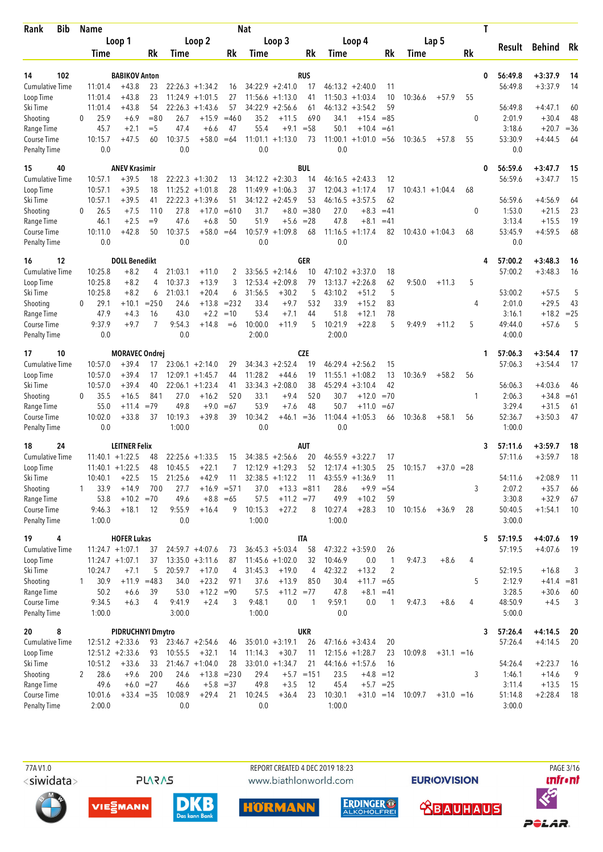| Loop 1<br>Loop 2<br>Loop 3<br>Loop 4<br>Lap 5<br><b>Behind</b><br>Rk<br>Result<br>Rk<br>Rk<br>Rk<br>Rk<br>Rk<br>Time<br>Time<br>Time<br>Time<br>Time<br>102<br><b>BABIKOV Anton</b><br><b>RUS</b><br>56:49.8<br>$+3:37.9$<br>14<br>0<br>14<br><b>Cumulative Time</b><br>11:01.4<br>$+43.8$<br>23<br>$22:26.3 + 1:34.2$<br>$34:22.9 +2:41.0$<br>$46:13.2 +2:40.0$<br>56:49.8<br>$+3:37.9$<br>14<br>17<br>11<br>16<br>$+43.8$<br>23<br>$11:24.9 + 1:01.5$<br>27<br>$11:56.6 + 1:13.0$<br>11:50.3<br>10<br>10:36.6<br>55<br>Loop Time<br>11:01.4<br>41<br>$+1:03.4$<br>$+57.9$<br>59<br>$+43.8$<br>54<br>$22:26.3 +1:43.6$<br>57<br>34:22.9<br>$+2:56.6$<br>46:13.2<br>56:49.8<br>$+4:47.1$<br>11:01.4<br>61<br>$+3:54.2$<br>60<br>25.9<br>$= 80$<br>$+15.9$<br>$=460$<br>35.2<br>$\theta$<br>2:01.9<br>$+30.4$<br>48<br>$+6.9$<br>26.7<br>$+11.5$<br>690<br>34.1<br>$+15.4$<br>$= 85$<br>$\Omega$<br>45.7<br>$+2.1$<br>$=$ 5<br>47.4<br>$+6.6$<br>47<br>55.4<br>$+9.1$<br>$= 58$<br>50.1<br>$+10.4$<br>3:18.6<br>$+20.7$<br>$=36$<br>$=61$<br>Course Time<br>10:15.7<br>$+47.5$<br>60<br>10:37.5<br>$+58.0$<br>$11:01.1 + 1:13.0$<br>73<br>$11:00.1 + 1:01.0$<br>55<br>53:30.9<br>$+4:44.5$<br>64<br>$=64$<br>$=$ 56<br>10:36.5<br>$+57.8$<br>0.0<br>0.0<br>0.0<br>0.0<br>0.0<br><b>Penalty Time</b><br><b>BUL</b><br>40<br><b>ANEV Krasimir</b><br>56:59.6<br>$+3:47.7$<br>15<br>0<br>56:59.6<br>$+39.5$<br>$22:22.3 + 1:30.2$<br>$34:12.2 +2:30.3$<br>14<br>12<br>$+3:47.7$<br>15<br>10:57.1<br>18<br>13<br>$46:16.5 +2:43.3$<br>10:57.1<br>$+39.5$<br>18<br>11:25.2<br>$+1:01.8$<br>28<br>$11:49.9 + 1:06.3$<br>37<br>12:04.3<br>17<br>$10:43.1 + 1:04.4$<br>Loop Time<br>$+1:17.4$<br>68<br>10:57.1<br>$+39.5$<br>41<br>22:22.3<br>$+1:39.6$<br>51<br>$34:12.2 +2:45.9$<br>53<br>62<br>56:59.6<br>$+4:56.9$<br>Ski Time<br>$46:16.5 + 3:57.5$<br>64<br>26.5<br>110<br>27.8<br>$+17.0$<br>$=610$<br>31.7<br>$+8.0 = 380$<br>27.0<br>$+8.3$<br>1:53.0<br>$+21.5$<br>23<br>Shooting<br>$+7.5$<br>$=41$<br>0<br>$\Omega$<br>$+2.5$<br>$=9$<br>$+6.8$<br>50<br>51.9<br>$= 28$<br>47.8<br>3:13.4<br>19<br>Range Time<br>46.1<br>47.6<br>$+5.6$<br>$+8.1$<br>$=41$<br>$+15.5$<br>10:11.0<br>$+42.8$<br>50<br>10:37.5<br>$+58.0$<br>10:57.9<br>$+1:09.8$<br>68<br>$11:16.5 + 1:17.4$<br>53:45.9<br>$+4:59.5$<br>68<br>Course Time<br>$=64$<br>82<br>$10:43.0 + 1:04.3$<br>68<br>0.0<br>0.0<br>0.0<br>0.0<br>0.0<br>12<br><b>DOLL Benedikt</b><br>GER<br>57:00.2<br>$+3:48.3$<br>16<br>4<br>-16<br>57:00.2<br><b>Cumulative Time</b><br>10:25.8<br>$+8.2$<br>21:03.1<br>$33:56.5 +2:14.6$<br>$47:10.2 +3:37.0$<br>$+3:48.3$<br>$+11.0$<br>2<br>10<br>18<br>16<br>4<br>10:25.8<br>$+8.2$<br>10:37.3<br>$+13.9$<br>3<br>$+2:09.8$<br>79<br>$13:13.7 + 2:26.8$<br>62<br>9:50.0<br>5<br>12:53.4<br>$+11.3$<br>4<br>5<br>10:25.8<br>$+8.2$<br>21:03.1<br>$+20.4$<br>31:56.5<br>$+30.2$<br>43:10.2<br>$+51.2$<br>53:00.2<br>$+57.5$<br>5<br>6<br>5<br>6<br>$= 232$<br>532<br>33.9<br>29.1<br>$+10.1$<br>$= 250$<br>24.6<br>$+13.8$<br>33.4<br>$+9.7$<br>$+15.2$<br>83<br>2:01.0<br>$+29.5$<br>43<br>$\Omega$<br>4<br>47.9<br>43.0<br>$+2.2$<br>$=10$<br>53.4<br>$+7.1$<br>51.8<br>$+12.1$<br>78<br>3:16.1<br>$+18.2$<br>$=25$<br>$+4.3$<br>16<br>44<br>$\overline{7}$<br>10:21.9<br>5<br>9:37.9<br>$+9.7$<br>9:54.3<br>$+14.8$<br>10:00.0<br>$+11.9$<br>5<br>$+22.8$<br>9:49.9<br>5<br>49:44.0<br>$+57.6$<br>5<br>Course Time<br>$=6$<br>$+11.2$<br>0.0<br>0.0<br>2:00.0<br>2:00.0<br>4:00.0<br><b>Penalty Time</b><br><b>CZE</b><br>10<br><b>MORAVEC Ondrej</b><br>57:06.3<br>$+3:54.4$<br>17<br>1<br>10:57.0<br>$+39.4$<br>$34:34.3 + 2:52.4$<br>19<br>$46:29.4 +2:56.2$<br>15<br>57:06.3<br>$+3:54.4$<br>17<br>17<br>$23:06.1 + 2:14.0$<br>29<br>10:57.0<br>$+39.4$<br>17<br>11:28.2<br>$+44.6$<br>19<br>11:55.1<br>$+1:08.2$<br>13<br>10:36.9<br>$+58.2$<br>56<br>Loop Time<br>12:09.1<br>$+1:45.7$<br>44<br>10:57.0<br>$+39.4$<br>$22:06.1 + 1:23.4$<br>$33:34.3 + 2:08.0$<br>38<br>45:29.4<br>$+3:10.4$<br>42<br>56:06.3<br>$+4:03.6$<br>Ski Time<br>40<br>41<br>46<br>35.5<br>841<br>$+16.2$<br>520<br>33.1<br>$+9.4$<br>520<br>30.7<br>$+12.0$<br>$=70$<br>2:06.3<br>$+34.8$<br>Shooting<br>$+16.5$<br>27.0<br>1<br>$=61$<br>$\Omega$<br>53.9<br>55.0<br>$=79$<br>49.8<br>$+9.0$<br>$=67$<br>$+7.6$<br>48<br>50.7<br>3:29.4<br>$+31.5$<br>Range Time<br>$+11.4$<br>$+11.0$<br>$=67$<br>61<br>10:34.2<br>10:02.0<br>$+33.8$<br>37<br>10:19.3<br>$+39.8$<br>39<br>11:04.4<br>52:36.7<br>$+3:50.3$<br>47<br>Course Time<br>$+46.1$<br>$= 36$<br>$+1:05.3$<br>66<br>10:36.8<br>$+58.1$<br>56<br>0.0<br>1:00.0<br>0.0<br>0.0<br>1:00.0<br>18<br>24<br><b>LEITNER Felix</b><br><b>AUT</b><br>57:11.6<br>$+3:59.7$<br>3<br>18<br>18<br><b>Cumulative Time</b><br>$11:40.1 + 1:22.5$<br>$34:38.5 +2:56.6$<br>20<br>$46:55.9 + 3:22.7$<br>57:11.6<br>$+3:59.7$<br>22:25.6<br>$+1:33.5$<br>15<br>17<br>48<br>52<br>$11:40.1 + 1:22.5$<br>48<br>10:45.5<br>$+22.1$<br>7<br>$12:12.9 + 1:29.3$<br>$12:17.4 + 1:30.5$<br>25<br>10:15.7<br>$+37.0 = 28$<br>21:25.6<br>$32:38.5 +1:12.2$<br>10:40.1<br>$+22.5$<br>$+42.9$<br>$43:55.9 +1:36.9$<br>54:11.6<br>$+2:08.9$<br>15<br>11<br>11<br>11<br>11<br>33.9<br>$+14.9$<br>700<br>27.7<br>$+16.9 = 571$<br>37.0<br>$+13.3 = 811$<br>28.6<br>3<br>2:07.2<br>$+35.7$<br>$+9.9$<br>$= 54$<br>66<br>$+10.2$<br>3:30.8<br>Range Time<br>53.8<br>$+10.2 = 70$<br>49.6<br>$+8.8 = 65$<br>57.5<br>$+11.2 = 77$<br>49.9<br>$+32.9$<br>59<br>67<br>Course Time<br>9:55.9<br>9<br>10:15.3<br>$+27.2$<br>8<br>10:27.4<br>$+28.3$<br>50:40.5<br>$+1:54.1$<br>9:46.3<br>$+18.1$<br>12<br>$+16.4$<br>10<br>10:15.6<br>$+36.9$<br>28<br>10<br>Penalty Time<br>0.0<br>1:00.0<br>1:00.0<br>3:00.0<br>1:00.0<br>4<br><b>HOFER Lukas</b><br><b>ITA</b><br>57:19.5<br>$+4:07.6$<br>5<br>-19<br>$11:24.7 + 1:07.1$<br>$36:45.3 + 5:03.4$<br>58<br>$47:32.2 +3:59.0$<br>57:19.5<br>$+4:07.6$<br>19<br><b>Cumulative Time</b><br>37<br>$24:59.7 + 4:07.6$<br>73<br>26<br>$11:24.7 + 1:07.1$<br>10:46.9<br>Loop Time<br>37<br>$13:35.0 + 3:11.6$<br>87<br>$11:45.6 + 1:02.0$<br>32<br>0.0<br>$\mathbf{1}$<br>9:47.3<br>$+8.6$<br>4<br>52:19.5<br>10:24.7<br>5<br>20:59.7<br>31:45.3<br>42:32.2<br>$+13.2$<br>2<br>$+16.8$<br>3<br>Ski Time<br>$+7.1$<br>$+17.0$<br>4<br>$+19.0$<br>4<br>2:12.9<br>30.9<br>$+11.9 = 483$<br>34.0<br>$+23.2$<br>971<br>37.6<br>$+13.9$<br>850<br>30.4<br>5<br>$+11.7 = 65$<br>$+41.4 = 81$<br>1<br>3:28.5<br>50.2<br>39<br>53.0<br>$+12.2 = 90$<br>57.5<br>$+11.2 = 77$<br>47.8<br>$+8.1 = 41$<br>$+30.6$<br>60<br>$+6.6$<br>9:34.5<br>$+6.3$<br>9:41.9<br>$+2.4$<br>9:48.1<br>0.0<br>9:59.1<br>0.0<br>48:50.9<br>4<br>3<br>$\mathbf{1}$<br>9:47.3<br>$+8.6$<br>4<br>$+4.5$<br>3<br>1<br>3:00.0<br>1:00.0<br>0.0<br>5:00.0<br>1:00.0<br><b>UKR</b><br>8<br><b>PIDRUCHNYI Dmytro</b><br>57:26.4<br>$+4:14.5$<br>-20<br>3<br>57:26.4<br>$12:51.2 +2:33.6$<br>$35:01.0 + 3:19.1$<br>$+4:14.5$<br>20<br>93<br>$23:46.7 + 2:54.6$<br>26<br>$47:16.6 + 3:43.4$<br>20<br>46<br>$12:51.2 +2:33.6$<br>10:55.5<br>11:14.3<br>$12:15.6 + 1:28.7$<br>10:09.8<br>93<br>$+32.1$<br>14<br>$+30.7$<br>11<br>23<br>$+31.1 = 16$<br>10:51.2<br>$21:46.7 + 1:04.0$<br>28<br>$33:01.0 + 1:34.7$<br>54:26.4<br>$+2:23.7$<br>$+33.6$<br>33<br>21<br>$44:16.6 + 1:57.6$<br>16<br>16<br>28.6<br>200<br>9<br>Shooting<br>$+9.6$<br>24.6<br>$+13.8 = 230$<br>29.4<br>$+5.7$ = 151<br>23.5<br>3<br>1:46.1<br>$+14.6$<br>2<br>$+4.8$ = 12<br>49.6<br>$+6.0 = 27$<br>46.6<br>$+5.8 = 37$<br>49.8<br>$+3.5$<br>12<br>45.4<br>$+5.7 = 25$<br>3:11.4<br>$+13.5$<br>Range Time<br>15<br>Course Time<br>10:08.9<br>$+29.4$<br>10:24.5<br>10:30.1<br>51:14.8<br>$+2:28.4$<br>10:01.6<br>$+33.4 = 35$<br>21<br>$+36.4$<br>23<br>$+31.0 = 14$<br>10:09.7<br>$+31.0 = 16$<br>18 | <b>Bib</b><br>Rank     | Name   |  |     |  | <b>Nat</b> |  |        |  |  | T |        |  |
|----------------------------------------------------------------------------------------------------------------------------------------------------------------------------------------------------------------------------------------------------------------------------------------------------------------------------------------------------------------------------------------------------------------------------------------------------------------------------------------------------------------------------------------------------------------------------------------------------------------------------------------------------------------------------------------------------------------------------------------------------------------------------------------------------------------------------------------------------------------------------------------------------------------------------------------------------------------------------------------------------------------------------------------------------------------------------------------------------------------------------------------------------------------------------------------------------------------------------------------------------------------------------------------------------------------------------------------------------------------------------------------------------------------------------------------------------------------------------------------------------------------------------------------------------------------------------------------------------------------------------------------------------------------------------------------------------------------------------------------------------------------------------------------------------------------------------------------------------------------------------------------------------------------------------------------------------------------------------------------------------------------------------------------------------------------------------------------------------------------------------------------------------------------------------------------------------------------------------------------------------------------------------------------------------------------------------------------------------------------------------------------------------------------------------------------------------------------------------------------------------------------------------------------------------------------------------------------------------------------------------------------------------------------------------------------------------------------------------------------------------------------------------------------------------------------------------------------------------------------------------------------------------------------------------------------------------------------------------------------------------------------------------------------------------------------------------------------------------------------------------------------------------------------------------------------------------------------------------------------------------------------------------------------------------------------------------------------------------------------------------------------------------------------------------------------------------------------------------------------------------------------------------------------------------------------------------------------------------------------------------------------------------------------------------------------------------------------------------------------------------------------------------------------------------------------------------------------------------------------------------------------------------------------------------------------------------------------------------------------------------------------------------------------------------------------------------------------------------------------------------------------------------------------------------------------------------------------------------------------------------------------------------------------------------------------------------------------------------------------------------------------------------------------------------------------------------------------------------------------------------------------------------------------------------------------------------------------------------------------------------------------------------------------------------------------------------------------------------------------------------------------------------------------------------------------------------------------------------------------------------------------------------------------------------------------------------------------------------------------------------------------------------------------------------------------------------------------------------------------------------------------------------------------------------------------------------------------------------------------------------------------------------------------------------------------------------------------------------------------------------------------------------------------------------------------------------------------------------------------------------------------------------------------------------------------------------------------------------------------------------------------------------------------------------------------------------------------------------------------------------------------------------------------------------------------------------------------------------------------------------------------------------------------------------------------------------------------------------------------------------------------------------------------------------------------------------------------------------------------------------------------------------------------------------------------------------------------------------------------------------------------------------------------------------------------------------------------------------------------------------------------------------------------------------------------------------------------------------------------------------------------------------------------------------------------------------------------------------------------------------------------------------------------------------------------------------------------------------------------------------------------------------------------------------------------------------------------------------------------------------------------------------------------------------------------------------------------------------------------------------------------------------------------------------------------------------------------------------------------------------------------------------------------------------------------------------------------------------------------------------------------------------------------------------------------------------------------------------------------------------------------------------------------------------------------------------------------------------------------------------------------------------------------------------------------------------------------------------------------------------------------------------------------------------------------------------------------------------------------------------------------------------|------------------------|--------|--|-----|--|------------|--|--------|--|--|---|--------|--|
|                                                                                                                                                                                                                                                                                                                                                                                                                                                                                                                                                                                                                                                                                                                                                                                                                                                                                                                                                                                                                                                                                                                                                                                                                                                                                                                                                                                                                                                                                                                                                                                                                                                                                                                                                                                                                                                                                                                                                                                                                                                                                                                                                                                                                                                                                                                                                                                                                                                                                                                                                                                                                                                                                                                                                                                                                                                                                                                                                                                                                                                                                                                                                                                                                                                                                                                                                                                                                                                                                                                                                                                                                                                                                                                                                                                                                                                                                                                                                                                                                                                                                                                                                                                                                                                                                                                                                                                                                                                                                                                                                                                                                                                                                                                                                                                                                                                                                                                                                                                                                                                                                                                                                                                                                                                                                                                                                                                                                                                                                                                                                                                                                                                                                                                                                                                                                                                                                                                                                                                                                                                                                                                                                                                                                                                                                                                                                                                                                                                                                                                                                                                                                                                                                                                                                                                                                                                                                                                                                                                                                                                                                                                                                                                                                                                                                                                                                                                                                                                                                                                                                                                                                                                                                                                                                                            |                        |        |  |     |  |            |  |        |  |  |   |        |  |
|                                                                                                                                                                                                                                                                                                                                                                                                                                                                                                                                                                                                                                                                                                                                                                                                                                                                                                                                                                                                                                                                                                                                                                                                                                                                                                                                                                                                                                                                                                                                                                                                                                                                                                                                                                                                                                                                                                                                                                                                                                                                                                                                                                                                                                                                                                                                                                                                                                                                                                                                                                                                                                                                                                                                                                                                                                                                                                                                                                                                                                                                                                                                                                                                                                                                                                                                                                                                                                                                                                                                                                                                                                                                                                                                                                                                                                                                                                                                                                                                                                                                                                                                                                                                                                                                                                                                                                                                                                                                                                                                                                                                                                                                                                                                                                                                                                                                                                                                                                                                                                                                                                                                                                                                                                                                                                                                                                                                                                                                                                                                                                                                                                                                                                                                                                                                                                                                                                                                                                                                                                                                                                                                                                                                                                                                                                                                                                                                                                                                                                                                                                                                                                                                                                                                                                                                                                                                                                                                                                                                                                                                                                                                                                                                                                                                                                                                                                                                                                                                                                                                                                                                                                                                                                                                                                            |                        |        |  |     |  |            |  |        |  |  |   |        |  |
|                                                                                                                                                                                                                                                                                                                                                                                                                                                                                                                                                                                                                                                                                                                                                                                                                                                                                                                                                                                                                                                                                                                                                                                                                                                                                                                                                                                                                                                                                                                                                                                                                                                                                                                                                                                                                                                                                                                                                                                                                                                                                                                                                                                                                                                                                                                                                                                                                                                                                                                                                                                                                                                                                                                                                                                                                                                                                                                                                                                                                                                                                                                                                                                                                                                                                                                                                                                                                                                                                                                                                                                                                                                                                                                                                                                                                                                                                                                                                                                                                                                                                                                                                                                                                                                                                                                                                                                                                                                                                                                                                                                                                                                                                                                                                                                                                                                                                                                                                                                                                                                                                                                                                                                                                                                                                                                                                                                                                                                                                                                                                                                                                                                                                                                                                                                                                                                                                                                                                                                                                                                                                                                                                                                                                                                                                                                                                                                                                                                                                                                                                                                                                                                                                                                                                                                                                                                                                                                                                                                                                                                                                                                                                                                                                                                                                                                                                                                                                                                                                                                                                                                                                                                                                                                                                                            |                        |        |  |     |  |            |  |        |  |  |   |        |  |
|                                                                                                                                                                                                                                                                                                                                                                                                                                                                                                                                                                                                                                                                                                                                                                                                                                                                                                                                                                                                                                                                                                                                                                                                                                                                                                                                                                                                                                                                                                                                                                                                                                                                                                                                                                                                                                                                                                                                                                                                                                                                                                                                                                                                                                                                                                                                                                                                                                                                                                                                                                                                                                                                                                                                                                                                                                                                                                                                                                                                                                                                                                                                                                                                                                                                                                                                                                                                                                                                                                                                                                                                                                                                                                                                                                                                                                                                                                                                                                                                                                                                                                                                                                                                                                                                                                                                                                                                                                                                                                                                                                                                                                                                                                                                                                                                                                                                                                                                                                                                                                                                                                                                                                                                                                                                                                                                                                                                                                                                                                                                                                                                                                                                                                                                                                                                                                                                                                                                                                                                                                                                                                                                                                                                                                                                                                                                                                                                                                                                                                                                                                                                                                                                                                                                                                                                                                                                                                                                                                                                                                                                                                                                                                                                                                                                                                                                                                                                                                                                                                                                                                                                                                                                                                                                                                            |                        |        |  |     |  |            |  |        |  |  |   |        |  |
|                                                                                                                                                                                                                                                                                                                                                                                                                                                                                                                                                                                                                                                                                                                                                                                                                                                                                                                                                                                                                                                                                                                                                                                                                                                                                                                                                                                                                                                                                                                                                                                                                                                                                                                                                                                                                                                                                                                                                                                                                                                                                                                                                                                                                                                                                                                                                                                                                                                                                                                                                                                                                                                                                                                                                                                                                                                                                                                                                                                                                                                                                                                                                                                                                                                                                                                                                                                                                                                                                                                                                                                                                                                                                                                                                                                                                                                                                                                                                                                                                                                                                                                                                                                                                                                                                                                                                                                                                                                                                                                                                                                                                                                                                                                                                                                                                                                                                                                                                                                                                                                                                                                                                                                                                                                                                                                                                                                                                                                                                                                                                                                                                                                                                                                                                                                                                                                                                                                                                                                                                                                                                                                                                                                                                                                                                                                                                                                                                                                                                                                                                                                                                                                                                                                                                                                                                                                                                                                                                                                                                                                                                                                                                                                                                                                                                                                                                                                                                                                                                                                                                                                                                                                                                                                                                                            |                        |        |  |     |  |            |  |        |  |  |   |        |  |
|                                                                                                                                                                                                                                                                                                                                                                                                                                                                                                                                                                                                                                                                                                                                                                                                                                                                                                                                                                                                                                                                                                                                                                                                                                                                                                                                                                                                                                                                                                                                                                                                                                                                                                                                                                                                                                                                                                                                                                                                                                                                                                                                                                                                                                                                                                                                                                                                                                                                                                                                                                                                                                                                                                                                                                                                                                                                                                                                                                                                                                                                                                                                                                                                                                                                                                                                                                                                                                                                                                                                                                                                                                                                                                                                                                                                                                                                                                                                                                                                                                                                                                                                                                                                                                                                                                                                                                                                                                                                                                                                                                                                                                                                                                                                                                                                                                                                                                                                                                                                                                                                                                                                                                                                                                                                                                                                                                                                                                                                                                                                                                                                                                                                                                                                                                                                                                                                                                                                                                                                                                                                                                                                                                                                                                                                                                                                                                                                                                                                                                                                                                                                                                                                                                                                                                                                                                                                                                                                                                                                                                                                                                                                                                                                                                                                                                                                                                                                                                                                                                                                                                                                                                                                                                                                                                            | Ski Time               |        |  |     |  |            |  |        |  |  |   |        |  |
|                                                                                                                                                                                                                                                                                                                                                                                                                                                                                                                                                                                                                                                                                                                                                                                                                                                                                                                                                                                                                                                                                                                                                                                                                                                                                                                                                                                                                                                                                                                                                                                                                                                                                                                                                                                                                                                                                                                                                                                                                                                                                                                                                                                                                                                                                                                                                                                                                                                                                                                                                                                                                                                                                                                                                                                                                                                                                                                                                                                                                                                                                                                                                                                                                                                                                                                                                                                                                                                                                                                                                                                                                                                                                                                                                                                                                                                                                                                                                                                                                                                                                                                                                                                                                                                                                                                                                                                                                                                                                                                                                                                                                                                                                                                                                                                                                                                                                                                                                                                                                                                                                                                                                                                                                                                                                                                                                                                                                                                                                                                                                                                                                                                                                                                                                                                                                                                                                                                                                                                                                                                                                                                                                                                                                                                                                                                                                                                                                                                                                                                                                                                                                                                                                                                                                                                                                                                                                                                                                                                                                                                                                                                                                                                                                                                                                                                                                                                                                                                                                                                                                                                                                                                                                                                                                                            | Shooting               |        |  |     |  |            |  |        |  |  |   |        |  |
|                                                                                                                                                                                                                                                                                                                                                                                                                                                                                                                                                                                                                                                                                                                                                                                                                                                                                                                                                                                                                                                                                                                                                                                                                                                                                                                                                                                                                                                                                                                                                                                                                                                                                                                                                                                                                                                                                                                                                                                                                                                                                                                                                                                                                                                                                                                                                                                                                                                                                                                                                                                                                                                                                                                                                                                                                                                                                                                                                                                                                                                                                                                                                                                                                                                                                                                                                                                                                                                                                                                                                                                                                                                                                                                                                                                                                                                                                                                                                                                                                                                                                                                                                                                                                                                                                                                                                                                                                                                                                                                                                                                                                                                                                                                                                                                                                                                                                                                                                                                                                                                                                                                                                                                                                                                                                                                                                                                                                                                                                                                                                                                                                                                                                                                                                                                                                                                                                                                                                                                                                                                                                                                                                                                                                                                                                                                                                                                                                                                                                                                                                                                                                                                                                                                                                                                                                                                                                                                                                                                                                                                                                                                                                                                                                                                                                                                                                                                                                                                                                                                                                                                                                                                                                                                                                                            | Range Time             |        |  |     |  |            |  |        |  |  |   |        |  |
|                                                                                                                                                                                                                                                                                                                                                                                                                                                                                                                                                                                                                                                                                                                                                                                                                                                                                                                                                                                                                                                                                                                                                                                                                                                                                                                                                                                                                                                                                                                                                                                                                                                                                                                                                                                                                                                                                                                                                                                                                                                                                                                                                                                                                                                                                                                                                                                                                                                                                                                                                                                                                                                                                                                                                                                                                                                                                                                                                                                                                                                                                                                                                                                                                                                                                                                                                                                                                                                                                                                                                                                                                                                                                                                                                                                                                                                                                                                                                                                                                                                                                                                                                                                                                                                                                                                                                                                                                                                                                                                                                                                                                                                                                                                                                                                                                                                                                                                                                                                                                                                                                                                                                                                                                                                                                                                                                                                                                                                                                                                                                                                                                                                                                                                                                                                                                                                                                                                                                                                                                                                                                                                                                                                                                                                                                                                                                                                                                                                                                                                                                                                                                                                                                                                                                                                                                                                                                                                                                                                                                                                                                                                                                                                                                                                                                                                                                                                                                                                                                                                                                                                                                                                                                                                                                                            |                        |        |  |     |  |            |  |        |  |  |   |        |  |
|                                                                                                                                                                                                                                                                                                                                                                                                                                                                                                                                                                                                                                                                                                                                                                                                                                                                                                                                                                                                                                                                                                                                                                                                                                                                                                                                                                                                                                                                                                                                                                                                                                                                                                                                                                                                                                                                                                                                                                                                                                                                                                                                                                                                                                                                                                                                                                                                                                                                                                                                                                                                                                                                                                                                                                                                                                                                                                                                                                                                                                                                                                                                                                                                                                                                                                                                                                                                                                                                                                                                                                                                                                                                                                                                                                                                                                                                                                                                                                                                                                                                                                                                                                                                                                                                                                                                                                                                                                                                                                                                                                                                                                                                                                                                                                                                                                                                                                                                                                                                                                                                                                                                                                                                                                                                                                                                                                                                                                                                                                                                                                                                                                                                                                                                                                                                                                                                                                                                                                                                                                                                                                                                                                                                                                                                                                                                                                                                                                                                                                                                                                                                                                                                                                                                                                                                                                                                                                                                                                                                                                                                                                                                                                                                                                                                                                                                                                                                                                                                                                                                                                                                                                                                                                                                                                            |                        |        |  |     |  |            |  |        |  |  |   |        |  |
|                                                                                                                                                                                                                                                                                                                                                                                                                                                                                                                                                                                                                                                                                                                                                                                                                                                                                                                                                                                                                                                                                                                                                                                                                                                                                                                                                                                                                                                                                                                                                                                                                                                                                                                                                                                                                                                                                                                                                                                                                                                                                                                                                                                                                                                                                                                                                                                                                                                                                                                                                                                                                                                                                                                                                                                                                                                                                                                                                                                                                                                                                                                                                                                                                                                                                                                                                                                                                                                                                                                                                                                                                                                                                                                                                                                                                                                                                                                                                                                                                                                                                                                                                                                                                                                                                                                                                                                                                                                                                                                                                                                                                                                                                                                                                                                                                                                                                                                                                                                                                                                                                                                                                                                                                                                                                                                                                                                                                                                                                                                                                                                                                                                                                                                                                                                                                                                                                                                                                                                                                                                                                                                                                                                                                                                                                                                                                                                                                                                                                                                                                                                                                                                                                                                                                                                                                                                                                                                                                                                                                                                                                                                                                                                                                                                                                                                                                                                                                                                                                                                                                                                                                                                                                                                                                                            | 15                     |        |  |     |  |            |  |        |  |  |   |        |  |
|                                                                                                                                                                                                                                                                                                                                                                                                                                                                                                                                                                                                                                                                                                                                                                                                                                                                                                                                                                                                                                                                                                                                                                                                                                                                                                                                                                                                                                                                                                                                                                                                                                                                                                                                                                                                                                                                                                                                                                                                                                                                                                                                                                                                                                                                                                                                                                                                                                                                                                                                                                                                                                                                                                                                                                                                                                                                                                                                                                                                                                                                                                                                                                                                                                                                                                                                                                                                                                                                                                                                                                                                                                                                                                                                                                                                                                                                                                                                                                                                                                                                                                                                                                                                                                                                                                                                                                                                                                                                                                                                                                                                                                                                                                                                                                                                                                                                                                                                                                                                                                                                                                                                                                                                                                                                                                                                                                                                                                                                                                                                                                                                                                                                                                                                                                                                                                                                                                                                                                                                                                                                                                                                                                                                                                                                                                                                                                                                                                                                                                                                                                                                                                                                                                                                                                                                                                                                                                                                                                                                                                                                                                                                                                                                                                                                                                                                                                                                                                                                                                                                                                                                                                                                                                                                                                            | <b>Cumulative Time</b> |        |  |     |  |            |  |        |  |  |   |        |  |
|                                                                                                                                                                                                                                                                                                                                                                                                                                                                                                                                                                                                                                                                                                                                                                                                                                                                                                                                                                                                                                                                                                                                                                                                                                                                                                                                                                                                                                                                                                                                                                                                                                                                                                                                                                                                                                                                                                                                                                                                                                                                                                                                                                                                                                                                                                                                                                                                                                                                                                                                                                                                                                                                                                                                                                                                                                                                                                                                                                                                                                                                                                                                                                                                                                                                                                                                                                                                                                                                                                                                                                                                                                                                                                                                                                                                                                                                                                                                                                                                                                                                                                                                                                                                                                                                                                                                                                                                                                                                                                                                                                                                                                                                                                                                                                                                                                                                                                                                                                                                                                                                                                                                                                                                                                                                                                                                                                                                                                                                                                                                                                                                                                                                                                                                                                                                                                                                                                                                                                                                                                                                                                                                                                                                                                                                                                                                                                                                                                                                                                                                                                                                                                                                                                                                                                                                                                                                                                                                                                                                                                                                                                                                                                                                                                                                                                                                                                                                                                                                                                                                                                                                                                                                                                                                                                            |                        |        |  |     |  |            |  |        |  |  |   |        |  |
|                                                                                                                                                                                                                                                                                                                                                                                                                                                                                                                                                                                                                                                                                                                                                                                                                                                                                                                                                                                                                                                                                                                                                                                                                                                                                                                                                                                                                                                                                                                                                                                                                                                                                                                                                                                                                                                                                                                                                                                                                                                                                                                                                                                                                                                                                                                                                                                                                                                                                                                                                                                                                                                                                                                                                                                                                                                                                                                                                                                                                                                                                                                                                                                                                                                                                                                                                                                                                                                                                                                                                                                                                                                                                                                                                                                                                                                                                                                                                                                                                                                                                                                                                                                                                                                                                                                                                                                                                                                                                                                                                                                                                                                                                                                                                                                                                                                                                                                                                                                                                                                                                                                                                                                                                                                                                                                                                                                                                                                                                                                                                                                                                                                                                                                                                                                                                                                                                                                                                                                                                                                                                                                                                                                                                                                                                                                                                                                                                                                                                                                                                                                                                                                                                                                                                                                                                                                                                                                                                                                                                                                                                                                                                                                                                                                                                                                                                                                                                                                                                                                                                                                                                                                                                                                                                                            |                        |        |  |     |  |            |  |        |  |  |   |        |  |
|                                                                                                                                                                                                                                                                                                                                                                                                                                                                                                                                                                                                                                                                                                                                                                                                                                                                                                                                                                                                                                                                                                                                                                                                                                                                                                                                                                                                                                                                                                                                                                                                                                                                                                                                                                                                                                                                                                                                                                                                                                                                                                                                                                                                                                                                                                                                                                                                                                                                                                                                                                                                                                                                                                                                                                                                                                                                                                                                                                                                                                                                                                                                                                                                                                                                                                                                                                                                                                                                                                                                                                                                                                                                                                                                                                                                                                                                                                                                                                                                                                                                                                                                                                                                                                                                                                                                                                                                                                                                                                                                                                                                                                                                                                                                                                                                                                                                                                                                                                                                                                                                                                                                                                                                                                                                                                                                                                                                                                                                                                                                                                                                                                                                                                                                                                                                                                                                                                                                                                                                                                                                                                                                                                                                                                                                                                                                                                                                                                                                                                                                                                                                                                                                                                                                                                                                                                                                                                                                                                                                                                                                                                                                                                                                                                                                                                                                                                                                                                                                                                                                                                                                                                                                                                                                                                            |                        |        |  |     |  |            |  |        |  |  |   |        |  |
|                                                                                                                                                                                                                                                                                                                                                                                                                                                                                                                                                                                                                                                                                                                                                                                                                                                                                                                                                                                                                                                                                                                                                                                                                                                                                                                                                                                                                                                                                                                                                                                                                                                                                                                                                                                                                                                                                                                                                                                                                                                                                                                                                                                                                                                                                                                                                                                                                                                                                                                                                                                                                                                                                                                                                                                                                                                                                                                                                                                                                                                                                                                                                                                                                                                                                                                                                                                                                                                                                                                                                                                                                                                                                                                                                                                                                                                                                                                                                                                                                                                                                                                                                                                                                                                                                                                                                                                                                                                                                                                                                                                                                                                                                                                                                                                                                                                                                                                                                                                                                                                                                                                                                                                                                                                                                                                                                                                                                                                                                                                                                                                                                                                                                                                                                                                                                                                                                                                                                                                                                                                                                                                                                                                                                                                                                                                                                                                                                                                                                                                                                                                                                                                                                                                                                                                                                                                                                                                                                                                                                                                                                                                                                                                                                                                                                                                                                                                                                                                                                                                                                                                                                                                                                                                                                                            |                        |        |  |     |  |            |  |        |  |  |   |        |  |
|                                                                                                                                                                                                                                                                                                                                                                                                                                                                                                                                                                                                                                                                                                                                                                                                                                                                                                                                                                                                                                                                                                                                                                                                                                                                                                                                                                                                                                                                                                                                                                                                                                                                                                                                                                                                                                                                                                                                                                                                                                                                                                                                                                                                                                                                                                                                                                                                                                                                                                                                                                                                                                                                                                                                                                                                                                                                                                                                                                                                                                                                                                                                                                                                                                                                                                                                                                                                                                                                                                                                                                                                                                                                                                                                                                                                                                                                                                                                                                                                                                                                                                                                                                                                                                                                                                                                                                                                                                                                                                                                                                                                                                                                                                                                                                                                                                                                                                                                                                                                                                                                                                                                                                                                                                                                                                                                                                                                                                                                                                                                                                                                                                                                                                                                                                                                                                                                                                                                                                                                                                                                                                                                                                                                                                                                                                                                                                                                                                                                                                                                                                                                                                                                                                                                                                                                                                                                                                                                                                                                                                                                                                                                                                                                                                                                                                                                                                                                                                                                                                                                                                                                                                                                                                                                                                            | <b>Penalty Time</b>    |        |  |     |  |            |  |        |  |  |   |        |  |
|                                                                                                                                                                                                                                                                                                                                                                                                                                                                                                                                                                                                                                                                                                                                                                                                                                                                                                                                                                                                                                                                                                                                                                                                                                                                                                                                                                                                                                                                                                                                                                                                                                                                                                                                                                                                                                                                                                                                                                                                                                                                                                                                                                                                                                                                                                                                                                                                                                                                                                                                                                                                                                                                                                                                                                                                                                                                                                                                                                                                                                                                                                                                                                                                                                                                                                                                                                                                                                                                                                                                                                                                                                                                                                                                                                                                                                                                                                                                                                                                                                                                                                                                                                                                                                                                                                                                                                                                                                                                                                                                                                                                                                                                                                                                                                                                                                                                                                                                                                                                                                                                                                                                                                                                                                                                                                                                                                                                                                                                                                                                                                                                                                                                                                                                                                                                                                                                                                                                                                                                                                                                                                                                                                                                                                                                                                                                                                                                                                                                                                                                                                                                                                                                                                                                                                                                                                                                                                                                                                                                                                                                                                                                                                                                                                                                                                                                                                                                                                                                                                                                                                                                                                                                                                                                                                            |                        |        |  |     |  |            |  |        |  |  |   |        |  |
|                                                                                                                                                                                                                                                                                                                                                                                                                                                                                                                                                                                                                                                                                                                                                                                                                                                                                                                                                                                                                                                                                                                                                                                                                                                                                                                                                                                                                                                                                                                                                                                                                                                                                                                                                                                                                                                                                                                                                                                                                                                                                                                                                                                                                                                                                                                                                                                                                                                                                                                                                                                                                                                                                                                                                                                                                                                                                                                                                                                                                                                                                                                                                                                                                                                                                                                                                                                                                                                                                                                                                                                                                                                                                                                                                                                                                                                                                                                                                                                                                                                                                                                                                                                                                                                                                                                                                                                                                                                                                                                                                                                                                                                                                                                                                                                                                                                                                                                                                                                                                                                                                                                                                                                                                                                                                                                                                                                                                                                                                                                                                                                                                                                                                                                                                                                                                                                                                                                                                                                                                                                                                                                                                                                                                                                                                                                                                                                                                                                                                                                                                                                                                                                                                                                                                                                                                                                                                                                                                                                                                                                                                                                                                                                                                                                                                                                                                                                                                                                                                                                                                                                                                                                                                                                                                                            |                        |        |  |     |  |            |  |        |  |  |   |        |  |
|                                                                                                                                                                                                                                                                                                                                                                                                                                                                                                                                                                                                                                                                                                                                                                                                                                                                                                                                                                                                                                                                                                                                                                                                                                                                                                                                                                                                                                                                                                                                                                                                                                                                                                                                                                                                                                                                                                                                                                                                                                                                                                                                                                                                                                                                                                                                                                                                                                                                                                                                                                                                                                                                                                                                                                                                                                                                                                                                                                                                                                                                                                                                                                                                                                                                                                                                                                                                                                                                                                                                                                                                                                                                                                                                                                                                                                                                                                                                                                                                                                                                                                                                                                                                                                                                                                                                                                                                                                                                                                                                                                                                                                                                                                                                                                                                                                                                                                                                                                                                                                                                                                                                                                                                                                                                                                                                                                                                                                                                                                                                                                                                                                                                                                                                                                                                                                                                                                                                                                                                                                                                                                                                                                                                                                                                                                                                                                                                                                                                                                                                                                                                                                                                                                                                                                                                                                                                                                                                                                                                                                                                                                                                                                                                                                                                                                                                                                                                                                                                                                                                                                                                                                                                                                                                                                            | Loop Time              |        |  |     |  |            |  |        |  |  |   |        |  |
|                                                                                                                                                                                                                                                                                                                                                                                                                                                                                                                                                                                                                                                                                                                                                                                                                                                                                                                                                                                                                                                                                                                                                                                                                                                                                                                                                                                                                                                                                                                                                                                                                                                                                                                                                                                                                                                                                                                                                                                                                                                                                                                                                                                                                                                                                                                                                                                                                                                                                                                                                                                                                                                                                                                                                                                                                                                                                                                                                                                                                                                                                                                                                                                                                                                                                                                                                                                                                                                                                                                                                                                                                                                                                                                                                                                                                                                                                                                                                                                                                                                                                                                                                                                                                                                                                                                                                                                                                                                                                                                                                                                                                                                                                                                                                                                                                                                                                                                                                                                                                                                                                                                                                                                                                                                                                                                                                                                                                                                                                                                                                                                                                                                                                                                                                                                                                                                                                                                                                                                                                                                                                                                                                                                                                                                                                                                                                                                                                                                                                                                                                                                                                                                                                                                                                                                                                                                                                                                                                                                                                                                                                                                                                                                                                                                                                                                                                                                                                                                                                                                                                                                                                                                                                                                                                                            | Ski Time               |        |  |     |  |            |  |        |  |  |   |        |  |
|                                                                                                                                                                                                                                                                                                                                                                                                                                                                                                                                                                                                                                                                                                                                                                                                                                                                                                                                                                                                                                                                                                                                                                                                                                                                                                                                                                                                                                                                                                                                                                                                                                                                                                                                                                                                                                                                                                                                                                                                                                                                                                                                                                                                                                                                                                                                                                                                                                                                                                                                                                                                                                                                                                                                                                                                                                                                                                                                                                                                                                                                                                                                                                                                                                                                                                                                                                                                                                                                                                                                                                                                                                                                                                                                                                                                                                                                                                                                                                                                                                                                                                                                                                                                                                                                                                                                                                                                                                                                                                                                                                                                                                                                                                                                                                                                                                                                                                                                                                                                                                                                                                                                                                                                                                                                                                                                                                                                                                                                                                                                                                                                                                                                                                                                                                                                                                                                                                                                                                                                                                                                                                                                                                                                                                                                                                                                                                                                                                                                                                                                                                                                                                                                                                                                                                                                                                                                                                                                                                                                                                                                                                                                                                                                                                                                                                                                                                                                                                                                                                                                                                                                                                                                                                                                                                            | Shooting               |        |  |     |  |            |  |        |  |  |   |        |  |
|                                                                                                                                                                                                                                                                                                                                                                                                                                                                                                                                                                                                                                                                                                                                                                                                                                                                                                                                                                                                                                                                                                                                                                                                                                                                                                                                                                                                                                                                                                                                                                                                                                                                                                                                                                                                                                                                                                                                                                                                                                                                                                                                                                                                                                                                                                                                                                                                                                                                                                                                                                                                                                                                                                                                                                                                                                                                                                                                                                                                                                                                                                                                                                                                                                                                                                                                                                                                                                                                                                                                                                                                                                                                                                                                                                                                                                                                                                                                                                                                                                                                                                                                                                                                                                                                                                                                                                                                                                                                                                                                                                                                                                                                                                                                                                                                                                                                                                                                                                                                                                                                                                                                                                                                                                                                                                                                                                                                                                                                                                                                                                                                                                                                                                                                                                                                                                                                                                                                                                                                                                                                                                                                                                                                                                                                                                                                                                                                                                                                                                                                                                                                                                                                                                                                                                                                                                                                                                                                                                                                                                                                                                                                                                                                                                                                                                                                                                                                                                                                                                                                                                                                                                                                                                                                                                            | Range Time             |        |  |     |  |            |  |        |  |  |   |        |  |
|                                                                                                                                                                                                                                                                                                                                                                                                                                                                                                                                                                                                                                                                                                                                                                                                                                                                                                                                                                                                                                                                                                                                                                                                                                                                                                                                                                                                                                                                                                                                                                                                                                                                                                                                                                                                                                                                                                                                                                                                                                                                                                                                                                                                                                                                                                                                                                                                                                                                                                                                                                                                                                                                                                                                                                                                                                                                                                                                                                                                                                                                                                                                                                                                                                                                                                                                                                                                                                                                                                                                                                                                                                                                                                                                                                                                                                                                                                                                                                                                                                                                                                                                                                                                                                                                                                                                                                                                                                                                                                                                                                                                                                                                                                                                                                                                                                                                                                                                                                                                                                                                                                                                                                                                                                                                                                                                                                                                                                                                                                                                                                                                                                                                                                                                                                                                                                                                                                                                                                                                                                                                                                                                                                                                                                                                                                                                                                                                                                                                                                                                                                                                                                                                                                                                                                                                                                                                                                                                                                                                                                                                                                                                                                                                                                                                                                                                                                                                                                                                                                                                                                                                                                                                                                                                                                            |                        |        |  |     |  |            |  |        |  |  |   |        |  |
|                                                                                                                                                                                                                                                                                                                                                                                                                                                                                                                                                                                                                                                                                                                                                                                                                                                                                                                                                                                                                                                                                                                                                                                                                                                                                                                                                                                                                                                                                                                                                                                                                                                                                                                                                                                                                                                                                                                                                                                                                                                                                                                                                                                                                                                                                                                                                                                                                                                                                                                                                                                                                                                                                                                                                                                                                                                                                                                                                                                                                                                                                                                                                                                                                                                                                                                                                                                                                                                                                                                                                                                                                                                                                                                                                                                                                                                                                                                                                                                                                                                                                                                                                                                                                                                                                                                                                                                                                                                                                                                                                                                                                                                                                                                                                                                                                                                                                                                                                                                                                                                                                                                                                                                                                                                                                                                                                                                                                                                                                                                                                                                                                                                                                                                                                                                                                                                                                                                                                                                                                                                                                                                                                                                                                                                                                                                                                                                                                                                                                                                                                                                                                                                                                                                                                                                                                                                                                                                                                                                                                                                                                                                                                                                                                                                                                                                                                                                                                                                                                                                                                                                                                                                                                                                                                                            |                        |        |  |     |  |            |  |        |  |  |   |        |  |
|                                                                                                                                                                                                                                                                                                                                                                                                                                                                                                                                                                                                                                                                                                                                                                                                                                                                                                                                                                                                                                                                                                                                                                                                                                                                                                                                                                                                                                                                                                                                                                                                                                                                                                                                                                                                                                                                                                                                                                                                                                                                                                                                                                                                                                                                                                                                                                                                                                                                                                                                                                                                                                                                                                                                                                                                                                                                                                                                                                                                                                                                                                                                                                                                                                                                                                                                                                                                                                                                                                                                                                                                                                                                                                                                                                                                                                                                                                                                                                                                                                                                                                                                                                                                                                                                                                                                                                                                                                                                                                                                                                                                                                                                                                                                                                                                                                                                                                                                                                                                                                                                                                                                                                                                                                                                                                                                                                                                                                                                                                                                                                                                                                                                                                                                                                                                                                                                                                                                                                                                                                                                                                                                                                                                                                                                                                                                                                                                                                                                                                                                                                                                                                                                                                                                                                                                                                                                                                                                                                                                                                                                                                                                                                                                                                                                                                                                                                                                                                                                                                                                                                                                                                                                                                                                                                            | 17                     |        |  |     |  |            |  |        |  |  |   |        |  |
|                                                                                                                                                                                                                                                                                                                                                                                                                                                                                                                                                                                                                                                                                                                                                                                                                                                                                                                                                                                                                                                                                                                                                                                                                                                                                                                                                                                                                                                                                                                                                                                                                                                                                                                                                                                                                                                                                                                                                                                                                                                                                                                                                                                                                                                                                                                                                                                                                                                                                                                                                                                                                                                                                                                                                                                                                                                                                                                                                                                                                                                                                                                                                                                                                                                                                                                                                                                                                                                                                                                                                                                                                                                                                                                                                                                                                                                                                                                                                                                                                                                                                                                                                                                                                                                                                                                                                                                                                                                                                                                                                                                                                                                                                                                                                                                                                                                                                                                                                                                                                                                                                                                                                                                                                                                                                                                                                                                                                                                                                                                                                                                                                                                                                                                                                                                                                                                                                                                                                                                                                                                                                                                                                                                                                                                                                                                                                                                                                                                                                                                                                                                                                                                                                                                                                                                                                                                                                                                                                                                                                                                                                                                                                                                                                                                                                                                                                                                                                                                                                                                                                                                                                                                                                                                                                                            | <b>Cumulative Time</b> |        |  |     |  |            |  |        |  |  |   |        |  |
|                                                                                                                                                                                                                                                                                                                                                                                                                                                                                                                                                                                                                                                                                                                                                                                                                                                                                                                                                                                                                                                                                                                                                                                                                                                                                                                                                                                                                                                                                                                                                                                                                                                                                                                                                                                                                                                                                                                                                                                                                                                                                                                                                                                                                                                                                                                                                                                                                                                                                                                                                                                                                                                                                                                                                                                                                                                                                                                                                                                                                                                                                                                                                                                                                                                                                                                                                                                                                                                                                                                                                                                                                                                                                                                                                                                                                                                                                                                                                                                                                                                                                                                                                                                                                                                                                                                                                                                                                                                                                                                                                                                                                                                                                                                                                                                                                                                                                                                                                                                                                                                                                                                                                                                                                                                                                                                                                                                                                                                                                                                                                                                                                                                                                                                                                                                                                                                                                                                                                                                                                                                                                                                                                                                                                                                                                                                                                                                                                                                                                                                                                                                                                                                                                                                                                                                                                                                                                                                                                                                                                                                                                                                                                                                                                                                                                                                                                                                                                                                                                                                                                                                                                                                                                                                                                                            |                        |        |  |     |  |            |  |        |  |  |   |        |  |
|                                                                                                                                                                                                                                                                                                                                                                                                                                                                                                                                                                                                                                                                                                                                                                                                                                                                                                                                                                                                                                                                                                                                                                                                                                                                                                                                                                                                                                                                                                                                                                                                                                                                                                                                                                                                                                                                                                                                                                                                                                                                                                                                                                                                                                                                                                                                                                                                                                                                                                                                                                                                                                                                                                                                                                                                                                                                                                                                                                                                                                                                                                                                                                                                                                                                                                                                                                                                                                                                                                                                                                                                                                                                                                                                                                                                                                                                                                                                                                                                                                                                                                                                                                                                                                                                                                                                                                                                                                                                                                                                                                                                                                                                                                                                                                                                                                                                                                                                                                                                                                                                                                                                                                                                                                                                                                                                                                                                                                                                                                                                                                                                                                                                                                                                                                                                                                                                                                                                                                                                                                                                                                                                                                                                                                                                                                                                                                                                                                                                                                                                                                                                                                                                                                                                                                                                                                                                                                                                                                                                                                                                                                                                                                                                                                                                                                                                                                                                                                                                                                                                                                                                                                                                                                                                                                            |                        |        |  |     |  |            |  |        |  |  |   |        |  |
|                                                                                                                                                                                                                                                                                                                                                                                                                                                                                                                                                                                                                                                                                                                                                                                                                                                                                                                                                                                                                                                                                                                                                                                                                                                                                                                                                                                                                                                                                                                                                                                                                                                                                                                                                                                                                                                                                                                                                                                                                                                                                                                                                                                                                                                                                                                                                                                                                                                                                                                                                                                                                                                                                                                                                                                                                                                                                                                                                                                                                                                                                                                                                                                                                                                                                                                                                                                                                                                                                                                                                                                                                                                                                                                                                                                                                                                                                                                                                                                                                                                                                                                                                                                                                                                                                                                                                                                                                                                                                                                                                                                                                                                                                                                                                                                                                                                                                                                                                                                                                                                                                                                                                                                                                                                                                                                                                                                                                                                                                                                                                                                                                                                                                                                                                                                                                                                                                                                                                                                                                                                                                                                                                                                                                                                                                                                                                                                                                                                                                                                                                                                                                                                                                                                                                                                                                                                                                                                                                                                                                                                                                                                                                                                                                                                                                                                                                                                                                                                                                                                                                                                                                                                                                                                                                                            |                        |        |  |     |  |            |  |        |  |  |   |        |  |
|                                                                                                                                                                                                                                                                                                                                                                                                                                                                                                                                                                                                                                                                                                                                                                                                                                                                                                                                                                                                                                                                                                                                                                                                                                                                                                                                                                                                                                                                                                                                                                                                                                                                                                                                                                                                                                                                                                                                                                                                                                                                                                                                                                                                                                                                                                                                                                                                                                                                                                                                                                                                                                                                                                                                                                                                                                                                                                                                                                                                                                                                                                                                                                                                                                                                                                                                                                                                                                                                                                                                                                                                                                                                                                                                                                                                                                                                                                                                                                                                                                                                                                                                                                                                                                                                                                                                                                                                                                                                                                                                                                                                                                                                                                                                                                                                                                                                                                                                                                                                                                                                                                                                                                                                                                                                                                                                                                                                                                                                                                                                                                                                                                                                                                                                                                                                                                                                                                                                                                                                                                                                                                                                                                                                                                                                                                                                                                                                                                                                                                                                                                                                                                                                                                                                                                                                                                                                                                                                                                                                                                                                                                                                                                                                                                                                                                                                                                                                                                                                                                                                                                                                                                                                                                                                                                            |                        |        |  |     |  |            |  |        |  |  |   |        |  |
|                                                                                                                                                                                                                                                                                                                                                                                                                                                                                                                                                                                                                                                                                                                                                                                                                                                                                                                                                                                                                                                                                                                                                                                                                                                                                                                                                                                                                                                                                                                                                                                                                                                                                                                                                                                                                                                                                                                                                                                                                                                                                                                                                                                                                                                                                                                                                                                                                                                                                                                                                                                                                                                                                                                                                                                                                                                                                                                                                                                                                                                                                                                                                                                                                                                                                                                                                                                                                                                                                                                                                                                                                                                                                                                                                                                                                                                                                                                                                                                                                                                                                                                                                                                                                                                                                                                                                                                                                                                                                                                                                                                                                                                                                                                                                                                                                                                                                                                                                                                                                                                                                                                                                                                                                                                                                                                                                                                                                                                                                                                                                                                                                                                                                                                                                                                                                                                                                                                                                                                                                                                                                                                                                                                                                                                                                                                                                                                                                                                                                                                                                                                                                                                                                                                                                                                                                                                                                                                                                                                                                                                                                                                                                                                                                                                                                                                                                                                                                                                                                                                                                                                                                                                                                                                                                                            | <b>Penalty Time</b>    |        |  |     |  |            |  |        |  |  |   |        |  |
|                                                                                                                                                                                                                                                                                                                                                                                                                                                                                                                                                                                                                                                                                                                                                                                                                                                                                                                                                                                                                                                                                                                                                                                                                                                                                                                                                                                                                                                                                                                                                                                                                                                                                                                                                                                                                                                                                                                                                                                                                                                                                                                                                                                                                                                                                                                                                                                                                                                                                                                                                                                                                                                                                                                                                                                                                                                                                                                                                                                                                                                                                                                                                                                                                                                                                                                                                                                                                                                                                                                                                                                                                                                                                                                                                                                                                                                                                                                                                                                                                                                                                                                                                                                                                                                                                                                                                                                                                                                                                                                                                                                                                                                                                                                                                                                                                                                                                                                                                                                                                                                                                                                                                                                                                                                                                                                                                                                                                                                                                                                                                                                                                                                                                                                                                                                                                                                                                                                                                                                                                                                                                                                                                                                                                                                                                                                                                                                                                                                                                                                                                                                                                                                                                                                                                                                                                                                                                                                                                                                                                                                                                                                                                                                                                                                                                                                                                                                                                                                                                                                                                                                                                                                                                                                                                                            |                        |        |  |     |  |            |  |        |  |  |   |        |  |
|                                                                                                                                                                                                                                                                                                                                                                                                                                                                                                                                                                                                                                                                                                                                                                                                                                                                                                                                                                                                                                                                                                                                                                                                                                                                                                                                                                                                                                                                                                                                                                                                                                                                                                                                                                                                                                                                                                                                                                                                                                                                                                                                                                                                                                                                                                                                                                                                                                                                                                                                                                                                                                                                                                                                                                                                                                                                                                                                                                                                                                                                                                                                                                                                                                                                                                                                                                                                                                                                                                                                                                                                                                                                                                                                                                                                                                                                                                                                                                                                                                                                                                                                                                                                                                                                                                                                                                                                                                                                                                                                                                                                                                                                                                                                                                                                                                                                                                                                                                                                                                                                                                                                                                                                                                                                                                                                                                                                                                                                                                                                                                                                                                                                                                                                                                                                                                                                                                                                                                                                                                                                                                                                                                                                                                                                                                                                                                                                                                                                                                                                                                                                                                                                                                                                                                                                                                                                                                                                                                                                                                                                                                                                                                                                                                                                                                                                                                                                                                                                                                                                                                                                                                                                                                                                                                            |                        |        |  |     |  |            |  |        |  |  |   |        |  |
|                                                                                                                                                                                                                                                                                                                                                                                                                                                                                                                                                                                                                                                                                                                                                                                                                                                                                                                                                                                                                                                                                                                                                                                                                                                                                                                                                                                                                                                                                                                                                                                                                                                                                                                                                                                                                                                                                                                                                                                                                                                                                                                                                                                                                                                                                                                                                                                                                                                                                                                                                                                                                                                                                                                                                                                                                                                                                                                                                                                                                                                                                                                                                                                                                                                                                                                                                                                                                                                                                                                                                                                                                                                                                                                                                                                                                                                                                                                                                                                                                                                                                                                                                                                                                                                                                                                                                                                                                                                                                                                                                                                                                                                                                                                                                                                                                                                                                                                                                                                                                                                                                                                                                                                                                                                                                                                                                                                                                                                                                                                                                                                                                                                                                                                                                                                                                                                                                                                                                                                                                                                                                                                                                                                                                                                                                                                                                                                                                                                                                                                                                                                                                                                                                                                                                                                                                                                                                                                                                                                                                                                                                                                                                                                                                                                                                                                                                                                                                                                                                                                                                                                                                                                                                                                                                                            | Loop Time              |        |  |     |  |            |  |        |  |  |   |        |  |
|                                                                                                                                                                                                                                                                                                                                                                                                                                                                                                                                                                                                                                                                                                                                                                                                                                                                                                                                                                                                                                                                                                                                                                                                                                                                                                                                                                                                                                                                                                                                                                                                                                                                                                                                                                                                                                                                                                                                                                                                                                                                                                                                                                                                                                                                                                                                                                                                                                                                                                                                                                                                                                                                                                                                                                                                                                                                                                                                                                                                                                                                                                                                                                                                                                                                                                                                                                                                                                                                                                                                                                                                                                                                                                                                                                                                                                                                                                                                                                                                                                                                                                                                                                                                                                                                                                                                                                                                                                                                                                                                                                                                                                                                                                                                                                                                                                                                                                                                                                                                                                                                                                                                                                                                                                                                                                                                                                                                                                                                                                                                                                                                                                                                                                                                                                                                                                                                                                                                                                                                                                                                                                                                                                                                                                                                                                                                                                                                                                                                                                                                                                                                                                                                                                                                                                                                                                                                                                                                                                                                                                                                                                                                                                                                                                                                                                                                                                                                                                                                                                                                                                                                                                                                                                                                                                            | Ski Time               |        |  |     |  |            |  |        |  |  |   |        |  |
|                                                                                                                                                                                                                                                                                                                                                                                                                                                                                                                                                                                                                                                                                                                                                                                                                                                                                                                                                                                                                                                                                                                                                                                                                                                                                                                                                                                                                                                                                                                                                                                                                                                                                                                                                                                                                                                                                                                                                                                                                                                                                                                                                                                                                                                                                                                                                                                                                                                                                                                                                                                                                                                                                                                                                                                                                                                                                                                                                                                                                                                                                                                                                                                                                                                                                                                                                                                                                                                                                                                                                                                                                                                                                                                                                                                                                                                                                                                                                                                                                                                                                                                                                                                                                                                                                                                                                                                                                                                                                                                                                                                                                                                                                                                                                                                                                                                                                                                                                                                                                                                                                                                                                                                                                                                                                                                                                                                                                                                                                                                                                                                                                                                                                                                                                                                                                                                                                                                                                                                                                                                                                                                                                                                                                                                                                                                                                                                                                                                                                                                                                                                                                                                                                                                                                                                                                                                                                                                                                                                                                                                                                                                                                                                                                                                                                                                                                                                                                                                                                                                                                                                                                                                                                                                                                                            | Shooting               |        |  |     |  |            |  |        |  |  |   |        |  |
|                                                                                                                                                                                                                                                                                                                                                                                                                                                                                                                                                                                                                                                                                                                                                                                                                                                                                                                                                                                                                                                                                                                                                                                                                                                                                                                                                                                                                                                                                                                                                                                                                                                                                                                                                                                                                                                                                                                                                                                                                                                                                                                                                                                                                                                                                                                                                                                                                                                                                                                                                                                                                                                                                                                                                                                                                                                                                                                                                                                                                                                                                                                                                                                                                                                                                                                                                                                                                                                                                                                                                                                                                                                                                                                                                                                                                                                                                                                                                                                                                                                                                                                                                                                                                                                                                                                                                                                                                                                                                                                                                                                                                                                                                                                                                                                                                                                                                                                                                                                                                                                                                                                                                                                                                                                                                                                                                                                                                                                                                                                                                                                                                                                                                                                                                                                                                                                                                                                                                                                                                                                                                                                                                                                                                                                                                                                                                                                                                                                                                                                                                                                                                                                                                                                                                                                                                                                                                                                                                                                                                                                                                                                                                                                                                                                                                                                                                                                                                                                                                                                                                                                                                                                                                                                                                                            |                        |        |  |     |  |            |  |        |  |  |   |        |  |
|                                                                                                                                                                                                                                                                                                                                                                                                                                                                                                                                                                                                                                                                                                                                                                                                                                                                                                                                                                                                                                                                                                                                                                                                                                                                                                                                                                                                                                                                                                                                                                                                                                                                                                                                                                                                                                                                                                                                                                                                                                                                                                                                                                                                                                                                                                                                                                                                                                                                                                                                                                                                                                                                                                                                                                                                                                                                                                                                                                                                                                                                                                                                                                                                                                                                                                                                                                                                                                                                                                                                                                                                                                                                                                                                                                                                                                                                                                                                                                                                                                                                                                                                                                                                                                                                                                                                                                                                                                                                                                                                                                                                                                                                                                                                                                                                                                                                                                                                                                                                                                                                                                                                                                                                                                                                                                                                                                                                                                                                                                                                                                                                                                                                                                                                                                                                                                                                                                                                                                                                                                                                                                                                                                                                                                                                                                                                                                                                                                                                                                                                                                                                                                                                                                                                                                                                                                                                                                                                                                                                                                                                                                                                                                                                                                                                                                                                                                                                                                                                                                                                                                                                                                                                                                                                                                            |                        |        |  |     |  |            |  |        |  |  |   |        |  |
|                                                                                                                                                                                                                                                                                                                                                                                                                                                                                                                                                                                                                                                                                                                                                                                                                                                                                                                                                                                                                                                                                                                                                                                                                                                                                                                                                                                                                                                                                                                                                                                                                                                                                                                                                                                                                                                                                                                                                                                                                                                                                                                                                                                                                                                                                                                                                                                                                                                                                                                                                                                                                                                                                                                                                                                                                                                                                                                                                                                                                                                                                                                                                                                                                                                                                                                                                                                                                                                                                                                                                                                                                                                                                                                                                                                                                                                                                                                                                                                                                                                                                                                                                                                                                                                                                                                                                                                                                                                                                                                                                                                                                                                                                                                                                                                                                                                                                                                                                                                                                                                                                                                                                                                                                                                                                                                                                                                                                                                                                                                                                                                                                                                                                                                                                                                                                                                                                                                                                                                                                                                                                                                                                                                                                                                                                                                                                                                                                                                                                                                                                                                                                                                                                                                                                                                                                                                                                                                                                                                                                                                                                                                                                                                                                                                                                                                                                                                                                                                                                                                                                                                                                                                                                                                                                                            |                        |        |  |     |  |            |  |        |  |  |   |        |  |
|                                                                                                                                                                                                                                                                                                                                                                                                                                                                                                                                                                                                                                                                                                                                                                                                                                                                                                                                                                                                                                                                                                                                                                                                                                                                                                                                                                                                                                                                                                                                                                                                                                                                                                                                                                                                                                                                                                                                                                                                                                                                                                                                                                                                                                                                                                                                                                                                                                                                                                                                                                                                                                                                                                                                                                                                                                                                                                                                                                                                                                                                                                                                                                                                                                                                                                                                                                                                                                                                                                                                                                                                                                                                                                                                                                                                                                                                                                                                                                                                                                                                                                                                                                                                                                                                                                                                                                                                                                                                                                                                                                                                                                                                                                                                                                                                                                                                                                                                                                                                                                                                                                                                                                                                                                                                                                                                                                                                                                                                                                                                                                                                                                                                                                                                                                                                                                                                                                                                                                                                                                                                                                                                                                                                                                                                                                                                                                                                                                                                                                                                                                                                                                                                                                                                                                                                                                                                                                                                                                                                                                                                                                                                                                                                                                                                                                                                                                                                                                                                                                                                                                                                                                                                                                                                                                            | 19                     |        |  |     |  |            |  |        |  |  |   |        |  |
|                                                                                                                                                                                                                                                                                                                                                                                                                                                                                                                                                                                                                                                                                                                                                                                                                                                                                                                                                                                                                                                                                                                                                                                                                                                                                                                                                                                                                                                                                                                                                                                                                                                                                                                                                                                                                                                                                                                                                                                                                                                                                                                                                                                                                                                                                                                                                                                                                                                                                                                                                                                                                                                                                                                                                                                                                                                                                                                                                                                                                                                                                                                                                                                                                                                                                                                                                                                                                                                                                                                                                                                                                                                                                                                                                                                                                                                                                                                                                                                                                                                                                                                                                                                                                                                                                                                                                                                                                                                                                                                                                                                                                                                                                                                                                                                                                                                                                                                                                                                                                                                                                                                                                                                                                                                                                                                                                                                                                                                                                                                                                                                                                                                                                                                                                                                                                                                                                                                                                                                                                                                                                                                                                                                                                                                                                                                                                                                                                                                                                                                                                                                                                                                                                                                                                                                                                                                                                                                                                                                                                                                                                                                                                                                                                                                                                                                                                                                                                                                                                                                                                                                                                                                                                                                                                                            |                        |        |  |     |  |            |  |        |  |  |   |        |  |
|                                                                                                                                                                                                                                                                                                                                                                                                                                                                                                                                                                                                                                                                                                                                                                                                                                                                                                                                                                                                                                                                                                                                                                                                                                                                                                                                                                                                                                                                                                                                                                                                                                                                                                                                                                                                                                                                                                                                                                                                                                                                                                                                                                                                                                                                                                                                                                                                                                                                                                                                                                                                                                                                                                                                                                                                                                                                                                                                                                                                                                                                                                                                                                                                                                                                                                                                                                                                                                                                                                                                                                                                                                                                                                                                                                                                                                                                                                                                                                                                                                                                                                                                                                                                                                                                                                                                                                                                                                                                                                                                                                                                                                                                                                                                                                                                                                                                                                                                                                                                                                                                                                                                                                                                                                                                                                                                                                                                                                                                                                                                                                                                                                                                                                                                                                                                                                                                                                                                                                                                                                                                                                                                                                                                                                                                                                                                                                                                                                                                                                                                                                                                                                                                                                                                                                                                                                                                                                                                                                                                                                                                                                                                                                                                                                                                                                                                                                                                                                                                                                                                                                                                                                                                                                                                                                            |                        |        |  |     |  |            |  |        |  |  |   |        |  |
|                                                                                                                                                                                                                                                                                                                                                                                                                                                                                                                                                                                                                                                                                                                                                                                                                                                                                                                                                                                                                                                                                                                                                                                                                                                                                                                                                                                                                                                                                                                                                                                                                                                                                                                                                                                                                                                                                                                                                                                                                                                                                                                                                                                                                                                                                                                                                                                                                                                                                                                                                                                                                                                                                                                                                                                                                                                                                                                                                                                                                                                                                                                                                                                                                                                                                                                                                                                                                                                                                                                                                                                                                                                                                                                                                                                                                                                                                                                                                                                                                                                                                                                                                                                                                                                                                                                                                                                                                                                                                                                                                                                                                                                                                                                                                                                                                                                                                                                                                                                                                                                                                                                                                                                                                                                                                                                                                                                                                                                                                                                                                                                                                                                                                                                                                                                                                                                                                                                                                                                                                                                                                                                                                                                                                                                                                                                                                                                                                                                                                                                                                                                                                                                                                                                                                                                                                                                                                                                                                                                                                                                                                                                                                                                                                                                                                                                                                                                                                                                                                                                                                                                                                                                                                                                                                                            | Shooting               |        |  |     |  |            |  |        |  |  |   |        |  |
|                                                                                                                                                                                                                                                                                                                                                                                                                                                                                                                                                                                                                                                                                                                                                                                                                                                                                                                                                                                                                                                                                                                                                                                                                                                                                                                                                                                                                                                                                                                                                                                                                                                                                                                                                                                                                                                                                                                                                                                                                                                                                                                                                                                                                                                                                                                                                                                                                                                                                                                                                                                                                                                                                                                                                                                                                                                                                                                                                                                                                                                                                                                                                                                                                                                                                                                                                                                                                                                                                                                                                                                                                                                                                                                                                                                                                                                                                                                                                                                                                                                                                                                                                                                                                                                                                                                                                                                                                                                                                                                                                                                                                                                                                                                                                                                                                                                                                                                                                                                                                                                                                                                                                                                                                                                                                                                                                                                                                                                                                                                                                                                                                                                                                                                                                                                                                                                                                                                                                                                                                                                                                                                                                                                                                                                                                                                                                                                                                                                                                                                                                                                                                                                                                                                                                                                                                                                                                                                                                                                                                                                                                                                                                                                                                                                                                                                                                                                                                                                                                                                                                                                                                                                                                                                                                                            | Range Time             |        |  |     |  |            |  |        |  |  |   |        |  |
|                                                                                                                                                                                                                                                                                                                                                                                                                                                                                                                                                                                                                                                                                                                                                                                                                                                                                                                                                                                                                                                                                                                                                                                                                                                                                                                                                                                                                                                                                                                                                                                                                                                                                                                                                                                                                                                                                                                                                                                                                                                                                                                                                                                                                                                                                                                                                                                                                                                                                                                                                                                                                                                                                                                                                                                                                                                                                                                                                                                                                                                                                                                                                                                                                                                                                                                                                                                                                                                                                                                                                                                                                                                                                                                                                                                                                                                                                                                                                                                                                                                                                                                                                                                                                                                                                                                                                                                                                                                                                                                                                                                                                                                                                                                                                                                                                                                                                                                                                                                                                                                                                                                                                                                                                                                                                                                                                                                                                                                                                                                                                                                                                                                                                                                                                                                                                                                                                                                                                                                                                                                                                                                                                                                                                                                                                                                                                                                                                                                                                                                                                                                                                                                                                                                                                                                                                                                                                                                                                                                                                                                                                                                                                                                                                                                                                                                                                                                                                                                                                                                                                                                                                                                                                                                                                                            | Course Time            |        |  |     |  |            |  |        |  |  |   |        |  |
|                                                                                                                                                                                                                                                                                                                                                                                                                                                                                                                                                                                                                                                                                                                                                                                                                                                                                                                                                                                                                                                                                                                                                                                                                                                                                                                                                                                                                                                                                                                                                                                                                                                                                                                                                                                                                                                                                                                                                                                                                                                                                                                                                                                                                                                                                                                                                                                                                                                                                                                                                                                                                                                                                                                                                                                                                                                                                                                                                                                                                                                                                                                                                                                                                                                                                                                                                                                                                                                                                                                                                                                                                                                                                                                                                                                                                                                                                                                                                                                                                                                                                                                                                                                                                                                                                                                                                                                                                                                                                                                                                                                                                                                                                                                                                                                                                                                                                                                                                                                                                                                                                                                                                                                                                                                                                                                                                                                                                                                                                                                                                                                                                                                                                                                                                                                                                                                                                                                                                                                                                                                                                                                                                                                                                                                                                                                                                                                                                                                                                                                                                                                                                                                                                                                                                                                                                                                                                                                                                                                                                                                                                                                                                                                                                                                                                                                                                                                                                                                                                                                                                                                                                                                                                                                                                                            | Penalty Time           |        |  |     |  |            |  |        |  |  |   |        |  |
|                                                                                                                                                                                                                                                                                                                                                                                                                                                                                                                                                                                                                                                                                                                                                                                                                                                                                                                                                                                                                                                                                                                                                                                                                                                                                                                                                                                                                                                                                                                                                                                                                                                                                                                                                                                                                                                                                                                                                                                                                                                                                                                                                                                                                                                                                                                                                                                                                                                                                                                                                                                                                                                                                                                                                                                                                                                                                                                                                                                                                                                                                                                                                                                                                                                                                                                                                                                                                                                                                                                                                                                                                                                                                                                                                                                                                                                                                                                                                                                                                                                                                                                                                                                                                                                                                                                                                                                                                                                                                                                                                                                                                                                                                                                                                                                                                                                                                                                                                                                                                                                                                                                                                                                                                                                                                                                                                                                                                                                                                                                                                                                                                                                                                                                                                                                                                                                                                                                                                                                                                                                                                                                                                                                                                                                                                                                                                                                                                                                                                                                                                                                                                                                                                                                                                                                                                                                                                                                                                                                                                                                                                                                                                                                                                                                                                                                                                                                                                                                                                                                                                                                                                                                                                                                                                                            | 20                     |        |  |     |  |            |  |        |  |  |   |        |  |
|                                                                                                                                                                                                                                                                                                                                                                                                                                                                                                                                                                                                                                                                                                                                                                                                                                                                                                                                                                                                                                                                                                                                                                                                                                                                                                                                                                                                                                                                                                                                                                                                                                                                                                                                                                                                                                                                                                                                                                                                                                                                                                                                                                                                                                                                                                                                                                                                                                                                                                                                                                                                                                                                                                                                                                                                                                                                                                                                                                                                                                                                                                                                                                                                                                                                                                                                                                                                                                                                                                                                                                                                                                                                                                                                                                                                                                                                                                                                                                                                                                                                                                                                                                                                                                                                                                                                                                                                                                                                                                                                                                                                                                                                                                                                                                                                                                                                                                                                                                                                                                                                                                                                                                                                                                                                                                                                                                                                                                                                                                                                                                                                                                                                                                                                                                                                                                                                                                                                                                                                                                                                                                                                                                                                                                                                                                                                                                                                                                                                                                                                                                                                                                                                                                                                                                                                                                                                                                                                                                                                                                                                                                                                                                                                                                                                                                                                                                                                                                                                                                                                                                                                                                                                                                                                                                            | <b>Cumulative Time</b> |        |  |     |  |            |  |        |  |  |   |        |  |
|                                                                                                                                                                                                                                                                                                                                                                                                                                                                                                                                                                                                                                                                                                                                                                                                                                                                                                                                                                                                                                                                                                                                                                                                                                                                                                                                                                                                                                                                                                                                                                                                                                                                                                                                                                                                                                                                                                                                                                                                                                                                                                                                                                                                                                                                                                                                                                                                                                                                                                                                                                                                                                                                                                                                                                                                                                                                                                                                                                                                                                                                                                                                                                                                                                                                                                                                                                                                                                                                                                                                                                                                                                                                                                                                                                                                                                                                                                                                                                                                                                                                                                                                                                                                                                                                                                                                                                                                                                                                                                                                                                                                                                                                                                                                                                                                                                                                                                                                                                                                                                                                                                                                                                                                                                                                                                                                                                                                                                                                                                                                                                                                                                                                                                                                                                                                                                                                                                                                                                                                                                                                                                                                                                                                                                                                                                                                                                                                                                                                                                                                                                                                                                                                                                                                                                                                                                                                                                                                                                                                                                                                                                                                                                                                                                                                                                                                                                                                                                                                                                                                                                                                                                                                                                                                                                            | Loop Time              |        |  |     |  |            |  |        |  |  |   |        |  |
|                                                                                                                                                                                                                                                                                                                                                                                                                                                                                                                                                                                                                                                                                                                                                                                                                                                                                                                                                                                                                                                                                                                                                                                                                                                                                                                                                                                                                                                                                                                                                                                                                                                                                                                                                                                                                                                                                                                                                                                                                                                                                                                                                                                                                                                                                                                                                                                                                                                                                                                                                                                                                                                                                                                                                                                                                                                                                                                                                                                                                                                                                                                                                                                                                                                                                                                                                                                                                                                                                                                                                                                                                                                                                                                                                                                                                                                                                                                                                                                                                                                                                                                                                                                                                                                                                                                                                                                                                                                                                                                                                                                                                                                                                                                                                                                                                                                                                                                                                                                                                                                                                                                                                                                                                                                                                                                                                                                                                                                                                                                                                                                                                                                                                                                                                                                                                                                                                                                                                                                                                                                                                                                                                                                                                                                                                                                                                                                                                                                                                                                                                                                                                                                                                                                                                                                                                                                                                                                                                                                                                                                                                                                                                                                                                                                                                                                                                                                                                                                                                                                                                                                                                                                                                                                                                                            | Ski Time               |        |  |     |  |            |  |        |  |  |   |        |  |
|                                                                                                                                                                                                                                                                                                                                                                                                                                                                                                                                                                                                                                                                                                                                                                                                                                                                                                                                                                                                                                                                                                                                                                                                                                                                                                                                                                                                                                                                                                                                                                                                                                                                                                                                                                                                                                                                                                                                                                                                                                                                                                                                                                                                                                                                                                                                                                                                                                                                                                                                                                                                                                                                                                                                                                                                                                                                                                                                                                                                                                                                                                                                                                                                                                                                                                                                                                                                                                                                                                                                                                                                                                                                                                                                                                                                                                                                                                                                                                                                                                                                                                                                                                                                                                                                                                                                                                                                                                                                                                                                                                                                                                                                                                                                                                                                                                                                                                                                                                                                                                                                                                                                                                                                                                                                                                                                                                                                                                                                                                                                                                                                                                                                                                                                                                                                                                                                                                                                                                                                                                                                                                                                                                                                                                                                                                                                                                                                                                                                                                                                                                                                                                                                                                                                                                                                                                                                                                                                                                                                                                                                                                                                                                                                                                                                                                                                                                                                                                                                                                                                                                                                                                                                                                                                                                            |                        |        |  |     |  |            |  |        |  |  |   |        |  |
|                                                                                                                                                                                                                                                                                                                                                                                                                                                                                                                                                                                                                                                                                                                                                                                                                                                                                                                                                                                                                                                                                                                                                                                                                                                                                                                                                                                                                                                                                                                                                                                                                                                                                                                                                                                                                                                                                                                                                                                                                                                                                                                                                                                                                                                                                                                                                                                                                                                                                                                                                                                                                                                                                                                                                                                                                                                                                                                                                                                                                                                                                                                                                                                                                                                                                                                                                                                                                                                                                                                                                                                                                                                                                                                                                                                                                                                                                                                                                                                                                                                                                                                                                                                                                                                                                                                                                                                                                                                                                                                                                                                                                                                                                                                                                                                                                                                                                                                                                                                                                                                                                                                                                                                                                                                                                                                                                                                                                                                                                                                                                                                                                                                                                                                                                                                                                                                                                                                                                                                                                                                                                                                                                                                                                                                                                                                                                                                                                                                                                                                                                                                                                                                                                                                                                                                                                                                                                                                                                                                                                                                                                                                                                                                                                                                                                                                                                                                                                                                                                                                                                                                                                                                                                                                                                                            |                        |        |  |     |  |            |  |        |  |  |   |        |  |
|                                                                                                                                                                                                                                                                                                                                                                                                                                                                                                                                                                                                                                                                                                                                                                                                                                                                                                                                                                                                                                                                                                                                                                                                                                                                                                                                                                                                                                                                                                                                                                                                                                                                                                                                                                                                                                                                                                                                                                                                                                                                                                                                                                                                                                                                                                                                                                                                                                                                                                                                                                                                                                                                                                                                                                                                                                                                                                                                                                                                                                                                                                                                                                                                                                                                                                                                                                                                                                                                                                                                                                                                                                                                                                                                                                                                                                                                                                                                                                                                                                                                                                                                                                                                                                                                                                                                                                                                                                                                                                                                                                                                                                                                                                                                                                                                                                                                                                                                                                                                                                                                                                                                                                                                                                                                                                                                                                                                                                                                                                                                                                                                                                                                                                                                                                                                                                                                                                                                                                                                                                                                                                                                                                                                                                                                                                                                                                                                                                                                                                                                                                                                                                                                                                                                                                                                                                                                                                                                                                                                                                                                                                                                                                                                                                                                                                                                                                                                                                                                                                                                                                                                                                                                                                                                                                            | Penalty Time           | 2:00.0 |  | 0.0 |  | 0.0        |  | 1:00.0 |  |  |   | 3:00.0 |  |

**PLARAS** 

REPORT CREATED 4 DEC 2019 18:23 www.biathlonworld.com

**EURIOVISION** 













PAGE 3/16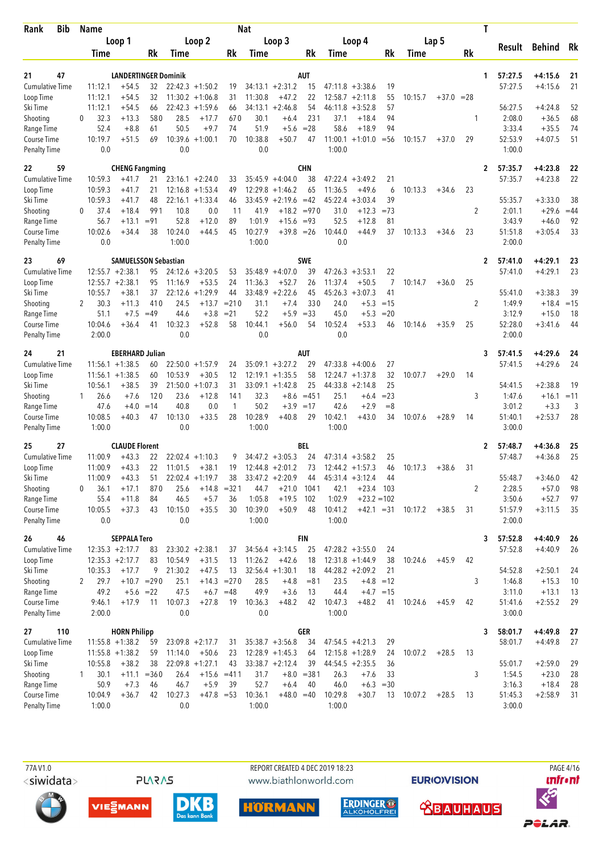| <b>Bib</b><br>Rank                  |          | Name             |                                          |              |                    |                               |               | <b>Nat</b>        |                                          |                       |                   |                                         |                      |         |         |        | T |                    |                        |            |
|-------------------------------------|----------|------------------|------------------------------------------|--------------|--------------------|-------------------------------|---------------|-------------------|------------------------------------------|-----------------------|-------------------|-----------------------------------------|----------------------|---------|---------|--------|---|--------------------|------------------------|------------|
|                                     |          |                  | Loop 1                                   |              |                    | Loop 2                        |               |                   | Loop 3                                   |                       |                   | Loop 4                                  |                      |         | Lap 5   |        |   | Result             | <b>Behind</b>          | Rk         |
|                                     |          | Time             |                                          | Rk           | Time               |                               | Rk            | Time              |                                          | Rk                    | Time              |                                         | Rk                   | Time    |         | Rk     |   |                    |                        |            |
| 21<br>47                            |          |                  | <b>LANDERTINGER Dominik</b>              |              |                    |                               |               |                   |                                          | AUT                   |                   |                                         |                      |         |         |        | 1 | 57:27.5            | $+4:15.6$              | 21         |
| Cumulative Time                     |          | 11:12.1          | $+54.5$                                  | 32           |                    | $22:42.3 +1:50.2$             | 19            |                   | $34:13.1 + 2:31.2$                       | 15                    |                   | $47:11.8 + 3:38.6$                      | 19                   |         |         |        |   | 57:27.5            | $+4:15.6$              | 21         |
| Loop Time                           |          | 11:12.1          | $+54.5$                                  | 32           |                    | $11:30.2 + 1:06.8$            | 31            | 11:30.8           | $+47.2$                                  | 22                    |                   | $12:58.7 + 2:11.8$                      | 55                   | 10:15.7 | $+37.0$ | $= 28$ |   |                    |                        |            |
| Ski Time                            |          | 11:12.1          | $+54.5$                                  | 66           |                    | $22:42.3 +1:59.6$             | 66            | 34:13.1           | $+2:46.8$                                | 54                    | 46:11.8           | $+3:52.8$                               | 57                   |         |         |        |   | 56:27.5            | $+4:24.8$              | 52         |
| Shooting                            | $\Omega$ | 32.3             | $+13.3$                                  | 580          | 28.5               | $+17.7$                       | 670           | 30.1              | $+6.4$                                   | 231                   | 37.1              | $+18.4$                                 | 94                   |         |         | 1      |   | 2:08.0             | $+36.5$                | 68         |
| Range Time                          |          | 52.4<br>10:19.7  | $+8.8$<br>$+51.5$                        | 61<br>69     | 50.5               | $+9.7$                        | 74<br>70      | 51.9              | $+5.6$                                   | $= 28$                | 58.6              | $+18.9$                                 | 94                   |         |         | 29     |   | 3:33.4<br>52:53.9  | $+35.5$                | 74<br>51   |
| Course Time<br><b>Penalty Time</b>  |          | 0.0              |                                          |              | 0.0                | $10:39.6 + 1:00.1$            |               | 10:38.8<br>0.0    | $+50.7$                                  | 47                    | 1:00.0            | $11:00.1 + 1:01.0$                      | $=$ 56               | 10:15.7 | $+37.0$ |        |   | 1:00.0             | $+4:07.5$              |            |
|                                     |          |                  |                                          |              |                    |                               |               |                   |                                          |                       |                   |                                         |                      |         |         |        |   |                    |                        |            |
| 22<br>59<br>Cumulative Time         |          | 10:59.3          | <b>CHENG Fangming</b><br>$+41.7$         | 21           |                    | $23:16.1 + 2:24.0$            | 33            |                   | $35:45.9 + 4:04.0$                       | <b>CHN</b><br>38      |                   | $47:22.4 +3:49.2$                       | 21                   |         |         |        | 2 | 57:35.7<br>57:35.7 | $+4:23.8$<br>$+4:23.8$ | 22<br>22   |
| Loop Time                           |          | 10:59.3          | $+41.7$                                  | 21           | 12:16.8            | $+1:53.4$                     | 49            |                   | $12:29.8 + 1:46.2$                       | 65                    | 11:36.5           | $+49.6$                                 | 6                    | 10:13.3 | $+34.6$ | 23     |   |                    |                        |            |
| Ski Time                            |          | 10:59.3          | $+41.7$                                  | 48           |                    | $22:16.1 + 1:33.4$            | 46            |                   | $33:45.9 + 2:19.6$                       | $=42$                 | 45:22.4           | $+3:03.4$                               | 39                   |         |         |        |   | 55:35.7            | $+3:33.0$              | 38         |
| Shooting                            | $\Omega$ | 37.4             | $+18.4$                                  | 991          | 10.8               | 0.0                           | 11            | 41.9              |                                          | $+18.2 = 970$         | 31.0              | $+12.3$                                 | $=73$                |         |         | 2      |   | 2:01.1             | $+29.6$                | $=44$      |
| Range Time                          |          | 56.7             | $+13.1$                                  | $= 91$       | 52.8               | $+12.0$                       | 89            | 1:01.9            | $+15.6 = 93$                             |                       | 52.5              | $+12.8$                                 | 81                   |         |         |        |   | 3:43.9             | $+46.0$                | 92         |
| Course Time                         |          | 10:02.6          | $+34.4$                                  | 38           | 10:24.0            | $+44.5$                       | 45            | 10:27.9           | $+39.8 = 26$                             |                       | 10:44.0           | $+44.9$                                 | 37                   | 10:13.3 | $+34.6$ | 23     |   | 51:51.8            | $+3:05.4$              | 33         |
| <b>Penalty Time</b>                 |          | 0.0              |                                          |              | 1:00.0             |                               |               | 1:00.0            |                                          |                       | 0.0               |                                         |                      |         |         |        |   | 2:00.0             |                        |            |
| 23<br>69                            |          |                  | <b>SAMUELSSON Sebastian</b>              |              |                    |                               |               |                   |                                          | <b>SWE</b>            |                   |                                         |                      |         |         |        | 2 | 57:41.0            | $+4:29.1$              | 23         |
| <b>Cumulative Time</b>              |          |                  | $12:55.7 + 2:38.1$                       | 95           |                    | $24:12.6 + 3:20.5$            | 53            |                   | $35:48.9 + 4:07.0$                       | 39                    |                   | $47:26.3 +3:53.1$                       | 22<br>$\overline{7}$ |         |         |        |   | 57:41.0            | $+4:29.1$              | 23         |
| Loop Time<br>Ski Time               |          | 10:55.7          | $12:55.7 + 2:38.1$<br>$+38.1$            | 95<br>37     | 11:16.9<br>22:12.6 | $+53.5$<br>$+1:29.9$          | 24<br>44      | 11:36.3           | $+52.7$<br>$33:48.9 + 2:22.6$            | 26<br>45              | 11:37.4           | $+50.5$<br>$45:26.3 +3:07.3$            | 41                   | 10:14.7 | $+36.0$ | 25     |   | 55:41.0            | $+3:38.3$              | 39         |
| Shooting                            | 2        | 30.3             | $+11.3$                                  | 410          | 24.5               | $+13.7$                       | $= 210$       | 31.1              | $+7.4$                                   | 330                   | 24.0              | $+5.3$                                  | $=15$                |         |         | 2      |   | 1:49.9             | $+18.4$                | $=15$      |
| Range Time                          |          | 51.1             | $+7.5$                                   | $=49$        | 44.6               | $+3.8$                        | $= 21$        | 52.2              | $+5.9$                                   | $= 33$                | 45.0              | $+5.3$                                  | $= 20$               |         |         |        |   | 3:12.9             | $+15.0$                | 18         |
| Course Time                         |          | 10:04.6          | $+36.4$                                  | 41           | 10:32.3            | $+52.8$                       | 58            | 10:44.1           | $+56.0$                                  | 54                    | 10:52.4           | $+53.3$                                 | 46                   | 10:14.6 | $+35.9$ | 25     |   | 52:28.0            | $+3:41.6$              | 44         |
| <b>Penalty Time</b>                 |          | 2:00.0           |                                          |              | 0.0                |                               |               | 0.0               |                                          |                       | 0.0               |                                         |                      |         |         |        |   | 2:00.0             |                        |            |
| 24<br>21                            |          |                  | <b>EBERHARD Julian</b>                   |              |                    |                               |               |                   |                                          | <b>AUT</b>            |                   |                                         |                      |         |         |        | 3 | 57:41.5            | $+4:29.6$              | 24         |
| <b>Cumulative Time</b>              |          |                  | $11:56.1 + 1:38.5$                       | 60           |                    | $22:50.0 + 1:57.9$            | 24            |                   | $35:09.1 + 3:27.2$                       | 29                    | 47:33.8           | $+4:00.6$                               | 27                   |         |         |        |   | 57:41.5            | $+4:29.6$              | 24         |
| Loop Time                           |          | 11:56.1          | $+1:38.5$                                | 60           | 10:53.9            | $+30.5$                       | 12            |                   | $12:19.1 + 1:35.5$                       | 58                    | 12:24.7           | $+1:37.8$                               | 32                   | 10:07.7 | $+29.0$ | 14     |   |                    |                        |            |
| Ski Time                            |          | 10:56.1          | $+38.5$                                  | 39           | 21:50.0            | $+1:07.3$                     | 31            |                   | $33:09.1 + 1:42.8$                       | 25                    | 44:33.8           | $+2:14.8$                               | 25                   |         |         |        |   | 54:41.5            | $+2:38.8$              | 19         |
| Shooting<br>Range Time              |          | 26.6<br>47.6     | $+7.6$<br>$+4.0$                         | 120<br>$=14$ | 23.6<br>40.8       | $+12.8$<br>0.0                | 141<br>1      | 32.3<br>50.2      | $+3.9$                                   | $+8.6 = 451$<br>$=17$ | 25.1<br>42.6      | $+6.4$<br>$+2.9$                        | $= 23$<br>$=8$       |         |         | 3      |   | 1:47.6<br>3:01.2   | $+16.1$<br>$+3.3$      | $=11$<br>3 |
| Course Time                         |          | 10:08.5          | $+40.3$                                  | 47           | 10:13.0            | $+33.5$                       | 28            | 10:28.9           | $+40.8$                                  | 29                    | 10:42.1           | $+43.0$                                 | 34                   | 10:07.6 | $+28.9$ | 14     |   | 51:40.1            | $+2:53.7$              | 28         |
| <b>Penalty Time</b>                 |          | 1:00.0           |                                          |              | 0.0                |                               |               | 1:00.0            |                                          |                       | 1:00.0            |                                         |                      |         |         |        |   | 3:00.0             |                        |            |
| 25<br>27                            |          |                  | <b>CLAUDE Florent</b>                    |              |                    |                               |               |                   |                                          | BEL                   |                   |                                         |                      |         |         |        | 2 | 57:48.7            | $+4:36.8$              | 25         |
| <b>Cumulative Time</b>              |          | 11:00.9          | $+43.3$                                  | 22           |                    | $22:02.4$ +1:10.3             | 9             |                   | $34:47.2 + 3:05.3$                       | 24                    | 47:31.4           | $+3:58.2$                               | 25                   |         |         |        |   | 57:48.7            | $+4:36.8$              | 25         |
| Loop Time                           |          | 11:00.9          | $+43.3$                                  | 22           | 11:01.5            | $+38.1$                       | 19            |                   | $12:44.8 + 2:01.2$                       | 73                    |                   | $12:44.2 + 1:57.3$                      | 46                   | 10:17.3 | $+38.6$ | 31     |   |                    |                        |            |
| Ski Time                            |          | 11:00.9          | $+43.3$                                  | 51           |                    | $22:02.4 +1:19.7$             | 38            |                   | $33:47.2 + 2:20.9$                       | 44                    |                   | $45:31.4 +3:12.4$                       | 44                   |         |         |        |   | 55:48.7            | $+3:46.0$              | 42         |
| Shooting                            | 0        | 36.1             | $+17.1$                                  | 870          | 25.6               |                               | $+14.8 = 321$ | 44.7              | $+21.0$                                  | 1041                  | 42.1              | $+23.4$                                 | - 103                |         |         | 2      |   | 2:28.5             | $+57.0$                | 98         |
| Range Time<br>Course Time           |          | 55.4<br>10:05.5  | $+11.8$<br>$+37.3$                       | 84<br>43     | 46.5<br>10:15.0    | $+5.7$<br>$+35.5$             | 36<br>30      | 1:05.8<br>10:39.0 | $+19.5$<br>$+50.9$                       | 102<br>48             | 1:02.9<br>10:41.2 | $+23.2 = 102$<br>$+42.1 = 31$           |                      | 10:17.2 | $+38.5$ | 31     |   | 3:50.6<br>51:57.9  | $+52.7$<br>$+3:11.5$   | 97<br>35   |
| <b>Penalty Time</b>                 |          | 0.0              |                                          |              | 0.0                |                               |               | 1:00.0            |                                          |                       | 1:00.0            |                                         |                      |         |         |        |   | 2:00.0             |                        |            |
| 26<br>46                            |          |                  | <b>SEPPALA Tero</b>                      |              |                    |                               |               |                   |                                          | <b>FIN</b>            |                   |                                         |                      |         |         |        | 3 | 57:52.8            | $+4:40.9$              | 26         |
| Cumulative Time                     |          |                  | $12:35.3 + 2:17.7$                       | 83           |                    | $23:30.2 +2:38.1$             | 37            |                   | $34:56.4 + 3:14.5$                       | 25                    |                   | $47:28.2 +3:55.0$                       | 24                   |         |         |        |   | 57:52.8            | $+4:40.9$              | 26         |
| Loop Time                           |          |                  | $12:35.3 + 2:17.7$                       | 83           | 10:54.9            | $+31.5$                       | 13            | 11:26.2           | $+42.6$                                  | 18                    |                   | $12:31.8 + 1:44.9$                      | 38                   | 10:24.6 | $+45.9$ | 42     |   |                    |                        |            |
| Ski Time                            |          | 10:35.3          | $+17.7$                                  | 9            | 21:30.2            | $+47.5$                       | 13            |                   | $32:56.4 + 1:30.1$                       | 18                    |                   | $44:28.2 + 2:09.2$                      | 21                   |         |         |        |   | 54:52.8            | $+2:50.1$              | 24         |
| Shooting                            | 2        | 29.7             | $+10.7 = 290$                            |              | 25.1               |                               | $+14.3 = 270$ | 28.5              | $+4.8$                                   | $= 81$                | 23.5              |                                         | $+4.8 = 12$          |         |         | 3      |   | 1:46.8             | $+15.3$                | 10         |
| Range Time                          |          | 49.2             | $+5.6 = 22$                              |              | 47.5               |                               | $+6.7 = 48$   | 49.9              | $+3.6$                                   | 13                    | 44.4              |                                         | $+4.7 = 15$          |         |         |        |   | 3:11.0             | $+13.1$                | 13         |
| Course Time<br>Penalty Time         |          | 9:46.1<br>2:00.0 | $+17.9$                                  | 11           | 10:07.3<br>0.0     | $+27.8$                       | 19            | 10:36.3<br>0.0    | $+48.2$                                  | 42                    | 10:47.3<br>1:00.0 | $+48.2$                                 | 41                   | 10:24.6 | $+45.9$ | 42     |   | 51:41.6<br>3:00.0  | $+2:55.2$              | 29         |
|                                     |          |                  |                                          |              |                    |                               |               |                   |                                          |                       |                   |                                         |                      |         |         |        |   |                    |                        |            |
| 27<br>110                           |          |                  | <b>HORN Philipp</b>                      |              |                    |                               |               |                   |                                          | <b>GER</b>            |                   |                                         |                      |         |         |        | 3 | 58:01.7            | $+4:49.8$              | -27        |
| <b>Cumulative Time</b><br>Loop Time |          |                  | $11:55.8 + 1:38.2$<br>$11:55.8 + 1:38.2$ | 59<br>59     | 11:14.0            | $23:09.8 + 2:17.7$<br>$+50.6$ | 31<br>23      |                   | $35:38.7 + 3:56.8$<br>$12:28.9 + 1:45.3$ | 34<br>64              |                   | $47:54.5 +4:21.3$<br>$12:15.8 + 1:28.9$ | 29<br>24             | 10:07.2 | $+28.5$ | 13     |   | 58:01.7            | $+4:49.8$              | 27         |
| Ski Time                            |          | 10:55.8          | $+38.2$                                  | 38           |                    | $22:09.8 + 1:27.1$            | 43            |                   | $33:38.7 + 2:12.4$                       | 39                    |                   | $44:54.5 + 2:35.5$                      | 36                   |         |         |        |   | 55:01.7            | $+2:59.0$              | 29         |
| Shooting                            | 1        | 30.1             | $+11.1 = 360$                            |              | 26.4               |                               | $+15.6 = 411$ | 31.7              |                                          | $+8.0 = 381$          | 26.3              | $+7.6$                                  | 33                   |         |         | 3      |   | 1:54.5             | $+23.0$                | 28         |
| Range Time                          |          | 50.9             | $+7.3$                                   | 46           | 46.7               | $+5.9$                        | 39            | 52.7              | $+6.4$                                   | 40                    | 46.0              | $+6.3 = 30$                             |                      |         |         |        |   | 3:16.3             | $+18.4$                | 28         |
| Course Time                         |          | 10:04.9          | $+36.7$                                  | 42           | 10:27.3            | $+47.8 = 53$                  |               | 10:36.1           | $+48.0 = 40$                             |                       | 10:29.8           | $+30.7$                                 | 13                   | 10:07.2 | $+28.5$ | 13     |   | 51:45.3            | $+2:58.9$              | 31         |
| <b>Penalty Time</b>                 |          | 1:00.0           |                                          |              | 0.0                |                               |               | 1:00.0            |                                          |                       | 1:00.0            |                                         |                      |         |         |        |   | 3:00.0             |                        |            |

**PLARAS** 

 77A V1.0 REPORT CREATED 4 DEC 2019 18:23 PAGE 4/16www.biathlonworld.com











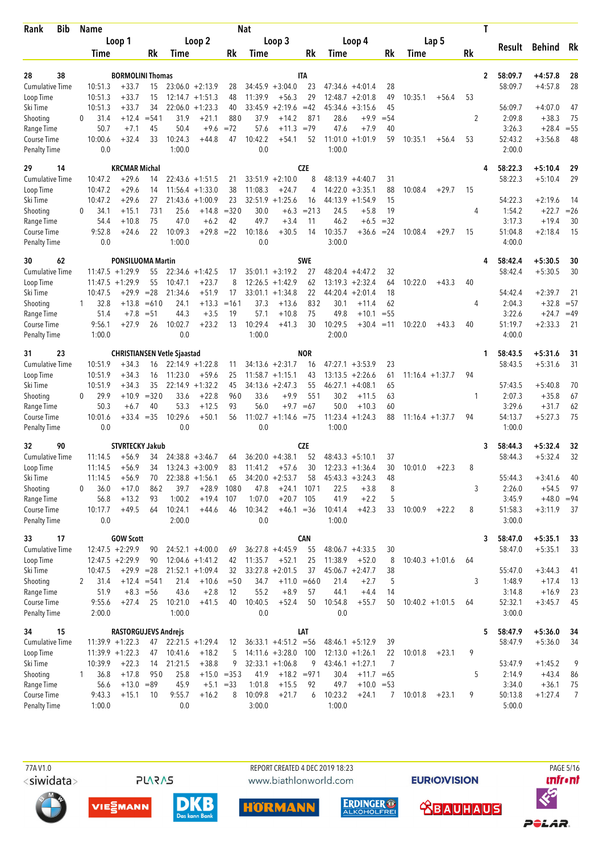| <b>Bib</b><br>Rank                 |              | <b>Name</b>        |                                    |              |                   |                                          |               | <b>Nat</b>         |                           |               |                    |                        |                 |         |                    |    | Τ            |                   |                      |             |
|------------------------------------|--------------|--------------------|------------------------------------|--------------|-------------------|------------------------------------------|---------------|--------------------|---------------------------|---------------|--------------------|------------------------|-----------------|---------|--------------------|----|--------------|-------------------|----------------------|-------------|
|                                    |              |                    | Loop 1                             |              |                   | Loop 2                                   |               |                    | Loop 3                    |               |                    | Loop 4                 |                 |         | Lap 5              |    |              |                   |                      |             |
|                                    |              | Time               |                                    | Rk           | Time              |                                          | Rk            | Time               |                           | Rk            | Time               |                        | Rk              | Time    |                    | Rk |              | Result            | Behind Rk            |             |
|                                    |              |                    |                                    |              |                   |                                          |               |                    |                           |               |                    |                        |                 |         |                    |    |              |                   |                      |             |
| 38<br>28                           |              |                    | <b>BORMOLINI Thomas</b>            |              |                   |                                          |               |                    |                           | IΤΑ           |                    |                        |                 |         |                    |    | $\mathbf{2}$ | 58:09.7           | $+4:57.8$            | 28          |
| <b>Cumulative Time</b>             |              | 10:51.3<br>10:51.3 | $+33.7$                            | 15           |                   | $23:06.0 + 2:13.9$                       | 28<br>48      |                    | $34:45.9 + 3:04.0$        | 23<br>29      |                    | $47:34.6 +4:01.4$      | 28<br>49        |         |                    |    |              | 58:09.7           | $+4:57.8$            | 28          |
| Loop Time<br>Ski Time              |              | 10:51.3            | $+33.7$<br>$+33.7$                 | 15<br>34     |                   | $12:14.7 + 1:51.3$<br>$22:06.0 + 1:23.3$ | 40            | 11:39.9<br>33:45.9 | $+56.3$<br>$+2:19.6 = 42$ |               | 12:48.7<br>45:34.6 | $+2:01.8$<br>$+3:15.6$ | 45              | 10:35.1 | $+56.4$            | 53 |              | 56:09.7           | $+4:07.0$            | 47          |
| Shooting                           | $\Omega$     | 31.4               | $+12.4$                            | $= 541$      | 31.9              | $+21.1$                                  | 880           | 37.9               | $+14.2$                   | 871           | 28.6               | +9.9                   | $= 54$          |         |                    | 2  |              | 2:09.8            | $+38.3$              | 75          |
| Range Time                         |              | 50.7               | $+7.1$                             | 45           | 50.4              | $+9.6$                                   | $= 72$        | 57.6               | $+11.3 = 79$              |               | 47.6               | $+7.9$                 | 40              |         |                    |    |              | 3:26.3            | $+28.4$              | $= 55$      |
| Course Time                        |              | 10:00.6            | $+32.4$                            | 33           | 10:24.3           | $+44.8$                                  | 47            | 10:42.2            | $+54.1$                   | 52            |                    | $11:01.0 + 1:01.9$     | 59              | 10:35.1 | $+56.4$            | 53 |              | 52:43.2           | $+3:56.8$            | 48          |
| <b>Penalty Time</b>                |              | 0.0                |                                    |              | 1:00.0            |                                          |               | 0.0                |                           |               | 1:00.0             |                        |                 |         |                    |    |              | 2:00.0            |                      |             |
| 14<br>29                           |              |                    | <b>KRCMAR Michal</b>               |              |                   |                                          |               |                    |                           | <b>CZE</b>    |                    |                        |                 |         |                    |    | 4            | 58:22.3           | $+5:10.4$            | 29          |
| <b>Cumulative Time</b>             |              | 10:47.2            | $+29.6$                            | 14           |                   | $22:43.6 + 1:51.5$                       | 21            |                    | $33:51.9 +2:10.0$         | 8             |                    | $48:13.9 + 4:40.7$     | 31              |         |                    |    |              | 58:22.3           | $+5:10.4$            | 29          |
| Loop Time                          |              | 10:47.2            | $+29.6$                            | 14           | 11:56.4           | $+1:33.0$                                | 38            | 11:08.3            | $+24.7$                   | 4             | 14:22.0            | $+3:35.1$              | 88              | 10:08.4 | $+29.7$            | 15 |              |                   |                      |             |
| Ski Time                           |              | 10:47.2            | $+29.6$                            | 27           | 21:43.6           | $+1:00.9$                                | 23            |                    | $32:51.9 +1:25.6$         | 16            |                    | $44:13.9 +1:54.9$      | 15              |         |                    |    |              | 54:22.3           | $+2:19.6$            | -14         |
| Shooting                           | $\Omega$     | 34.1               | $+15.1$                            | 731          | 25.6              | $+14.8$                                  | $= 320$       | 30.0               | $+6.3$                    | $= 213$       | 24.5               | $+5.8$                 | 19              |         |                    | 4  |              | 1:54.2            | $+22.7$              | $=26$       |
| Range Time                         |              | 54.4               | $+10.8$                            | 75           | 47.0              | $+6.2$                                   | 42            | 49.7               | $+3.4$                    | 11            | 46.2               | $+6.5$                 | $=32$           |         |                    |    |              | 3:17.3            | $+19.4$              | 30          |
| Course Time                        |              | 9:52.8             | $+24.6$                            | 22           | 10:09.3           | $+29.8$                                  | $=22$         | 10:18.6            | $+30.5$                   | 14            | 10:35.7            | $+36.6$                | $= 24$          | 10:08.4 | $+29.7$            | 15 |              | 51:04.8           | $+2:18.4$            | 15          |
| <b>Penalty Time</b>                |              | 0.0                |                                    |              | 1:00.0            |                                          |               | 0.0                |                           |               | 3:00.0             |                        |                 |         |                    |    |              | 4:00.0            |                      |             |
| 62<br>30                           |              |                    | <b>PONSILUOMA Martin</b>           |              |                   |                                          |               |                    |                           | <b>SWE</b>    |                    |                        |                 |         |                    |    | 4            | 58:42.4           | $+5:30.5$            | 30          |
| <b>Cumulative Time</b>             |              |                    | $11:47.5 + 1:29.9$                 | 55           |                   | $22:34.6 + 1:42.5$                       | 17            |                    | $35:01.1 + 3:19.2$        | 27            |                    | $48:20.4 +4:47.2$      | 32              |         |                    |    |              | 58:42.4           | $+5:30.5$            | 30          |
| Loop Time                          |              |                    | $11:47.5 + 1:29.9$                 | 55           | 10:47.1           | $+23.7$                                  | 8             |                    | $12:26.5 +1:42.9$         | 62            | 13:19.3            | $+2:32.4$              | 64              | 10:22.0 | $+43.3$            | 40 |              |                   |                      |             |
| Ski Time                           |              | 10:47.5            | $+29.9$                            | $= 28$       | 21:34.6           | $+51.9$                                  | 17            |                    | $33:01.1 + 1:34.8$        | 22            | 44:20.4            | $+2:01.4$              | 18              |         |                    |    |              | 54:42.4           | $+2:39.7$            | 21          |
| Shooting                           | 1            | 32.8               | $+13.8$                            | $=610$       | 24.1              | $+13.3$                                  | $=161$        | 37.3               | $+13.6$                   | 832           | 30.1               | $+11.4$                | 62              |         |                    | 4  |              | 2:04.3            | $+32.8$              | $= 57$      |
| Range Time                         |              | 51.4<br>9:56.1     | $+7.8$                             | $= 51$<br>26 | 44.3<br>10:02.7   | $+3.5$<br>$+23.2$                        | 19<br>13      | 57.1<br>10:29.4    | $+10.8$<br>$+41.3$        | 75<br>30      | 49.8<br>10:29.5    | $+10.1$<br>$+30.4$     | $= 55$<br>$=11$ |         |                    |    |              | 3:22.6<br>51:19.7 | $+24.7$<br>$+2:33.3$ | $=49$<br>21 |
| Course Time<br><b>Penalty Time</b> |              | 1:00.0             | $+27.9$                            |              | 0.0               |                                          |               | 1:00.0             |                           |               | 2:00.0             |                        |                 | 10:22.0 | $+43.3$            | 40 |              | 4:00.0            |                      |             |
| 23<br>31                           |              |                    | <b>CHRISTIANSEN Vetle Sjaastad</b> |              |                   |                                          |               |                    |                           | <b>NOR</b>    |                    |                        |                 |         |                    |    | 1            | 58:43.5           | $+5:31.6$            | 31          |
| <b>Cumulative Time</b>             |              | 10:51.9            | $+34.3$                            | 16           |                   | $22:14.9 + 1:22.8$                       | 11            |                    | $34:13.6 +2:31.7$         | 16            |                    | $47:27.1 + 3:53.9$     | 23              |         |                    |    |              | 58:43.5           | $+5:31.6$            | 31          |
| Loop Time                          |              | 10:51.9            | $+34.3$                            | 16           | 11:23.0           | $+59.6$                                  | 25            |                    | $11:58.7 + 1:15.1$        | 43            | 13:13.5            | $+2:26.6$              | 61              |         | $11:16.4 + 1:37.7$ | 94 |              |                   |                      |             |
| Ski Time                           |              | 10:51.9            | $+34.3$                            | 35           | 22:14.9           | $+1:32.2$                                | 45            |                    | $34:13.6 + 2:47.3$        | 55            | 46:27.1            | $+4:08.1$              | 65              |         |                    |    |              | 57:43.5           | $+5:40.8$            | 70          |
| Shooting                           | $\Omega$     | 29.9               | $+10.9$                            | $= 320$      | 33.6              | $+22.8$                                  | 960           | 33.6               | $+9.9$                    | 551           | 30.2               | $+11.5$                | 63              |         |                    | 1  |              | 2:07.3            | $+35.8$              | 67          |
| Range Time                         |              | 50.3               | $+6.7$                             | 40           | 53.3              | $+12.5$                                  | 93            | 56.0               |                           | $+9.7 = 67$   | 50.0               | $+10.3$                | 60              |         |                    |    |              | 3:29.6            | $+31.7$              | 62          |
| Course Time                        |              | 10:01.6            | $+33.4 = 35$                       |              | 10:29.6           | $+50.1$                                  | 56            |                    | $11:02.7 +1:14.6 = 75$    |               |                    | $11:23.4 +1:24.3$      | 88              |         | $11:16.4 + 1:37.7$ | 94 |              | 54:13.7           | $+5:27.3$            | 75          |
| <b>Penalty Time</b>                |              | 0.0                |                                    |              | 0.0               |                                          |               | 0.0                |                           |               | 1:00.0             |                        |                 |         |                    |    |              | 1:00.0            |                      |             |
| 90<br>32                           |              |                    | <b>STVRTECKY Jakub</b>             |              |                   |                                          |               |                    |                           | <b>CZE</b>    |                    |                        |                 |         |                    |    | 3            | 58:44.3           | $+5:32.4$            | 32          |
| <b>Cumulative Time</b>             |              | 11:14.5            | $+56.9$                            | 34           |                   | $24:38.8 + 3:46.7$                       | 64            |                    | $36:20.0 +4:38.1$         | 52            |                    | $48:43.3 +5:10.1$      | 37              |         |                    |    |              | 58:44.3           | $+5:32.4$            | 32          |
| Loop Time                          |              | 11:14.5            | $+56.9$                            | 34           |                   | $13:24.3 + 3:00.9$                       | 83            | 11:41.2            | $+57.6$                   | 30            |                    | $12:23.3 + 1:36.4$     | 30              | 10:01.0 | $+22.3$            | 8  |              |                   |                      |             |
| Ski Time                           |              | 11:14.5            | $+56.9$                            | 70           |                   | $22:38.8 + 1:56.1$                       | 65            |                    | $34:20.0 + 2:53.7$        | 58            |                    | $45:43.3 +3:24.3$      | 48              |         |                    |    |              | 55:44.3           | $+3:41.6$            | 40          |
| Shooting                           | $\mathbf{0}$ | 36.0               | $+17.0$                            | 862          | 39.7              | $+28.9$                                  | 1080          | 47.8               | $+24.1$                   | 1071          | 22.5               | $+3.8$                 | 8               |         |                    | 3  |              | 2:26.0            | $+54.5$              | 97          |
| Range Time                         |              | 56.8               | $+13.2$                            | 93           | 1:00.2            | $+19.4$                                  | 107           | 1:07.0             | $+20.7$                   | 105           | 41.9               | $+2.2$                 | 5               |         |                    |    |              | 3:45.9            | $+48.0 = 94$         |             |
| Course Time<br>Penalty Time        |              | 10:17.7<br>0.0     | $+49.5$                            | 64           | 10:24.1<br>2:00.0 | $+44.6$                                  | 46            | 10:34.2<br>0.0     | $+46.1 = 36$              |               | 10:41.4<br>1:00.0  | $+42.3$                | 33              | 10:00.9 | $+22.2$            | 8  |              | 51:58.3<br>3:00.0 | $+3:11.9$            | 37          |
| 17<br>33                           |              |                    | <b>GOW Scott</b>                   |              |                   |                                          |               |                    |                           | <b>CAN</b>    |                    |                        |                 |         |                    |    | 3            | 58:47.0           | $+5:35.1$            | 33          |
| <b>Cumulative Time</b>             |              |                    | $12:47.5 + 2:29.9$                 | 90           |                   | $24:52.1 + 4:00.0$                       | 69            |                    | $36:27.8 +4:45.9$         | 55            |                    | $48:06.7 +4:33.5$      | 30              |         |                    |    |              | 58:47.0           | $+5:35.1$            | 33          |
| Loop Time                          |              |                    | $12:47.5 + 2:29.9$                 | 90           |                   | $12:04.6 + 1:41.2$                       | 42            | 11:35.7            | $+52.1$                   | 25            | 11:38.9            | $+52.0$                | 8               |         | $10:40.3 +1:01.6$  | 64 |              |                   |                      |             |
| Ski Time                           |              | 10:47.5            | $+29.9 = 28$                       |              |                   | $21:52.1 + 1:09.4$                       | 32            |                    | $33:27.8 + 2:01.5$        | 37            |                    | $45:06.7 +2:47.7$      | 38              |         |                    |    |              | 55:47.0           | $+3:44.3$            | 41          |
| Shooting                           | 2            | 31.4               | $+12.4 = 541$                      |              | 21.4              | $+10.6$                                  | $=50$         | 34.7               |                           | $+11.0 = 660$ | 21.4               | $+2.7$                 | 5               |         |                    | 3  |              | 1:48.9            | $+17.4$              | 13          |
| Range Time                         |              | 51.9               | $+8.3 = 56$                        |              | 43.6              | $+2.8$                                   | 12            | 55.2               | $+8.9$                    | 57            | 44.1               | $+4.4$                 | 14              |         |                    |    |              | 3:14.8            | $+16.9$              | 23          |
| Course Time                        |              | 9:55.6             | $+27.4$                            | 25           | 10:21.0           | $+41.5$                                  | 40            | 10:40.5            | $+52.4$                   | 50            | 10:54.8            | $+55.7$                | 50              |         | $10:40.2 +1:01.5$  | 64 |              | 52:32.1           | $+3:45.7$            | 45          |
| <b>Penalty Time</b>                |              | 2:00.0             |                                    |              | 1:00.0            |                                          |               | 0.0                |                           |               | 0.0                |                        |                 |         |                    |    |              | 3:00.0            |                      |             |
| 15<br>34                           |              |                    | <b>RASTORGUJEVS Andrejs</b>        |              |                   |                                          |               |                    |                           | LAT           |                    |                        |                 |         |                    |    | 5            | 58:47.9           | $+5:36.0$            | -34         |
| <b>Cumulative Time</b>             |              |                    | $11:39.9 + 1:22.3$                 | 47           |                   | $22:21.5 + 1:29.4$                       | 12            |                    | $36:33.1 + 4:51.2 = 56$   |               |                    | $48:46.1 + 5:12.9$     | 39              |         |                    |    |              | 58:47.9           | $+5:36.0$            | 34          |
| Loop Time                          |              |                    | $11:39.9 + 1:22.3$                 | 47           | 10:41.6           | $+18.2$                                  | 5             |                    | $14:11.6 + 3:28.0$ 100    |               |                    | $12:13.0 + 1:26.1$     | 22              | 10:01.8 | $+23.1$            | 9  |              |                   |                      |             |
| Ski Time                           |              | 10:39.9            | $+22.3$                            | 14           | 21:21.5           | $+38.8$                                  | 9             |                    | $32:33.1 + 1:06.8$        | 9             |                    | $43:46.1 + 1:27.1$     | 7               |         |                    |    |              | 53:47.9           | $+1:45.2$            | 9           |
| Shooting                           | 1            | 36.8               | $+17.8$                            | 950          | 25.8              |                                          | $+15.0 = 353$ | 41.9               | $+18.2 = 971$             |               | 30.4               | $+11.7 = 65$           |                 |         |                    | 5  |              | 2:14.9            | $+43.4$              | 86          |
| Range Time                         |              | 56.6               | $+13.0 = 89$                       |              | 45.9              |                                          | $+5.1 = 33$   | 1:01.8             | $+15.5$                   | 92            | 49.7               | $+10.0 = 53$           |                 |         |                    |    |              | 3:34.0            | $+36.1$              | 75          |
| Course Time<br>Penalty Time        |              | 9:43.3<br>1:00.0   | $+15.1$                            | 10           | 9:55.7<br>0.0     | $+16.2$                                  | 8             | 10:09.8<br>3:00.0  | $+21.7$                   | 6             | 10:23.2<br>1:00.0  | $+24.1$                | 7               | 10:01.8 | $+23.1$            | 9  |              | 50:13.8<br>5:00.0 | $+1:27.4$            | 7           |
|                                    |              |                    |                                    |              |                   |                                          |               |                    |                           |               |                    |                        |                 |         |                    |    |              |                   |                      |             |

**PLARAS** 

REPORT CREATED 4 DEC 2019 18:23 www.biathlonworld.com

**EURIOVISION** 













PAGE 5/16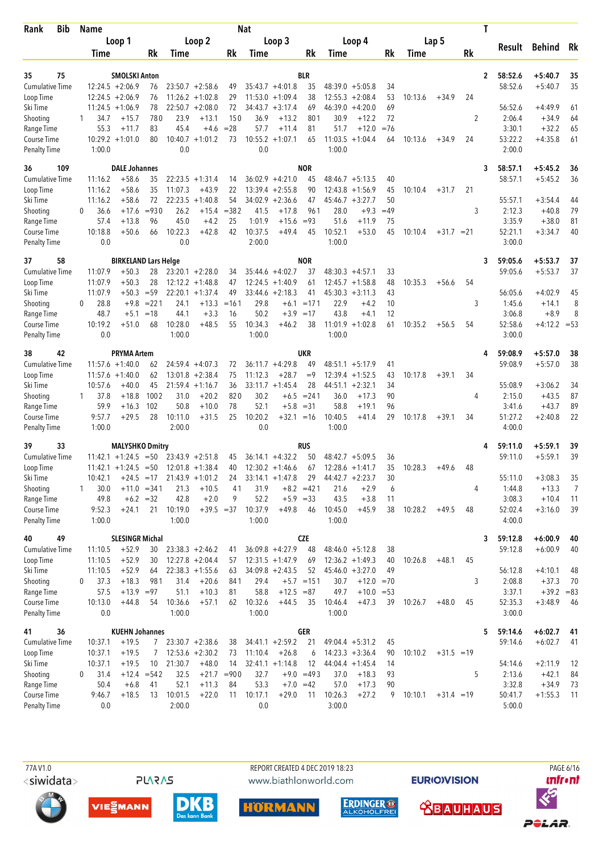| <b>Bib</b><br>Rank        |          | <b>Name</b>    |                                          |          |                 |                                          |               | Nat             |                                          |              |                 |                                          |          |         |              |    | T            |                   |                      |          |
|---------------------------|----------|----------------|------------------------------------------|----------|-----------------|------------------------------------------|---------------|-----------------|------------------------------------------|--------------|-----------------|------------------------------------------|----------|---------|--------------|----|--------------|-------------------|----------------------|----------|
|                           |          |                | Loop 1                                   |          |                 | Loop 2                                   |               |                 | Loop 3                                   |              |                 | Loop 4                                   |          |         | Lap 5        |    |              |                   |                      |          |
|                           |          | Time           |                                          | Rk       | Time            |                                          | Rk            | Time            |                                          | Rk           | Time            |                                          | Rk       | Time    |              | Rk |              | Result            | <b>Behind</b>        | Rk       |
|                           |          |                |                                          |          |                 |                                          |               |                 |                                          |              |                 |                                          |          |         |              |    |              |                   |                      |          |
| 75<br>35                  |          |                | <b>SMOLSKI Anton</b>                     |          |                 |                                          |               |                 |                                          | <b>BLR</b>   |                 |                                          |          |         |              |    | $\mathbf{2}$ | 58:52.6           | $+5:40.7$            | 35       |
| <b>Cumulative Time</b>    |          |                | $12:24.5 + 2:06.9$<br>$12:24.5 + 2:06.9$ | 76<br>76 |                 | $23:50.7 + 2:58.6$<br>$11:26.2 + 1:02.8$ | 49<br>29      |                 | $35:43.7 + 4:01.8$<br>$11:53.0 + 1:09.4$ | 35<br>38     |                 | $48:39.0 + 5:05.8$<br>$12:55.3 + 2:08.4$ | 34<br>53 | 10:13.6 |              | 24 |              | 58:52.6           | $+5:40.7$            | 35       |
| Loop Time<br>Ski Time     |          |                | $11:24.5 + 1:06.9$                       | 78       |                 | $22:50.7 + 2:08.0$                       | 72            |                 | $34:43.7 + 3:17.4$                       | 69           | 46:39.0         | $+4:20.0$                                | 69       |         | $+34.9$      |    |              | 56:52.6           | $+4:49.9$            | 61       |
| Shooting                  | 1        | 34.7           | $+15.7$                                  | 780      | 23.9            | $+13.1$                                  | 150           | 36.9            | $+13.2$                                  | 801          | 30.9            | $+12.2$                                  | 72       |         |              | 2  |              | 2:06.4            | $+34.9$              | 64       |
| Range Time                |          | 55.3           | $+11.7$                                  | 83       | 45.4            | $+4.6$                                   | $= 28$        | 57.7            | $+11.4$                                  | 81           | 51.7            | $+12.0$                                  | $=76$    |         |              |    |              | 3:30.1            | $+32.2$              | 65       |
| Course Time               |          |                | $10:29.2 + 1:01.0$                       | 80       |                 | $10:40.7 + 1:01.2$                       | 73            |                 | $10:55.2 + 1:07.1$                       | 65           | 11:03.5         | $+1:04.4$                                | 64       | 10:13.6 | $+34.9$      | 24 |              | 53:22.2           | $+4:35.8$            | 61       |
| <b>Penalty Time</b>       |          | 1:00.0         |                                          |          | 0.0             |                                          |               | 0.0             |                                          |              | 1:00.0          |                                          |          |         |              |    |              | 2:00.0            |                      |          |
| 36<br>109                 |          |                | <b>DALE Johannes</b>                     |          |                 |                                          |               |                 |                                          | <b>NOR</b>   |                 |                                          |          |         |              |    | 3            | 58:57.1           | $+5:45.2$            | 36       |
| Cumulative Time           |          | 11:16.2        | $+58.6$                                  | 35       |                 | $22:23.5 + 1:31.4$                       | 14            |                 | $36:02.9 + 4:21.0$                       | 45           |                 | $48:46.7 + 5:13.5$                       | 40       |         |              |    |              | 58:57.1           | $+5:45.2$            | 36       |
| Loop Time                 |          | 11:16.2        | $+58.6$                                  | 35       | 11:07.3         | $+43.9$                                  | 22            |                 | $13:39.4 + 2:55.8$                       | 90           | 12:43.8         | $+1:56.9$                                | 45       | 10:10.4 | $+31.7$      | 21 |              |                   |                      |          |
| Ski Time                  |          | 11:16.2        | $+58.6$                                  | 72       | 22:23.5         | $+1:40.8$                                | 54            |                 | $34:02.9 +2:36.6$                        | 47           |                 | $45:46.7 + 3:27.7$                       | 50       |         |              |    |              | 55:57.1           | $+3:54.4$            | 44       |
| Shooting                  | $\Omega$ | 36.6           | $+17.6$                                  | $= 930$  | 26.2            | $+15.4$                                  | $= 382$       | 41.5            | $+17.8$                                  | 961          | 28.0            | $+9.3$                                   | $=49$    |         |              | 3  |              | 2:12.3            | $+40.8$              | 79       |
| Range Time                |          | 57.4           | $+13.8$                                  | 96       | 45.0            | $+4.2$                                   | 25            | 1:01.9          | $+15.6$                                  | $= 93$       | 51.6            | $+11.9$                                  | 75       |         |              |    |              | 3:35.9            | $+38.0$              | 81       |
| Course Time               |          | 10:18.8        | $+50.6$                                  | 66       | 10:22.3         | $+42.8$                                  | 42            | 10:37.5         | $+49.4$                                  | 45           | 10:52.1         | $+53.0$                                  | 45       | 10:10.4 | $+31.7 = 21$ |    |              | 52:21.1           | $+3:34.7$            | 40       |
| <b>Penalty Time</b>       |          | 0.0            |                                          |          | 0.0             |                                          |               | 2:00.0          |                                          |              | 1:00.0          |                                          |          |         |              |    |              | 3:00.0            |                      |          |
| 37<br>58                  |          |                | <b>BIRKELAND Lars Helge</b>              |          |                 |                                          |               |                 |                                          | <b>NOR</b>   |                 |                                          |          |         |              |    | 3            | 59:05.6           | $+5:53.7$            | 37       |
| <b>Cumulative Time</b>    |          | 11:07.9        | $+50.3$                                  | 28       |                 | $23:20.1 + 2:28.0$                       | 34            |                 | $35:44.6 + 4:02.7$                       | 37           |                 | $48:30.3 +4:57.1$                        | 33       |         |              |    |              | 59:05.6           | $+5:53.7$            | 37       |
| Loop Time                 |          | 11:07.9        | $+50.3$                                  | 28       |                 | $12:12.2 + 1:48.8$                       | 47            |                 | $12:24.5 + 1:40.9$                       | 61           |                 | $12:45.7 + 1:58.8$                       | 48       | 10:35.3 | $+56.6$      | 54 |              |                   |                      |          |
| Ski Time                  |          | 11:07.9        | $+50.3 = 59$                             |          |                 | $22:20.1 + 1:37.4$                       | 49            |                 | $33:44.6 + 2:18.3$                       | 41           |                 | $45:30.3 +3:11.3$                        | 43       |         |              |    |              | 56:05.6           | $+4:02.9$            | 45       |
| Shooting                  | $\Omega$ | 28.8           | $+9.8$                                   | $= 221$  | 24.1            | $+13.3$                                  | $=161$        | 29.8            |                                          | $+6.1 = 171$ | 22.9            | $+4.2$                                   | 10       |         |              | 3  |              | 1:45.6            | $+14.1$              | 8        |
| Range Time                |          | 48.7           | $+5.1$                                   | $=18$    | 44.1            | $+3.3$                                   | 16            | 50.2            |                                          | $+3.9 = 17$  | 43.8            | $+4.1$                                   | 12       |         |              |    |              | 3:06.8            | $+8.9$               | 8        |
| Course Time               |          | 10:19.2        | $+51.0$                                  | 68       | 10:28.0         | $+48.5$                                  | 55            | 10:34.3         | $+46.2$                                  | 38           |                 | $11:01.9 + 1:02.8$                       | 61       | 10:35.2 | $+56.5$      | 54 |              | 52:58.6           | $+4:12.2 = 53$       |          |
| <b>Penalty Time</b>       |          | 0.0            |                                          |          | 1:00.0          |                                          |               | 1:00.0          |                                          |              | 1:00.0          |                                          |          |         |              |    |              | 3:00.0            |                      |          |
| 38<br>42                  |          |                | <b>PRYMA Artem</b>                       |          |                 |                                          |               |                 |                                          | <b>UKR</b>   |                 |                                          |          |         |              |    | 4            | 59:08.9           | $+5:57.0$            | 38       |
| <b>Cumulative Time</b>    |          |                | $11:57.6 + 1:40.0$                       | 62       |                 | $24:59.4 + 4:07.3$                       | 72            |                 | $36:11.7 + 4:29.8$                       | 49           |                 | $48:51.1 + 5:17.9$                       | 41       |         |              |    |              | 59:08.9           | $+5:57.0$            | 38       |
| Loop Time                 |          |                | $11:57.6 + 1:40.0$                       | 62       | 13:01.8         | $+2:38.4$                                | 75            | 11:12.3         | $+28.7$                                  | $=9$         | 12:39.4         | $+1:52.5$                                | 43       | 10:17.8 | $+39.1$      | 34 |              |                   |                      |          |
| Ski Time                  |          | 10:57.6        | $+40.0$                                  | 45       |                 | $21:59.4 +1:16.7$                        | 36            |                 | $33:11.7 + 1:45.4$                       | 28           |                 | $44:51.1 + 2:32.1$                       | 34       |         |              |    |              | 55:08.9           | $+3:06.2$            | 34       |
| Shooting                  | 1        | 37.8           | $+18.8$                                  | 1002     | 31.0            | $+20.2$                                  | 820           | 30.2            |                                          | $+6.5 = 241$ | 36.0            | $+17.3$                                  | 90       |         |              | 4  |              | 2:15.0            | $+43.5$              | 87       |
| Range Time                |          | 59.9           | $+16.3$                                  | 102      | 50.8            | $+10.0$                                  | 78            | 52.1            | $+5.8$                                   | $= 31$       | 58.8            | $+19.1$                                  | 96       |         |              |    |              | 3:41.6            | $+43.7$              | 89       |
| Course Time               |          | 9:57.7         | $+29.5$                                  | 28       | 10:11.0         | $+31.5$                                  | 25            | 10:20.2         | $+32.1 = 16$                             |              | 10:40.5         | $+41.4$                                  | 29       | 10:17.8 | $+39.1$      | 34 |              | 51:27.2           | $+2:40.8$            | 22       |
| <b>Penalty Time</b>       |          | 1:00.0         |                                          |          | 2:00.0          |                                          |               | 0.0             |                                          |              | 1:00.0          |                                          |          |         |              |    |              | 4:00.0            |                      |          |
| 39<br>33                  |          |                | <b>MALYSHKO Dmitry</b>                   |          |                 |                                          |               |                 |                                          | RUS          |                 |                                          |          |         |              |    | 4            | 59:11.0           | $+5:59.1$            | 39       |
| <b>Cumulative Time</b>    |          |                | $11:42.1 + 1:24.5$                       | $= 50$   |                 | $23:43.9 + 2:51.8$                       | 45            |                 | $36:14.1 + 4:32.2$                       | 50           |                 | $48:42.7 + 5:09.5$                       | 36       |         |              |    |              | 59:11.0           | $+5:59.1$            | 39       |
| Loop Time                 |          |                | $11:42.1 + 1:24.5 = 50$                  |          |                 | $12:01.8 + 1:38.4$                       | 40            |                 | $12:30.2 +1:46.6$                        | 67           |                 | $12:28.6 + 1:41.7$                       | 35       | 10:28.3 | $+49.6$      | 48 |              |                   |                      |          |
| Ski Time                  |          | 10:42.1        | $+24.5 = 17$                             |          |                 | $21:43.9 +1:01.2$                        | 24            |                 | $33:14.1 + 1:47.8$                       | 29           |                 | $44:42.7 + 2:23.7$                       | 30       |         |              |    |              | 55:11.0           | $+3:08.3$            | 35       |
| Shooting                  | 1        | 30.0           | $+11.0 = 341$                            |          | 21.3            | $+10.5$                                  | 41            | 31.9            |                                          | $+8.2 = 421$ | 21.6            | $+2.9$                                   | 6        |         |              | 4  |              | 1:44.8            | $+13.3$              | 7        |
| Range Time<br>Course Time |          | 49.8<br>9:52.3 | $+6.2 = 32$                              | 21       | 42.8<br>10:19.0 | $+2.0$<br>$+39.5 = 37$                   | 9             | 52.2<br>10:37.9 | $+49.8$                                  | $+5.9 = 33$  | 43.5<br>10:45.0 | $+3.8$<br>$+45.9$                        | 11<br>38 | 10:28.2 |              | 48 |              | 3:08.3<br>52:02.4 | $+10.4$<br>$+3:16.0$ | 11<br>39 |
| Penalty Time              |          | 1:00.0         | $+24.1$                                  |          | 1:00.0          |                                          |               | 1:00.0          |                                          | 46           | 1:00.0          |                                          |          |         | $+49.5$      |    |              | 4:00.0            |                      |          |
| 40<br>49                  |          |                | <b>SLESINGR Michal</b>                   |          |                 |                                          |               |                 |                                          | <b>CZE</b>   |                 |                                          |          |         |              |    |              | 59:12.8           | $+6:00.9$            |          |
| Cumulative Time           |          | 11:10.5        | $+52.9$                                  | 30       |                 | $23:38.3 + 2:46.2$                       | 41            |                 | $36:09.8 + 4:27.9$                       | 48           |                 | $48:46.0 + 5:12.8$                       | 38       |         |              |    | 3            | 59:12.8           | $+6:00.9$            | 40<br>40 |
| Loop Time                 |          | 11:10.5        | $+52.9$                                  | 30       |                 | $12:27.8 + 2:04.4$                       | 57            |                 | $12:31.5 +1:47.9$                        | 69           |                 | $12:36.2 +1:49.3$                        | 40       | 10:26.8 | $+48.1$      | 45 |              |                   |                      |          |
| Ski Time                  |          | 11:10.5        | $+52.9$                                  | 64       |                 | $22:38.3 +1:55.6$                        | 63            |                 | $34:09.8 + 2:43.5$                       | 52           |                 | $45:46.0 + 3:27.0$                       | 49       |         |              |    |              | 56:12.8           | $+4:10.1$            | 48       |
| Shooting                  | 0        | 37.3           | $+18.3$                                  | 981      | 31.4            | $+20.6$                                  | 841           | 29.4            |                                          | $+5.7$ = 151 | 30.7            | $+12.0 = 70$                             |          |         |              | 3  |              | 2:08.8            | $+37.3$              | 70       |
| Range Time                |          | 57.5           | $+13.9 = 97$                             |          | 51.1            | $+10.3$                                  | 81            | 58.8            | $+12.5 = 87$                             |              | 49.7            | $+10.0 = 53$                             |          |         |              |    |              | 3:37.1            | $+39.2 = 83$         |          |
| Course Time               |          | 10:13.0        | $+44.8$                                  | 54       | 10:36.6         | $+57.1$                                  | 62            | 10:32.6         | $+44.5$                                  | 35           | 10:46.4         | $+47.3$                                  | 39       | 10:26.7 | $+48.0$      | 45 |              | 52:35.3           | $+3:48.9$            | 46       |
| <b>Penalty Time</b>       |          | 0.0            |                                          |          | 1:00.0          |                                          |               | 1:00.0          |                                          |              | 1:00.0          |                                          |          |         |              |    |              | 3:00.0            |                      |          |
| 36<br>41                  |          |                | <b>KUEHN Johannes</b>                    |          |                 |                                          |               |                 |                                          | <b>GER</b>   |                 |                                          |          |         |              |    | 5            | 59:14.6           | $+6:02.7$            | 41       |
| <b>Cumulative Time</b>    |          | 10:37.1        | $+19.5$                                  | 7        |                 | $23:30.7 +2:38.6$                        | 38            |                 | $34:41.1 + 2:59.2$                       | 21           |                 | $49:04.4 + 5:31.2$                       | 45       |         |              |    |              | 59:14.6           | $+6:02.7$            | 41       |
| Loop Time                 |          | 10:37.1        | $+19.5$                                  | 7        |                 | $12:53.6 + 2:30.2$                       | 73            | 11:10.4         | $+26.8$                                  | 6            |                 | $14:23.3 + 3:36.4$                       | 90       | 10:10.2 | $+31.5 = 19$ |    |              |                   |                      |          |
| Ski Time                  |          | 10:37.1        | $+19.5$                                  | 10       | 21:30.7         | $+48.0$                                  | 14            |                 | $32:41.1 + 1:14.8$                       | 12           |                 | $44:04.4 +1:45.4$                        | 14       |         |              |    |              | 54:14.6           | $+2:11.9$            | 12       |
| Shooting                  | 0        | 31.4           | $+12.4 = 542$                            |          | 32.5            |                                          | $+21.7 = 900$ | 32.7            |                                          | $+9.0 = 493$ | 37.0            | $+18.3$                                  | 93       |         |              | 5  |              | 2:13.6            | $+42.1$              | 84       |
| Range Time                |          | 50.4           | $+6.8$                                   | 41       | 52.1            | $+11.3$                                  | 84            | 53.3            |                                          | $+7.0 = 42$  | 57.0            | $+17.3$                                  | 90       |         |              |    |              | 3:32.8            | $+34.9$              | 73       |
| Course Time               |          | 9:46.7         | $+18.5$                                  | 13       | 10:01.5         | $+22.0$                                  | 11            | 10:17.1         | $+29.0$                                  | 11           | 10:26.3         | $+27.2$                                  | 9        | 10:10.1 | $+31.4 = 19$ |    |              | 50:41.7           | $+1:55.3$            | 11       |
| <b>Penalty Time</b>       |          | 0.0            |                                          |          | 2:00.0          |                                          |               | 0.0             |                                          |              | 3:00.0          |                                          |          |         |              |    |              | 5:00.0            |                      |          |

**PLARAS** 

 77A V1.0 REPORT CREATED 4 DEC 2019 18:23 PAGE 6/16www.biathlonworld.com











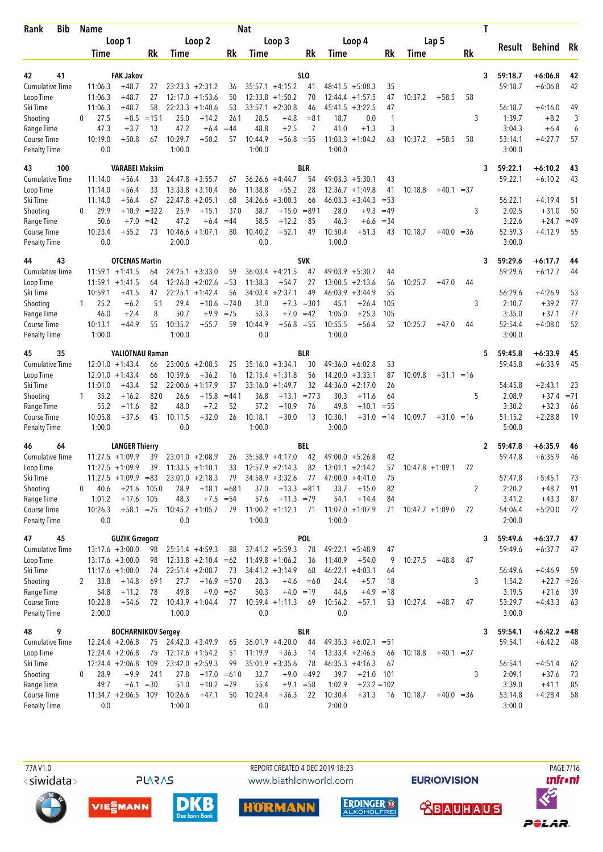| <b>Bib</b><br>Rank                 |          | <b>Name</b>     |                                             |             |                 |                              |               | Nat             |                    |                      |                 |                         |                 |         |                    |    | T |                    |                         |             |
|------------------------------------|----------|-----------------|---------------------------------------------|-------------|-----------------|------------------------------|---------------|-----------------|--------------------|----------------------|-----------------|-------------------------|-----------------|---------|--------------------|----|---|--------------------|-------------------------|-------------|
|                                    |          |                 | Loop 1                                      |             |                 | Loop 2                       |               |                 | Loop 3             |                      |                 | Loop 4                  |                 |         | Lap 5              |    |   |                    |                         |             |
|                                    |          | Time            |                                             | Rk          | Time            |                              | Rk            | Time            |                    | Rk                   | Time            |                         | Rk              | Time    |                    | Rk |   | Result             | <b>Behind</b>           | Rk          |
|                                    |          |                 |                                             |             |                 |                              |               |                 |                    |                      |                 |                         |                 |         |                    |    |   |                    |                         |             |
| 41<br>42<br><b>Cumulative Time</b> |          | 11:06.3         | <b>FAK Jakov</b><br>$+48.7$                 | 27          |                 | $23:23.3 + 2:31.2$           | 36            |                 | $35:57.1 +4:15.2$  | SLO<br>41            | 48:41.5         | $+5:08.3$               | 35              |         |                    |    | 3 | 59:18.7<br>59:18.7 | $+6:06.8$<br>$+6:06.8$  | 42<br>42    |
| Loop Time                          |          | 11:06.3         | $+48.7$                                     | 27          |                 | $12:17.0 + 1:53.6$           | 50            |                 | $12:33.8 + 1:50.2$ | 70                   | 12:44.4         | $+1:57.5$               | 47              | 10:37.2 | $+58.5$            | 58 |   |                    |                         |             |
| Ski Time                           |          | 11:06.3         | $+48.7$                                     | 58          | 22:23.3         | $+1:40.6$                    | 53            | 33:57.1         | $+2:30.8$          | 46                   | 45:41.5         | $+3:22.5$               | 47              |         |                    |    |   | 56:18.7            | $+4:16.0$               | 49          |
| Shooting                           | $\Omega$ | 27.5            | $+8.5$                                      | $=151$      | 25.0            | $+14.2$                      | 261           | 28.5            | $+4.8$             | $= 81$               | 18.7            | 0.0                     | 1               |         |                    | 3  |   | 1:39.7             | $+8.2$                  | 3           |
| Range Time                         |          | 47.3            | $+3.7$                                      | 13          | 47.2            | $+6.4$                       | $=44$         | 48.8            | $+2.5$             | 7                    | 41.0            | $+1.3$                  | 3               |         |                    |    |   | 3:04.3             | $+6.4$                  | 6           |
| Course Time                        |          | 10:19.0         | $+50.8$                                     | 67          | 10:29.7         | $+50.2$                      | 57            | 10:44.9         | $+56.8 = 55$       |                      |                 | $11:03.3 +1:04.2$       | 63              | 10:37.2 | $+58.5$            | 58 |   | 53:14.1            | $+4:27.7$               | 57          |
| <b>Penalty Time</b>                |          | 0.0             |                                             |             | 1:00.0          |                              |               | 1:00.0          |                    |                      | 1:00.0          |                         |                 |         |                    |    |   | 3:00.0             |                         |             |
| 43<br>100                          |          |                 | <b>VARABEI Maksim</b>                       |             |                 |                              |               |                 |                    | <b>BLR</b>           |                 |                         |                 |         |                    |    | 3 | 59:22.1            | $+6:10.2$               | 43          |
| <b>Cumulative Time</b>             |          | 11:14.0         | $+56.4$                                     | 33          |                 | $24:47.8 + 3:55.7$           | 67            |                 | $36:26.6 + 4:44.7$ | 54                   |                 | $49:03.3 + 5:30.1$      | 43              |         |                    |    |   | 59:22.1            | $+6:10.2$               | 43          |
| Loop Time                          |          | 11:14.0         | $+56.4$                                     | 33          |                 | $13:33.8 + 3:10.4$           | 86            | 11:38.8         | $+55.2$            | 28                   |                 | $12:36.7 +1:49.8$       | 41              | 10:18.8 | $+40.1 = 37$       |    |   |                    |                         |             |
| Ski Time                           |          | 11:14.0         | $+56.4$                                     | 67          |                 | $22:47.8 + 2:05.1$           | 68            | 34:26.6         | $+3:00.3$          | 66                   |                 | $46:03.3 +3:44.3$       | $= 53$          |         |                    |    |   | 56:22.1            | $+4:19.4$               | 51          |
| Shooting                           | $\Omega$ | 29.9            | $+10.9$                                     | $= 322$     | 25.9<br>47.2    | $+15.1$                      | 370           | 38.7            | $+15.0$            | $= 891$<br>85        | 28.0            | $+9.3$                  | $=49$           |         |                    | 3  |   | 2:02.5             | $+31.0$                 | 50<br>$=49$ |
| Range Time<br>Course Time          |          | 50.6<br>10:23.4 | $+7.0$<br>$+55.2$                           | $=42$<br>73 |                 | $+6.4$<br>$10:46.6 + 1:07.1$ | $=44$<br>80   | 58.5<br>10:40.2 | $+12.2$<br>$+52.1$ | 49                   | 46.3<br>10:50.4 | $+6.6$<br>$+51.3$       | $= 34$<br>43    | 10:18.7 | $+40.0 = 36$       |    |   | 3:22.6<br>52:59.3  | $+24.7$<br>$+4:12.9$    | 55          |
| <b>Penalty Time</b>                |          | 0.0             |                                             |             | 2:00.0          |                              |               | 0.0             |                    |                      | 1:00.0          |                         |                 |         |                    |    |   | 3:00.0             |                         |             |
|                                    |          |                 |                                             |             |                 |                              |               |                 |                    |                      |                 |                         |                 |         |                    |    |   |                    |                         |             |
| 43<br>44<br><b>Cumulative Time</b> |          |                 | <b>OTCENAS Martin</b><br>$11:59.1 + 1:41.5$ | 64          |                 | $24:25.1 + 3:33.0$           | 59            |                 | $36:03.4 +4:21.5$  | <b>SVK</b><br>47     |                 | $49:03.9 + 5:30.7$      | 44              |         |                    |    | 3 | 59:29.6<br>59:29.6 | $+6:17.7$<br>$+6:17.7$  | 44<br>44    |
| Loop Time                          |          |                 | $11:59.1 + 1:41.5$                          | 64          |                 | $12:26.0 + 2:02.6$           | $= 53$        | 11:38.3         | $+54.7$            | 27                   | 13:00.5         | $+2:13.6$               | 56              | 10:25.7 | $+47.0$            | 44 |   |                    |                         |             |
| Ski Time                           |          | 10:59.1         | $+41.5$                                     | 47          |                 | $22:25.1 + 1:42.4$           | 56            |                 | $34:03.4 +2:37.1$  | 49                   |                 | $46:03.9 +3:44.9$       | 55              |         |                    |    |   | 56:29.6            | $+4:26.9$               | 53          |
| Shooting                           | 1        | 25.2            | $+6.2$                                      | 51          | 29.4            | $+18.6$                      | $=740$        | 31.0            | $+7.3$             | $= 301$              | 45.1            | $+26.4$                 | 105             |         |                    | 3  |   | 2:10.7             | $+39.2$                 | 77          |
| Range Time                         |          | 46.0            | $+2.4$                                      | 8           | 50.7            | $+9.9$                       | $= 75$        | 53.3            | $+7.0 = 42$        |                      | 1:05.0          | $+25.3$                 | 105             |         |                    |    |   | 3:35.0             | $+37.1$                 | 77          |
| Course Time                        |          | 10:13.1         | $+44.9$                                     | 55          | 10:35.2         | $+55.7$                      | 59            | 10:44.9         | $+56.8 = 55$       |                      | 10:55.5         | $+56.4$                 | 52              | 10:25.7 | $+47.0$            | 44 |   | 52:54.4            | $+4:08.0$               | 52          |
| <b>Penalty Time</b>                |          | 1:00.0          |                                             |             | 1:00.0          |                              |               | 0.0             |                    |                      | 1:00.0          |                         |                 |         |                    |    |   | 3:00.0             |                         |             |
| 45<br>35                           |          |                 | YALIOTNAU Raman                             |             |                 |                              |               |                 |                    | <b>BLR</b>           |                 |                         |                 |         |                    |    | 5 | 59:45.8            | $+6:33.9$               | 45          |
| <b>Cumulative Time</b>             |          |                 | $12:01.0 + 1:43.4$                          | 66          |                 | $23:00.6 + 2:08.5$           | 25            |                 | $35:16.0 + 3:34.1$ | 30                   |                 | $49:36.0 + 6:02.8$      | 53              |         |                    |    |   | 59:45.8            | $+6:33.9$               | 45          |
| Loop Time                          |          | 12:01.0         | $+1:43.4$                                   | 66          | 10:59.6         | $+36.2$                      | 16            |                 | $12:15.4 + 1:31.8$ | 56                   | 14:20.0         | $+3:33.1$               | 87              | 10:09.8 | $+31.1 = 16$       |    |   |                    |                         |             |
| Ski Time                           |          | 11:01.0         | $+43.4$                                     | 52          | 22:00.6         | $+1:17.9$                    | 37            |                 | $33:16.0 + 1:49.7$ | 32                   | 44:36.0         | $+2:17.0$               | 26              |         |                    |    |   | 54:45.8            | $+2:43.1$               | 23          |
| Shooting                           |          | 35.2            | $+16.2$                                     | 820         | 26.6            | $+15.8$                      | $= 441$       | 36.8            | $+13.1$            | $= 773$              | 30.3            | $+11.6$                 | 64              |         |                    | 5  |   | 2:08.9             | $+37.4$                 | $= 71$      |
| Range Time<br>Course Time          |          | 55.2<br>10:05.8 | $+11.6$<br>$+37.6$                          | 82<br>45    | 48.0<br>10:11.5 | $+7.2$<br>$+32.0$            | 52<br>26      | 57.2<br>10:18.1 | $+10.9$<br>$+30.0$ | 76<br>13             | 49.8<br>10:30.1 | $+10.1$<br>$+31.0$      | $= 55$<br>$=14$ | 10:09.7 | $+31.0 = 16$       |    |   | 3:30.2<br>51:15.2  | $+32.3$<br>$+2:28.8$    | 66<br>19    |
| <b>Penalty Time</b>                |          | 1:00.0          |                                             |             | 0.0             |                              |               | 1:00.0          |                    |                      | 3:00.0          |                         |                 |         |                    |    |   | 5:00.0             |                         |             |
|                                    |          |                 | <b>LANGER Thierry</b>                       |             |                 |                              |               |                 |                    |                      |                 |                         |                 |         |                    |    |   |                    |                         |             |
| 46<br>64<br><b>Cumulative Time</b> |          |                 | $11:27.5 + 1:09.9$                          | 39          |                 | $23:01.0 + 2:08.9$           | 26            |                 | $35:58.9 +4:17.0$  | BEL<br>42            |                 | $49:00.0 + 5:26.8$      | 42              |         |                    |    | 2 | 59:47.8<br>59:47.8 | $+6:35.9$<br>$+6:35.9$  | 46<br>46    |
| Loop Time                          |          |                 | $11:27.5 + 1:09.9$                          | 39          |                 | $11:33.5 +1:10.1$            | 33            |                 | $12:57.9 + 2:14.3$ | 82                   |                 | $13:01.1 + 2:14.2$      | 57              |         | $10:47.8 + 1:09.1$ | 72 |   |                    |                         |             |
| Ski Time                           |          |                 | $11:27.5 + 1:09.9 = 83$                     |             |                 | $23:01.0 + 2:18.3$           |               |                 | 79 34:58.9 +3:32.6 | 77                   |                 | $47:00.0 +4:41.0$       | 75              |         |                    |    |   | 57:47.8            | $+5:45.1$               | 73          |
| Shooting                           | $\Omega$ | 40.6            | $+21.6$ 1050                                |             | 28.9            |                              | $+18.1 = 681$ | 37.0            | $+13.3 = 811$      |                      | 33.7            | $+15.0$                 | 82              |         |                    | 2  |   | 2:20.2             | $+48.7$                 | 91          |
| Range Time                         |          | 1:01.2          | $+17.6$ 105                                 |             | 48.3            |                              | $+7.5 = 54$   | 57.6            | $+11.3 = 79$       |                      | 54.1            | $+14.4$                 | 84              |         |                    |    |   | 3:41.2             | $+43.3$                 | 87          |
| Course Time                        |          | 10:26.3         | $+58.1 = 75$                                |             |                 | $10:45.2 + 1:05.7$           | 79            |                 | $11:00.2 +1:12.1$  | 71                   |                 | $11:07.0 + 1:07.9$      | 71              |         | $10:47.7 +1:09.0$  | 72 |   | 54:06.4            | $+5:20.0$               | -72         |
| <b>Penalty Time</b>                |          | 0.0             |                                             |             | 0.0             |                              |               | 1:00.0          |                    |                      | 1:00.0          |                         |                 |         |                    |    |   | 2:00.0             |                         |             |
| 45<br>47                           |          |                 | <b>GUZIK Grzegorz</b>                       |             |                 |                              |               |                 |                    | <b>POL</b>           |                 |                         |                 |         |                    |    | 3 | 59:49.6            | $+6:37.7$               | 47          |
| Cumulative Time                    |          |                 | $13:17.6 + 3:00.0$                          | 98          |                 | $25:51.4 +4:59.3$            | 88            |                 | $37:41.2 + 5:59.3$ | 78                   |                 | $49:22.1 + 5:48.9$      | 47              |         |                    |    |   | 59:49.6            | $+6:37.7$               | 47          |
| Loop Time                          |          |                 | $13:17.6 + 3:00.0$                          | 98          |                 | $12:33.8 + 2:10.4 = 62$      |               |                 | $11:49.8 + 1:06.2$ | 36                   | 11:40.9         | $+54.0$                 | 9               | 10:27.5 | $+48.8$            | 47 |   |                    |                         |             |
| Ski Time                           |          |                 | $11:17.6 + 1:00.0$                          | 74          |                 | $22:51.4 + 2:08.7$           | 73            |                 | $34:41.2 +3:14.9$  | 68                   |                 | $46:22.1 + 4:03.1$      | 64              |         |                    |    |   | 56:49.6            | $+4:46.9$               | 59          |
| Shooting<br>Range Time             | 2        | 33.8<br>54.8    | $+14.8$<br>$+11.2$                          | 691<br>78   | 27.7<br>49.8    | $+9.0 = 67$                  | $+16.9 = 570$ | 28.3<br>50.3    | $+4.6$             | $=60$<br>$+4.0 = 19$ | 24.4<br>44.6    | $+5.7$<br>$+4.9$        | 18<br>$=18$     |         |                    | 3  |   | 1:54.2<br>3:19.5   | $+22.7 = 26$<br>$+21.6$ | -39         |
| Course Time                        |          | 10:22.8         | $+54.6$                                     | 72          |                 | $10:43.9 + 1:04.4$           | 77            |                 | $10:59.4 +1:11.3$  | 69                   | 10:56.2         | $+57.1$                 | 53              | 10:27.4 | $+48.7$            | 47 |   | 53:29.7            | $+4:43.3$               | 63          |
| <b>Penalty Time</b>                |          | 2:00.0          |                                             |             | 1:00.0          |                              |               | 0.0             |                    |                      | 0.0             |                         |                 |         |                    |    |   | 3:00.0             |                         |             |
| 9<br>48                            |          |                 | <b>BOCHARNIKOV Sergey</b>                   |             |                 |                              |               |                 |                    | <b>BLR</b>           |                 |                         |                 |         |                    |    | 3 | 59:54.1            | $+6:42.2 = 48$          |             |
| <b>Cumulative Time</b>             |          |                 | $12:24.4 + 2:06.8$                          | 75          |                 | $24:42.0 + 3:49.9$           | 65            |                 | $36:01.9 + 4:20.0$ | 44                   |                 | $49:35.3 + 6:02.1 = 51$ |                 |         |                    |    |   | 59:54.1            | $+6:42.2$               | - 48        |
| Loop Time                          |          |                 | $12:24.4 + 2:06.8$                          | 75          |                 | $12:17.6 + 1:54.2$           | 51            | 11:19.9         | $+36.3$            | 14                   |                 | $13:33.4 +2:46.5$       | 66              | 10:18.8 | $+40.1 = 37$       |    |   |                    |                         |             |
| Ski Time                           |          |                 | $12:24.4 + 2:06.8$                          | 109         |                 | $23:42.0 + 2:59.3$           | 99            |                 | $35:01.9 + 3:35.6$ | 78                   |                 | $46:35.3 +4:16.3$       | 67              |         |                    |    |   | 56:54.1            | $+4:51.4$               | 62          |
| Shooting                           | 0        | 28.9            | $+9.9$                                      | 241         | 27.8            |                              | $+17.0 = 610$ | 32.7            |                    | $+9.0 = 492$         | 39.7            | $+21.0$                 | 101             |         |                    | 3  |   | 2:09.1             | $+37.6$                 | 73          |
| Range Time                         |          | 49.7            | $+6.1 = 30$                                 |             | 51.0            | $+10.2 = 79$                 |               | 55.4            |                    | $+9.1 = 58$          | 1:02.9          | $+23.2 = 102$           |                 |         |                    |    |   | 3:39.0             | $+41.1$                 | 85          |
| Course Time                        |          |                 | $11:34.7 + 2:06.5$ 109                      |             | 10:26.6         | $+47.1$                      | 50            | 10:24.4         | $+36.3$            | 22                   | 10:30.4         | $+31.3$                 | 16              | 10:18.7 | $+40.0 = 36$       |    |   | 53:14.8            | $+4:28.4$               | 58          |
| <b>Penalty Time</b>                |          | 0.0             |                                             |             | 1:00.0          |                              |               | 0.0             |                    |                      | 2:00.0          |                         |                 |         |                    |    |   | 3:00.0             |                         |             |

**PLARAS** 

REPORT CREATED 4 DEC 2019 18:23 www.biathlonworld.com

**EURIOVISION** 













PAGE 7/16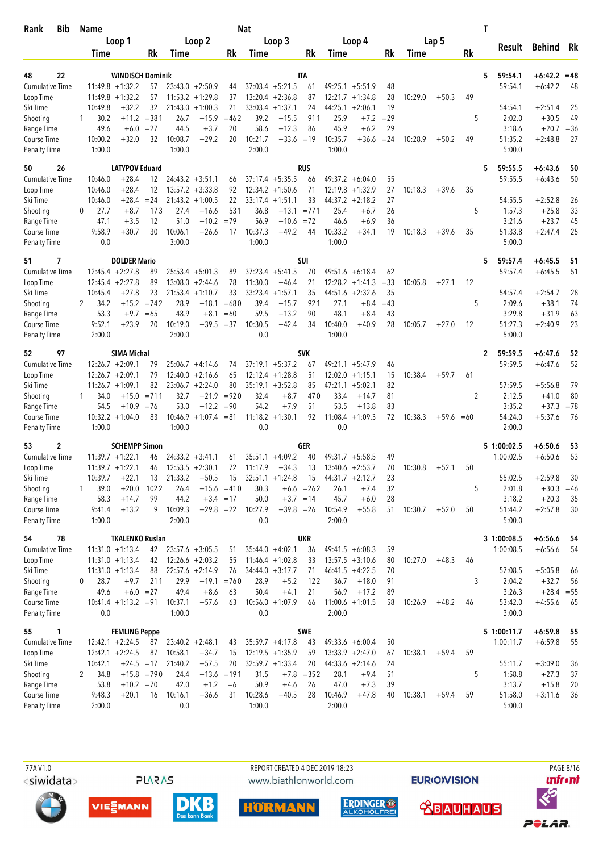| Bib<br>Rank                         | Name     |                |                                               |             |                 |                               |               | <b>Nat</b>      |                                         |                  |                 |                                          |          |         |              |    | Τ                                  |                             |          |
|-------------------------------------|----------|----------------|-----------------------------------------------|-------------|-----------------|-------------------------------|---------------|-----------------|-----------------------------------------|------------------|-----------------|------------------------------------------|----------|---------|--------------|----|------------------------------------|-----------------------------|----------|
|                                     |          |                | Loop 1                                        |             |                 | Loop 2                        |               |                 | Loop 3                                  |                  |                 | Loop 4                                   |          |         | Lap 5        |    | Result                             | Behind Rk                   |          |
|                                     |          | Time           |                                               | Rk          | Time            |                               | Rk            | Time            |                                         | Rk               | Time            |                                          | Rk       | Time    |              | Rk |                                    |                             |          |
|                                     |          |                |                                               |             |                 |                               |               |                 |                                         |                  |                 |                                          |          |         |              |    |                                    |                             |          |
| 48<br>22<br><b>Cumulative Time</b>  |          |                | <b>WINDISCH Dominik</b><br>$11:49.8 + 1:32.2$ | 57          |                 | $23:43.0 + 2:50.9$            |               |                 | $37:03.4 + 5:21.5$                      | <b>ITA</b><br>61 |                 | $49:25.1 + 5:51.9$                       | 48       |         |              |    | 59:54.1<br>5<br>59:54.1            | $+6:42.2 = 48$<br>$+6:42.2$ | -48      |
| Loop Time                           |          | 11:49.8        | $+1:32.2$                                     | 57          |                 | $11:53.2 + 1:29.8$            | 44<br>37      |                 | $13:20.4 +2:36.8$                       | 87               | 12:21.7         | $+1:34.8$                                | 28       | 10:29.0 | $+50.3$      | 49 |                                    |                             |          |
| Ski Time                            |          | 10:49.8        | $+32.2$                                       | 32          |                 | $21:43.0 + 1:00.3$            | 21            | 33:03.4         | $+1:37.1$                               | 24               |                 | $44:25.1 + 2:06.1$                       | 19       |         |              |    | 54:54.1                            | $+2:51.4$                   | 25       |
| Shooting                            |          | 30.2           | $+11.2$                                       | $= 381$     | 26.7            | $+15.9$                       | $=462$        | 39.2            | $+15.5$                                 | 911              | 25.9            | $+7.2$                                   | $=29$    |         |              | 5  | 2:02.0                             | $+30.5$                     | 49       |
| Range Time                          |          | 49.6           | $+6.0$                                        | $= 27$      | 44.5            | $+3.7$                        | 20            | 58.6            | $+12.3$                                 | 86               | 45.9            | $+6.2$                                   | 29       |         |              |    | 3:18.6                             | $+20.7$                     | $=36$    |
| Course Time                         |          | 10:00.2        | $+32.0$                                       | 32          | 10:08.7         | $+29.2$                       | 20            | 10:21.7         | $+33.6 = 19$                            |                  | 10:35.7         | $+36.6$                                  | $= 24$   | 10:28.9 | $+50.2$      | 49 | 51:35.2                            | $+2:48.8$                   | 27       |
| <b>Penalty Time</b>                 |          | 1:00.0         |                                               |             | 1:00.0          |                               |               | 2:00.0          |                                         |                  | 1:00.0          |                                          |          |         |              |    | 5:00.0                             |                             |          |
| 50<br>26                            |          |                | <b>LATYPOV Eduard</b>                         |             |                 |                               |               |                 |                                         | <b>RUS</b>       |                 |                                          |          |         |              |    | 59:55.5<br>5                       | $+6:43.6$                   | 50       |
| <b>Cumulative Time</b>              |          | 10:46.0        | $+28.4$                                       | 12          |                 | $24:43.2 +3:51.1$             | 66            |                 | $37:17.4 + 5:35.5$                      | 66               |                 | $49:37.2 + 6:04.0$                       | 55       |         |              |    | 59:55.5                            | $+6:43.6$                   | 50       |
| Loop Time                           |          | 10:46.0        | $+28.4$                                       | 12          |                 | $13:57.2 + 3:33.8$            | 92            |                 | $12:34.2 +1:50.6$                       | 71               | 12:19.8         | $+1:32.9$                                | 27       | 10:18.3 | $+39.6$      | 35 |                                    |                             |          |
| Ski Time                            |          | 10:46.0        | $+28.4$                                       | $= 24$      | 21:43.2         | $+1:00.5$                     | 22            | 33:17.4         | $+1:51.1$                               | 33               |                 | $44:37.2 +2:18.2$                        | 27       |         |              |    | 54:55.5                            | $+2:52.8$                   | 26       |
| Shooting                            | $\Omega$ | 27.7           | $+8.7$                                        | 173         | 27.4            | $+16.6$                       | 531           | 36.8            | $+13.1 = 771$                           |                  | 25.4            | $+6.7$                                   | 26       |         |              | 5  | 1:57.3                             | $+25.8$                     | 33       |
| Range Time                          |          | 47.1           | $+3.5$                                        | 12          | 51.0            | $+10.2$                       | $=79$         | 56.9            | $+10.6$                                 | $= 72$           | 46.6            | $+6.9$                                   | 36       |         |              |    | 3:21.6                             | $+23.7$                     | 45       |
| Course Time                         |          | 9:58.9         | $+30.7$                                       | 30          | 10:06.1         | $+26.6$                       | 17            | 10:37.3         | $+49.2$                                 | 44               | 10:33.2         | $+34.1$                                  | 19       | 10:18.3 | $+39.6$      | 35 | 51:33.8                            | $+2:47.4$                   | 25       |
| <b>Penalty Time</b>                 |          | 0.0            |                                               |             | 3:00.0          |                               |               | 1:00.0          |                                         |                  | 1:00.0          |                                          |          |         |              |    | 5:00.0                             |                             |          |
| 7<br>51                             |          |                | <b>DOLDER Mario</b>                           |             |                 |                               |               |                 |                                         | SUI              |                 |                                          |          |         |              |    | 59:57.4<br>5                       | $+6:45.5$                   | 51       |
| <b>Cumulative Time</b>              |          |                | $12:45.4 + 2:27.8$                            | 89          |                 | $25:53.4 + 5:01.3$            | 89            |                 | $37:23.4 +5:41.5$                       | 70               |                 | $49:51.6 + 6:18.4$                       | 62       |         |              |    | 59:57.4                            | $+6:45.5$                   | 51       |
| Loop Time                           |          |                | $12:45.4 + 2:27.8$                            | 89          |                 | $13:08.0 + 2:44.6$            | 78            | 11:30.0         | $+46.4$                                 | 21               | 12:28.2         | $+1:41.3$                                | $= 33$   | 10:05.8 | $+27.1$      | 12 |                                    |                             |          |
| Ski Time                            |          | 10:45.4        | $+27.8$                                       | 23          | 21:53.4         | $+1:10.7$                     | 33            | 33:23.4         | $+1:57.1$                               | 35               |                 | $44:51.6 +2:32.6$                        | 35       |         |              |    | 54:57.4                            | $+2:54.7$                   | 28       |
| Shooting                            | 2        | 34.2           | $+15.2$                                       | $=742$      | 28.9            | $+18.1$                       | $=680$        | 39.4            | $+15.7$                                 | 921              | 27.1            | $+8.4$                                   | $=43$    |         |              | 5  | 2:09.6                             | $+38.1$                     | 74       |
| Range Time<br>Course Time           |          | 53.3<br>9:52.1 | $+9.7$<br>$+23.9$                             | $=65$<br>20 | 48.9<br>10:19.0 | $+8.1$<br>$+39.5$             | =60<br>$=37$  | 59.5<br>10:30.5 | $+13.2$<br>$+42.4$                      | 90<br>34         | 48.1<br>10:40.0 | $+8.4$<br>$+40.9$                        | 43<br>28 | 10:05.7 | $+27.0$      | 12 | 3:29.8<br>51:27.3                  | $+31.9$<br>$+2:40.9$        | 63<br>23 |
| <b>Penalty Time</b>                 |          | 2:00.0         |                                               |             | 2:00.0          |                               |               | 0.0             |                                         |                  | 1:00.0          |                                          |          |         |              |    | 5:00.0                             |                             |          |
|                                     |          |                |                                               |             |                 |                               |               |                 |                                         |                  |                 |                                          |          |         |              |    |                                    |                             |          |
| 97<br>52                            |          |                | <b>SIMA Michal</b><br>$12:26.7 + 2:09.1$      |             |                 | $25:06.7 + 4:14.6$            |               |                 | $37:19.1 + 5:37.2$                      | <b>SVK</b>       |                 | $49:21.1 + 5:47.9$                       | 46       |         |              |    | 59:59.5<br>$\mathbf{2}$<br>59:59.5 | $+6:47.6$<br>$+6:47.6$      | 52<br>52 |
| <b>Cumulative Time</b><br>Loop Time |          |                | $12:26.7 + 2:09.1$                            | 79<br>79    |                 | $12:40.0 + 2:16.6$            | 74<br>65      |                 | $12:12.4 + 1:28.8$                      | 67<br>51         |                 | $12:02.0 + 1:15.1$                       | 15       | 10:38.4 | $+59.7$      | 61 |                                    |                             |          |
| Ski Time                            |          |                | $11:26.7 + 1:09.1$                            | 82          |                 | $23:06.7 + 2:24.0$            | 80            |                 | $35:19.1 + 3:52.8$                      | 85               |                 | $47:21.1 + 5:02.1$                       | 82       |         |              |    | 57:59.5                            | $+5:56.8$                   | 79       |
| Shooting                            |          | 34.0           | $+15.0$                                       | $= 711$     | 32.7            | $+21.9$                       | $= 920$       | 32.4            | $+8.7$                                  | 470              | 33.4            | $+14.7$                                  | 81       |         |              | 2  | 2:12.5                             | $+41.0$                     | 80       |
| Range Time                          |          | 54.5           | $+10.9$                                       | $=76$       | 53.0            | $+12.2$                       | $= 90$        | 54.2            | $+7.9$                                  | 51               | 53.5            | $+13.8$                                  | 83       |         |              |    | 3:35.2                             | $+37.3$                     | $= 78$   |
| Course Time                         |          |                | $10:32.2 + 1:04.0$                            | 83          |                 | $10:46.9 + 1:07.4 = 81$       |               |                 | $11:18.2 + 1:30.1$                      | 92               | 11:08.4         | $+1:09.3$                                | 72       | 10:38.3 | $+59.6 = 60$ |    | 54:24.0                            | $+5:37.6$                   | 76       |
| <b>Penalty Time</b>                 |          | 1:00.0         |                                               |             | 1:00.0          |                               |               | 0.0             |                                         |                  | 0.0             |                                          |          |         |              |    | 2:00.0                             |                             |          |
| 53<br>2                             |          |                | <b>SCHEMPP Simon</b>                          |             |                 |                               |               |                 |                                         | GER              |                 |                                          |          |         |              |    | 5 1:00:02.5                        | $+6:50.6$                   | 53       |
| <b>Cumulative Time</b>              |          |                | $11:39.7 + 1:22.1$                            | 46          |                 | $24:33.2 + 3:41.1$            | 61            |                 | $35:51.1 + 4:09.2$                      | 40               |                 | $49:31.7 + 5:58.5$                       | 49       |         |              |    | 1:00:02.5                          | $+6:50.6$                   | 53       |
| Loop Time                           |          |                | $11:39.7 + 1:22.1$                            | 46          |                 | $12:53.5 + 2:30.1$            | 72            | 11:17.9         | $+34.3$                                 | 13               |                 | $13:40.6 + 2:53.7$                       | 70       | 10:30.8 | $+52.1$      | 50 |                                    |                             |          |
| Ski Time                            |          | 10:39.7        | $+22.1$                                       | 13          | 21:33.2         | $+50.5$                       | 15            |                 | $32:51.1 + 1:24.8$                      | 15               |                 | $44:31.7 +2:12.7$                        | 23       |         |              |    | 55:02.5                            | $+2:59.8$                   | 30       |
| Shooting                            | 1        | 39.0           | $+20.0$                                       | 1022        | 26.4            |                               | $+15.6 = 410$ | 30.3            |                                         | $+6.6 = 262$     | 26.1            | $+7.4$                                   | 32       |         |              | 5  | 2:01.8                             | $+30.3$                     | $=46$    |
| Range Time                          |          | 58.3           | $+14.7$                                       | 99          | 44.2            |                               | $+3.4 = 17$   | 50.0            |                                         | $+3.7 = 14$      | 45.7            | $+6.0$                                   | 28       |         |              |    | 3:18.2                             | $+20.3$                     | 35       |
| Course Time                         |          | 9:41.4         | $+13.2$                                       | 9           | 10:09.3         | $+29.8 = 22$                  |               | 10:27.9         | $+39.8 = 26$                            |                  | 10:54.9         | $+55.8$                                  | 51       | 10:30.7 | $+52.0$      | 50 | 51:44.2                            | $+2:57.8$                   | 30       |
| Penalty Time                        |          | 1:00.0         |                                               |             | 2:00.0          |                               |               | 0.0             |                                         |                  | 2:00.0          |                                          |          |         |              |    | 5:00.0                             |                             |          |
| 78<br>54                            |          |                | <b>TKALENKO Ruslan</b>                        |             |                 |                               |               |                 |                                         | <b>UKR</b>       |                 |                                          |          |         |              |    | 3 1:00:08.5                        | $+6:56.6$                   | 54       |
| <b>Cumulative Time</b>              |          |                | $11:31.0 + 1:13.4$                            | 42          |                 | $23:57.6 + 3:05.5$            | 51            |                 | $35:44.0 + 4:02.1$                      | 36               |                 | $49:41.5 + 6:08.3$                       | 59       |         |              |    | 1:00:08.5                          | $+6:56.6$                   | 54       |
| Loop Time                           |          |                | $11:31.0 + 1:13.4$                            | 42          |                 | $12:26.6 + 2:03.2$            | 55            |                 | $11:46.4 + 1:02.8$                      | 33               |                 | $13:57.5 + 3:10.6$                       | 80       | 10:27.0 | $+48.3$      | 46 |                                    |                             |          |
| Ski Time                            |          |                | $11:31.0 + 1:13.4$                            | 88          |                 | $22:57.6 + 2:14.9$            | 76            |                 | $34:44.0 + 3:17.7$                      | 71               |                 | $46:41.5 +4:22.5$                        | 70       |         |              |    | 57:08.5                            | $+5:05.8$                   | 66       |
| Shooting                            | 0        | 28.7           | $+9.7$<br>$+6.0 = 27$                         | 211         | 29.9            | $+19.1$                       | $= 760$       | 28.9            | $+5.2$                                  | 122              | 36.7            | $+18.0$                                  | 91       |         |              | 3  | 2:04.2                             | $+32.7$                     | 56       |
| Range Time<br>Course Time           |          | 49.6           | $10:41.4 + 1:13.2 = 91$                       |             | 49.4<br>10:37.1 | $+8.6$<br>$+57.6$             | 63<br>63      | 50.4            | $+4.1$<br>$10:56.0 + 1:07.9$            | 21<br>66         | 56.9            | $+17.2$<br>$11:00.6 + 1:01.5$            | 89<br>58 | 10:26.9 | $+48.2$      | 46 | 3:26.3<br>53:42.0                  | $+28.4 = 55$<br>$+4:55.6$   | - 65     |
| Penalty Time                        |          | 0.0            |                                               |             | 1:00.0          |                               |               | 0.0             |                                         |                  | 2:00.0          |                                          |          |         |              |    | 3:00.0                             |                             |          |
|                                     |          |                |                                               |             |                 |                               |               |                 |                                         |                  |                 |                                          |          |         |              |    |                                    |                             |          |
| 55<br>1                             |          |                | <b>FEMLING Peppe</b>                          |             |                 |                               |               |                 |                                         | SWE              |                 |                                          |          |         |              |    | 5 1:00:11.7                        | $+6:59.8$                   | 55       |
| <b>Cumulative Time</b><br>Loop Time |          |                | $12:42.1 + 2:24.5$<br>$12:42.1 + 2:24.5$      | 87<br>87    | 10:58.1         | $23:40.2 + 2:48.1$<br>$+34.7$ | 43<br>15      |                 | $35:59.7 +4:17.8$<br>$12:19.5 + 1:35.9$ | 43<br>59         |                 | $49:33.6 + 6:00.4$<br>$13:33.9 + 2:47.0$ | 50<br>67 | 10:38.1 | $+59.4$      | 59 | 1:00:11.7                          | $+6:59.8$                   | 55       |
| Ski Time                            |          | 10:42.1        | $+24.5 = 17$                                  |             | 21:40.2         | $+57.5$                       | 20            |                 | $32:59.7 + 1:33.4$                      | 20               |                 | 44:33.6 +2:14.6                          | 24       |         |              |    | 55:11.7                            | $+3:09.0$                   | 36       |
| Shooting                            | 2        | 34.8           | $+15.8 = 790$                                 |             | 24.4            |                               | $+13.6 = 191$ | 31.5            |                                         | $+7.8 = 352$     | 28.1            | $+9.4$                                   | 51       |         |              | 5  | 1:58.8                             | $+27.3$                     | 37       |
| Range Time                          |          | 53.8           | $+10.2 = 70$                                  |             | 42.0            | $+1.2$                        | $=6$          | 50.9            | $+4.6$                                  | 26               | 47.0            | $+7.3$                                   | 39       |         |              |    | 3:13.7                             | $+15.8$                     | 20       |
| Course Time                         |          | 9:48.3         | $+20.1$                                       | 16          | 10:16.1         | $+36.6$                       | 31            | 10:28.6         | $+40.5$                                 | 28               | 10:46.9         | $+47.8$                                  | 40       | 10:38.1 | $+59.4$      | 59 | 51:58.0                            | $+3:11.6$                   | 36       |
| Penalty Time                        |          | 2:00.0         |                                               |             | 0.0             |                               |               | 1:00.0          |                                         |                  | 2:00.0          |                                          |          |         |              |    | 5:00.0                             |                             |          |

**PLARAS** 

REPORT CREATED 4 DEC 2019 18:23 www.biathlonworld.com

**EURIOVISION** 













PAGE 8/16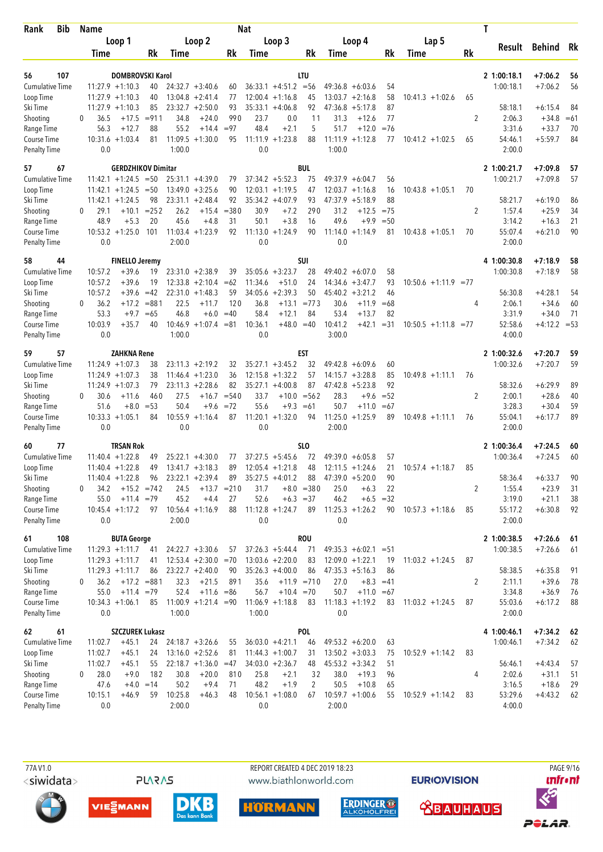| Bib<br>Rank                 | <b>Name</b> |         |                                          |          |         |                                          |               | <b>Nat</b> |                                         |                 |                              |                         |          |                        |                | Τ                 |           |          |
|-----------------------------|-------------|---------|------------------------------------------|----------|---------|------------------------------------------|---------------|------------|-----------------------------------------|-----------------|------------------------------|-------------------------|----------|------------------------|----------------|-------------------|-----------|----------|
|                             |             |         | Loop 1                                   |          |         | Loop <sub>2</sub>                        |               |            | Loop 3                                  |                 |                              | Loop 4                  |          | Lap 5                  |                | Result            | Behind Rk |          |
|                             |             | Time    |                                          | Rk       | Time    |                                          | Rk            | Time       |                                         | Rk              | Time                         |                         | Rk       | Time                   | Rk             |                   |           |          |
|                             |             |         |                                          |          |         |                                          |               |            |                                         |                 |                              |                         |          |                        |                |                   |           |          |
| 56<br>107                   |             |         | <b>DOMBROVSKI Karol</b>                  |          |         |                                          |               |            |                                         | <b>LTU</b>      |                              |                         |          |                        |                | 2 1:00:18.1       | $+7:06.2$ | 56       |
| <b>Cumulative Time</b>      |             |         | $11:27.9 + 1:10.3$                       | 40<br>40 |         | $24:32.7 + 3:40.6$                       | 60            |            | $36:33.1 +4:51.2 = 56$                  |                 | $49:36.8 + 6:03.6$           |                         | 54       |                        |                | 1:00:18.1         | $+7:06.2$ | 56       |
| Loop Time<br>Ski Time       |             |         | $11:27.9 + 1:10.3$<br>$11:27.9 + 1:10.3$ | 85       |         | $13:04.8 + 2:41.4$<br>$23:32.7 + 2:50.0$ | 77<br>93      |            | $12:00.4 +1:16.8$<br>$35:33.1 + 4:06.8$ | 45<br>92        | $13:03.7 +2:16.8$<br>47:36.8 | $+5:17.8$               | 58<br>87 | $10:41.3 + 1:02.6$     | 65             | 58:18.1           | $+6:15.4$ | 84       |
| Shooting                    | $\Omega$    | 36.5    | $+17.5$                                  | $= 911$  | 34.8    | $+24.0$                                  | 990           | 23.7       | 0.0                                     | 11              | 31.3                         | $+12.6$                 | 77       |                        | 2              | 2:06.3            | $+34.8$   | $=61$    |
| Range Time                  |             | 56.3    | $+12.7$                                  | 88       | 55.2    | $+14.4$                                  | $= 97$        | 48.4       | $+2.1$                                  | 5               | 51.7                         | $+12.0$                 | $= 76$   |                        |                | 3:31.6            | $+33.7$   | 70       |
| Course Time                 |             |         | $10:31.6 + 1:03.4$                       | 81       |         | $11:09.5 + 1:30.0$                       | 95            | 11:11.9    | $+1:23.8$                               | 88              | 11:11.9                      | $+1:12.8$               | 77       | $10:41.2 +1:02.5$      | 65             | 54:46.1           | $+5:59.7$ | 84       |
| <b>Penalty Time</b>         |             | 0.0     |                                          |          | 1:00.0  |                                          |               | 0.0        |                                         |                 | 1:00.0                       |                         |          |                        |                | 2:00.0            |           |          |
| 57<br>67                    |             |         | <b>GERDZHIKOV Dimitar</b>                |          |         |                                          |               |            |                                         | <b>BUL</b>      |                              |                         |          |                        |                | 2 1:00:21.7       | $+7:09.8$ | 57       |
| <b>Cumulative Time</b>      |             |         | $11:42.1 + 1:24.5 = 50$                  |          |         | $25:31.1 + 4:39.0$                       | 79            |            | $37:34.2 + 5:52.3$                      | 75              | $49:37.9 + 6:04.7$           |                         | 56       |                        |                | 1:00:21.7         | $+7:09.8$ | 57       |
| Loop Time                   |             |         | $11:42.1 + 1:24.5 = 50$                  |          |         | $13:49.0 + 3:25.6$                       | 90            |            | $12:03.1 + 1:19.5$                      | 47              | 12:03.7                      | $+1:16.8$               | 16       | $10:43.8 + 1:05.1$     | 70             |                   |           |          |
| Ski Time                    |             |         | $11:42.1 + 1:24.5$                       | 98       |         | $23:31.1 + 2:48.4$                       | 92            |            | $35:34.2 +4:07.9$                       | 93              | 47:37.9                      | $+5:18.9$               | 88       |                        |                | 58:21.7           | $+6:19.0$ | 86       |
| Shooting                    | $\Omega$    | 29.1    | $+10.1$                                  | $= 252$  | 26.2    | $+15.4$                                  | $= 380$       | 30.9       | $+7.2$                                  | 290             | 31.2                         | $+12.5$                 | $= 75$   |                        | 2              | 1:57.4            | $+25.9$   | 34       |
| Range Time                  |             | 48.9    | $+5.3$                                   | 20       | 45.6    | $+4.8$                                   | 31            | 50.1       | $+3.8$                                  | 16              | 49.6                         | $+9.9$                  | $= 50$   |                        |                | 3:14.2            | $+16.3$   | 21       |
| Course Time                 |             |         | $10:53.2 + 1:25.0$                       | 101      |         | $11:03.4 +1:23.9$                        | 92            | 11:13.0    | $+1:24.9$                               | 90              | $11:14.0 + 1:14.9$           |                         | 81       | $10:43.8 + 1:05.1$     | 70             | 55:07.4           | $+6:21.0$ | 90       |
| Penalty Time                |             | 0.0     |                                          |          | 2:00.0  |                                          |               | 0.0        |                                         |                 | 0.0                          |                         |          |                        |                | 2:00.0            |           |          |
| 58<br>44                    |             |         | <b>FINELLO Jeremy</b>                    |          |         |                                          |               |            |                                         | <b>SUI</b>      |                              |                         |          |                        |                | 4 1:00:30.8       | $+7:18.9$ | 58       |
| <b>Cumulative Time</b>      |             | 10:57.2 | $+39.6$                                  | 19       |         | $23:31.0 + 2:38.9$                       | 39            |            | $35:05.6 + 3:23.7$                      | 28              | $49:40.2 + 6:07.0$           |                         | 58       |                        |                | 1:00:30.8         | $+7:18.9$ | 58       |
| Loop Time                   |             | 10:57.2 | $+39.6$                                  | 19       |         | $12:33.8 + 2:10.4$                       | $=62$         | 11:34.6    | $+51.0$                                 | 24              | 14:34.6                      | $+3:47.7$               | 93       | $10:50.6 +1:11.9 = 77$ |                |                   |           |          |
| Ski Time                    |             | 10:57.2 | $+39.6$                                  | $=42$    | 22:31.0 | $+1:48.3$                                | 59            | 34:05.6    | $+2:39.3$                               | 50              | $45:40.2 +3:21.2$            |                         | 46       |                        |                | 56:30.8           | $+4:28.1$ | 54       |
| Shooting                    | 0           | 36.2    | $+17.2$                                  | $= 881$  | 22.5    | $+11.7$                                  | 120           | 36.8       |                                         | $+13.1 = 773$   | 30.6                         | $+11.9$                 | $=68$    |                        | 4              | 2:06.1            | $+34.6$   | 60       |
| Range Time                  |             | 53.3    | $+9.7$                                   | $=65$    | 46.8    | $+6.0$                                   | $=40$         | 58.4       | $+12.1$                                 | 84              | 53.4                         | $+13.7$                 | 82       |                        |                | 3:31.9            | $+34.0$   | 71       |
| Course Time                 |             | 10:03.9 | $+35.7$                                  | 40       |         | $10:46.9 + 1:07.4$                       | $= 81$        | 10:36.1    | $+48.0 = 40$                            |                 | 10:41.2                      | $+42.1$                 | $=31$    | $10:50.5 +1:11.8 = 77$ |                | 52:58.6           | $+4:12.2$ | $= 53$   |
| <b>Penalty Time</b>         |             | 0.0     |                                          |          | 1:00.0  |                                          |               | 0.0        |                                         |                 | 3:00.0                       |                         |          |                        |                | 4:00.0            |           |          |
| 57<br>59                    |             |         | <b>ZAHKNA Rene</b>                       |          |         |                                          |               |            |                                         | <b>EST</b>      |                              |                         |          |                        |                | 2 1:00:32.6       | $+7:20.7$ | 59       |
| <b>Cumulative Time</b>      |             |         | $11:24.9 + 1:07.3$                       | 38       |         | $23:11.3 + 2:19.2$                       | 32            |            | $35:27.1 + 3:45.2$                      | 32              | $49:42.8 + 6:09.6$           |                         | 60       |                        |                | 1:00:32.6         | $+7:20.7$ | 59       |
| Loop Time                   |             |         | $11:24.9 + 1:07.3$                       | 38       |         | $11:46.4 + 1:23.0$                       | 36            |            | $12:15.8 + 1:32.2$                      | 57              | $14:15.7 + 3:28.8$           |                         | 85       | $10:49.8 + 1:11.1$     | 76             |                   |           |          |
| Ski Time                    |             |         | $11:24.9 + 1:07.3$                       | 79       |         | $23:11.3 + 2:28.6$                       | 82            |            | $35:27.1 +4:00.8$                       | 87              | $47:42.8 + 5:23.8$           |                         | 92       |                        |                | 58:32.6           | $+6:29.9$ | 89       |
| Shooting                    | $\Omega$    | 30.6    | $+11.6$                                  | 460      | 27.5    | $+16.7$                                  | $= 540$       | 33.7       | $+10.0$                                 | $= 562$         | 28.3                         | $+9.6$                  | $= 52$   |                        | $\overline{2}$ | 2:00.1            | $+28.6$   | 40       |
| Range Time                  |             | 51.6    | $+8.0$                                   | $= 53$   | 50.4    | $+9.6$                                   | $= 72$        | 55.6       | $+9.3$                                  | $=61$           | 50.7                         | $+11.0$                 | $=67$    |                        |                | 3:28.3            | $+30.4$   | 59       |
| Course Time                 |             |         | $10:33.3 + 1:05.1$                       | 84       | 10:55.9 | $+1:16.4$                                | 87            |            | $11:20.1 + 1:32.0$                      | 94              | $11:25.0 + 1:25.9$           |                         | 89       | $10:49.8 + 1:11.1$     | 76             | 55:04.1           | $+6:17.7$ | 89       |
| <b>Penalty Time</b>         |             | 0.0     |                                          |          | 0.0     |                                          |               | 0.0        |                                         |                 | 2:00.0                       |                         |          |                        |                | 2:00.0            |           |          |
| 77<br>60                    |             |         | <b>TRSAN Rok</b>                         |          |         |                                          |               |            |                                         | SL <sub>0</sub> |                              |                         |          |                        |                | 2 1:00:36.4       | $+7:24.5$ | 60       |
| <b>Cumulative Time</b>      |             |         | $11:40.4 + 1:22.8$                       | 49       |         | $25:22.1 + 4:30.0$                       | 77            |            | $37:27.5 + 5:45.6$                      | 72              | $49:39.0 + 6:05.8$           |                         | 57       |                        |                | 1:00:36.4         | $+7:24.5$ | 60       |
| Loop Time                   |             |         | $11:40.4 + 1:22.8$                       | 49       |         | $13:41.7 + 3:18.3$                       | 89            |            | $12:05.4 +1:21.8$                       | 48              | $12:11.5 + 1:24.6$           |                         | 21       | $10:57.4 +1:18.7$      | 85             |                   |           |          |
| Ski Time                    |             |         | $11:40.4 + 1:22.8$                       | 96       |         | $23:22.1 + 2:39.4$                       | 89            |            | $35:27.5 +4:01.2$                       | 88              | $47:39.0 + 5:20.0$           |                         | 90       |                        |                | 58:36.4           | $+6:33.7$ | 90       |
| Shooting                    | 0           | 34.2    | $+15.2 = 742$                            |          | 24.5    |                                          | $+13.7 = 210$ | 31.7       |                                         | $+8.0 = 380$    | 25.0                         | $+6.3$                  | 22       |                        | 2              | 1:55.4            | $+23.9$   | 31       |
| Range Time                  |             | 55.0    | $+11.4 = 79$                             |          | 45.2    | $+4.4$                                   | 27<br>88      | 52.6       | $+6.3 = 37$<br>$11:12.8 + 1:24.7$       |                 | 46.2<br>$11:25.3 +1:26.2$    | $+6.5 = 32$             |          | $90$ 10:57.3 +1:18.6   |                | 3:19.0<br>55:17.2 | $+21.1$   | 38<br>92 |
| Course Time<br>Penalty Time |             | 0.0     | $10:45.4 + 1:17.2$                       | 97       | 2:00.0  | $10:56.4 +1:16.9$                        |               | 0.0        |                                         | 89              | 0.0                          |                         |          |                        | 85             | 2:00.0            | $+6:30.8$ |          |
| 61<br>108                   |             |         | <b>BUTA George</b>                       |          |         |                                          |               |            |                                         | <b>ROU</b>      |                              |                         |          |                        |                | 2 1:00:38.5       | $+7:26.6$ | 61       |
| <b>Cumulative Time</b>      |             |         | $11:29.3 +1:11.7$                        | 41       |         | $24:22.7 + 3:30.6$                       | 57            |            | $37:26.3 + 5:44.4$                      | 71              |                              | $49:35.3 + 6:02.1 = 51$ |          |                        |                | 1:00:38.5         | $+7:26.6$ | 61       |
| Loop Time                   |             |         | $11:29.3 +1:11.7$                        | 41       |         | $12:53.4 + 2:30.0 = 70$                  |               |            | $13:03.6 + 2:20.0$                      | 83              | $12:09.0 + 1:22.1$           |                         | 19       | $11:03.2 +1:24.5$      | 87             |                   |           |          |
| Ski Time                    |             |         | $11:29.3 +1:11.7$                        | 86       |         | $23:22.7 + 2:40.0$                       | 90            |            | $35:26.3 +4:00.0$                       | 86              | $47:35.3 + 5:16.3$           |                         | 86       |                        |                | 58:38.5           | $+6:35.8$ | 91       |
| Shooting                    | 0           | 36.2    | $+17.2 = 881$                            |          | 32.3    | $+21.5$                                  | 891           | 35.6       |                                         | $+11.9$ = 710   | 27.0                         | $+8.3 = 41$             |          |                        | 2              | 2:11.1            | $+39.6$   | 78       |
| Range Time                  |             | 55.0    | $+11.4 = 79$                             |          | 52.4    | $+11.6 = 86$                             |               | 56.7       | $+10.4 = 70$                            |                 | 50.7                         | $+11.0 = 67$            |          |                        |                | 3:34.8            | $+36.9$   | 76       |
| Course Time                 |             |         | $10:34.3 +1:06.1$                        | 85       |         | $11:00.9 + 1:21.4 = 90$                  |               |            | $11:06.9 +1:18.8$                       | 83              | $11:18.3 +1:19.2$            |                         | 83       | $11:03.2 +1:24.5$      | 87             | 55:03.6           | $+6:17.2$ | 88       |
| Penalty Time                |             | 0.0     |                                          |          | 1:00.0  |                                          |               | 1:00.0     |                                         |                 | 0.0                          |                         |          |                        |                | 2:00.0            |           |          |
| 62<br>61                    |             |         | <b>SZCZUREK Lukasz</b>                   |          |         |                                          |               |            |                                         | <b>POL</b>      |                              |                         |          |                        |                | 4 1:00:46.1       | $+7:34.2$ | - 62     |
| <b>Cumulative Time</b>      |             | 11:02.7 | $+45.1$                                  | 24       |         | $24:18.7 + 3:26.6$                       | 55            |            | $36:03.0 + 4:21.1$                      | 46              | $49:53.2 + 6:20.0$           |                         | 63       |                        |                | 1:00:46.1         | $+7:34.2$ | 62       |
| Loop Time                   |             | 11:02.7 | $+45.1$                                  | 24       |         | $13:16.0 + 2:52.6$                       | 81            |            | $11:44.3 + 1:00.7$                      | 31              | $13:50.2 + 3:03.3$           |                         | 75       | $10:52.9 + 1:14.2$     | 83             |                   |           |          |
| Ski Time                    |             | 11:02.7 | $+45.1$                                  | 55       |         | $22:18.7 + 1:36.0 = 47$                  |               |            | $34:03.0 +2:36.7$                       | 48              | $45:53.2 +3:34.2$            |                         | 51       |                        |                | 56:46.1           | $+4:43.4$ | 57       |
| Shooting                    | 0           | 28.0    | $+9.0$                                   | 182      | 30.8    | $+20.0$                                  | 810           | 25.8       | $+2.1$                                  | 32              | 38.0                         | $+19.3$                 | 96       |                        | 4              | 2:02.6            | $+31.1$   | 51       |
| Range Time                  |             | 47.6    | $+4.0 = 14$                              |          | 50.2    | $+9.4$                                   | 71            | 48.2       | $+1.9$                                  | 2               | 50.5                         | $+10.8$                 | 65       |                        |                | 3:16.5            | $+18.6$   | 29       |
| Course Time                 |             | 10:15.1 | $+46.9$                                  | 59       | 10:25.8 | $+46.3$                                  | 48            |            | $10:56.1 + 1:08.0$                      | 67              | $10:59.7 +1:00.6$            |                         | 55       | $10:52.9 + 1:14.2$     | 83             | 53:29.6           | $+4:43.2$ | 62       |
| <b>Penalty Time</b>         |             | 0.0     |                                          |          | 2:00.0  |                                          |               | 0.0        |                                         |                 | 2:00.0                       |                         |          |                        |                | 4:00.0            |           |          |

**PLARAS** 

 77A V1.0 REPORT CREATED 4 DEC 2019 18:23 PAGE 9/16www.biathlonworld.com

**EURIOVISION** 















*<u><u>Infront</u>*</u>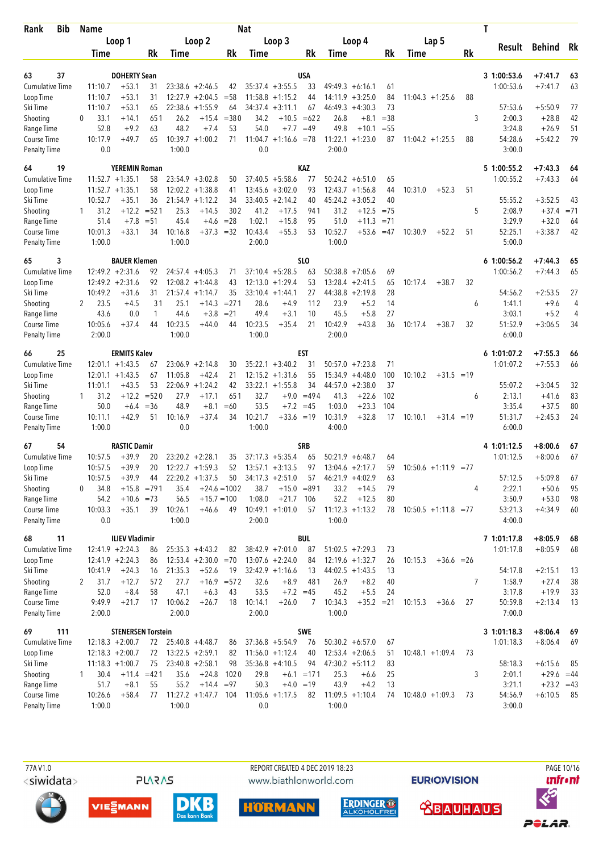| Loop 1<br>Loop 2<br>Loop 3<br>Loop 4<br>Lap 5<br>Result<br>Behind<br>Rk<br>Rk<br>Rk<br>Rk<br>Rk<br>Rk<br>Time<br>Time<br>Time<br>Time<br>Time<br>37<br><b>DOHERTY Sean</b><br>USA<br>3 1:00:53.6<br>63<br>$+7:41.7$<br>63<br><b>Cumulative Time</b><br>11:10.7<br>$+53.1$<br>31<br>$23:38.6 + 2:46.5$<br>$35:37.4 +3:55.5$<br>33<br>$49:49.3 + 6:16.1$<br>1:00:53.6<br>$+7:41.7$<br>63<br>42<br>61<br>$+53.1$<br>31<br>$12:27.9 + 2:04.5$<br>$= 58$<br>$11:58.8 + 1:15.2$<br>44<br>$14:11.9 + 3:25.0$<br>84<br>$11:04.3 +1:25.6$<br>88<br>Loop Time<br>11:10.7<br>11:10.7<br>$+53.1$<br>$22:38.6 + 1:55.9$<br>34:37.4<br>46:49.3<br>$+4:30.3$<br>73<br>57:53.6<br>$+5:50.9$<br>77<br>Ski Time<br>65<br>64<br>$+3:11.1$<br>67<br>33.1<br>26.2<br>$+15.4$<br>$= 380$<br>34.2<br>$+10.5 = 622$<br>26.8<br>$+8.1$<br>$=38$<br>3<br>2:00.3<br>$+28.8$<br>42<br>Shooting<br>$+14.1$<br>651<br>$\Omega$<br>52.8<br>$+9.2$<br>63<br>48.2<br>$+7.4$<br>53<br>54.0<br>$+7.7$<br>$=49$<br>49.8<br>$+10.1$<br>$= 55$<br>3:24.8<br>$+26.9$<br>51<br>Range Time<br>79<br>10:17.9<br>$+49.7$<br>65<br>$10:39.7 + 1:00.2$<br>71<br>$11:04.7 +1:16.6 = 78$<br>$11:22.1 + 1:23.0$<br>88<br>54:28.6<br>$+5:42.2$<br>Course Time<br>87<br>$11:04.2 +1:25.5$<br>0.0<br>1:00.0<br>0.0<br>2:00.0<br>3:00.0<br><b>KAZ</b><br>64<br>19<br><b>YEREMIN Roman</b><br>5 1:00:55.2<br>$+7:43.3$<br>64<br>$11:52.7 + 1:35.1$<br>$23:54.9 + 3:02.8$<br>$37:40.5 + 5:58.6$<br>77<br>1:00:55.2<br>$+7:43.3$<br>64<br><b>Cumulative Time</b><br>58<br>50<br>$50:24.2 + 6:51.0$<br>65<br>$11:52.7 + 1:35.1$<br>58<br>$12:02.2 + 1:38.8$<br>$13:45.6 + 3:02.0$<br>93<br>44<br>10:31.0<br>$+52.3$<br>51<br>41<br>12:43.7<br>$+1:56.8$<br>10:52.7<br>$+35.1$<br>36<br>21:54.9<br>$+1:12.2$<br>34<br>$33:40.5 +2:14.2$<br>40<br>45:24.2<br>$+3:05.2$<br>40<br>55:55.2<br>$+3:52.5$<br>Ski Time<br>43<br>31.2<br>$+12.2$<br>$= 521$<br>25.3<br>$+14.5$<br>302<br>41.2<br>$+17.5$<br>941<br>31.2<br>$+12.5$<br>$= 75$<br>5<br>2:08.9<br>$+37.4$<br>$= 71$<br>Shooting<br>1<br>51.4<br>45.4<br>$= 28$<br>1:02.1<br>95<br>51.0<br>3:29.9<br>$+32.0$<br>Range Time<br>$+7.8$<br>$= 51$<br>$+15.8$<br>$+11.3$<br>$= 71$<br>64<br>$+4.6$<br>10:52.7<br>10:01.3<br>$+33.1$<br>10:16.8<br>$+37.3$<br>$=32$<br>10:43.4<br>$+55.3$<br>53<br>$+53.6$<br>51<br>52:25.1<br>$+3:38.7$<br>42<br>Course Time<br>34<br>$=47$<br>10:30.9<br>$+52.2$<br>1:00.0<br>1:00.0<br>2:00.0<br>1:00.0<br>5:00.0<br><b>Penalty Time</b><br>3<br><b>BAUER Klemen</b><br>SLO<br>61:00:56.2<br>65<br>$+7:44.3$<br>65<br><b>Cumulative Time</b><br>$12:49.2 + 2:31.6$<br>$37:10.4 + 5:28.5$<br>$50:38.8 + 7:05.6$<br>69<br>1:00:56.2<br>$+7:44.3$<br>92<br>$24:57.4 +4:05.3$<br>63<br>65<br>71<br>$12:49.2 + 2:31.6$<br>$12:08.2 + 1:44.8$<br>43<br>$12:13.0 + 1:29.4$<br>53<br>$13:28.4 +2:41.5$<br>65<br>$+38.7$<br>32<br>Loop Time<br>92<br>10:17.4<br>10:49.2<br>$+31.6$<br>31<br>35<br>27<br>$44:38.8 + 2:19.8$<br>28<br>54:56.2<br>$+2:53.5$<br>27<br>Ski Time<br>$21:57.4 + 1:14.7$<br>$33:10.4 +1:44.1$<br>$= 271$<br>2<br>23.5<br>31<br>25.1<br>$+14.3$<br>28.6<br>$+4.9$<br>112<br>23.9<br>$+5.2$<br>14<br>1:41.1<br>$+9.6$<br>4<br>Shooting<br>$+4.5$<br>6<br>45.5<br>$+5.2$<br>43.6<br>0.0<br>44.6<br>$+3.8$<br>$= 21$<br>49.4<br>$+3.1$<br>10<br>$+5.8$<br>27<br>3:03.1<br>Range Time<br>$\mathbf{1}$<br>4<br>10:23.5<br>10:42.9<br>10:05.6<br>$+37.4$<br>10:23.5<br>$+44.0$<br>44<br>$+35.4$<br>21<br>$+43.8$<br>36<br>10:17.4<br>$+38.7$<br>32<br>51:52.9<br>$+3:06.5$<br>34<br>Course Time<br>44<br>1:00.0<br>1:00.0<br>2:00.0<br>6:00.0<br><b>Penalty Time</b><br>2:00.0<br><b>EST</b><br>66<br>25<br><b>ERMITS Kalev</b><br>6 1:01:07.2<br>$+7:55.3$<br>66<br><b>Cumulative Time</b><br>$12:01.1 + 1:43.5$<br>$23:06.9 + 2:14.8$<br>$35:22.1 + 3:40.2$<br>31<br>50:57.0<br>$+7:23.8$<br>71<br>1:01:07.2<br>$+7:55.3$<br>30<br>66<br>67<br>100<br>$+1:43.5$<br>11:05.8<br>$+42.4$<br>21<br>$12:15.2 + 1:31.6$<br>55<br>15:34.9<br>$+4:48.0$<br>10:10.2<br>$+31.5 = 19$<br>Loop Time<br>12:01.1<br>67<br>$+43.5$<br>22:06.9<br>$+1:24.2$<br>42<br>$33:22.1 + 1:55.8$<br>34<br>$+2:38.0$<br>37<br>55:07.2<br>$+3:04.5$<br>Ski Time<br>11:01.1<br>53<br>44:57.0<br>32<br>$+12.2$<br>$= 520$<br>27.9<br>$+17.1$<br>651<br>32.7<br>$+9.0$<br>$=494$<br>41.3<br>$+22.6$<br>102<br>2:13.1<br>83<br>Shooting<br>31.2<br>$+41.6$<br>6<br>1<br>50.0<br>$= 36$<br>48.9<br>$=60$<br>53.5<br>$+7.2 = 45$<br>1:03.0<br>$+23.3$<br>104<br>3:35.4<br>$+37.5$<br>80<br>Range Time<br>$+6.4$<br>$+8.1$<br>10:21.7<br>10:11.1<br>$+42.9$<br>51<br>10:16.9<br>$+37.4$<br>34<br>$+33.6 = 19$<br>10:31.9<br>$+32.8$<br>17<br>10:10.1<br>51:31.7<br>$+2:45.3$<br>24<br>Course Time<br>$+31.4 = 19$<br>0.0<br>1:00.0<br>4:00.0<br>6:00.0<br>1:00.0<br>67<br>54<br><b>RASTIC Damir</b><br><b>SRB</b><br>4 1:01:12.5<br>$+8:00.6$<br>67<br><b>Cumulative Time</b><br>10:57.5<br>$+39.9$<br>$23:20.2 + 2:28.1$<br>$37:17.3 + 5:35.4$<br>50:21.9<br>1:01:12.5<br>$+8:00.6$<br>67<br>20<br>35<br>65<br>$+6:48.7$<br>64<br>10:57.5<br>$+39.9$<br>20<br>$12:22.7 + 1:59.3$<br>52<br>97<br>$13:04.6 +2:17.7$<br>59<br>$10:50.6 +1:11.9 = 77$<br>Loop Time<br>$13:57.1 + 3:13.5$<br>Ski Time<br>$22:20.2 +1:37.5$<br>$34:17.3 + 2:51.0$<br>57:12.5<br>10:57.5<br>$+39.9$<br>50<br>$46:21.9 +4:02.9$<br>$+5:09.8$<br>67<br>44<br>57<br>63<br>Shooting<br>35.4<br>38.7<br>$+15.0 = 891$<br>2:22.1<br>34.8<br>$+15.8$ =791<br>$+24.6 = 1002$<br>33.2<br>$+14.5$<br>79<br>4<br>$+50.6$<br>95<br>0<br>Range Time<br>1:08.0<br>$+21.7$<br>52.2<br>$+12.5$<br>3:50.9<br>98<br>54.2<br>$+10.6 = 73$<br>56.5<br>$+15.7 = 100$<br>106<br>80<br>$+53.0$<br>39<br>$11:12.3 +1:13.2$<br>53:21.3<br>Course Time<br>10:03.3<br>$+35.1$<br>10:26.1<br>$+46.6$<br>49<br>$10:49.1 + 1:01.0$<br>57<br>78<br>$10:50.5 +1:11.8 = 77$<br>$+4:34.9$<br>60<br>Penalty Time<br>0.0<br>1:00.0<br>2:00.0<br>1:00.0<br>4:00.0<br>11<br><b>ILIEV Vladimir</b><br>BUL<br>7 1:01:17.8<br>$+8:05.9$<br>68<br>68<br>$12:41.9 + 2:24.3$<br>87<br>$+8:05.9$<br>68<br>Cumulative Time<br>86<br>$25:35.3 +4:43.2$<br>82<br>$38:42.9 +7:01.0$<br>$51:02.5 +7:29.3$<br>73<br>1:01:17.8<br>$12:41.9 + 2:24.3$<br>$12:53.4 + 2:30.0 = 70$<br>Loop Time<br>86<br>$13:07.6 + 2:24.0$<br>84<br>$12:19.6 + 1:32.7$<br>26<br>10:15.3<br>$+36.6 = 26$<br>$+24.3$<br>$+52.6$<br>$32:42.9 +1:16.6$<br>$44:02.5 +1:43.5$<br>54:17.8<br>$+2:15.1$<br>Ski Time<br>10:41.9<br>16<br>21:35.3<br>19<br>13<br>13<br>13<br>$+16.9 = 572$<br>$\overline{7}$<br>Shooting<br>31.7<br>$+12.7$<br>27.7<br>32.6<br>$+8.9$<br>26.9<br>$+8.2$<br>1:58.9<br>38<br>572<br>481<br>40<br>$+27.4$<br>2<br>Range Time<br>52.0<br>58<br>47.1<br>$+6.3$<br>53.5<br>3:17.8<br>$+8.4$<br>43<br>$+7.2 = 45$<br>45.2<br>$+5.5$<br>24<br>$+19.9$<br>33<br>9:49.9<br>$+21.7$<br>10:06.2<br>18<br>10:14.1<br>10:34.3<br>$+35.2 = 21$<br>50:59.8<br>Course Time<br>17<br>$+26.7$<br>$+26.0$<br>10:15.3<br>27<br>$+2:13.4$<br>13<br>7<br>$+36.6$<br>Penalty Time<br>2:00.0<br>1:00.0<br>7:00.0<br>2:00.0<br>2:00.0<br>69<br><b>STENERSEN Torstein</b><br><b>SWE</b><br>3 1:01:18.3<br>$+8:06.4$<br>111<br>- 69<br><b>Cumulative Time</b><br>$37:36.8 + 5:54.9$<br>$+8:06.4$<br>$12:18.3 + 2:00.7$<br>72<br>$25:40.8 +4:48.7$<br>76<br>$50:30.2 + 6:57.0$<br>67<br>1:01:18.3<br>69<br>86<br>Loop Time<br>$12:18.3 + 2:00.7$<br>72<br>$13:22.5 + 2:59.1$<br>82<br>$11:56.0 + 1:12.4$<br>40<br>$12:53.4 + 2:06.5$<br>$10:48.1 + 1:09.4$<br>73<br>51<br>Ski Time<br>$11:18.3 + 1:00.7$<br>75<br>$23:40.8 + 2:58.1$<br>98<br>$35:36.8 +4:10.5$<br>94<br>$47:30.2 +5:11.2$<br>83<br>58:18.3<br>$+6:15.6$<br>85<br>Shooting<br>30.4<br>$+11.4 = 421$<br>35.6<br>$+24.8$<br>1020<br>29.8<br>$+6.1 = 171$<br>25.3<br>25<br>3<br>2:01.1<br>$+29.6 = 44$<br>$+6.6$<br>1<br>Range Time<br>51.7<br>$+8.1$<br>55<br>55.2<br>$+14.4 = 97$<br>50.3<br>$+4.0 = 19$<br>43.9<br>$+4.2$<br>3:21.1<br>$+23.2 = 43$<br>13<br>Course Time<br>$+58.4$<br>$11:27.2 +1:47.7$ 104<br>$11:05.6 +1:17.5$<br>$11:09.5 +1:10.4$<br>54:56.9<br>10:26.6<br>77<br>82<br>$10:48.0 + 1:09.3$<br>73<br>$+6:10.5$<br>- 85<br>74<br>Penalty Time<br>1:00.0<br>1:00.0<br>1:00.0<br>0.0<br>3:00.0 | <b>Bib</b><br>Rank  | <b>Name</b> |  |  | <b>Nat</b> |  |  |  |  | Τ |  |
|------------------------------------------------------------------------------------------------------------------------------------------------------------------------------------------------------------------------------------------------------------------------------------------------------------------------------------------------------------------------------------------------------------------------------------------------------------------------------------------------------------------------------------------------------------------------------------------------------------------------------------------------------------------------------------------------------------------------------------------------------------------------------------------------------------------------------------------------------------------------------------------------------------------------------------------------------------------------------------------------------------------------------------------------------------------------------------------------------------------------------------------------------------------------------------------------------------------------------------------------------------------------------------------------------------------------------------------------------------------------------------------------------------------------------------------------------------------------------------------------------------------------------------------------------------------------------------------------------------------------------------------------------------------------------------------------------------------------------------------------------------------------------------------------------------------------------------------------------------------------------------------------------------------------------------------------------------------------------------------------------------------------------------------------------------------------------------------------------------------------------------------------------------------------------------------------------------------------------------------------------------------------------------------------------------------------------------------------------------------------------------------------------------------------------------------------------------------------------------------------------------------------------------------------------------------------------------------------------------------------------------------------------------------------------------------------------------------------------------------------------------------------------------------------------------------------------------------------------------------------------------------------------------------------------------------------------------------------------------------------------------------------------------------------------------------------------------------------------------------------------------------------------------------------------------------------------------------------------------------------------------------------------------------------------------------------------------------------------------------------------------------------------------------------------------------------------------------------------------------------------------------------------------------------------------------------------------------------------------------------------------------------------------------------------------------------------------------------------------------------------------------------------------------------------------------------------------------------------------------------------------------------------------------------------------------------------------------------------------------------------------------------------------------------------------------------------------------------------------------------------------------------------------------------------------------------------------------------------------------------------------------------------------------------------------------------------------------------------------------------------------------------------------------------------------------------------------------------------------------------------------------------------------------------------------------------------------------------------------------------------------------------------------------------------------------------------------------------------------------------------------------------------------------------------------------------------------------------------------------------------------------------------------------------------------------------------------------------------------------------------------------------------------------------------------------------------------------------------------------------------------------------------------------------------------------------------------------------------------------------------------------------------------------------------------------------------------------------------------------------------------------------------------------------------------------------------------------------------------------------------------------------------------------------------------------------------------------------------------------------------------------------------------------------------------------------------------------------------------------------------------------------------------------------------------------------------------------------------------------------------------------------------------------------------------------------------------------------------------------------------------------------------------------------------------------------------------------------------------------------------------------------------------------------------------------------------------------------------------------------------------------------------------------------------------------------------------------------------------------------------------------------------------------------------------------------------------------------------------------------------------------------------------------------------------------------------------------------------------------------------------------------------------------------------------------------------------------------------------------------------------------------------------------------------------------------------------------------------------------------------------------------------------------------------------------------------------------------------------------------------------------------------------------------------------------------------------------------------------------------------------------------------------------------------------------------------------------------------------------------------------------------------------------------------------------------------------------------------------------------------------------------------------------------------------------------------------------------------------------------------------------------------------------------------------------------------------------------------------------------------------------------------------------------------------------------------------------------------------------------------------------------------------------------------------------------------------------------------------------------------------------------------------------------------------------------------------------------------------------------------------------------------------------------------------------------------------------------------------------------------------------------------------------------------|---------------------|-------------|--|--|------------|--|--|--|--|---|--|
|                                                                                                                                                                                                                                                                                                                                                                                                                                                                                                                                                                                                                                                                                                                                                                                                                                                                                                                                                                                                                                                                                                                                                                                                                                                                                                                                                                                                                                                                                                                                                                                                                                                                                                                                                                                                                                                                                                                                                                                                                                                                                                                                                                                                                                                                                                                                                                                                                                                                                                                                                                                                                                                                                                                                                                                                                                                                                                                                                                                                                                                                                                                                                                                                                                                                                                                                                                                                                                                                                                                                                                                                                                                                                                                                                                                                                                                                                                                                                                                                                                                                                                                                                                                                                                                                                                                                                                                                                                                                                                                                                                                                                                                                                                                                                                                                                                                                                                                                                                                                                                                                                                                                                                                                                                                                                                                                                                                                                                                                                                                                                                                                                                                                                                                                                                                                                                                                                                                                                                                                                                                                                                                                                                                                                                                                                                                                                                                                                                                                                                                                                                                                                                                                                                                                                                                                                                                                                                                                                                                                                                                                                                                                                                                                                                                                                                                                                                                                                                                                                                                                                                                                                                                                                                                                                                                                                                                                                                                                                                                                                                                                                                                                                                              |                     |             |  |  |            |  |  |  |  |   |  |
|                                                                                                                                                                                                                                                                                                                                                                                                                                                                                                                                                                                                                                                                                                                                                                                                                                                                                                                                                                                                                                                                                                                                                                                                                                                                                                                                                                                                                                                                                                                                                                                                                                                                                                                                                                                                                                                                                                                                                                                                                                                                                                                                                                                                                                                                                                                                                                                                                                                                                                                                                                                                                                                                                                                                                                                                                                                                                                                                                                                                                                                                                                                                                                                                                                                                                                                                                                                                                                                                                                                                                                                                                                                                                                                                                                                                                                                                                                                                                                                                                                                                                                                                                                                                                                                                                                                                                                                                                                                                                                                                                                                                                                                                                                                                                                                                                                                                                                                                                                                                                                                                                                                                                                                                                                                                                                                                                                                                                                                                                                                                                                                                                                                                                                                                                                                                                                                                                                                                                                                                                                                                                                                                                                                                                                                                                                                                                                                                                                                                                                                                                                                                                                                                                                                                                                                                                                                                                                                                                                                                                                                                                                                                                                                                                                                                                                                                                                                                                                                                                                                                                                                                                                                                                                                                                                                                                                                                                                                                                                                                                                                                                                                                                                              |                     |             |  |  |            |  |  |  |  |   |  |
|                                                                                                                                                                                                                                                                                                                                                                                                                                                                                                                                                                                                                                                                                                                                                                                                                                                                                                                                                                                                                                                                                                                                                                                                                                                                                                                                                                                                                                                                                                                                                                                                                                                                                                                                                                                                                                                                                                                                                                                                                                                                                                                                                                                                                                                                                                                                                                                                                                                                                                                                                                                                                                                                                                                                                                                                                                                                                                                                                                                                                                                                                                                                                                                                                                                                                                                                                                                                                                                                                                                                                                                                                                                                                                                                                                                                                                                                                                                                                                                                                                                                                                                                                                                                                                                                                                                                                                                                                                                                                                                                                                                                                                                                                                                                                                                                                                                                                                                                                                                                                                                                                                                                                                                                                                                                                                                                                                                                                                                                                                                                                                                                                                                                                                                                                                                                                                                                                                                                                                                                                                                                                                                                                                                                                                                                                                                                                                                                                                                                                                                                                                                                                                                                                                                                                                                                                                                                                                                                                                                                                                                                                                                                                                                                                                                                                                                                                                                                                                                                                                                                                                                                                                                                                                                                                                                                                                                                                                                                                                                                                                                                                                                                                                              |                     |             |  |  |            |  |  |  |  |   |  |
|                                                                                                                                                                                                                                                                                                                                                                                                                                                                                                                                                                                                                                                                                                                                                                                                                                                                                                                                                                                                                                                                                                                                                                                                                                                                                                                                                                                                                                                                                                                                                                                                                                                                                                                                                                                                                                                                                                                                                                                                                                                                                                                                                                                                                                                                                                                                                                                                                                                                                                                                                                                                                                                                                                                                                                                                                                                                                                                                                                                                                                                                                                                                                                                                                                                                                                                                                                                                                                                                                                                                                                                                                                                                                                                                                                                                                                                                                                                                                                                                                                                                                                                                                                                                                                                                                                                                                                                                                                                                                                                                                                                                                                                                                                                                                                                                                                                                                                                                                                                                                                                                                                                                                                                                                                                                                                                                                                                                                                                                                                                                                                                                                                                                                                                                                                                                                                                                                                                                                                                                                                                                                                                                                                                                                                                                                                                                                                                                                                                                                                                                                                                                                                                                                                                                                                                                                                                                                                                                                                                                                                                                                                                                                                                                                                                                                                                                                                                                                                                                                                                                                                                                                                                                                                                                                                                                                                                                                                                                                                                                                                                                                                                                                                              |                     |             |  |  |            |  |  |  |  |   |  |
|                                                                                                                                                                                                                                                                                                                                                                                                                                                                                                                                                                                                                                                                                                                                                                                                                                                                                                                                                                                                                                                                                                                                                                                                                                                                                                                                                                                                                                                                                                                                                                                                                                                                                                                                                                                                                                                                                                                                                                                                                                                                                                                                                                                                                                                                                                                                                                                                                                                                                                                                                                                                                                                                                                                                                                                                                                                                                                                                                                                                                                                                                                                                                                                                                                                                                                                                                                                                                                                                                                                                                                                                                                                                                                                                                                                                                                                                                                                                                                                                                                                                                                                                                                                                                                                                                                                                                                                                                                                                                                                                                                                                                                                                                                                                                                                                                                                                                                                                                                                                                                                                                                                                                                                                                                                                                                                                                                                                                                                                                                                                                                                                                                                                                                                                                                                                                                                                                                                                                                                                                                                                                                                                                                                                                                                                                                                                                                                                                                                                                                                                                                                                                                                                                                                                                                                                                                                                                                                                                                                                                                                                                                                                                                                                                                                                                                                                                                                                                                                                                                                                                                                                                                                                                                                                                                                                                                                                                                                                                                                                                                                                                                                                                                              |                     |             |  |  |            |  |  |  |  |   |  |
|                                                                                                                                                                                                                                                                                                                                                                                                                                                                                                                                                                                                                                                                                                                                                                                                                                                                                                                                                                                                                                                                                                                                                                                                                                                                                                                                                                                                                                                                                                                                                                                                                                                                                                                                                                                                                                                                                                                                                                                                                                                                                                                                                                                                                                                                                                                                                                                                                                                                                                                                                                                                                                                                                                                                                                                                                                                                                                                                                                                                                                                                                                                                                                                                                                                                                                                                                                                                                                                                                                                                                                                                                                                                                                                                                                                                                                                                                                                                                                                                                                                                                                                                                                                                                                                                                                                                                                                                                                                                                                                                                                                                                                                                                                                                                                                                                                                                                                                                                                                                                                                                                                                                                                                                                                                                                                                                                                                                                                                                                                                                                                                                                                                                                                                                                                                                                                                                                                                                                                                                                                                                                                                                                                                                                                                                                                                                                                                                                                                                                                                                                                                                                                                                                                                                                                                                                                                                                                                                                                                                                                                                                                                                                                                                                                                                                                                                                                                                                                                                                                                                                                                                                                                                                                                                                                                                                                                                                                                                                                                                                                                                                                                                                                              |                     |             |  |  |            |  |  |  |  |   |  |
|                                                                                                                                                                                                                                                                                                                                                                                                                                                                                                                                                                                                                                                                                                                                                                                                                                                                                                                                                                                                                                                                                                                                                                                                                                                                                                                                                                                                                                                                                                                                                                                                                                                                                                                                                                                                                                                                                                                                                                                                                                                                                                                                                                                                                                                                                                                                                                                                                                                                                                                                                                                                                                                                                                                                                                                                                                                                                                                                                                                                                                                                                                                                                                                                                                                                                                                                                                                                                                                                                                                                                                                                                                                                                                                                                                                                                                                                                                                                                                                                                                                                                                                                                                                                                                                                                                                                                                                                                                                                                                                                                                                                                                                                                                                                                                                                                                                                                                                                                                                                                                                                                                                                                                                                                                                                                                                                                                                                                                                                                                                                                                                                                                                                                                                                                                                                                                                                                                                                                                                                                                                                                                                                                                                                                                                                                                                                                                                                                                                                                                                                                                                                                                                                                                                                                                                                                                                                                                                                                                                                                                                                                                                                                                                                                                                                                                                                                                                                                                                                                                                                                                                                                                                                                                                                                                                                                                                                                                                                                                                                                                                                                                                                                                              |                     |             |  |  |            |  |  |  |  |   |  |
|                                                                                                                                                                                                                                                                                                                                                                                                                                                                                                                                                                                                                                                                                                                                                                                                                                                                                                                                                                                                                                                                                                                                                                                                                                                                                                                                                                                                                                                                                                                                                                                                                                                                                                                                                                                                                                                                                                                                                                                                                                                                                                                                                                                                                                                                                                                                                                                                                                                                                                                                                                                                                                                                                                                                                                                                                                                                                                                                                                                                                                                                                                                                                                                                                                                                                                                                                                                                                                                                                                                                                                                                                                                                                                                                                                                                                                                                                                                                                                                                                                                                                                                                                                                                                                                                                                                                                                                                                                                                                                                                                                                                                                                                                                                                                                                                                                                                                                                                                                                                                                                                                                                                                                                                                                                                                                                                                                                                                                                                                                                                                                                                                                                                                                                                                                                                                                                                                                                                                                                                                                                                                                                                                                                                                                                                                                                                                                                                                                                                                                                                                                                                                                                                                                                                                                                                                                                                                                                                                                                                                                                                                                                                                                                                                                                                                                                                                                                                                                                                                                                                                                                                                                                                                                                                                                                                                                                                                                                                                                                                                                                                                                                                                                              |                     |             |  |  |            |  |  |  |  |   |  |
|                                                                                                                                                                                                                                                                                                                                                                                                                                                                                                                                                                                                                                                                                                                                                                                                                                                                                                                                                                                                                                                                                                                                                                                                                                                                                                                                                                                                                                                                                                                                                                                                                                                                                                                                                                                                                                                                                                                                                                                                                                                                                                                                                                                                                                                                                                                                                                                                                                                                                                                                                                                                                                                                                                                                                                                                                                                                                                                                                                                                                                                                                                                                                                                                                                                                                                                                                                                                                                                                                                                                                                                                                                                                                                                                                                                                                                                                                                                                                                                                                                                                                                                                                                                                                                                                                                                                                                                                                                                                                                                                                                                                                                                                                                                                                                                                                                                                                                                                                                                                                                                                                                                                                                                                                                                                                                                                                                                                                                                                                                                                                                                                                                                                                                                                                                                                                                                                                                                                                                                                                                                                                                                                                                                                                                                                                                                                                                                                                                                                                                                                                                                                                                                                                                                                                                                                                                                                                                                                                                                                                                                                                                                                                                                                                                                                                                                                                                                                                                                                                                                                                                                                                                                                                                                                                                                                                                                                                                                                                                                                                                                                                                                                                                              |                     |             |  |  |            |  |  |  |  |   |  |
|                                                                                                                                                                                                                                                                                                                                                                                                                                                                                                                                                                                                                                                                                                                                                                                                                                                                                                                                                                                                                                                                                                                                                                                                                                                                                                                                                                                                                                                                                                                                                                                                                                                                                                                                                                                                                                                                                                                                                                                                                                                                                                                                                                                                                                                                                                                                                                                                                                                                                                                                                                                                                                                                                                                                                                                                                                                                                                                                                                                                                                                                                                                                                                                                                                                                                                                                                                                                                                                                                                                                                                                                                                                                                                                                                                                                                                                                                                                                                                                                                                                                                                                                                                                                                                                                                                                                                                                                                                                                                                                                                                                                                                                                                                                                                                                                                                                                                                                                                                                                                                                                                                                                                                                                                                                                                                                                                                                                                                                                                                                                                                                                                                                                                                                                                                                                                                                                                                                                                                                                                                                                                                                                                                                                                                                                                                                                                                                                                                                                                                                                                                                                                                                                                                                                                                                                                                                                                                                                                                                                                                                                                                                                                                                                                                                                                                                                                                                                                                                                                                                                                                                                                                                                                                                                                                                                                                                                                                                                                                                                                                                                                                                                                                              | <b>Penalty Time</b> |             |  |  |            |  |  |  |  |   |  |
|                                                                                                                                                                                                                                                                                                                                                                                                                                                                                                                                                                                                                                                                                                                                                                                                                                                                                                                                                                                                                                                                                                                                                                                                                                                                                                                                                                                                                                                                                                                                                                                                                                                                                                                                                                                                                                                                                                                                                                                                                                                                                                                                                                                                                                                                                                                                                                                                                                                                                                                                                                                                                                                                                                                                                                                                                                                                                                                                                                                                                                                                                                                                                                                                                                                                                                                                                                                                                                                                                                                                                                                                                                                                                                                                                                                                                                                                                                                                                                                                                                                                                                                                                                                                                                                                                                                                                                                                                                                                                                                                                                                                                                                                                                                                                                                                                                                                                                                                                                                                                                                                                                                                                                                                                                                                                                                                                                                                                                                                                                                                                                                                                                                                                                                                                                                                                                                                                                                                                                                                                                                                                                                                                                                                                                                                                                                                                                                                                                                                                                                                                                                                                                                                                                                                                                                                                                                                                                                                                                                                                                                                                                                                                                                                                                                                                                                                                                                                                                                                                                                                                                                                                                                                                                                                                                                                                                                                                                                                                                                                                                                                                                                                                                              |                     |             |  |  |            |  |  |  |  |   |  |
|                                                                                                                                                                                                                                                                                                                                                                                                                                                                                                                                                                                                                                                                                                                                                                                                                                                                                                                                                                                                                                                                                                                                                                                                                                                                                                                                                                                                                                                                                                                                                                                                                                                                                                                                                                                                                                                                                                                                                                                                                                                                                                                                                                                                                                                                                                                                                                                                                                                                                                                                                                                                                                                                                                                                                                                                                                                                                                                                                                                                                                                                                                                                                                                                                                                                                                                                                                                                                                                                                                                                                                                                                                                                                                                                                                                                                                                                                                                                                                                                                                                                                                                                                                                                                                                                                                                                                                                                                                                                                                                                                                                                                                                                                                                                                                                                                                                                                                                                                                                                                                                                                                                                                                                                                                                                                                                                                                                                                                                                                                                                                                                                                                                                                                                                                                                                                                                                                                                                                                                                                                                                                                                                                                                                                                                                                                                                                                                                                                                                                                                                                                                                                                                                                                                                                                                                                                                                                                                                                                                                                                                                                                                                                                                                                                                                                                                                                                                                                                                                                                                                                                                                                                                                                                                                                                                                                                                                                                                                                                                                                                                                                                                                                                              |                     |             |  |  |            |  |  |  |  |   |  |
|                                                                                                                                                                                                                                                                                                                                                                                                                                                                                                                                                                                                                                                                                                                                                                                                                                                                                                                                                                                                                                                                                                                                                                                                                                                                                                                                                                                                                                                                                                                                                                                                                                                                                                                                                                                                                                                                                                                                                                                                                                                                                                                                                                                                                                                                                                                                                                                                                                                                                                                                                                                                                                                                                                                                                                                                                                                                                                                                                                                                                                                                                                                                                                                                                                                                                                                                                                                                                                                                                                                                                                                                                                                                                                                                                                                                                                                                                                                                                                                                                                                                                                                                                                                                                                                                                                                                                                                                                                                                                                                                                                                                                                                                                                                                                                                                                                                                                                                                                                                                                                                                                                                                                                                                                                                                                                                                                                                                                                                                                                                                                                                                                                                                                                                                                                                                                                                                                                                                                                                                                                                                                                                                                                                                                                                                                                                                                                                                                                                                                                                                                                                                                                                                                                                                                                                                                                                                                                                                                                                                                                                                                                                                                                                                                                                                                                                                                                                                                                                                                                                                                                                                                                                                                                                                                                                                                                                                                                                                                                                                                                                                                                                                                                              | Loop Time           |             |  |  |            |  |  |  |  |   |  |
|                                                                                                                                                                                                                                                                                                                                                                                                                                                                                                                                                                                                                                                                                                                                                                                                                                                                                                                                                                                                                                                                                                                                                                                                                                                                                                                                                                                                                                                                                                                                                                                                                                                                                                                                                                                                                                                                                                                                                                                                                                                                                                                                                                                                                                                                                                                                                                                                                                                                                                                                                                                                                                                                                                                                                                                                                                                                                                                                                                                                                                                                                                                                                                                                                                                                                                                                                                                                                                                                                                                                                                                                                                                                                                                                                                                                                                                                                                                                                                                                                                                                                                                                                                                                                                                                                                                                                                                                                                                                                                                                                                                                                                                                                                                                                                                                                                                                                                                                                                                                                                                                                                                                                                                                                                                                                                                                                                                                                                                                                                                                                                                                                                                                                                                                                                                                                                                                                                                                                                                                                                                                                                                                                                                                                                                                                                                                                                                                                                                                                                                                                                                                                                                                                                                                                                                                                                                                                                                                                                                                                                                                                                                                                                                                                                                                                                                                                                                                                                                                                                                                                                                                                                                                                                                                                                                                                                                                                                                                                                                                                                                                                                                                                                              |                     |             |  |  |            |  |  |  |  |   |  |
|                                                                                                                                                                                                                                                                                                                                                                                                                                                                                                                                                                                                                                                                                                                                                                                                                                                                                                                                                                                                                                                                                                                                                                                                                                                                                                                                                                                                                                                                                                                                                                                                                                                                                                                                                                                                                                                                                                                                                                                                                                                                                                                                                                                                                                                                                                                                                                                                                                                                                                                                                                                                                                                                                                                                                                                                                                                                                                                                                                                                                                                                                                                                                                                                                                                                                                                                                                                                                                                                                                                                                                                                                                                                                                                                                                                                                                                                                                                                                                                                                                                                                                                                                                                                                                                                                                                                                                                                                                                                                                                                                                                                                                                                                                                                                                                                                                                                                                                                                                                                                                                                                                                                                                                                                                                                                                                                                                                                                                                                                                                                                                                                                                                                                                                                                                                                                                                                                                                                                                                                                                                                                                                                                                                                                                                                                                                                                                                                                                                                                                                                                                                                                                                                                                                                                                                                                                                                                                                                                                                                                                                                                                                                                                                                                                                                                                                                                                                                                                                                                                                                                                                                                                                                                                                                                                                                                                                                                                                                                                                                                                                                                                                                                                              |                     |             |  |  |            |  |  |  |  |   |  |
|                                                                                                                                                                                                                                                                                                                                                                                                                                                                                                                                                                                                                                                                                                                                                                                                                                                                                                                                                                                                                                                                                                                                                                                                                                                                                                                                                                                                                                                                                                                                                                                                                                                                                                                                                                                                                                                                                                                                                                                                                                                                                                                                                                                                                                                                                                                                                                                                                                                                                                                                                                                                                                                                                                                                                                                                                                                                                                                                                                                                                                                                                                                                                                                                                                                                                                                                                                                                                                                                                                                                                                                                                                                                                                                                                                                                                                                                                                                                                                                                                                                                                                                                                                                                                                                                                                                                                                                                                                                                                                                                                                                                                                                                                                                                                                                                                                                                                                                                                                                                                                                                                                                                                                                                                                                                                                                                                                                                                                                                                                                                                                                                                                                                                                                                                                                                                                                                                                                                                                                                                                                                                                                                                                                                                                                                                                                                                                                                                                                                                                                                                                                                                                                                                                                                                                                                                                                                                                                                                                                                                                                                                                                                                                                                                                                                                                                                                                                                                                                                                                                                                                                                                                                                                                                                                                                                                                                                                                                                                                                                                                                                                                                                                                              |                     |             |  |  |            |  |  |  |  |   |  |
|                                                                                                                                                                                                                                                                                                                                                                                                                                                                                                                                                                                                                                                                                                                                                                                                                                                                                                                                                                                                                                                                                                                                                                                                                                                                                                                                                                                                                                                                                                                                                                                                                                                                                                                                                                                                                                                                                                                                                                                                                                                                                                                                                                                                                                                                                                                                                                                                                                                                                                                                                                                                                                                                                                                                                                                                                                                                                                                                                                                                                                                                                                                                                                                                                                                                                                                                                                                                                                                                                                                                                                                                                                                                                                                                                                                                                                                                                                                                                                                                                                                                                                                                                                                                                                                                                                                                                                                                                                                                                                                                                                                                                                                                                                                                                                                                                                                                                                                                                                                                                                                                                                                                                                                                                                                                                                                                                                                                                                                                                                                                                                                                                                                                                                                                                                                                                                                                                                                                                                                                                                                                                                                                                                                                                                                                                                                                                                                                                                                                                                                                                                                                                                                                                                                                                                                                                                                                                                                                                                                                                                                                                                                                                                                                                                                                                                                                                                                                                                                                                                                                                                                                                                                                                                                                                                                                                                                                                                                                                                                                                                                                                                                                                                              |                     |             |  |  |            |  |  |  |  |   |  |
|                                                                                                                                                                                                                                                                                                                                                                                                                                                                                                                                                                                                                                                                                                                                                                                                                                                                                                                                                                                                                                                                                                                                                                                                                                                                                                                                                                                                                                                                                                                                                                                                                                                                                                                                                                                                                                                                                                                                                                                                                                                                                                                                                                                                                                                                                                                                                                                                                                                                                                                                                                                                                                                                                                                                                                                                                                                                                                                                                                                                                                                                                                                                                                                                                                                                                                                                                                                                                                                                                                                                                                                                                                                                                                                                                                                                                                                                                                                                                                                                                                                                                                                                                                                                                                                                                                                                                                                                                                                                                                                                                                                                                                                                                                                                                                                                                                                                                                                                                                                                                                                                                                                                                                                                                                                                                                                                                                                                                                                                                                                                                                                                                                                                                                                                                                                                                                                                                                                                                                                                                                                                                                                                                                                                                                                                                                                                                                                                                                                                                                                                                                                                                                                                                                                                                                                                                                                                                                                                                                                                                                                                                                                                                                                                                                                                                                                                                                                                                                                                                                                                                                                                                                                                                                                                                                                                                                                                                                                                                                                                                                                                                                                                                                              |                     |             |  |  |            |  |  |  |  |   |  |
|                                                                                                                                                                                                                                                                                                                                                                                                                                                                                                                                                                                                                                                                                                                                                                                                                                                                                                                                                                                                                                                                                                                                                                                                                                                                                                                                                                                                                                                                                                                                                                                                                                                                                                                                                                                                                                                                                                                                                                                                                                                                                                                                                                                                                                                                                                                                                                                                                                                                                                                                                                                                                                                                                                                                                                                                                                                                                                                                                                                                                                                                                                                                                                                                                                                                                                                                                                                                                                                                                                                                                                                                                                                                                                                                                                                                                                                                                                                                                                                                                                                                                                                                                                                                                                                                                                                                                                                                                                                                                                                                                                                                                                                                                                                                                                                                                                                                                                                                                                                                                                                                                                                                                                                                                                                                                                                                                                                                                                                                                                                                                                                                                                                                                                                                                                                                                                                                                                                                                                                                                                                                                                                                                                                                                                                                                                                                                                                                                                                                                                                                                                                                                                                                                                                                                                                                                                                                                                                                                                                                                                                                                                                                                                                                                                                                                                                                                                                                                                                                                                                                                                                                                                                                                                                                                                                                                                                                                                                                                                                                                                                                                                                                                                              |                     |             |  |  |            |  |  |  |  |   |  |
|                                                                                                                                                                                                                                                                                                                                                                                                                                                                                                                                                                                                                                                                                                                                                                                                                                                                                                                                                                                                                                                                                                                                                                                                                                                                                                                                                                                                                                                                                                                                                                                                                                                                                                                                                                                                                                                                                                                                                                                                                                                                                                                                                                                                                                                                                                                                                                                                                                                                                                                                                                                                                                                                                                                                                                                                                                                                                                                                                                                                                                                                                                                                                                                                                                                                                                                                                                                                                                                                                                                                                                                                                                                                                                                                                                                                                                                                                                                                                                                                                                                                                                                                                                                                                                                                                                                                                                                                                                                                                                                                                                                                                                                                                                                                                                                                                                                                                                                                                                                                                                                                                                                                                                                                                                                                                                                                                                                                                                                                                                                                                                                                                                                                                                                                                                                                                                                                                                                                                                                                                                                                                                                                                                                                                                                                                                                                                                                                                                                                                                                                                                                                                                                                                                                                                                                                                                                                                                                                                                                                                                                                                                                                                                                                                                                                                                                                                                                                                                                                                                                                                                                                                                                                                                                                                                                                                                                                                                                                                                                                                                                                                                                                                                              |                     |             |  |  |            |  |  |  |  |   |  |
|                                                                                                                                                                                                                                                                                                                                                                                                                                                                                                                                                                                                                                                                                                                                                                                                                                                                                                                                                                                                                                                                                                                                                                                                                                                                                                                                                                                                                                                                                                                                                                                                                                                                                                                                                                                                                                                                                                                                                                                                                                                                                                                                                                                                                                                                                                                                                                                                                                                                                                                                                                                                                                                                                                                                                                                                                                                                                                                                                                                                                                                                                                                                                                                                                                                                                                                                                                                                                                                                                                                                                                                                                                                                                                                                                                                                                                                                                                                                                                                                                                                                                                                                                                                                                                                                                                                                                                                                                                                                                                                                                                                                                                                                                                                                                                                                                                                                                                                                                                                                                                                                                                                                                                                                                                                                                                                                                                                                                                                                                                                                                                                                                                                                                                                                                                                                                                                                                                                                                                                                                                                                                                                                                                                                                                                                                                                                                                                                                                                                                                                                                                                                                                                                                                                                                                                                                                                                                                                                                                                                                                                                                                                                                                                                                                                                                                                                                                                                                                                                                                                                                                                                                                                                                                                                                                                                                                                                                                                                                                                                                                                                                                                                                                              |                     |             |  |  |            |  |  |  |  |   |  |
|                                                                                                                                                                                                                                                                                                                                                                                                                                                                                                                                                                                                                                                                                                                                                                                                                                                                                                                                                                                                                                                                                                                                                                                                                                                                                                                                                                                                                                                                                                                                                                                                                                                                                                                                                                                                                                                                                                                                                                                                                                                                                                                                                                                                                                                                                                                                                                                                                                                                                                                                                                                                                                                                                                                                                                                                                                                                                                                                                                                                                                                                                                                                                                                                                                                                                                                                                                                                                                                                                                                                                                                                                                                                                                                                                                                                                                                                                                                                                                                                                                                                                                                                                                                                                                                                                                                                                                                                                                                                                                                                                                                                                                                                                                                                                                                                                                                                                                                                                                                                                                                                                                                                                                                                                                                                                                                                                                                                                                                                                                                                                                                                                                                                                                                                                                                                                                                                                                                                                                                                                                                                                                                                                                                                                                                                                                                                                                                                                                                                                                                                                                                                                                                                                                                                                                                                                                                                                                                                                                                                                                                                                                                                                                                                                                                                                                                                                                                                                                                                                                                                                                                                                                                                                                                                                                                                                                                                                                                                                                                                                                                                                                                                                                              |                     |             |  |  |            |  |  |  |  |   |  |
|                                                                                                                                                                                                                                                                                                                                                                                                                                                                                                                                                                                                                                                                                                                                                                                                                                                                                                                                                                                                                                                                                                                                                                                                                                                                                                                                                                                                                                                                                                                                                                                                                                                                                                                                                                                                                                                                                                                                                                                                                                                                                                                                                                                                                                                                                                                                                                                                                                                                                                                                                                                                                                                                                                                                                                                                                                                                                                                                                                                                                                                                                                                                                                                                                                                                                                                                                                                                                                                                                                                                                                                                                                                                                                                                                                                                                                                                                                                                                                                                                                                                                                                                                                                                                                                                                                                                                                                                                                                                                                                                                                                                                                                                                                                                                                                                                                                                                                                                                                                                                                                                                                                                                                                                                                                                                                                                                                                                                                                                                                                                                                                                                                                                                                                                                                                                                                                                                                                                                                                                                                                                                                                                                                                                                                                                                                                                                                                                                                                                                                                                                                                                                                                                                                                                                                                                                                                                                                                                                                                                                                                                                                                                                                                                                                                                                                                                                                                                                                                                                                                                                                                                                                                                                                                                                                                                                                                                                                                                                                                                                                                                                                                                                                              |                     |             |  |  |            |  |  |  |  |   |  |
|                                                                                                                                                                                                                                                                                                                                                                                                                                                                                                                                                                                                                                                                                                                                                                                                                                                                                                                                                                                                                                                                                                                                                                                                                                                                                                                                                                                                                                                                                                                                                                                                                                                                                                                                                                                                                                                                                                                                                                                                                                                                                                                                                                                                                                                                                                                                                                                                                                                                                                                                                                                                                                                                                                                                                                                                                                                                                                                                                                                                                                                                                                                                                                                                                                                                                                                                                                                                                                                                                                                                                                                                                                                                                                                                                                                                                                                                                                                                                                                                                                                                                                                                                                                                                                                                                                                                                                                                                                                                                                                                                                                                                                                                                                                                                                                                                                                                                                                                                                                                                                                                                                                                                                                                                                                                                                                                                                                                                                                                                                                                                                                                                                                                                                                                                                                                                                                                                                                                                                                                                                                                                                                                                                                                                                                                                                                                                                                                                                                                                                                                                                                                                                                                                                                                                                                                                                                                                                                                                                                                                                                                                                                                                                                                                                                                                                                                                                                                                                                                                                                                                                                                                                                                                                                                                                                                                                                                                                                                                                                                                                                                                                                                                                              |                     |             |  |  |            |  |  |  |  |   |  |
|                                                                                                                                                                                                                                                                                                                                                                                                                                                                                                                                                                                                                                                                                                                                                                                                                                                                                                                                                                                                                                                                                                                                                                                                                                                                                                                                                                                                                                                                                                                                                                                                                                                                                                                                                                                                                                                                                                                                                                                                                                                                                                                                                                                                                                                                                                                                                                                                                                                                                                                                                                                                                                                                                                                                                                                                                                                                                                                                                                                                                                                                                                                                                                                                                                                                                                                                                                                                                                                                                                                                                                                                                                                                                                                                                                                                                                                                                                                                                                                                                                                                                                                                                                                                                                                                                                                                                                                                                                                                                                                                                                                                                                                                                                                                                                                                                                                                                                                                                                                                                                                                                                                                                                                                                                                                                                                                                                                                                                                                                                                                                                                                                                                                                                                                                                                                                                                                                                                                                                                                                                                                                                                                                                                                                                                                                                                                                                                                                                                                                                                                                                                                                                                                                                                                                                                                                                                                                                                                                                                                                                                                                                                                                                                                                                                                                                                                                                                                                                                                                                                                                                                                                                                                                                                                                                                                                                                                                                                                                                                                                                                                                                                                                                              |                     |             |  |  |            |  |  |  |  |   |  |
|                                                                                                                                                                                                                                                                                                                                                                                                                                                                                                                                                                                                                                                                                                                                                                                                                                                                                                                                                                                                                                                                                                                                                                                                                                                                                                                                                                                                                                                                                                                                                                                                                                                                                                                                                                                                                                                                                                                                                                                                                                                                                                                                                                                                                                                                                                                                                                                                                                                                                                                                                                                                                                                                                                                                                                                                                                                                                                                                                                                                                                                                                                                                                                                                                                                                                                                                                                                                                                                                                                                                                                                                                                                                                                                                                                                                                                                                                                                                                                                                                                                                                                                                                                                                                                                                                                                                                                                                                                                                                                                                                                                                                                                                                                                                                                                                                                                                                                                                                                                                                                                                                                                                                                                                                                                                                                                                                                                                                                                                                                                                                                                                                                                                                                                                                                                                                                                                                                                                                                                                                                                                                                                                                                                                                                                                                                                                                                                                                                                                                                                                                                                                                                                                                                                                                                                                                                                                                                                                                                                                                                                                                                                                                                                                                                                                                                                                                                                                                                                                                                                                                                                                                                                                                                                                                                                                                                                                                                                                                                                                                                                                                                                                                                              |                     |             |  |  |            |  |  |  |  |   |  |
|                                                                                                                                                                                                                                                                                                                                                                                                                                                                                                                                                                                                                                                                                                                                                                                                                                                                                                                                                                                                                                                                                                                                                                                                                                                                                                                                                                                                                                                                                                                                                                                                                                                                                                                                                                                                                                                                                                                                                                                                                                                                                                                                                                                                                                                                                                                                                                                                                                                                                                                                                                                                                                                                                                                                                                                                                                                                                                                                                                                                                                                                                                                                                                                                                                                                                                                                                                                                                                                                                                                                                                                                                                                                                                                                                                                                                                                                                                                                                                                                                                                                                                                                                                                                                                                                                                                                                                                                                                                                                                                                                                                                                                                                                                                                                                                                                                                                                                                                                                                                                                                                                                                                                                                                                                                                                                                                                                                                                                                                                                                                                                                                                                                                                                                                                                                                                                                                                                                                                                                                                                                                                                                                                                                                                                                                                                                                                                                                                                                                                                                                                                                                                                                                                                                                                                                                                                                                                                                                                                                                                                                                                                                                                                                                                                                                                                                                                                                                                                                                                                                                                                                                                                                                                                                                                                                                                                                                                                                                                                                                                                                                                                                                                                              |                     |             |  |  |            |  |  |  |  |   |  |
|                                                                                                                                                                                                                                                                                                                                                                                                                                                                                                                                                                                                                                                                                                                                                                                                                                                                                                                                                                                                                                                                                                                                                                                                                                                                                                                                                                                                                                                                                                                                                                                                                                                                                                                                                                                                                                                                                                                                                                                                                                                                                                                                                                                                                                                                                                                                                                                                                                                                                                                                                                                                                                                                                                                                                                                                                                                                                                                                                                                                                                                                                                                                                                                                                                                                                                                                                                                                                                                                                                                                                                                                                                                                                                                                                                                                                                                                                                                                                                                                                                                                                                                                                                                                                                                                                                                                                                                                                                                                                                                                                                                                                                                                                                                                                                                                                                                                                                                                                                                                                                                                                                                                                                                                                                                                                                                                                                                                                                                                                                                                                                                                                                                                                                                                                                                                                                                                                                                                                                                                                                                                                                                                                                                                                                                                                                                                                                                                                                                                                                                                                                                                                                                                                                                                                                                                                                                                                                                                                                                                                                                                                                                                                                                                                                                                                                                                                                                                                                                                                                                                                                                                                                                                                                                                                                                                                                                                                                                                                                                                                                                                                                                                                                              |                     |             |  |  |            |  |  |  |  |   |  |
|                                                                                                                                                                                                                                                                                                                                                                                                                                                                                                                                                                                                                                                                                                                                                                                                                                                                                                                                                                                                                                                                                                                                                                                                                                                                                                                                                                                                                                                                                                                                                                                                                                                                                                                                                                                                                                                                                                                                                                                                                                                                                                                                                                                                                                                                                                                                                                                                                                                                                                                                                                                                                                                                                                                                                                                                                                                                                                                                                                                                                                                                                                                                                                                                                                                                                                                                                                                                                                                                                                                                                                                                                                                                                                                                                                                                                                                                                                                                                                                                                                                                                                                                                                                                                                                                                                                                                                                                                                                                                                                                                                                                                                                                                                                                                                                                                                                                                                                                                                                                                                                                                                                                                                                                                                                                                                                                                                                                                                                                                                                                                                                                                                                                                                                                                                                                                                                                                                                                                                                                                                                                                                                                                                                                                                                                                                                                                                                                                                                                                                                                                                                                                                                                                                                                                                                                                                                                                                                                                                                                                                                                                                                                                                                                                                                                                                                                                                                                                                                                                                                                                                                                                                                                                                                                                                                                                                                                                                                                                                                                                                                                                                                                                                              |                     |             |  |  |            |  |  |  |  |   |  |
|                                                                                                                                                                                                                                                                                                                                                                                                                                                                                                                                                                                                                                                                                                                                                                                                                                                                                                                                                                                                                                                                                                                                                                                                                                                                                                                                                                                                                                                                                                                                                                                                                                                                                                                                                                                                                                                                                                                                                                                                                                                                                                                                                                                                                                                                                                                                                                                                                                                                                                                                                                                                                                                                                                                                                                                                                                                                                                                                                                                                                                                                                                                                                                                                                                                                                                                                                                                                                                                                                                                                                                                                                                                                                                                                                                                                                                                                                                                                                                                                                                                                                                                                                                                                                                                                                                                                                                                                                                                                                                                                                                                                                                                                                                                                                                                                                                                                                                                                                                                                                                                                                                                                                                                                                                                                                                                                                                                                                                                                                                                                                                                                                                                                                                                                                                                                                                                                                                                                                                                                                                                                                                                                                                                                                                                                                                                                                                                                                                                                                                                                                                                                                                                                                                                                                                                                                                                                                                                                                                                                                                                                                                                                                                                                                                                                                                                                                                                                                                                                                                                                                                                                                                                                                                                                                                                                                                                                                                                                                                                                                                                                                                                                                                              |                     |             |  |  |            |  |  |  |  |   |  |
|                                                                                                                                                                                                                                                                                                                                                                                                                                                                                                                                                                                                                                                                                                                                                                                                                                                                                                                                                                                                                                                                                                                                                                                                                                                                                                                                                                                                                                                                                                                                                                                                                                                                                                                                                                                                                                                                                                                                                                                                                                                                                                                                                                                                                                                                                                                                                                                                                                                                                                                                                                                                                                                                                                                                                                                                                                                                                                                                                                                                                                                                                                                                                                                                                                                                                                                                                                                                                                                                                                                                                                                                                                                                                                                                                                                                                                                                                                                                                                                                                                                                                                                                                                                                                                                                                                                                                                                                                                                                                                                                                                                                                                                                                                                                                                                                                                                                                                                                                                                                                                                                                                                                                                                                                                                                                                                                                                                                                                                                                                                                                                                                                                                                                                                                                                                                                                                                                                                                                                                                                                                                                                                                                                                                                                                                                                                                                                                                                                                                                                                                                                                                                                                                                                                                                                                                                                                                                                                                                                                                                                                                                                                                                                                                                                                                                                                                                                                                                                                                                                                                                                                                                                                                                                                                                                                                                                                                                                                                                                                                                                                                                                                                                                              |                     |             |  |  |            |  |  |  |  |   |  |
|                                                                                                                                                                                                                                                                                                                                                                                                                                                                                                                                                                                                                                                                                                                                                                                                                                                                                                                                                                                                                                                                                                                                                                                                                                                                                                                                                                                                                                                                                                                                                                                                                                                                                                                                                                                                                                                                                                                                                                                                                                                                                                                                                                                                                                                                                                                                                                                                                                                                                                                                                                                                                                                                                                                                                                                                                                                                                                                                                                                                                                                                                                                                                                                                                                                                                                                                                                                                                                                                                                                                                                                                                                                                                                                                                                                                                                                                                                                                                                                                                                                                                                                                                                                                                                                                                                                                                                                                                                                                                                                                                                                                                                                                                                                                                                                                                                                                                                                                                                                                                                                                                                                                                                                                                                                                                                                                                                                                                                                                                                                                                                                                                                                                                                                                                                                                                                                                                                                                                                                                                                                                                                                                                                                                                                                                                                                                                                                                                                                                                                                                                                                                                                                                                                                                                                                                                                                                                                                                                                                                                                                                                                                                                                                                                                                                                                                                                                                                                                                                                                                                                                                                                                                                                                                                                                                                                                                                                                                                                                                                                                                                                                                                                                              |                     |             |  |  |            |  |  |  |  |   |  |
|                                                                                                                                                                                                                                                                                                                                                                                                                                                                                                                                                                                                                                                                                                                                                                                                                                                                                                                                                                                                                                                                                                                                                                                                                                                                                                                                                                                                                                                                                                                                                                                                                                                                                                                                                                                                                                                                                                                                                                                                                                                                                                                                                                                                                                                                                                                                                                                                                                                                                                                                                                                                                                                                                                                                                                                                                                                                                                                                                                                                                                                                                                                                                                                                                                                                                                                                                                                                                                                                                                                                                                                                                                                                                                                                                                                                                                                                                                                                                                                                                                                                                                                                                                                                                                                                                                                                                                                                                                                                                                                                                                                                                                                                                                                                                                                                                                                                                                                                                                                                                                                                                                                                                                                                                                                                                                                                                                                                                                                                                                                                                                                                                                                                                                                                                                                                                                                                                                                                                                                                                                                                                                                                                                                                                                                                                                                                                                                                                                                                                                                                                                                                                                                                                                                                                                                                                                                                                                                                                                                                                                                                                                                                                                                                                                                                                                                                                                                                                                                                                                                                                                                                                                                                                                                                                                                                                                                                                                                                                                                                                                                                                                                                                                              | <b>Penalty Time</b> |             |  |  |            |  |  |  |  |   |  |
|                                                                                                                                                                                                                                                                                                                                                                                                                                                                                                                                                                                                                                                                                                                                                                                                                                                                                                                                                                                                                                                                                                                                                                                                                                                                                                                                                                                                                                                                                                                                                                                                                                                                                                                                                                                                                                                                                                                                                                                                                                                                                                                                                                                                                                                                                                                                                                                                                                                                                                                                                                                                                                                                                                                                                                                                                                                                                                                                                                                                                                                                                                                                                                                                                                                                                                                                                                                                                                                                                                                                                                                                                                                                                                                                                                                                                                                                                                                                                                                                                                                                                                                                                                                                                                                                                                                                                                                                                                                                                                                                                                                                                                                                                                                                                                                                                                                                                                                                                                                                                                                                                                                                                                                                                                                                                                                                                                                                                                                                                                                                                                                                                                                                                                                                                                                                                                                                                                                                                                                                                                                                                                                                                                                                                                                                                                                                                                                                                                                                                                                                                                                                                                                                                                                                                                                                                                                                                                                                                                                                                                                                                                                                                                                                                                                                                                                                                                                                                                                                                                                                                                                                                                                                                                                                                                                                                                                                                                                                                                                                                                                                                                                                                                              |                     |             |  |  |            |  |  |  |  |   |  |
|                                                                                                                                                                                                                                                                                                                                                                                                                                                                                                                                                                                                                                                                                                                                                                                                                                                                                                                                                                                                                                                                                                                                                                                                                                                                                                                                                                                                                                                                                                                                                                                                                                                                                                                                                                                                                                                                                                                                                                                                                                                                                                                                                                                                                                                                                                                                                                                                                                                                                                                                                                                                                                                                                                                                                                                                                                                                                                                                                                                                                                                                                                                                                                                                                                                                                                                                                                                                                                                                                                                                                                                                                                                                                                                                                                                                                                                                                                                                                                                                                                                                                                                                                                                                                                                                                                                                                                                                                                                                                                                                                                                                                                                                                                                                                                                                                                                                                                                                                                                                                                                                                                                                                                                                                                                                                                                                                                                                                                                                                                                                                                                                                                                                                                                                                                                                                                                                                                                                                                                                                                                                                                                                                                                                                                                                                                                                                                                                                                                                                                                                                                                                                                                                                                                                                                                                                                                                                                                                                                                                                                                                                                                                                                                                                                                                                                                                                                                                                                                                                                                                                                                                                                                                                                                                                                                                                                                                                                                                                                                                                                                                                                                                                                              |                     |             |  |  |            |  |  |  |  |   |  |
|                                                                                                                                                                                                                                                                                                                                                                                                                                                                                                                                                                                                                                                                                                                                                                                                                                                                                                                                                                                                                                                                                                                                                                                                                                                                                                                                                                                                                                                                                                                                                                                                                                                                                                                                                                                                                                                                                                                                                                                                                                                                                                                                                                                                                                                                                                                                                                                                                                                                                                                                                                                                                                                                                                                                                                                                                                                                                                                                                                                                                                                                                                                                                                                                                                                                                                                                                                                                                                                                                                                                                                                                                                                                                                                                                                                                                                                                                                                                                                                                                                                                                                                                                                                                                                                                                                                                                                                                                                                                                                                                                                                                                                                                                                                                                                                                                                                                                                                                                                                                                                                                                                                                                                                                                                                                                                                                                                                                                                                                                                                                                                                                                                                                                                                                                                                                                                                                                                                                                                                                                                                                                                                                                                                                                                                                                                                                                                                                                                                                                                                                                                                                                                                                                                                                                                                                                                                                                                                                                                                                                                                                                                                                                                                                                                                                                                                                                                                                                                                                                                                                                                                                                                                                                                                                                                                                                                                                                                                                                                                                                                                                                                                                                                              |                     |             |  |  |            |  |  |  |  |   |  |
|                                                                                                                                                                                                                                                                                                                                                                                                                                                                                                                                                                                                                                                                                                                                                                                                                                                                                                                                                                                                                                                                                                                                                                                                                                                                                                                                                                                                                                                                                                                                                                                                                                                                                                                                                                                                                                                                                                                                                                                                                                                                                                                                                                                                                                                                                                                                                                                                                                                                                                                                                                                                                                                                                                                                                                                                                                                                                                                                                                                                                                                                                                                                                                                                                                                                                                                                                                                                                                                                                                                                                                                                                                                                                                                                                                                                                                                                                                                                                                                                                                                                                                                                                                                                                                                                                                                                                                                                                                                                                                                                                                                                                                                                                                                                                                                                                                                                                                                                                                                                                                                                                                                                                                                                                                                                                                                                                                                                                                                                                                                                                                                                                                                                                                                                                                                                                                                                                                                                                                                                                                                                                                                                                                                                                                                                                                                                                                                                                                                                                                                                                                                                                                                                                                                                                                                                                                                                                                                                                                                                                                                                                                                                                                                                                                                                                                                                                                                                                                                                                                                                                                                                                                                                                                                                                                                                                                                                                                                                                                                                                                                                                                                                                                              |                     |             |  |  |            |  |  |  |  |   |  |
|                                                                                                                                                                                                                                                                                                                                                                                                                                                                                                                                                                                                                                                                                                                                                                                                                                                                                                                                                                                                                                                                                                                                                                                                                                                                                                                                                                                                                                                                                                                                                                                                                                                                                                                                                                                                                                                                                                                                                                                                                                                                                                                                                                                                                                                                                                                                                                                                                                                                                                                                                                                                                                                                                                                                                                                                                                                                                                                                                                                                                                                                                                                                                                                                                                                                                                                                                                                                                                                                                                                                                                                                                                                                                                                                                                                                                                                                                                                                                                                                                                                                                                                                                                                                                                                                                                                                                                                                                                                                                                                                                                                                                                                                                                                                                                                                                                                                                                                                                                                                                                                                                                                                                                                                                                                                                                                                                                                                                                                                                                                                                                                                                                                                                                                                                                                                                                                                                                                                                                                                                                                                                                                                                                                                                                                                                                                                                                                                                                                                                                                                                                                                                                                                                                                                                                                                                                                                                                                                                                                                                                                                                                                                                                                                                                                                                                                                                                                                                                                                                                                                                                                                                                                                                                                                                                                                                                                                                                                                                                                                                                                                                                                                                                              |                     |             |  |  |            |  |  |  |  |   |  |
|                                                                                                                                                                                                                                                                                                                                                                                                                                                                                                                                                                                                                                                                                                                                                                                                                                                                                                                                                                                                                                                                                                                                                                                                                                                                                                                                                                                                                                                                                                                                                                                                                                                                                                                                                                                                                                                                                                                                                                                                                                                                                                                                                                                                                                                                                                                                                                                                                                                                                                                                                                                                                                                                                                                                                                                                                                                                                                                                                                                                                                                                                                                                                                                                                                                                                                                                                                                                                                                                                                                                                                                                                                                                                                                                                                                                                                                                                                                                                                                                                                                                                                                                                                                                                                                                                                                                                                                                                                                                                                                                                                                                                                                                                                                                                                                                                                                                                                                                                                                                                                                                                                                                                                                                                                                                                                                                                                                                                                                                                                                                                                                                                                                                                                                                                                                                                                                                                                                                                                                                                                                                                                                                                                                                                                                                                                                                                                                                                                                                                                                                                                                                                                                                                                                                                                                                                                                                                                                                                                                                                                                                                                                                                                                                                                                                                                                                                                                                                                                                                                                                                                                                                                                                                                                                                                                                                                                                                                                                                                                                                                                                                                                                                                              |                     |             |  |  |            |  |  |  |  |   |  |
|                                                                                                                                                                                                                                                                                                                                                                                                                                                                                                                                                                                                                                                                                                                                                                                                                                                                                                                                                                                                                                                                                                                                                                                                                                                                                                                                                                                                                                                                                                                                                                                                                                                                                                                                                                                                                                                                                                                                                                                                                                                                                                                                                                                                                                                                                                                                                                                                                                                                                                                                                                                                                                                                                                                                                                                                                                                                                                                                                                                                                                                                                                                                                                                                                                                                                                                                                                                                                                                                                                                                                                                                                                                                                                                                                                                                                                                                                                                                                                                                                                                                                                                                                                                                                                                                                                                                                                                                                                                                                                                                                                                                                                                                                                                                                                                                                                                                                                                                                                                                                                                                                                                                                                                                                                                                                                                                                                                                                                                                                                                                                                                                                                                                                                                                                                                                                                                                                                                                                                                                                                                                                                                                                                                                                                                                                                                                                                                                                                                                                                                                                                                                                                                                                                                                                                                                                                                                                                                                                                                                                                                                                                                                                                                                                                                                                                                                                                                                                                                                                                                                                                                                                                                                                                                                                                                                                                                                                                                                                                                                                                                                                                                                                                              |                     |             |  |  |            |  |  |  |  |   |  |
|                                                                                                                                                                                                                                                                                                                                                                                                                                                                                                                                                                                                                                                                                                                                                                                                                                                                                                                                                                                                                                                                                                                                                                                                                                                                                                                                                                                                                                                                                                                                                                                                                                                                                                                                                                                                                                                                                                                                                                                                                                                                                                                                                                                                                                                                                                                                                                                                                                                                                                                                                                                                                                                                                                                                                                                                                                                                                                                                                                                                                                                                                                                                                                                                                                                                                                                                                                                                                                                                                                                                                                                                                                                                                                                                                                                                                                                                                                                                                                                                                                                                                                                                                                                                                                                                                                                                                                                                                                                                                                                                                                                                                                                                                                                                                                                                                                                                                                                                                                                                                                                                                                                                                                                                                                                                                                                                                                                                                                                                                                                                                                                                                                                                                                                                                                                                                                                                                                                                                                                                                                                                                                                                                                                                                                                                                                                                                                                                                                                                                                                                                                                                                                                                                                                                                                                                                                                                                                                                                                                                                                                                                                                                                                                                                                                                                                                                                                                                                                                                                                                                                                                                                                                                                                                                                                                                                                                                                                                                                                                                                                                                                                                                                                              |                     |             |  |  |            |  |  |  |  |   |  |
|                                                                                                                                                                                                                                                                                                                                                                                                                                                                                                                                                                                                                                                                                                                                                                                                                                                                                                                                                                                                                                                                                                                                                                                                                                                                                                                                                                                                                                                                                                                                                                                                                                                                                                                                                                                                                                                                                                                                                                                                                                                                                                                                                                                                                                                                                                                                                                                                                                                                                                                                                                                                                                                                                                                                                                                                                                                                                                                                                                                                                                                                                                                                                                                                                                                                                                                                                                                                                                                                                                                                                                                                                                                                                                                                                                                                                                                                                                                                                                                                                                                                                                                                                                                                                                                                                                                                                                                                                                                                                                                                                                                                                                                                                                                                                                                                                                                                                                                                                                                                                                                                                                                                                                                                                                                                                                                                                                                                                                                                                                                                                                                                                                                                                                                                                                                                                                                                                                                                                                                                                                                                                                                                                                                                                                                                                                                                                                                                                                                                                                                                                                                                                                                                                                                                                                                                                                                                                                                                                                                                                                                                                                                                                                                                                                                                                                                                                                                                                                                                                                                                                                                                                                                                                                                                                                                                                                                                                                                                                                                                                                                                                                                                                                              |                     |             |  |  |            |  |  |  |  |   |  |
|                                                                                                                                                                                                                                                                                                                                                                                                                                                                                                                                                                                                                                                                                                                                                                                                                                                                                                                                                                                                                                                                                                                                                                                                                                                                                                                                                                                                                                                                                                                                                                                                                                                                                                                                                                                                                                                                                                                                                                                                                                                                                                                                                                                                                                                                                                                                                                                                                                                                                                                                                                                                                                                                                                                                                                                                                                                                                                                                                                                                                                                                                                                                                                                                                                                                                                                                                                                                                                                                                                                                                                                                                                                                                                                                                                                                                                                                                                                                                                                                                                                                                                                                                                                                                                                                                                                                                                                                                                                                                                                                                                                                                                                                                                                                                                                                                                                                                                                                                                                                                                                                                                                                                                                                                                                                                                                                                                                                                                                                                                                                                                                                                                                                                                                                                                                                                                                                                                                                                                                                                                                                                                                                                                                                                                                                                                                                                                                                                                                                                                                                                                                                                                                                                                                                                                                                                                                                                                                                                                                                                                                                                                                                                                                                                                                                                                                                                                                                                                                                                                                                                                                                                                                                                                                                                                                                                                                                                                                                                                                                                                                                                                                                                                              |                     |             |  |  |            |  |  |  |  |   |  |
|                                                                                                                                                                                                                                                                                                                                                                                                                                                                                                                                                                                                                                                                                                                                                                                                                                                                                                                                                                                                                                                                                                                                                                                                                                                                                                                                                                                                                                                                                                                                                                                                                                                                                                                                                                                                                                                                                                                                                                                                                                                                                                                                                                                                                                                                                                                                                                                                                                                                                                                                                                                                                                                                                                                                                                                                                                                                                                                                                                                                                                                                                                                                                                                                                                                                                                                                                                                                                                                                                                                                                                                                                                                                                                                                                                                                                                                                                                                                                                                                                                                                                                                                                                                                                                                                                                                                                                                                                                                                                                                                                                                                                                                                                                                                                                                                                                                                                                                                                                                                                                                                                                                                                                                                                                                                                                                                                                                                                                                                                                                                                                                                                                                                                                                                                                                                                                                                                                                                                                                                                                                                                                                                                                                                                                                                                                                                                                                                                                                                                                                                                                                                                                                                                                                                                                                                                                                                                                                                                                                                                                                                                                                                                                                                                                                                                                                                                                                                                                                                                                                                                                                                                                                                                                                                                                                                                                                                                                                                                                                                                                                                                                                                                                              |                     |             |  |  |            |  |  |  |  |   |  |
|                                                                                                                                                                                                                                                                                                                                                                                                                                                                                                                                                                                                                                                                                                                                                                                                                                                                                                                                                                                                                                                                                                                                                                                                                                                                                                                                                                                                                                                                                                                                                                                                                                                                                                                                                                                                                                                                                                                                                                                                                                                                                                                                                                                                                                                                                                                                                                                                                                                                                                                                                                                                                                                                                                                                                                                                                                                                                                                                                                                                                                                                                                                                                                                                                                                                                                                                                                                                                                                                                                                                                                                                                                                                                                                                                                                                                                                                                                                                                                                                                                                                                                                                                                                                                                                                                                                                                                                                                                                                                                                                                                                                                                                                                                                                                                                                                                                                                                                                                                                                                                                                                                                                                                                                                                                                                                                                                                                                                                                                                                                                                                                                                                                                                                                                                                                                                                                                                                                                                                                                                                                                                                                                                                                                                                                                                                                                                                                                                                                                                                                                                                                                                                                                                                                                                                                                                                                                                                                                                                                                                                                                                                                                                                                                                                                                                                                                                                                                                                                                                                                                                                                                                                                                                                                                                                                                                                                                                                                                                                                                                                                                                                                                                                              |                     |             |  |  |            |  |  |  |  |   |  |
|                                                                                                                                                                                                                                                                                                                                                                                                                                                                                                                                                                                                                                                                                                                                                                                                                                                                                                                                                                                                                                                                                                                                                                                                                                                                                                                                                                                                                                                                                                                                                                                                                                                                                                                                                                                                                                                                                                                                                                                                                                                                                                                                                                                                                                                                                                                                                                                                                                                                                                                                                                                                                                                                                                                                                                                                                                                                                                                                                                                                                                                                                                                                                                                                                                                                                                                                                                                                                                                                                                                                                                                                                                                                                                                                                                                                                                                                                                                                                                                                                                                                                                                                                                                                                                                                                                                                                                                                                                                                                                                                                                                                                                                                                                                                                                                                                                                                                                                                                                                                                                                                                                                                                                                                                                                                                                                                                                                                                                                                                                                                                                                                                                                                                                                                                                                                                                                                                                                                                                                                                                                                                                                                                                                                                                                                                                                                                                                                                                                                                                                                                                                                                                                                                                                                                                                                                                                                                                                                                                                                                                                                                                                                                                                                                                                                                                                                                                                                                                                                                                                                                                                                                                                                                                                                                                                                                                                                                                                                                                                                                                                                                                                                                                              |                     |             |  |  |            |  |  |  |  |   |  |
|                                                                                                                                                                                                                                                                                                                                                                                                                                                                                                                                                                                                                                                                                                                                                                                                                                                                                                                                                                                                                                                                                                                                                                                                                                                                                                                                                                                                                                                                                                                                                                                                                                                                                                                                                                                                                                                                                                                                                                                                                                                                                                                                                                                                                                                                                                                                                                                                                                                                                                                                                                                                                                                                                                                                                                                                                                                                                                                                                                                                                                                                                                                                                                                                                                                                                                                                                                                                                                                                                                                                                                                                                                                                                                                                                                                                                                                                                                                                                                                                                                                                                                                                                                                                                                                                                                                                                                                                                                                                                                                                                                                                                                                                                                                                                                                                                                                                                                                                                                                                                                                                                                                                                                                                                                                                                                                                                                                                                                                                                                                                                                                                                                                                                                                                                                                                                                                                                                                                                                                                                                                                                                                                                                                                                                                                                                                                                                                                                                                                                                                                                                                                                                                                                                                                                                                                                                                                                                                                                                                                                                                                                                                                                                                                                                                                                                                                                                                                                                                                                                                                                                                                                                                                                                                                                                                                                                                                                                                                                                                                                                                                                                                                                                              |                     |             |  |  |            |  |  |  |  |   |  |
|                                                                                                                                                                                                                                                                                                                                                                                                                                                                                                                                                                                                                                                                                                                                                                                                                                                                                                                                                                                                                                                                                                                                                                                                                                                                                                                                                                                                                                                                                                                                                                                                                                                                                                                                                                                                                                                                                                                                                                                                                                                                                                                                                                                                                                                                                                                                                                                                                                                                                                                                                                                                                                                                                                                                                                                                                                                                                                                                                                                                                                                                                                                                                                                                                                                                                                                                                                                                                                                                                                                                                                                                                                                                                                                                                                                                                                                                                                                                                                                                                                                                                                                                                                                                                                                                                                                                                                                                                                                                                                                                                                                                                                                                                                                                                                                                                                                                                                                                                                                                                                                                                                                                                                                                                                                                                                                                                                                                                                                                                                                                                                                                                                                                                                                                                                                                                                                                                                                                                                                                                                                                                                                                                                                                                                                                                                                                                                                                                                                                                                                                                                                                                                                                                                                                                                                                                                                                                                                                                                                                                                                                                                                                                                                                                                                                                                                                                                                                                                                                                                                                                                                                                                                                                                                                                                                                                                                                                                                                                                                                                                                                                                                                                                              |                     |             |  |  |            |  |  |  |  |   |  |
|                                                                                                                                                                                                                                                                                                                                                                                                                                                                                                                                                                                                                                                                                                                                                                                                                                                                                                                                                                                                                                                                                                                                                                                                                                                                                                                                                                                                                                                                                                                                                                                                                                                                                                                                                                                                                                                                                                                                                                                                                                                                                                                                                                                                                                                                                                                                                                                                                                                                                                                                                                                                                                                                                                                                                                                                                                                                                                                                                                                                                                                                                                                                                                                                                                                                                                                                                                                                                                                                                                                                                                                                                                                                                                                                                                                                                                                                                                                                                                                                                                                                                                                                                                                                                                                                                                                                                                                                                                                                                                                                                                                                                                                                                                                                                                                                                                                                                                                                                                                                                                                                                                                                                                                                                                                                                                                                                                                                                                                                                                                                                                                                                                                                                                                                                                                                                                                                                                                                                                                                                                                                                                                                                                                                                                                                                                                                                                                                                                                                                                                                                                                                                                                                                                                                                                                                                                                                                                                                                                                                                                                                                                                                                                                                                                                                                                                                                                                                                                                                                                                                                                                                                                                                                                                                                                                                                                                                                                                                                                                                                                                                                                                                                                              |                     |             |  |  |            |  |  |  |  |   |  |
|                                                                                                                                                                                                                                                                                                                                                                                                                                                                                                                                                                                                                                                                                                                                                                                                                                                                                                                                                                                                                                                                                                                                                                                                                                                                                                                                                                                                                                                                                                                                                                                                                                                                                                                                                                                                                                                                                                                                                                                                                                                                                                                                                                                                                                                                                                                                                                                                                                                                                                                                                                                                                                                                                                                                                                                                                                                                                                                                                                                                                                                                                                                                                                                                                                                                                                                                                                                                                                                                                                                                                                                                                                                                                                                                                                                                                                                                                                                                                                                                                                                                                                                                                                                                                                                                                                                                                                                                                                                                                                                                                                                                                                                                                                                                                                                                                                                                                                                                                                                                                                                                                                                                                                                                                                                                                                                                                                                                                                                                                                                                                                                                                                                                                                                                                                                                                                                                                                                                                                                                                                                                                                                                                                                                                                                                                                                                                                                                                                                                                                                                                                                                                                                                                                                                                                                                                                                                                                                                                                                                                                                                                                                                                                                                                                                                                                                                                                                                                                                                                                                                                                                                                                                                                                                                                                                                                                                                                                                                                                                                                                                                                                                                                                              |                     |             |  |  |            |  |  |  |  |   |  |
|                                                                                                                                                                                                                                                                                                                                                                                                                                                                                                                                                                                                                                                                                                                                                                                                                                                                                                                                                                                                                                                                                                                                                                                                                                                                                                                                                                                                                                                                                                                                                                                                                                                                                                                                                                                                                                                                                                                                                                                                                                                                                                                                                                                                                                                                                                                                                                                                                                                                                                                                                                                                                                                                                                                                                                                                                                                                                                                                                                                                                                                                                                                                                                                                                                                                                                                                                                                                                                                                                                                                                                                                                                                                                                                                                                                                                                                                                                                                                                                                                                                                                                                                                                                                                                                                                                                                                                                                                                                                                                                                                                                                                                                                                                                                                                                                                                                                                                                                                                                                                                                                                                                                                                                                                                                                                                                                                                                                                                                                                                                                                                                                                                                                                                                                                                                                                                                                                                                                                                                                                                                                                                                                                                                                                                                                                                                                                                                                                                                                                                                                                                                                                                                                                                                                                                                                                                                                                                                                                                                                                                                                                                                                                                                                                                                                                                                                                                                                                                                                                                                                                                                                                                                                                                                                                                                                                                                                                                                                                                                                                                                                                                                                                                              |                     |             |  |  |            |  |  |  |  |   |  |
|                                                                                                                                                                                                                                                                                                                                                                                                                                                                                                                                                                                                                                                                                                                                                                                                                                                                                                                                                                                                                                                                                                                                                                                                                                                                                                                                                                                                                                                                                                                                                                                                                                                                                                                                                                                                                                                                                                                                                                                                                                                                                                                                                                                                                                                                                                                                                                                                                                                                                                                                                                                                                                                                                                                                                                                                                                                                                                                                                                                                                                                                                                                                                                                                                                                                                                                                                                                                                                                                                                                                                                                                                                                                                                                                                                                                                                                                                                                                                                                                                                                                                                                                                                                                                                                                                                                                                                                                                                                                                                                                                                                                                                                                                                                                                                                                                                                                                                                                                                                                                                                                                                                                                                                                                                                                                                                                                                                                                                                                                                                                                                                                                                                                                                                                                                                                                                                                                                                                                                                                                                                                                                                                                                                                                                                                                                                                                                                                                                                                                                                                                                                                                                                                                                                                                                                                                                                                                                                                                                                                                                                                                                                                                                                                                                                                                                                                                                                                                                                                                                                                                                                                                                                                                                                                                                                                                                                                                                                                                                                                                                                                                                                                                                              |                     |             |  |  |            |  |  |  |  |   |  |
|                                                                                                                                                                                                                                                                                                                                                                                                                                                                                                                                                                                                                                                                                                                                                                                                                                                                                                                                                                                                                                                                                                                                                                                                                                                                                                                                                                                                                                                                                                                                                                                                                                                                                                                                                                                                                                                                                                                                                                                                                                                                                                                                                                                                                                                                                                                                                                                                                                                                                                                                                                                                                                                                                                                                                                                                                                                                                                                                                                                                                                                                                                                                                                                                                                                                                                                                                                                                                                                                                                                                                                                                                                                                                                                                                                                                                                                                                                                                                                                                                                                                                                                                                                                                                                                                                                                                                                                                                                                                                                                                                                                                                                                                                                                                                                                                                                                                                                                                                                                                                                                                                                                                                                                                                                                                                                                                                                                                                                                                                                                                                                                                                                                                                                                                                                                                                                                                                                                                                                                                                                                                                                                                                                                                                                                                                                                                                                                                                                                                                                                                                                                                                                                                                                                                                                                                                                                                                                                                                                                                                                                                                                                                                                                                                                                                                                                                                                                                                                                                                                                                                                                                                                                                                                                                                                                                                                                                                                                                                                                                                                                                                                                                                                              |                     |             |  |  |            |  |  |  |  |   |  |
|                                                                                                                                                                                                                                                                                                                                                                                                                                                                                                                                                                                                                                                                                                                                                                                                                                                                                                                                                                                                                                                                                                                                                                                                                                                                                                                                                                                                                                                                                                                                                                                                                                                                                                                                                                                                                                                                                                                                                                                                                                                                                                                                                                                                                                                                                                                                                                                                                                                                                                                                                                                                                                                                                                                                                                                                                                                                                                                                                                                                                                                                                                                                                                                                                                                                                                                                                                                                                                                                                                                                                                                                                                                                                                                                                                                                                                                                                                                                                                                                                                                                                                                                                                                                                                                                                                                                                                                                                                                                                                                                                                                                                                                                                                                                                                                                                                                                                                                                                                                                                                                                                                                                                                                                                                                                                                                                                                                                                                                                                                                                                                                                                                                                                                                                                                                                                                                                                                                                                                                                                                                                                                                                                                                                                                                                                                                                                                                                                                                                                                                                                                                                                                                                                                                                                                                                                                                                                                                                                                                                                                                                                                                                                                                                                                                                                                                                                                                                                                                                                                                                                                                                                                                                                                                                                                                                                                                                                                                                                                                                                                                                                                                                                                              |                     |             |  |  |            |  |  |  |  |   |  |
|                                                                                                                                                                                                                                                                                                                                                                                                                                                                                                                                                                                                                                                                                                                                                                                                                                                                                                                                                                                                                                                                                                                                                                                                                                                                                                                                                                                                                                                                                                                                                                                                                                                                                                                                                                                                                                                                                                                                                                                                                                                                                                                                                                                                                                                                                                                                                                                                                                                                                                                                                                                                                                                                                                                                                                                                                                                                                                                                                                                                                                                                                                                                                                                                                                                                                                                                                                                                                                                                                                                                                                                                                                                                                                                                                                                                                                                                                                                                                                                                                                                                                                                                                                                                                                                                                                                                                                                                                                                                                                                                                                                                                                                                                                                                                                                                                                                                                                                                                                                                                                                                                                                                                                                                                                                                                                                                                                                                                                                                                                                                                                                                                                                                                                                                                                                                                                                                                                                                                                                                                                                                                                                                                                                                                                                                                                                                                                                                                                                                                                                                                                                                                                                                                                                                                                                                                                                                                                                                                                                                                                                                                                                                                                                                                                                                                                                                                                                                                                                                                                                                                                                                                                                                                                                                                                                                                                                                                                                                                                                                                                                                                                                                                                              |                     |             |  |  |            |  |  |  |  |   |  |
|                                                                                                                                                                                                                                                                                                                                                                                                                                                                                                                                                                                                                                                                                                                                                                                                                                                                                                                                                                                                                                                                                                                                                                                                                                                                                                                                                                                                                                                                                                                                                                                                                                                                                                                                                                                                                                                                                                                                                                                                                                                                                                                                                                                                                                                                                                                                                                                                                                                                                                                                                                                                                                                                                                                                                                                                                                                                                                                                                                                                                                                                                                                                                                                                                                                                                                                                                                                                                                                                                                                                                                                                                                                                                                                                                                                                                                                                                                                                                                                                                                                                                                                                                                                                                                                                                                                                                                                                                                                                                                                                                                                                                                                                                                                                                                                                                                                                                                                                                                                                                                                                                                                                                                                                                                                                                                                                                                                                                                                                                                                                                                                                                                                                                                                                                                                                                                                                                                                                                                                                                                                                                                                                                                                                                                                                                                                                                                                                                                                                                                                                                                                                                                                                                                                                                                                                                                                                                                                                                                                                                                                                                                                                                                                                                                                                                                                                                                                                                                                                                                                                                                                                                                                                                                                                                                                                                                                                                                                                                                                                                                                                                                                                                                              |                     |             |  |  |            |  |  |  |  |   |  |

**PLARAS** 

 77A V1.0 REPORT CREATED 4 DEC 2019 18:23 PAGE 10/16www.biathlonworld.com













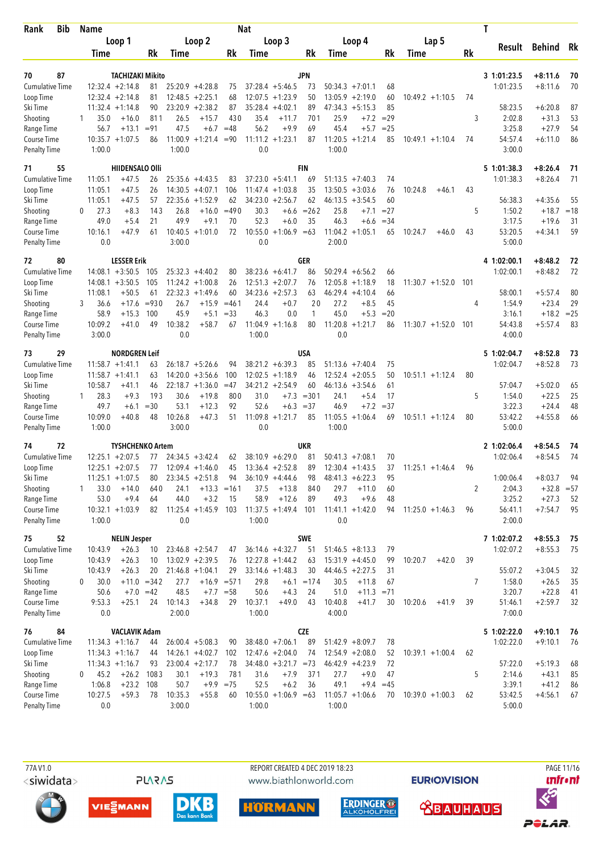| <b>Bib</b><br>Rank                 | <b>Name</b> |                                  |                         |                   |                       |               | <b>Nat</b>   |                         |                   |                             |                  |                  |                    |                | Т                        |                        |             |
|------------------------------------|-------------|----------------------------------|-------------------------|-------------------|-----------------------|---------------|--------------|-------------------------|-------------------|-----------------------------|------------------|------------------|--------------------|----------------|--------------------------|------------------------|-------------|
|                                    |             | Loop 1                           |                         |                   | Loop 2                |               |              | Loop 3                  |                   | Loop 4                      |                  |                  | Lap 5              |                |                          | Behind Rk              |             |
|                                    | Time        |                                  | Rk                      | Time              |                       | Rk            | Time         |                         | Rk                | Time                        |                  | Rk               | Time               | Rk             | Result                   |                        |             |
|                                    |             |                                  |                         |                   |                       |               |              |                         |                   |                             |                  |                  |                    |                |                          |                        |             |
| 70<br>87<br><b>Cumulative Time</b> |             | $12:32.4 + 2:14.8$               | <b>TACHIZAKI Mikito</b> |                   | $25:20.9 + 4:28.8$    |               |              | $37:28.4 + 5:46.5$      | JPN               | $50:34.3 +7:01.1$           |                  |                  |                    |                | 3 1:01:23.5<br>1:01:23.5 | $+8:11.6$<br>$+8:11.6$ | 70<br>70    |
| Loop Time                          |             | $12:32.4 +2:14.8$                | 81<br>81                |                   | $12:48.5 + 2:25.1$    | 75<br>68      |              | $12:07.5 +1:23.9$       | 73<br>50          | 13:05.9                     | $+2:19.0$        | 68<br>60         | $10:49.2 +1:10.5$  | 74             |                          |                        |             |
| Ski Time                           |             | $11:32.4 + 1:14.8$               | 90                      |                   | $23:20.9 + 2:38.2$    | 87            |              | $35:28.4 +4:02.1$       | 89                | $47:34.3 +5:15.3$           |                  | 85               |                    |                | 58:23.5                  | $+6:20.8$              | 87          |
| Shooting                           |             | 35.0<br>$+16.0$                  | 811                     | 26.5              | $+15.7$               | 430           | 35.4         | $+11.7$                 | 701               | 25.9                        | $+7.2$           | $= 29$           |                    | 3              | 2:02.8                   | $+31.3$                | 53          |
| Range Time                         |             | 56.7<br>$+13.1$                  | $= 91$                  | 47.5              | $+6.7$                | $=48$         | 56.2         | $+9.9$                  | 69                | 45.4                        | $+5.7$           | $= 25$           |                    |                | 3:25.8                   | $+27.9$                | 54          |
| Course Time                        |             | $10:35.7 + 1:07.5$               | 86                      |                   | $11:00.9 + 1:21.4$    | $= 90$        |              | $11:11.2 + 1:23.1$      | 87                | $11:20.5 + 1:21.4$          |                  | 85               | $10:49.1 + 1:10.4$ | 74             | 54:57.4                  | $+6:11.0$              | 86          |
| <b>Penalty Time</b>                | 1:00.0      |                                  |                         | 1:00.0            |                       |               | 0.0          |                         |                   | 1:00.0                      |                  |                  |                    |                | 3:00.0                   |                        |             |
| 55<br>71                           |             |                                  | <b>HIIDENSALO OIII</b>  |                   |                       |               |              |                         | <b>FIN</b>        |                             |                  |                  |                    |                | 5 1:01:38.3              | $+8:26.4$              | 71          |
| <b>Cumulative Time</b>             | 11:05.1     | $+47.5$                          | 26                      |                   | $25:35.6 +4:43.5$     | 83            |              | $37:23.0 + 5:41.1$      | 69                | $51:13.5 +7:40.3$           |                  | 74               |                    |                | 1:01:38.3                | $+8:26.4$              | 71          |
| Loop Time                          | 11:05.1     | $+47.5$                          | 26                      |                   | $14:30.5 +4:07.1$     | 106           |              | $11:47.4 + 1:03.8$      | 35                | 13:50.5                     | $+3:03.6$        | 76               | 10:24.8<br>$+46.1$ | 43             |                          |                        |             |
| Ski Time                           | 11:05.1     | $+47.5$                          | 57                      |                   | $22:35.6 + 1:52.9$    | 62            |              | $34:23.0 + 2:56.7$      | 62                | 46:13.5                     | $+3:54.5$        | 60               |                    |                | 56:38.3                  | $+4:35.6$              | 55          |
| Shooting                           | $\Omega$    | 27.3<br>$+8.3$<br>49.0<br>$+5.4$ | 143<br>21               | 26.8<br>49.9      | $+16.0$<br>$+9.1$     | $=490$<br>70  | 30.3<br>52.3 | $+6.6$<br>$+6.0$        | $= 262$<br>35     | 25.8<br>46.3                | $+7.1$           | $= 27$<br>$= 34$ |                    | 5              | 1:50.2<br>3:17.5         | $+18.7$<br>$+19.6$     | $=18$<br>31 |
| Range Time<br>Course Time          | 10:16.1     | $+47.9$                          | 61                      |                   | $10:40.5 + 1:01.0$    | 72            | 10:55.0      | $+1:06.9 = 63$          |                   | $11:04.2 +1:05.1$           | $+6.6$           | 65               | 10:24.7<br>$+46.0$ | 43             | 53:20.5                  | $+4:34.1$              | 59          |
| <b>Penalty Time</b>                |             | 0.0                              |                         | 3:00.0            |                       |               | 0.0          |                         |                   | 2:00.0                      |                  |                  |                    |                | 5:00.0                   |                        |             |
| 80<br>72                           |             | <b>LESSER Erik</b>               |                         |                   |                       |               |              |                         | GER               |                             |                  |                  |                    |                | 4 1:02:00.1              | $+8:48.2$              | 72          |
| <b>Cumulative Time</b>             |             | $14:08.1 + 3:50.5$               | 105                     |                   | $25:32.3 + 4:40.2$    | 80            |              | $38:23.6 + 6:41.7$      | 86                | $50:29.4 + 6:56.2$          |                  | 66               |                    |                | 1:02:00.1                | $+8:48.2$              | 72          |
| Loop Time                          |             | $14:08.1 + 3:50.5$               | 105                     |                   | $11:24.2 + 1:00.8$    | 26            |              | $12:51.3 + 2:07.7$      | 76                | 12:05.8                     | $+1:18.9$        | 18               | $11:30.7 + 1:52.0$ | 101            |                          |                        |             |
| Ski Time                           | 11:08.1     | $+50.5$                          | 61                      | 22:32.3           | $+1:49.6$             | 60            |              | $34:23.6 + 2:57.3$      | 63                | $46:29.4 +4:10.4$           |                  | 66               |                    |                | 58:00.1                  | $+5:57.4$              | 80          |
| Shooting                           | 3           | 36.6<br>$+17.6$                  | $= 930$                 | 26.7              | $+15.9$               | $=461$        | 24.4         | $+0.7$                  | 20                | 27.2                        | $+8.5$           | 45               |                    | 4              | 1:54.9                   | $+23.4$                | 29          |
| Range Time                         |             | 58.9<br>$+15.3$                  | 100                     | 45.9              | $+5.1$                | $= 33$        | 46.3         | 0.0                     | 1                 | 45.0                        | $+5.3$           | $= 20$           |                    |                | 3:16.1                   | $+18.2 = 25$           |             |
| Course Time                        | 10:09.2     | $+41.0$                          | 49                      | 10:38.2           | $+58.7$               | 67            | 11:04.9      | $+1:16.8$               | 80                | $11:20.8 + 1:21.7$          |                  | 86               | $11:30.7 + 1:52.0$ | 101            | 54:43.8                  | $+5:57.4$              | 83          |
| <b>Penalty Time</b>                | 3:00.0      |                                  |                         | 0.0               |                       |               | 1:00.0       |                         |                   | 0.0                         |                  |                  |                    |                | 4:00.0                   |                        |             |
| 73<br>29                           |             |                                  | <b>NORDGREN Leif</b>    |                   |                       |               |              |                         | USA               |                             |                  |                  |                    |                | 5 1:02:04.7              | $+8:52.8$              | 73          |
| <b>Cumulative Time</b>             |             | $11:58.7 + 1:41.1$               | 63                      |                   | $26:18.7 + 5:26.6$    | 94            |              | $38:21.2 + 6:39.3$      | 85                | $51:13.6 +7:40.4$           |                  | 75               |                    |                | 1:02:04.7                | $+8:52.8$              | 73          |
| Loop Time                          |             | $11:58.7 + 1:41.1$               | 63                      | 14:20.0           | $+3:56.6$             | 100           |              | $12:02.5 +1:18.9$       | 46                | 12:52.4                     | $+2:05.5$        | 50               | $10:51.1 + 1:12.4$ | 80             |                          |                        |             |
| Ski Time                           | 10:58.7     | $+41.1$                          | 46                      |                   | $22:18.7 + 1:36.0$    | $=47$         |              | $34:21.2 +2:54.9$       | 60                | $46:13.6 + 3:54.6$          |                  | 61               |                    |                | 57:04.7                  | $+5:02.0$              | 65          |
| Shooting<br>Range Time             | 1           | 28.3<br>$+9.3$<br>49.7<br>$+6.1$ | 193<br>$=30$            | 30.6<br>53.1      | $+19.8$<br>$+12.3$    | 800<br>92     | 31.0<br>52.6 | $+7.3$<br>$+6.3$        | $= 301$<br>$= 37$ | 24.1<br>46.9                | $+5.4$<br>$+7.2$ | 17<br>$=37$      |                    | 5              | 1:54.0<br>3:22.3         | $+22.5$<br>$+24.4$     | 25<br>48    |
| Course Time                        | 10:09.0     | $+40.8$                          | 48                      | 10:26.8           | $+47.3$               | 51            | 11:09.8      | $+1:21.7$               | 85                | $11:05.5 + 1:06.4$          |                  | 69               | $10:51.1 + 1:12.4$ | 80             | 53:42.2                  | $+4:55.8$              | 66          |
| <b>Penalty Time</b>                | 1:00.0      |                                  |                         | 3:00.0            |                       |               | 0.0          |                         |                   | 1:00.0                      |                  |                  |                    |                | 5:00.0                   |                        |             |
| 74<br>72                           |             |                                  | <b>TYSHCHENKO Artem</b> |                   |                       |               |              |                         | <b>UKR</b>        |                             |                  |                  |                    |                | 2 1:02:06.4              | $+8:54.5$              | 74          |
| <b>Cumulative Time</b>             |             | $12:25.1 + 2:07.5$               | 77                      |                   | $24:34.5 + 3:42.4$    | 62            |              | $38:10.9 + 6:29.0$      | 81                | 50:41.3                     | $+7:08.1$        | 70               |                    |                | 1:02:06.4                | $+8:54.5$              | 74          |
| Loop Time                          |             | $12:25.1 + 2:07.5$               | 77                      |                   | $12:09.4 + 1:46.0$    | 45            |              | $13:36.4 + 2:52.8$      | 89                | $12:30.4 +1:43.5$           |                  | 37               | $11:25.1 + 1:46.4$ | 96             |                          |                        |             |
| Ski Time                           |             | $11:25.1 + 1:07.5$               | 80                      |                   | $23:34.5 + 2:51.8$    | 94            |              | $36:10.9 +4:44.6$       | 98                | $48:41.3 + 6:22.3$          |                  | 95               |                    |                | 1:00:06.4                | $+8:03.7$              | 94          |
| Shooting                           |             | $+14.0$<br>33.0                  | 640                     | 24.1              |                       | $+13.3 = 161$ | 37.5         | $+13.8$                 | 840               | 29.7                        | $+11.0$          | 60               |                    | 2              | 2:04.3                   | $+32.8 = 57$           |             |
| Range Time                         |             | 53.0<br>$+9.4$                   | 64                      | 44.0              | $+3.2$                | -15           | 58.9         | $+12.6$                 | 89                | 49.3                        | $+9.6$           | 48               |                    |                | 3:25.2                   | $+27.3$                | 52          |
| Course Time<br>Penalty Time        | 1:00.0      | $10:32.1 + 1:03.9$               | 82                      | 0.0               | $11:25.4 +1:45.9$ 103 |               | 1:00.0       | $11:37.5 + 1:49.4$      | 101               | $11:41.1 + 1:42.0$<br>0.0   |                  | 94               | $11:25.0 +1:46.3$  | 96             | 56:41.1<br>2:00.0        | $+7:54.7$              | 95          |
|                                    |             |                                  |                         |                   |                       |               |              |                         |                   |                             |                  |                  |                    |                |                          |                        |             |
| 52<br>75<br><b>Cumulative Time</b> | 10:43.9     | <b>NELIN Jesper</b><br>$+26.3$   | 10                      |                   | $23:46.8 + 2:54.7$    | 47            |              | $36:14.6 + 4:32.7$      | SWE<br>51         | $51:46.5 + 8:13.3$          |                  | 79               |                    |                | 7 1:02:07.2<br>1:02:07.2 | $+8:55.3$<br>$+8:55.3$ | 75<br>75    |
| Loop Time                          | 10:43.9     | $+26.3$                          | 10                      |                   | $13:02.9 + 2:39.5$    | 76            |              | $12:27.8 + 1:44.2$      | 63                | $15:31.9 +4:45.0$           |                  | 99               | 10:20.7<br>$+42.0$ | 39             |                          |                        |             |
| Ski Time                           | 10:43.9     | $+26.3$                          | 20                      |                   | $21:46.8 + 1:04.1$    | 29            |              | $33:14.6 + 1:48.3$      | 30                | $44:46.5 +2:27.5$           |                  | 31               |                    |                | 55:07.2                  | $+3:04.5$              | 32          |
| Shooting                           | 0           | 30.0                             | $+11.0 = 342$           | 27.7              |                       | $+16.9 = 571$ | 29.8         | $+6.1$                  | $=174$            | 30.5                        | $+11.8$          | 67               |                    | $\overline{7}$ | 1:58.0                   | $+26.5$                | 35          |
| Range Time                         |             | 50.6                             | $+7.0 = 42$             | 48.5              |                       | $+7.7 = 58$   | 50.6         | $+4.3$                  | 24                | 51.0                        | $+11.3 = 71$     |                  |                    |                | 3:20.7                   | $+22.8$                | 41          |
| Course Time                        | 9:53.3      | $+25.1$                          | 24                      | 10:14.3           | $+34.8$               | 29            | 10:37.1      | $+49.0$                 | 43                | 10:40.8                     | $+41.7$          | 30               | 10:20.6<br>$+41.9$ | 39             | 51:46.1                  | $+2:59.7$              | 32          |
| Penalty Time                       |             | 0.0                              |                         | 2:00.0            |                       |               | 1:00.0       |                         |                   | 4:00.0                      |                  |                  |                    |                | 7:00.0                   |                        |             |
| 76<br>84                           |             |                                  | <b>VACLAVIK Adam</b>    |                   |                       |               |              |                         | <b>CZE</b>        |                             |                  |                  |                    |                | 5 1:02:22.0              | $+9:10.1$              | -76         |
| <b>Cumulative Time</b>             |             | $11:34.3 +1:16.7$                | 44                      |                   | $26:00.4 + 5:08.3$    | 90            |              | $38:48.0 +7:06.1$       | 89                | $51:42.9 + 8:09.7$          |                  | 78               |                    |                | 1:02:22.0                | $+9:10.1$              | 76          |
| Loop Time                          |             | $11:34.3 +1:16.7$                | 44                      |                   | $14:26.1 + 4:02.7$    | 102           |              | $12:47.6 + 2:04.0$      | 74                | $12:54.9 + 2:08.0$          |                  | 52               | $10:39.1 + 1:00.4$ | 62             |                          |                        |             |
| Ski Time                           |             | $11:34.3 +1:16.7$                | 93                      |                   | $23:00.4 +2:17.7$     | 78            |              | $34:48.0 + 3:21.7 = 73$ |                   | $46:42.9 + 4:23.9$          |                  | 72               |                    |                | 57:22.0                  | $+5:19.3$              | 68          |
| Shooting                           | 0           | 45.2<br>$+26.2$                  | 1083                    | 30.1              | $+19.3$               | 781           | 31.6         | $+7.9$                  | 371               | 27.7                        | $+9.0$           | 47               |                    | 5              | 2:14.6                   | $+43.1$                | 85          |
| Range Time                         | 1:06.8      | $+23.2$                          | 108                     | 50.7              |                       | $+9.9 = 75$   | 52.5         | $+6.2$                  | 36                | 49.1                        | $+9.4$           | $=45$            |                    |                | 3:39.1                   | $+41.2$                | 86          |
| Course Time<br>Penalty Time        | 10:27.5     | $+59.3$<br>0.0                   | 78                      | 10:35.3<br>3:00.0 | $+55.8$               | 60            | 1:00.0       | $10:55.0 +1:06.9 = 63$  |                   | $11:05.7 +1:06.6$<br>1:00.0 |                  | 70               | $10:39.0 +1:00.3$  | 62             | 53:42.5<br>5:00.0        | $+4:56.1$              | 67          |
|                                    |             |                                  |                         |                   |                       |               |              |                         |                   |                             |                  |                  |                    |                |                          |                        |             |

**PLARAS** 

REPORT CREATED 4 DEC 2019 18:23 www.biathlonworld.com











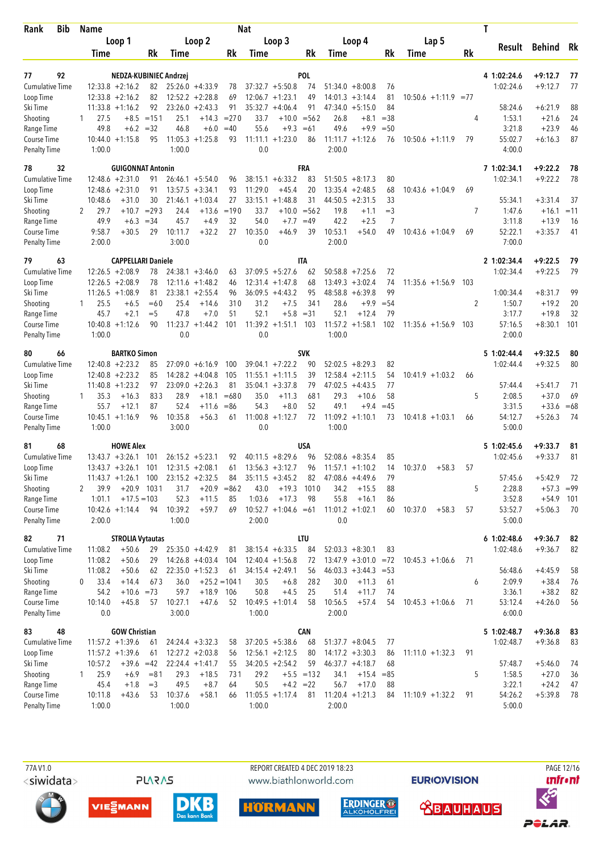| <b>Bib</b><br>Rank                  |   | Name             |                                          |                 |                   |                                         |               | <b>Nat</b>     |                                          |               |                                            |         |              |                    |        | Τ                 |                             |          |
|-------------------------------------|---|------------------|------------------------------------------|-----------------|-------------------|-----------------------------------------|---------------|----------------|------------------------------------------|---------------|--------------------------------------------|---------|--------------|--------------------|--------|-------------------|-----------------------------|----------|
|                                     |   |                  | Loop 1                                   |                 |                   | Loop 2                                  |               |                | Loop 3                                   |               | Loop 4                                     |         |              | Lap 5              |        | Result            |                             |          |
|                                     |   | Time             |                                          | Rk              | Time              |                                         | Rk            | Time           |                                          | Rk            | Time                                       |         | Rk           | Time               | Rk     |                   | Behind Rk                   |          |
|                                     |   |                  |                                          |                 |                   |                                         |               |                |                                          |               |                                            |         |              |                    |        |                   |                             |          |
| 92<br>77                            |   |                  | NEDZA-KUBINIEC Andrzej                   |                 |                   |                                         |               |                |                                          | <b>POL</b>    |                                            |         |              |                    |        | 4 1:02:24.6       | $+9:12.7$                   | 77       |
| <b>Cumulative Time</b><br>Loop Time |   |                  | $12:33.8 + 2:16.2$<br>$12:33.8 + 2:16.2$ | 82<br>82        |                   | $25:26.0 +4:33.9$<br>$12:52.2 + 2:28.8$ | 78<br>69      |                | $37:32.7 + 5:50.8$<br>$12:06.7 + 1:23.1$ | 74<br>49      | $51:34.0 + 8:00.8$<br>14:01.3<br>$+3:14.4$ |         | 76<br>81     | $10:50.6 + 1:11.9$ | $= 77$ | 1:02:24.6         | $+9:12.7$                   | 77       |
| Ski Time                            |   |                  | $11:33.8 + 1:16.2$                       | 92              |                   | $23:26.0 + 2:43.3$                      | 91            |                | $35:32.7 +4:06.4$                        | 91            | $47:34.0 + 5:15.0$                         |         | 84           |                    |        | 58:24.6           | $+6:21.9$                   | 88       |
| Shooting                            | 1 | 27.5             |                                          | $+8.5 = 151$    | 25.1              | $+14.3$                                 | $= 270$       | 33.7           |                                          | $+10.0 = 562$ | 26.8                                       | $+8.1$  | $= 38$       |                    | 4      | 1:53.1            | $+21.6$                     | 24       |
| Range Time                          |   | 49.8             | $+6.2 = 32$                              |                 | 46.8              | $+6.0$                                  | $=40$         | 55.6           | $+9.3$                                   | $=61$         | 49.6                                       | $+9.9$  | $=50$        |                    |        | 3:21.8            | $+23.9$                     | 46       |
| Course Time                         |   |                  | $10:44.0 + 1:15.8$                       | 95              |                   | $11:05.3 +1:25.8$                       | 93            |                | $11:11.1 + 1:23.0$                       | 86            | $11:11.7 + 1:12.6$                         |         | 76           | $10:50.6 +1:11.9$  | 79     | 55:02.7           | $+6:16.3$                   | 87       |
| <b>Penalty Time</b>                 |   | 1:00.0           |                                          |                 | 1:00.0            |                                         |               | 0.0            |                                          |               | 2:00.0                                     |         |              |                    |        | 4:00.0            |                             |          |
| 32<br>78                            |   |                  | <b>GUIGONNAT Antonin</b>                 |                 |                   |                                         |               |                |                                          | FRA           |                                            |         |              |                    |        | 7 1:02:34.1       | $+9:22.2$                   | 78       |
| <b>Cumulative Time</b>              |   |                  | $12:48.6 + 2:31.0$                       | 91              |                   | $26:46.1 + 5:54.0$                      | 96            |                | $38:15.1 + 6:33.2$                       | 83            | $51:50.5 + 8:17.3$                         |         | 80           |                    |        | 1:02:34.1         | $+9:22.2$                   | 78       |
| Loop Time                           |   |                  | $12:48.6 + 2:31.0$                       | 91              |                   | $13:57.5 + 3:34.1$                      | 93            | 11:29.0        | $+45.4$                                  | 20            | 13:35.4<br>$+2:48.5$                       |         | 68           | $10:43.6 + 1:04.9$ | 69     |                   |                             |          |
| Ski Time                            |   | 10:48.6          | $+31.0$                                  | 30              |                   | $21:46.1 + 1:03.4$                      | 27            |                | $33:15.1 + 1:48.8$                       | 31            | $44:50.5 +2:31.5$                          |         | 33           |                    |        | 55:34.1           | $+3:31.4$                   | 37       |
| Shooting                            | 2 | 29.7             | $+10.7$                                  | $= 293$         | 24.4              | $+13.6$                                 | $=190$        | 33.7           |                                          | $+10.0 = 562$ | 19.8                                       | $+1.1$  | $=$ 3        |                    | 7      | 1:47.6            | $+16.1$                     | $=11$    |
| Range Time                          |   | 49.9             | $+6.3$                                   | $= 34$          | 45.7              | $+4.9$                                  | 32            | 54.0           | $+7.7$                                   | $=49$         | 42.2                                       | $+2.5$  | 7            |                    |        | 3:11.8            | $+13.9$                     | 16       |
| Course Time<br>Penalty Time         |   | 9:58.7<br>2:00.0 | $+30.5$                                  | 29              | 10:11.7<br>3:00.0 | $+32.2$                                 | 27            | 10:35.0<br>0.0 | $+46.9$                                  | 39            | 10:53.1<br>$+54.0$<br>2:00.0               |         | 49           | $10:43.6 + 1:04.9$ | 69     | 52:22.1<br>7:00.0 | $+3:35.7$                   | 41       |
|                                     |   |                  |                                          |                 |                   |                                         |               |                |                                          |               |                                            |         |              |                    |        |                   |                             |          |
| 79<br>63                            |   |                  | <b>CAPPELLARI Daniele</b>                |                 |                   |                                         |               |                |                                          | <b>ITA</b>    |                                            |         |              |                    |        | 2 1:02:34.4       | $+9:22.5$                   | 79       |
| <b>Cumulative Time</b>              |   |                  | $12:26.5 + 2:08.9$                       | 78              |                   | $24:38.1 + 3:46.0$                      | 63            |                | $37:09.5 + 5:27.6$                       | 62            | $50:58.8$ +7:25.6                          |         | 72           |                    |        | 1:02:34.4         | $+9:22.5$                   | 79       |
| Loop Time                           |   |                  | $12:26.5 + 2:08.9$                       | 78              |                   | $12:11.6 + 1:48.2$                      | 46            |                | $12:31.4 +1:47.8$                        | 68            | $13:49.3 + 3:02.4$                         |         | 74           | $11:35.6 + 1:56.9$ | 103    |                   |                             |          |
| Ski Time                            |   |                  | $11:26.5 + 1:08.9$                       | 81              |                   | $23:38.1 + 2:55.4$                      | 96<br>310     |                | $36:09.5 +4:43.2$<br>$+7.5$              | 95<br>341     | 48:58.8<br>$+6:39.8$                       |         | 99           |                    |        | 1:00:34.4         | $+8:31.7$                   | 99       |
| Shooting<br>Range Time              | 1 | 25.5<br>45.7     | $+6.5$<br>$+2.1$                         | $=60$<br>$=$ 5  | 25.4<br>47.8      | $+14.6$<br>$+7.0$                       | 51            | 31.2<br>52.1   | $+5.8$                                   | $= 31$        | 28.6<br>52.1<br>$+12.4$                    | $+9.9$  | $= 54$<br>79 |                    | 2      | 1:50.7<br>3:17.7  | $+19.2$<br>$+19.8$          | 20<br>32 |
| Course Time                         |   |                  | $10:40.8 + 1:12.6$                       | 90              |                   | $11:23.7 + 1:44.2$                      | 101           | 11:39.2        | $+1:51.1$                                | 103           | 11:57.2<br>$+1:58.1$                       |         | 102          | $11:35.6 + 1:56.9$ | 103    | 57:16.5           | $+8:30.1$                   | 101      |
| <b>Penalty Time</b>                 |   | 1:00.0           |                                          |                 | 0.0               |                                         |               | 0.0            |                                          |               | 1:00.0                                     |         |              |                    |        | 2:00.0            |                             |          |
| 80<br>66                            |   |                  | <b>BARTKO Simon</b>                      |                 |                   |                                         |               |                |                                          | <b>SVK</b>    |                                            |         |              |                    |        | 5 1:02:44.4       | $+9:32.5$                   | 80       |
| <b>Cumulative Time</b>              |   |                  | $12:40.8 + 2:23.2$                       | 85              |                   | $27:09.0 + 6:16.9$                      | 100           |                | $39:04.1 + 7:22.2$                       | 90            | $52:02.5 + 8:29.3$                         |         | 82           |                    |        | 1:02:44.4         | $+9:32.5$                   | 80       |
| Loop Time                           |   |                  | $12:40.8 + 2:23.2$                       | 85              |                   | $14:28.2 + 4:04.8$                      | 105           |                | $11:55.1 + 1:11.5$                       | 39            | $12:58.4 + 2:11.5$                         |         | 54           | $10:41.9 + 1:03.2$ | 66     |                   |                             |          |
| Ski Time                            |   |                  | $11:40.8 + 1:23.2$                       | 97              |                   | $23:09.0 + 2:26.3$                      | 81            |                | $35:04.1 + 3:37.8$                       | 79            | 47:02.5<br>$+4:43.5$                       |         | 77           |                    |        | 57:44.4           | $+5:41.7$                   | 71       |
| Shooting                            |   | 35.3             | $+16.3$                                  | 833             | 28.9              | $+18.1$                                 | $=680$        | 35.0           | $+11.3$                                  | 681           | 29.3<br>$+10.6$                            |         | 58           |                    | 5      | 2:08.5            | $+37.0$                     | 69       |
| Range Time                          |   | 55.7             | $+12.1$                                  | 87              | 52.4              | $+11.6$                                 | $= 86$        | 54.3           | $+8.0$                                   | 52            | 49.1                                       | $+9.4$  | $=45$        |                    |        | 3:31.5            | $+33.6$                     | $=68$    |
| Course Time                         |   |                  | $10:45.1 + 1:16.9$                       | 96              | 10:35.8           | $+56.3$                                 | 61            | 11:00.8        | $+1:12.7$                                | 72            | $11:09.2 +1:10.1$                          |         | 73           | $10:41.8 + 1:03.1$ | 66     | 54:12.7           | $+5:26.3$                   | -74      |
| <b>Penalty Time</b>                 |   | 1:00.0           |                                          |                 | 3:00.0            |                                         |               | 0.0            |                                          |               | 1:00.0                                     |         |              |                    |        | 5:00.0            |                             |          |
| 81<br>68                            |   |                  | <b>HOWE Alex</b>                         |                 |                   |                                         |               |                |                                          | <b>USA</b>    |                                            |         |              |                    |        | 5 1:02:45.6       | $+9:33.7$                   | 81       |
| Cumulative Time                     |   |                  | $13:43.7 + 3:26.1$                       | 101             |                   | $26:15.2 + 5:23.1$                      | 92            |                | $40:11.5 + 8:29.6$                       | 96            | $52:08.6 + 8:35.4$                         |         | 85           |                    |        | 1:02:45.6         | $+9:33.7$                   | 81       |
| Loop Time                           |   |                  | $13:43.7 + 3:26.1$ 101                   |                 |                   | $12:31.5 + 2:08.1$                      | 61            |                | $13:56.3 + 3:12.7$                       | 96            | $11:57.1 + 1:10.2$                         |         | 14           | 10:37.0<br>$+58.3$ | 57     |                   |                             |          |
| Ski Time                            |   |                  | $11:43.7 + 1:26.1$                       | 100             |                   | $23:15.2 + 2:32.5$                      | 84            |                | $35:11.5 + 3:45.2$                       | 82            | $47:08.6 +4:49.6$                          |         | 79           |                    |        | 57:45.6           | $+5:42.9$                   | -72      |
| Shooting<br>Range Time              | 2 | 39.9<br>1:01.1   | $+20.9$ 1031<br>$+17.5 = 103$            |                 | 31.7<br>52.3      | $+20.9$<br>$+11.5$                      | $= 862$<br>85 | 43.0<br>1:03.6 | $+19.3$<br>$+17.3$                       | 1010<br>98    | 34.2<br>$+15.5$<br>55.8<br>$+16.1$         |         | 88           |                    | 5      | 2:28.8<br>3:52.8  | $+57.3 = 99$<br>$+54.9$ 101 |          |
| Course Time                         |   |                  | $10:42.6 + 1:14.4$                       | 94              | 10:39.2           | $+59.7$                                 | 69            |                | $10:52.7 +1:04.6 = 61$                   |               | $11:01.2 +1:02.1$                          |         | 86<br>60     | 10:37.0<br>$+58.3$ | 57     | 53:52.7           | $+5:06.3$                   | 70       |
| <b>Penalty Time</b>                 |   | 2:00.0           |                                          |                 | 1:00.0            |                                         |               | 2:00.0         |                                          |               | 0.0                                        |         |              |                    |        | 5:00.0            |                             |          |
| 82<br>71                            |   |                  | <b>STROLIA Vytautas</b>                  |                 |                   |                                         |               |                |                                          | <b>LTU</b>    |                                            |         |              |                    |        | 61:02:48.6        | $+9:36.7$                   | 82       |
| <b>Cumulative Time</b>              |   | 11:08.2          | $+50.6$                                  | 29              |                   | $25:35.0 +4:42.9$                       | 81            |                | $38:15.4 + 6:33.5$                       | 84            | $52:03.3 + 8:30.1$                         |         | 83           |                    |        | 1:02:48.6         | $+9:36.7$                   | 82       |
| Loop Time                           |   | 11:08.2          | $+50.6$                                  | 29              |                   | $14:26.8 + 4:03.4$                      | 104           |                | $12:40.4 + 1:56.8$                       | 72            | $13:47.9 + 3:01.0 = 72$                    |         |              | $10:45.3 +1:06.6$  | 71     |                   |                             |          |
| Ski Time                            |   | 11:08.2          | $+50.6$                                  | 62              |                   | $22:35.0 + 1:52.3$                      | 61            |                | $34:15.4 +2:49.1$                        | 56            | $46:03.3 +3:44.3 = 53$                     |         |              |                    |        | 56:48.6           | $+4:45.9$                   | 58       |
| Shooting                            | 0 | 33.4             | $+14.4$                                  | 673             | 36.0              | $+25.2 = 1041$                          |               | 30.5           | $+6.8$                                   | 282           | 30.0<br>$+11.3$                            |         | 61           |                    | 6      | 2:09.9            | $+38.4$                     | 76       |
| Range Time                          |   | 54.2             | $+10.6 = 73$                             |                 | 59.7              | $+18.9$ 106                             |               | 50.8           | $+4.5$                                   | 25            | 51.4<br>$+11.7$                            |         | 74           |                    |        | 3:36.1            | $+38.2$                     | 82       |
| Course Time                         |   | 10:14.0          | $+45.8$                                  | 57              | 10:27.1           | $+47.6$                                 | 52            |                | $10:49.5 + 1:01.4$                       | 58            | 10:56.5<br>$+57.4$                         |         | 54           | $10:45.3 +1:06.6$  | 71     | 53:12.4           | $+4:26.0$                   | 56       |
| <b>Penalty Time</b>                 |   | 0.0              |                                          |                 | 3:00.0            |                                         |               | 1:00.0         |                                          |               | 2:00.0                                     |         |              |                    |        | 6:00.0            |                             |          |
| 48<br>83                            |   |                  | <b>GOW Christian</b>                     |                 |                   |                                         |               |                |                                          | CAN           |                                            |         |              |                    |        | 5 1:02:48.7       | $+9:36.8$                   | 83       |
| <b>Cumulative Time</b>              |   |                  | $11:57.2 + 1:39.6$                       | 61              |                   | $24:24.4 + 3:32.3$                      | 58            |                | $37:20.5 + 5:38.6$                       | 68            | $51:37.7 + 8:04.5$                         |         | 77           |                    |        | 1:02:48.7         | $+9:36.8$                   | 83       |
| Loop Time                           |   |                  | $11:57.2 + 1:39.6$                       | 61              |                   | $12:27.2 + 2:03.8$                      | 56            |                | $12:56.1 + 2:12.5$                       | 80            | $14:17.2 +3:30.3$                          |         | 86           | $11:11.0 + 1:32.3$ | 91     |                   |                             |          |
| Ski Time                            |   | 10:57.2          | $+39.6 = 42$                             |                 |                   | $22:24.4 + 1:41.7$                      | 55            |                | $34:20.5 +2:54.2$                        | 59            | $46:37.7 + 4:18.7$                         |         | 68           |                    |        | 57:48.7           | $+5:46.0$                   | -74      |
| Shooting<br>Range Time              | 1 | 25.9<br>45.4     | $+6.9$<br>$+1.8$                         | $= 81$<br>$=$ 3 | 29.3<br>49.5      | $+18.5$<br>$+8.7$                       | 731<br>64     | 29.2<br>50.5   | $+4.2 = 22$                              | $+5.5 = 132$  | 34.1<br>56.7<br>$+17.0$                    | $+15.4$ | $= 85$<br>88 |                    | 5      | 1:58.5<br>3:22.1  | $+27.0$<br>$+24.2$          | 36<br>47 |
| Course Time                         |   | 10:11.8          | $+43.6$                                  | 53              | 10:37.6           | $+58.1$                                 | 66            |                | $11:05.5 +1:17.4$                        | 81            | $11:20.4 +1:21.3$                          |         | 84           | $11:10.9 + 1:32.2$ | 91     | 54:26.2           | $+5:39.8$                   | 78       |
| Penalty Time                        |   | 1:00.0           |                                          |                 | 1:00.0            |                                         |               | 1:00.0         |                                          |               | 2:00.0                                     |         |              |                    |        | 5:00.0            |                             |          |
|                                     |   |                  |                                          |                 |                   |                                         |               |                |                                          |               |                                            |         |              |                    |        |                   |                             |          |

**PLARAS** 

REPORT CREATED 4 DEC 2019 18:23 www.biathlonworld.com

**EURIOVISION** 













PAGE 12/16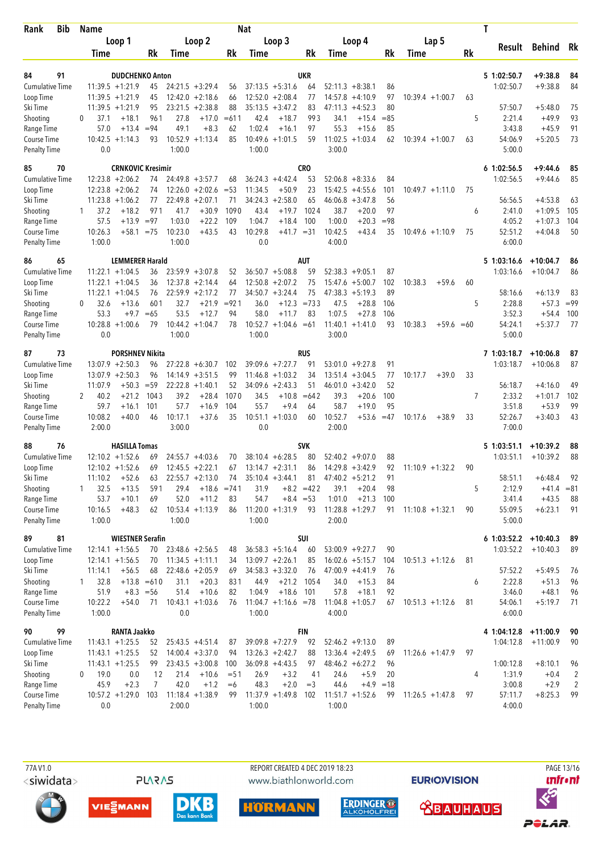| Bib<br>Rank                        |  | <b>Name</b>       |                                              | <b>Nat</b>    |         |                               |               |                 |                           |                  |                |                      |           | T                  |              |    |                          |                      |                |  |
|------------------------------------|--|-------------------|----------------------------------------------|---------------|---------|-------------------------------|---------------|-----------------|---------------------------|------------------|----------------|----------------------|-----------|--------------------|--------------|----|--------------------------|----------------------|----------------|--|
|                                    |  |                   | Loop 1                                       |               |         | Loop 2                        |               |                 | Loop 3                    |                  |                | Loop 4               |           |                    | Lap 5        |    | Result                   | Behind Rk            |                |  |
|                                    |  | <b>Time</b>       |                                              | Rk            | Time    |                               | Rk            | Time            |                           | Rk               | Time           |                      | Rk        | Time               |              | Rk |                          |                      |                |  |
|                                    |  |                   |                                              |               |         |                               |               |                 |                           |                  |                |                      |           |                    |              |    |                          |                      |                |  |
| 84<br>91<br><b>Cumulative Time</b> |  |                   | <b>DUDCHENKO Anton</b><br>$11:39.5 + 1:21.9$ | 45            |         | $24:21.5 + 3:29.4$            | 56            |                 | $37:13.5 + 5:31.6$        | <b>UKR</b><br>64 |                | $52:11.3 + 8:38.1$   | 86        |                    |              |    | 5 1:02:50.7<br>1:02:50.7 | +9:38.8<br>$+9:38.8$ | 84<br>84       |  |
| Loop Time                          |  |                   | $11:39.5 + 1:21.9$                           | 45            |         | $12:42.0 + 2:18.6$            | 66            |                 | $12:52.0 + 2:08.4$        | 77               | 14:57.8        | $+4:10.9$            | 97        | $10:39.4 +1:00.7$  |              | 63 |                          |                      |                |  |
| Ski Time                           |  |                   | $11:39.5 + 1:21.9$                           | 95            |         | $23:21.5 + 2:38.8$            | 88            |                 | $35:13.5 + 3:47.2$        | 83               | 47:11.3        | $+4:52.3$            | 80        |                    |              |    | 57:50.7                  | $+5:48.0$            | 75             |  |
| Shooting                           |  | 37.1<br>$\Omega$  | $+18.1$                                      | 961           | 27.8    | $+17.0$                       | $=611$        | 42.4            | $+18.7$                   | 993              | 34.1           | $+15.4$              | $=85$     |                    |              | 5  | 2:21.4                   | $+49.9$              | 93             |  |
| Range Time                         |  | 57.0              | $+13.4$                                      | $= 94$        | 49.1    | $+8.3$                        | 62            | 1:02.4          | $+16.1$                   | 97               | 55.3           | $+15.6$              | 85        |                    |              |    | 3:43.8                   | $+45.9$              | 91             |  |
| Course Time                        |  |                   | $10:42.5 + 1:14.3$                           | 93            |         | $10:52.9 + 1:13.4$            | 85            | 10:49.6         | $+1:01.5$                 | 59               | 11:02.5        | $+1:03.4$            | 62        | $10:39.4 +1:00.7$  |              | 63 | 54:06.9                  | $+5:20.5$            | 73             |  |
| <b>Penalty Time</b>                |  | 0.0               |                                              |               | 1:00.0  |                               |               | 1:00.0          |                           |                  | 3:00.0         |                      |           |                    |              |    | 5:00.0                   |                      |                |  |
| 85<br>70                           |  |                   | <b>CRNKOVIC Kresimir</b>                     |               |         |                               |               |                 |                           | <b>CRO</b>       |                |                      |           |                    |              |    | 61:02:56.5               | +9:44.6              | 85             |  |
| <b>Cumulative Time</b>             |  |                   | $12:23.8 + 2:06.2$                           | 74            |         | $24:49.8 + 3:57.7$            | 68            |                 | $36:24.3 +4:42.4$         | 53               |                | $52:06.8 + 8:33.6$   | 84        |                    |              |    | 1:02:56.5                | $+9:44.6$            | 85             |  |
| Loop Time                          |  |                   | $12:23.8 + 2:06.2$                           | 74            | 12:26.0 | $+2:02.6$                     | $= 53$        | 11:34.5         | $+50.9$                   | 23               | 15:42.5        | $+4:55.6$            | 101       | $10:49.7 +1:11.0$  |              | 75 |                          |                      |                |  |
| Ski Time                           |  |                   | $11:23.8 + 1:06.2$                           | 77            | 22:49.8 | $+2:07.1$                     | 71            | 34:24.3         | $+2:58.0$                 | 65               |                | $46:06.8 + 3:47.8$   | 56        |                    |              |    | 56:56.5                  | $+4:53.8$            | 63             |  |
| Shooting                           |  | 37.2<br>1         | $+18.2$                                      | 971           | 41.7    | $+30.9$                       | 1090          | 43.4            | $+19.7$                   | 1024             | 38.7           | $+20.0$              | 97        |                    |              | 6  | 2:41.0                   | $+1:09.5$            | 105            |  |
| Range Time                         |  | 57.5              | $+13.9$                                      | $= 97$        | 1:03.0  | $+22.2$                       | 109           | 1:04.7          | $+18.4$                   | 100              | 1:00.0         | $+20.3$              | $= 98$    |                    |              |    | 4:05.2                   | $+1:07.3$            | 104            |  |
| Course Time                        |  | 10:26.3           | $+58.1$                                      | $= 75$        | 10:23.0 | $+43.5$                       | 43            | 10:29.8         | $+41.7 = 31$              |                  | 10:42.5        | $+43.4$              | 35        | $10:49.6 +1:10.9$  |              | 75 | 52:51.2                  | $+4:04.8$            | 50             |  |
| <b>Penalty Time</b>                |  | 1:00.0            |                                              |               | 1:00.0  |                               |               | 0.0             |                           |                  | 4:00.0         |                      |           |                    |              |    | 6:00.0                   |                      |                |  |
| 86<br>65                           |  |                   | <b>LEMMERER Harald</b>                       |               |         |                               |               |                 |                           | <b>AUT</b>       |                |                      |           |                    |              |    | 5 1:03:16.6              | $+10:04.7$           | 86             |  |
| <b>Cumulative Time</b>             |  |                   | $11:22.1 + 1:04.5$                           | 36            |         | $23:59.9 + 3:07.8$            | 52            |                 | $36:50.7 + 5:08.8$        | 59               |                | $52:38.3 +9:05.1$    | 87        |                    |              |    | 1:03:16.6                | $+10:04.7$           | 86             |  |
| Loop Time                          |  |                   | $11:22.1 + 1:04.5$                           | 36            |         | $12:37.8 + 2:14.4$            | 64            |                 | $12:50.8 + 2:07.2$        | 75               |                | $15:47.6 + 5:00.7$   | 102       | 10:38.3            | $+59.6$      | 60 |                          |                      |                |  |
| Ski Time                           |  |                   | $11:22.1 + 1:04.5$                           | 76            |         | $22:59.9 + 2:17.2$            | 77            |                 | $34:50.7 + 3:24.4$        | 75               |                | $47:38.3 + 5:19.3$   | 89        |                    |              |    | 58:16.6                  | $+6:13.9$            | 83             |  |
| Shooting                           |  | 32.6<br>$\Omega$  | $+13.6$                                      | 601           | 32.7    | $+21.9$                       | $= 921$<br>94 | 36.0            | $+12.3 = 733$             |                  | 47.5<br>1:07.5 | $+28.8$              | 106       |                    |              | 5  | 2:28.8                   | $+57.3$              | $= 99$         |  |
| Range Time<br>Course Time          |  | 53.3              | $+9.7$<br>$10:28.8 + 1:00.6$                 | $=65$<br>79   | 53.5    | $+12.7$<br>$10:44.2 + 1:04.7$ | 78            | 58.0<br>10:52.7 | $+11.7$<br>$+1:04.6 = 61$ | 83               | 11:40.1        | $+27.8$<br>$+1:41.0$ | 106<br>93 | 10:38.3            | $+59.6 = 60$ |    | 3:52.3<br>54:24.1        | $+54.4$<br>$+5:37.7$ | 100<br>77      |  |
| <b>Penalty Time</b>                |  | 0.0               |                                              |               | 1:00.0  |                               |               | 1:00.0          |                           |                  | 3:00.0         |                      |           |                    |              |    | 5:00.0                   |                      |                |  |
| 87<br>73                           |  |                   | <b>PORSHNEV Nikita</b>                       |               |         |                               |               |                 |                           | <b>RUS</b>       |                |                      |           |                    |              |    | 7 1:03:18.7              | $+10:06.8$           | 87             |  |
| Cumulative Time                    |  |                   | $13:07.9 + 2:50.3$                           | 96            |         | $27:22.8 + 6:30.7$            | 102           |                 | $39:09.6 + 7:27.7$        | 91               | 53:01.0        | $+9:27.8$            | 91        |                    |              |    | 1:03:18.7                | $+10:06.8$           | 87             |  |
| Loop Time                          |  |                   | $13:07.9 + 2:50.3$                           | 96            |         | $14:14.9 + 3:51.5$            | 99            |                 | $11:46.8 + 1:03.2$        | 34               | 13:51.4        | $+3:04.5$            | 77        | 10:17.7            | $+39.0$      | 33 |                          |                      |                |  |
| Ski Time                           |  | 11:07.9           | $+50.3$                                      | $= 59$        |         | $22:22.8 + 1:40.1$            | 52            |                 | $34:09.6 + 2:43.3$        | 51               | 46:01.0        | $+3:42.0$            | 52        |                    |              |    | 56:18.7                  | $+4:16.0$            | 49             |  |
| Shooting                           |  | 40.2<br>2         | $+21.2$                                      | 1043          | 39.2    | $+28.4$                       | 1070          | 34.5            | $+10.8$                   | $=642$           | 39.3           | $+20.6$              | 100       |                    |              | 7  | 2:33.2                   | $+1:01.7$            | 102            |  |
| Range Time                         |  | 59.7              | $+16.1$                                      | 101           | 57.7    | $+16.9$                       | 104           | 55.7            | $+9.4$                    | 64               | 58.7           | $+19.0$              | 95        |                    |              |    | 3:51.8                   | $+53.9$              | 99             |  |
| Course Time                        |  | 10:08.2           | $+40.0$                                      | 46            | 10:17.1 | $+37.6$                       | 35            |                 | $10:51.1 + 1:03.0$        | 60               | 10:52.7        | $+53.6$              | $=47$     | 10:17.6            | $+38.9$      | 33 | 52:26.7                  | $+3:40.3$            | 43             |  |
| Penalty Time                       |  | 2:00.0            |                                              |               | 3:00.0  |                               |               | 0.0             |                           |                  | 2:00.0         |                      |           |                    |              |    | 7:00.0                   |                      |                |  |
| 88<br>76                           |  |                   | <b>HASILLA Tomas</b>                         |               |         |                               |               |                 |                           | <b>SVK</b>       |                |                      |           |                    |              |    | 51:03:51.1               | $+10:39.2$           | 88             |  |
| <b>Cumulative Time</b>             |  |                   | $12:10.2 + 1:52.6$                           | 69            |         | $24:55.7 + 4:03.6$            | 70            |                 | $38:10.4 + 6:28.5$        | 80               |                | $52:40.2 +9:07.0$    | 88        |                    |              |    | 1:03:51.1                | $+10:39.2$           | 88             |  |
| Loop Time                          |  |                   | $12:10.2 + 1:52.6$                           | 69            |         | $12:45.5 + 2:22.1$            | 67            |                 | $13:14.7 + 2:31.1$        | 86               |                | $14:29.8 + 3:42.9$   | 92        | $11:10.9 + 1:32.2$ |              | 90 |                          |                      |                |  |
| Ski Time                           |  | 11:10.2           | $+52.6$                                      | 63            |         | $22:55.7 + 2:13.0$            | 74            |                 | $35:10.4 + 3:44.1$        | 81               |                | $47:40.2 +5:21.2$    | 91        |                    |              |    | 58:51.1                  | $+6:48.4$            | 92             |  |
| Shooting                           |  | 32.5              | $+13.5$                                      | 591           | 29.4    |                               | $+18.6 = 741$ | 31.9            |                           | $+8.2 = 422$     | 39.1           | $+20.4$              | 98        |                    |              | 5  | 2:12.9                   | $+41.4 = 81$         |                |  |
| Range Time                         |  | 53.7              | $+10.1$                                      | 69            | 52.0    | $+11.2$                       | 83            | 54.7            | $+8.4 = 53$               |                  | 1:01.0         | $+21.3$              | 100       |                    |              |    | 3:41.4                   | $+43.5$              | 88             |  |
| Course Time<br>Penalty Time        |  | 10:16.5<br>1:00.0 | $+48.3$                                      | 62            | 1:00.0  | $10:53.4 +1:13.9$             | 86            | 1:00.0          | $11:20.0 + 1:31.9$        | 93               | 2:00.0         | $11:28.8 + 1:29.7$   | 91        | $11:10.8 + 1:32.1$ |              | 90 | 55:09.5<br>5:00.0        | $+6:23.1$            | 91             |  |
| 89<br>81                           |  |                   | <b>WIESTNER Serafin</b>                      |               |         |                               |               |                 |                           | SUI              |                |                      |           |                    |              |    | $6$ 1:03:52.2            | $+10:40.3$           | 89             |  |
| <b>Cumulative Time</b>             |  |                   | $12:14.1 + 1:56.5$                           | 70            |         | $23:48.6 + 2:56.5$            | 48            |                 | $36:58.3 + 5:16.4$        | 60               |                | $53:00.9 + 9:27.7$   | 90        |                    |              |    | 1:03:52.2                | $+10:40.3$           | 89             |  |
| Loop Time                          |  |                   | $12:14.1 + 1:56.5$                           | 70            |         | $11:34.5 +1:11.1$             | 34            |                 | $13:09.7 + 2:26.1$        | 85               |                | $16:02.6 + 5:15.7$   | 104       | $10:51.3 +1:12.6$  |              | 81 |                          |                      |                |  |
| Ski Time                           |  | 11:14.1           | $+56.5$                                      | 68            |         | $22:48.6 + 2:05.9$            | 69            |                 | $34:58.3 + 3:32.0$        | 76               |                | $47:00.9 +4:41.9$    | 76        |                    |              |    | 57:52.2                  | $+5:49.5$            | 76             |  |
| Shooting                           |  | 32.8<br>1         |                                              | $+13.8 = 610$ | 31.1    | $+20.3$                       | 831           | 44.9            | $+21.2$                   | 1054             | 34.0           | $+15.3$              | 84        |                    |              | 6  | 2:22.8                   | $+51.3$              | 96             |  |
| Range Time                         |  | 51.9              |                                              | $+8.3 = 56$   | 51.4    | $+10.6$                       | 82            | 1:04.9          | $+18.6$                   | 101              | 57.8           | $+18.1$              | 92        |                    |              |    | 3:46.0                   | $+48.1$              | 96             |  |
| Course Time                        |  | 10:22.2           | $+54.0$                                      | 71            |         | $10:43.1 + 1:03.6$            | 76            |                 | $11:04.7 +1:16.6 = 78$    |                  |                | $11:04.8 + 1:05.7$   | 67        | $10:51.3 +1:12.6$  |              | 81 | 54:06.1                  | $+5:19.7$            | 71             |  |
| <b>Penalty Time</b>                |  | 1:00.0            |                                              |               | 0.0     |                               |               | 1:00.0          |                           |                  | 4:00.0         |                      |           |                    |              |    | 6:00.0                   |                      |                |  |
| 90<br>99                           |  |                   | <b>RANTA Jaakko</b>                          |               |         |                               |               |                 |                           | FIN              |                |                      |           |                    |              |    | 4 1:04:12.8              | $+11:00.9$           | 90             |  |
| Cumulative Time                    |  |                   | $11:43.1 + 1:25.5$                           | 52            |         | $25:43.5 +4:51.4$             | 87            |                 | $39:09.8 + 7:27.9$        | 92               |                | $52:46.2 +9:13.0$    | 89        |                    |              |    | 1:04:12.8                | $+11:00.9$           | 90             |  |
| Loop Time                          |  |                   | $11:43.1 + 1:25.5$                           | 52            |         | $14:00.4 + 3:37.0$            | 94            |                 | $13:26.3 +2:42.7$         | 88               |                | $13:36.4 + 2:49.5$   | 69        | $11:26.6 + 1:47.9$ |              | 97 |                          |                      |                |  |
| Ski Time                           |  |                   | $11:43.1 + 1:25.5$                           | 99            |         | $23:43.5 + 3:00.8$            | 100           |                 | $36:09.8 + 4:43.5$        | 97               |                | $48:46.2 + 6:27.2$   | 96        |                    |              |    | 1:00:12.8                | $+8:10.1$            | 96             |  |
| Shooting                           |  | 19.0<br>0         | 0.0                                          | 12            | 21.4    | $+10.6$                       | $= 51$        | 26.9            | $+3.2$                    | 41               | 24.6           | $+5.9$               | 20        |                    |              | 4  | 1:31.9                   | $+0.4$               | $\overline{2}$ |  |
| Range Time                         |  | 45.9              | $+2.3$                                       | 7             | 42.0    | $+1.2$                        | $=6$          | 48.3            | $+2.0$                    | $=$ 3            | 44.6           | $+4.9 = 18$          |           |                    |              |    | 3:00.8                   | $+2.9$               | $\overline{c}$ |  |
| Course Time                        |  |                   | $10:57.2 + 1:29.0$                           | 103           | 2:00.0  | $11:18.4 + 1:38.9$            | 99            | 1:00.0          | $11:37.9 + 1:49.8$        | 102              | 1:00.0         | $11:51.7 + 1:52.6$   | 99        | $11:26.5 +1:47.8$  |              | 97 | 57:11.7                  | $+8:25.3$            | 99             |  |
| <b>Penalty Time</b>                |  | 0.0               |                                              |               |         |                               |               |                 |                           |                  |                |                      |           |                    |              |    | 4:00.0                   |                      |                |  |

**PLARAS** 

 77A V1.0 REPORT CREATED 4 DEC 2019 18:23 PAGE 13/16www.biathlonworld.com











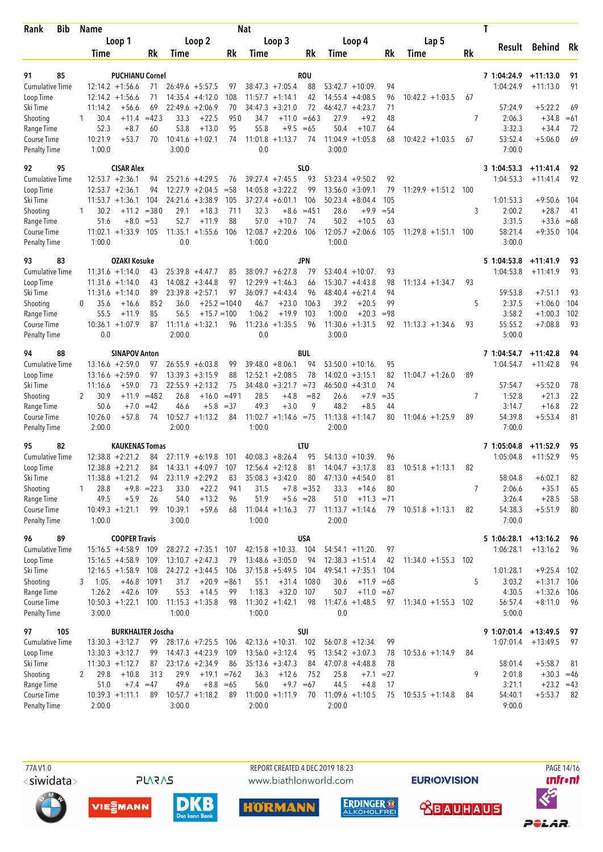| Bib<br>Rank                        |          | <b>Name</b>  |                                              |                    |                |                                          |                | Nat          |                                          |                             |              |                                         |             |                        |     | T                        |                          |          |
|------------------------------------|----------|--------------|----------------------------------------------|--------------------|----------------|------------------------------------------|----------------|--------------|------------------------------------------|-----------------------------|--------------|-----------------------------------------|-------------|------------------------|-----|--------------------------|--------------------------|----------|
|                                    |          | Loop 1       |                                              |                    |                | Loop 2                                   |                | Loop 3       |                                          |                             |              | Loop 4                                  |             | Lap 5                  |     | Result                   | Behind Rk                |          |
|                                    |          | <b>Time</b>  |                                              | Rk                 | Time           |                                          | Rk             | Time         |                                          | Rk                          | Time         |                                         | Rk          | Time                   | Rk  |                          |                          |          |
|                                    |          |              |                                              |                    |                |                                          |                |              |                                          |                             |              |                                         |             |                        |     |                          |                          |          |
| 91<br>85<br><b>Cumulative Time</b> |          |              | <b>PUCHIANU Cornel</b><br>$12:14.2 + 1:56.6$ | 71                 |                | $26:49.6 + 5:57.5$                       | 97             |              | $38:47.3 +7:05.4$                        | <b>ROU</b><br>88            |              | $53:42.7 + 10:09$                       | 94          |                        |     | 7 1:04:24.9<br>1:04:24.9 | $+11:13.0$<br>$+11:13.0$ | 91<br>91 |
| Loop Time                          |          |              | $12:14.2 + 1:56.6$                           | 71                 |                | $14:35.4 +4:12.0$                        | 108            |              | $11:57.7 + 1:14.1$                       | 42                          |              | $14:55.4 +4:08.5$                       | 96          | $10:42.2 + 1:03.5$     | 67  |                          |                          |          |
| Ski Time                           |          | 11:14.2      | $+56.6$                                      | 69                 |                | $22:49.6 + 2:06.9$                       | 70             | 34:47.3      | $+3:21.0$                                | 72                          | 46:42.7      | $+4:23.7$                               | 71          |                        |     | 57:24.9                  | $+5:22.2$                | 69       |
| Shooting                           |          | 30.4         | $+11.4$                                      | $=423$             | 33.3           | $+22.5$                                  | 950            | 34.7         |                                          | $+11.0 = 663$               | 27.9         | $+9.2$                                  | 48          |                        | 7   | 2:06.3                   | $+34.8$                  | $=61$    |
| Range Time                         |          | 52.3         | $+8.7$                                       | 60                 | 53.8           | $+13.0$                                  | 95             | 55.8         | $+9.5$                                   | $=65$                       | 50.4         | $+10.7$                                 | 64          |                        |     | 3:32.3                   | $+34.4$                  | 72       |
| Course Time                        |          | 10:21.9      | $+53.7$                                      | 70                 |                | $10:41.6 + 1:02.1$                       | 74             | 11:01.8      | $+1:13.7$                                | 74                          |              | $11:04.9 + 1:05.8$                      | 68          | $10:42.2 + 1:03.5$     | 67  | 53:52.4                  | $+5:06.0$                | 69       |
| <b>Penalty Time</b>                |          | 1:00.0       |                                              |                    | 3:00.0         |                                          |                | 0.0          |                                          |                             | 3:00.0       |                                         |             |                        |     | 7:00.0                   |                          |          |
| 92<br>95                           |          |              | <b>CISAR Alex</b>                            |                    |                |                                          |                |              |                                          | SL <sub>0</sub>             |              |                                         |             |                        |     | 3 1:04:53.3              | $+11:41.4$               | 92       |
| <b>Cumulative Time</b>             |          |              | $12:53.7 + 2:36.1$                           | 94                 |                | $25:21.6 +4:29.5$                        | 76             |              | $39:27.4 +7:45.5$                        | 93                          |              | $53:23.4 +9:50.2$                       | 92          |                        |     | 1:04:53.3                | $+11:41.4$               | 92       |
| Loop Time                          |          |              | $12:53.7 + 2:36.1$                           | 94                 |                | $12:27.9 + 2:04.5$                       | $= 58$         |              | $14:05.8 + 3:22.2$                       | 99                          |              | $13:56.0 + 3:09.1$                      | 79          | $11:29.9 + 1:51.2$     | 100 |                          |                          |          |
| Ski Time                           |          |              | $11:53.7 + 1:36.1$                           | 104                |                | $24:21.6 + 3:38.9$                       | 105            |              | $37:27.4 + 6:01.1$                       | 106                         |              | $50:23.4 + 8:04.4$                      | 105         |                        |     | 1:01:53.3                | $+9:50.6$                | 104      |
| Shooting                           | 1        | 30.2         | $+11.2$                                      | $= 380$            | 29.1           | $+18.3$                                  | 711            | 32.3         | $+8.6$                                   | $= 451$                     | 28.6         | $+9.9$                                  | $= 54$      |                        | 3   | 2:00.2                   | $+28.7$                  | 41       |
| Range Time                         |          | 51.6         | $+8.0$                                       | $= 53$             | 52.7           | $+11.9$                                  | 88             | 57.0         | $+10.7$                                  | 74                          | 50.2         | $+10.5$                                 | 63          |                        |     | 3:31.5                   | $+33.6 = 68$             |          |
| Course Time<br>Penalty Time        |          | 1:00.0       | $11:02.1 + 1:33.9$                           | 105                | 11:35.1<br>0.0 | $+1:55.6$                                | 106            | 1:00.0       | $12:08.7 + 2:20.6$                       | 106                         | 1:00.0       | $12:05.7 + 2:06.6$                      | 105         | $11:29.8 + 1:51.1$     | 100 | 58:21.4<br>3:00.0        | $+9:35.0$                | 104      |
|                                    |          |              |                                              |                    |                |                                          |                |              |                                          |                             |              |                                         |             |                        |     |                          |                          |          |
| 93<br>83                           |          |              | <b>OZAKI Kosuke</b>                          |                    |                |                                          |                |              |                                          | JPN                         |              |                                         |             |                        |     | 5 1:04:53.8              | $+11:41.9$               | 93       |
| <b>Cumulative Time</b>             |          |              | $11:31.6 + 1:14.0$                           | 43                 |                | $25:39.8 +4:47.7$                        | 85             |              | $38:09.7 + 6:27.8$                       | 79                          |              | $53:40.4 + 10:07$ .                     | 93          |                        |     | 1:04:53.8                | $+11:41.9$               | 93       |
| Loop Time<br>Ski Time              |          |              | $11:31.6 + 1:14.0$<br>$11:31.6 + 1:14.0$     | 43<br>89           |                | $14:08.2 + 3:44.8$<br>$23:39.8 + 2:57.1$ | 97<br>97       |              | $12:29.9 + 1:46.3$<br>$36:09.7 + 4:43.4$ | 66<br>96                    |              | $15:30.7 +4:43.8$<br>$48:40.4 + 6:21.4$ | 98<br>94    | $11:13.4 + 1:34.7$     | 93  | 59:53.8                  | $+7:51.1$                | 93       |
| Shooting                           | $\Omega$ | 35.6         | $+16.6$                                      | 852                | 36.0           |                                          | $+25.2 = 1040$ | 46.7         | $+23.0$                                  | 1063                        | 39.2         | $+20.5$                                 | 99          |                        | 5   | 2:37.5                   | $+1:06.0$                | 104      |
| Range Time                         |          | 55.5         | $+11.9$                                      | 85                 | 56.5           |                                          | $+15.7 = 100$  | 1:06.2       | $+19.9$                                  | 103                         | 1:00.0       | $+20.3$                                 | $= 98$      |                        |     | 3:58.2                   | $+1:00.3$                | 102      |
| Course Time                        |          |              | $10:36.1 + 1:07.9$                           | 87                 |                | $11:11.6 + 1:32.1$                       | 96             | 11:23.6      | $+1:35.5$                                | 96                          |              | $11:30.6 + 1:31.5$                      | 92          | $11:13.3 + 1:34.6$     | 93  | 55:55.2                  | $+7:08.8$                | 93       |
| <b>Penalty Time</b>                |          | 0.0          |                                              |                    | 2:00.0         |                                          |                | 0.0          |                                          |                             | 3:00.0       |                                         |             |                        |     | 5:00.0                   |                          |          |
| 94<br>88                           |          |              | <b>SINAPOV Anton</b>                         |                    |                |                                          |                |              |                                          | <b>BUL</b>                  |              |                                         |             |                        |     | 7 1:04:54.7              | $+11:42.8$               | 94       |
| <b>Cumulative Time</b>             |          |              | $13:16.6 + 2:59.0$                           | 97                 |                | $26:55.9 + 6:03.8$                       | 99             |              | $39:48.0 + 8:06.1$                       | 94                          |              | $53:50.0 + 10:16$                       | 95          |                        |     | 1:04:54.7                | $+11:42.8$               | 94       |
| Loop Time                          |          |              | $13:16.6 + 2:59.0$                           | 97                 |                | $13:39.3 + 3:15.9$                       | 88             |              | $12:52.1 + 2:08.5$                       | 78                          | 14:02.0      | $+3:15.1$                               | 82          | $11:04.7 + 1:26.0$     | 89  |                          |                          |          |
| Ski Time                           |          | 11:16.6      | $+59.0$                                      | 73                 |                | $22:55.9 + 2:13.2$                       | 75             | 34:48.0      | $+3:21.7$                                | $= 73$                      |              | $46:50.0 + 4:31.0$                      | 74          |                        |     | 57:54.7                  | $+5:52.0$                | 78       |
| Shooting                           | 2        | 30.9         | $+11.9$                                      | $=482$             | 26.8           | $+16.0$                                  | $=491$         | 28.5         | $+4.8$                                   | $= 82$                      | 26.6         | $+7.9$                                  | $= 35$      |                        | 7   | 1:52.8                   | $+21.3$                  | 22       |
| Range Time                         |          | 50.6         | $+7.0$                                       | $=42$              | 46.6           | $+5.8$                                   | $= 37$         | 49.3         | $+3.0$                                   | 9                           | 48.2         | $+8.5$                                  | 44          |                        |     | 3:14.7                   | $+16.8$                  | 22       |
| Course Time                        |          | 10:26.0      | $+57.8$                                      | 74                 |                | $10:52.7 +1:13.2$                        | 84             |              | $11:02.7 +1:14.6 = 75$                   |                             |              | $11:13.8 + 1:14.7$                      | 80          | $11:04.6 + 1:25.9$     | 89  | 54:39.8                  | $+5:53.4$                | 81       |
| <b>Penalty Time</b>                |          | 2:00.0       |                                              |                    | 2:00.0         |                                          |                | 1:00.0       |                                          |                             | 2:00.0       |                                         |             |                        |     | 7:00.0                   |                          |          |
| 95<br>82                           |          |              | <b>KAUKENAS Tomas</b>                        |                    |                |                                          |                |              |                                          | LTU                         |              |                                         |             |                        |     | 7 1:05:04.8              | $+11:52.9$               | 95       |
| <b>Cumulative Time</b>             |          |              | $12:38.8 + 2:21.2$                           | 84                 |                | $27:11.9 + 6:19.8$                       | 101            |              | $40:08.3 + 8:26.4$                       | 95                          |              | $54:13.0 + 10:39$                       | 96          |                        |     | 1:05:04.8                | $+11:52.9$               | 95       |
| Loop Time                          |          |              | $12:38.8 + 2:21.2$                           | 84                 |                | $14:33.1 + 4:09.7$                       | 107            |              | $12:56.4 + 2:12.8$                       | 81                          |              | $14:04.7 + 3:17.8$                      | 83          | $10:51.8 + 1:13.1$     | 82  |                          |                          |          |
| Ski Time                           |          |              | $11:38.8 + 1:21.2$                           | 94                 |                | $23:11.9 + 2:29.2$                       | 83             |              | $35:08.3 + 3:42.0$                       | 80                          |              | $47:13.0 +4:54.0$                       | 81          |                        |     | 58:04.8                  | $+6:02.1$                | 82       |
| Shooting<br>Range Time             | 1        | 28.8<br>49.5 | $+5.9$                                       | $+9.8$ = 223<br>26 | 33.0<br>54.0   | $+22.2$<br>$+13.2$                       | 941<br>96      | 31.5<br>51.9 |                                          | $+7.8$ = 352<br>$+5.6 = 28$ | 33.3<br>51.0 | $+14.6$<br>$+11.3 = 71$                 | 80          |                        | 7   | 2:06.6<br>3:26.4         | $+35.1$<br>$+28.5$       | 65<br>58 |
| Course Time                        |          |              | $10:49.3 + 1:21.1$                           | 99                 | 10:39.1        | $+59.6$                                  | 68             |              | $11:04.4 +1:16.3$                        | 77                          |              | $11:13.7 +1:14.6$                       | 79          | $10:51.8 +1:13.1$      | 82  | 54:38.3                  | $+5:51.9$                | 80       |
| Penalty Time                       |          | 1:00.0       |                                              |                    | 3:00.0         |                                          |                | 1:00.0       |                                          |                             | 2:00.0       |                                         |             |                        |     | 7:00.0                   |                          |          |
|                                    |          |              | <b>COOPER Travis</b>                         |                    |                |                                          |                |              |                                          |                             |              |                                         |             |                        |     |                          |                          |          |
| 96<br>89<br>Cumulative Time        |          |              | $15:16.5 + 4:58.9$ 109                       |                    |                | $28:27.2 +7:35.1$ 107                    |                |              | $42:15.8 + 10:33$ . 104                  | <b>USA</b>                  |              | $54:54.1 + 11:20$ .                     | 97          |                        |     | 5 1:06:28.1<br>1:06:28.1 | $+13:16.2$<br>$+13:16.2$ | 96<br>96 |
| Loop Time                          |          |              | $15:16.5 + 4:58.9$                           | 109                |                | $13:10.7 + 2:47.3$                       | 79             |              | $13:48.6 + 3:05.0$                       | 94                          |              | $12:38.3 + 1:51.4$                      | 42          | $11:34.0 + 1:55.3$     | 102 |                          |                          |          |
| Ski Time                           |          |              | $12:16.5 + 1:58.9$                           | 108                |                | $24:27.2 + 3:44.5$                       | 106            |              | $37:15.8 + 5:49.5$                       | 104                         |              | $49:54.1 + 7:35.1$                      | 104         |                        |     | 1:01:28.1                | $+9:25.4$ 102            |          |
| Shooting                           | 3        | 1:05.        | $+46.8$                                      | 1091               | 31.7           |                                          | $+20.9 = 861$  | 55.1         | $+31.4$                                  | 1080                        | 30.6         | $+11.9 = 68$                            |             |                        | 5   | 3:03.2                   | $+1:31.7$ 106            |          |
| Range Time                         |          | 1:26.2       | $+42.6$                                      | 109                | 55.3           | $+14.5$                                  | 99             | 1:18.3       | $+32.0$                                  | 107                         | 50.7         | $+11.0 = 67$                            |             |                        |     | 4:30.5                   | $+1:32.6$ 106            |          |
| Course Time                        |          |              | $10:50.3 + 1:22.1$                           | 100                |                | $11:15.3 + 1:35.8$                       | 98             |              | $11:30.2 + 1:42.1$                       | 98                          |              | $11:47.6 + 1:48.5$                      |             | 97 11:34.0 +1:55.3 102 |     | 56:57.4                  | $+8:11.0$                | 96       |
| <b>Penalty Time</b>                |          | 3:00.0       |                                              |                    | 1:00.0         |                                          |                | 1:00.0       |                                          |                             | 0.0          |                                         |             |                        |     | 5:00.0                   |                          |          |
| 97<br>105                          |          |              | <b>BURKHALTER Joscha</b>                     |                    |                |                                          |                |              |                                          | SUI                         |              |                                         |             |                        |     | $9 1:07:01.4 +13:49.5$   |                          | - 97     |
| <b>Cumulative Time</b>             |          |              | $13:30.3 + 3:12.7$                           | 99                 |                | $28:17.6 + 7:25.5$ 106                   |                |              | $42:13.6 + 10:31$ . 102                  |                             |              | $56:07.8 + 12:34$ .                     | 99          |                        |     | 1:07:01.4                | $+13:49.5$               | 97       |
| Loop Time                          |          |              | $13:30.3 + 3:12.7$                           | 99                 |                | $14:47.3 + 4:23.9$ 109                   |                |              | $13:56.0 + 3:12.4$                       | 95                          |              | $13:54.2 + 3:07.3$                      | 78          | $10:53.6 +1:14.9$      | 84  |                          |                          |          |
| Ski Time                           |          |              | $11:30.3 +1:12.7$                            | 87                 |                | $23:17.6 + 2:34.9$                       | 86             |              | $35:13.6 + 3:47.3$                       | 84                          |              | $47:07.8 +4:48.8$                       | 78          |                        |     | 58:01.4                  | $+5:58.7$                | 81       |
| Shooting                           | 2        | 29.8         | $+10.8$                                      | 313                | 29.9           |                                          | $+19.1 = 762$  | 36.3         | $+12.6$                                  | 752                         | 25.8         |                                         | $+7.1 = 27$ |                        | 9   | 2:01.8                   | $+30.3 = 46$             |          |
| Range Time                         |          | 51.0         | $+7.4 = 47$                                  |                    | 49.6           |                                          | $+8.8 = 65$    | 56.0         | $+9.7 = 67$                              |                             | 44.5         | $+4.8$                                  | 17          |                        |     | 3:21.1                   | $+23.2 = 43$             |          |
| Course Time                        |          |              | $10:39.3 + 1:11.1$                           | 89                 |                | $10:57.7 + 1:18.2$                       | 89             |              | $11:00.0 + 1:11.9$                       | 70                          |              | $11:09.6 +1:10.5$                       | 75          | $10:53.5 +1:14.8$      | 84  | 54:40.1                  | $+5:53.7$ 82             |          |
| <b>Penalty Time</b>                |          | 2:00.0       |                                              |                    | 3:00.0         |                                          |                | 2:00.0       |                                          |                             | 2:00.0       |                                         |             |                        |     | 9:00.0                   |                          |          |

**PLARAS** 

 77A V1.0 REPORT CREATED 4 DEC 2019 18:23 PAGE 14/16www.biathlonworld.com











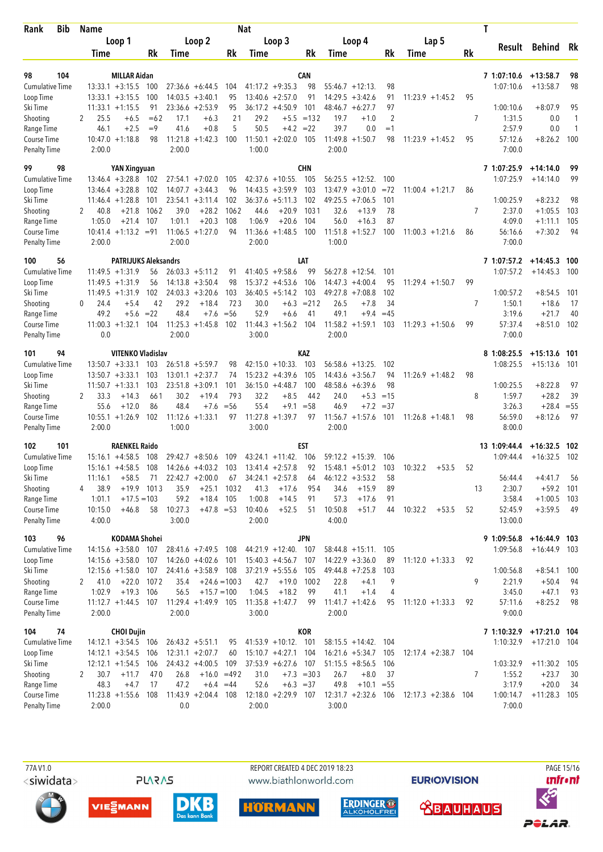| <b>Bib</b><br>Rank                  |          | <b>Name</b>     |                                           |                    |         |                                          |                      | Nat               |                                         |                  |         |                                         |           |                        |    | T                        |                           |           |
|-------------------------------------|----------|-----------------|-------------------------------------------|--------------------|---------|------------------------------------------|----------------------|-------------------|-----------------------------------------|------------------|---------|-----------------------------------------|-----------|------------------------|----|--------------------------|---------------------------|-----------|
|                                     |          |                 | Loop 1                                    |                    |         | Loop 2                                   |                      |                   | Loop 3                                  |                  |         | Loop 4                                  |           | Lap 5                  |    | Result                   |                           |           |
|                                     |          | <b>Time</b>     |                                           | Rk                 | Time    |                                          | Rk                   | Time              |                                         | Rk               | Time    |                                         | Rk        | Time                   | Rk |                          | Behind Rk                 |           |
|                                     |          |                 |                                           |                    |         |                                          |                      |                   |                                         |                  |         |                                         |           |                        |    |                          |                           |           |
| 104<br>98<br><b>Cumulative Time</b> |          |                 | <b>MILLAR Aidan</b><br>$13:33.1 + 3:15.5$ | 100                |         | $27:36.6 + 6:44.5$                       | 104                  |                   | $41:17.2 +9:35.3$                       | <b>CAN</b><br>98 |         | $55:46.7 +12:13$                        | 98        |                        |    | 7 1:07:10.6<br>1:07:10.6 | $+13:58.7$<br>$+13:58.7$  | 98<br>98  |
| Loop Time                           |          |                 | $13:33.1 + 3:15.5$                        | 100                |         | $14:03.5 + 3:40.1$                       | 95                   |                   | $13:40.6 + 2:57.0$                      | 91               |         | $14:29.5 + 3:42.6$                      | 91        | $11:23.9 +1:45.2$      | 95 |                          |                           |           |
| Ski Time                            |          |                 | $11:33.1 + 1:15.5$                        | 91                 |         | $23:36.6 + 2:53.9$                       | 95                   |                   | $36:17.2 +4:50.9$                       | 101              | 48:46.7 | $+6:27.7$                               | 97        |                        |    | 1:00:10.6                | $+8:07.9$                 | 95        |
| Shooting                            | 2        | 25.5            | $+6.5$                                    | $=62$              | 17.1    | $+6.3$                                   | 21                   | 29.2              |                                         | $+5.5 = 132$     | 19.7    | $+1.0$                                  | 2         |                        | 7  | 1:31.5                   | 0.0                       | 1         |
| Range Time                          |          | 46.1            | $+2.5$                                    | $=9$               | 41.6    | $+0.8$                                   | 5                    | 50.5              |                                         | $+4.2 = 22$      | 39.7    | 0.0                                     | $=1$      |                        |    | 2:57.9                   | 0.0                       | 1         |
| Course Time                         |          |                 | $10:47.0 + 1:18.8$                        | 98                 |         | $11:21.8 + 1:42.3$                       | 100                  |                   | $11:50.1 + 2:02.0$                      | 105              |         | $11:49.8 + 1:50.7$                      | 98        | $11:23.9 + 1:45.2$     | 95 | 57:12.6                  | $+8:26.2$                 | 100       |
| <b>Penalty Time</b>                 |          | 2:00.0          |                                           |                    | 2:00.0  |                                          |                      | 1:00.0            |                                         |                  | 2:00.0  |                                         |           |                        |    | 7:00.0                   |                           |           |
| 99<br>98                            |          |                 | <b>YAN Xingyuan</b>                       |                    |         |                                          |                      |                   |                                         | CHN              |         |                                         |           |                        |    | 7 1:07:25.9              | $+14:14.0$                | 99        |
| <b>Cumulative Time</b>              |          |                 | $13:46.4 + 3:28.8$                        | 102                |         | $27:54.1 + 7:02.0$                       | 105                  |                   | $42:37.6 + 10:55$ .                     | 105              |         | $56:25.5 +12:52$ .                      | 100       |                        |    | 1:07:25.9                | $+14:14.0$                | 99        |
| Loop Time                           |          |                 | $13:46.4 + 3:28.8$                        | 102                |         | $14:07.7 + 3:44.3$                       | 96                   |                   | $14:43.5 + 3:59.9$                      | 103              | 13:47.9 | $+3:01.0$                               | $= 72$    | $11:00.4$ +1:21.7      | 86 |                          |                           |           |
| Ski Time                            |          |                 | $11:46.4 + 1:28.8$                        | 101                | 23:54.1 | $+3:11.4$                                | 102                  | 36:37.6           | $+5:11.3$                               | 102              |         | $49:25.5 +7:06.5$                       | 101       |                        |    | 1:00:25.9                | $+8:23.2$                 | 98        |
| Shooting                            |          | 40.8            | $+21.8$                                   | 1062               | 39.0    | $+28.2$                                  | 1062                 | 44.6              | $+20.9$                                 | 1031             | 32.6    | $+13.9$                                 | 78        |                        | 7  | 2:37.0                   | $+1:05.5$                 | 103       |
| Range Time                          |          | 1:05.0          | $+21.4$<br>$10:41.4 + 1:13.2 = 91$        | 107                | 1:01.1  | $+20.3$<br>$11:06.5 + 1:27.0$            | 108<br>94            | 1:06.9<br>11:36.6 | $+20.6$<br>$+1:48.5$                    | 104<br>100       | 56.0    | $+16.3$<br>$11:51.8 + 1:52.7$           | 87<br>100 | $11:00.3 + 1:21.6$     | 86 | 4:09.0<br>56:16.6        | $+1:11.1$<br>$+7:30.2$    | 105<br>94 |
| Course Time<br><b>Penalty Time</b>  |          | 2:00.0          |                                           |                    | 2:00.0  |                                          |                      | 2:00.0            |                                         |                  | 1:00.0  |                                         |           |                        |    | 7:00.0                   |                           |           |
|                                     |          |                 |                                           |                    |         |                                          |                      |                   |                                         |                  |         |                                         |           |                        |    |                          |                           |           |
| 100<br>56                           |          |                 | <b>PATRIJUKS Aleksandrs</b>               |                    |         |                                          |                      |                   |                                         | LAT              |         |                                         |           |                        |    | 7 1:07:57.2              | $+14:45.3$ 100            |           |
| <b>Cumulative Time</b>              |          |                 | $11:49.5 + 1:31.9$                        | 56                 |         | $26:03.3 +5:11.2$                        | 91                   |                   | $41:40.5 +9:58.6$                       | 99               |         | $56:27.8$ +12:54.                       | 101       |                        |    | 1:07:57.2                | $+14:45.3$                | 100       |
| Loop Time<br>Ski Time               |          |                 | $11:49.5 + 1:31.9$<br>$11:49.5 +1:31.9$   | 56<br>102          |         | $14:13.8 + 3:50.4$<br>$24:03.3 + 3:20.6$ | 98<br>103            |                   | $15:37.2 +4:53.6$<br>$36:40.5 + 5:14.2$ | 106<br>103       |         | $14:47.3 + 4:00.4$<br>$49:27.8$ +7:08.8 | 95<br>102 | $11:29.4 + 1:50.7$     | 99 | 1:00:57.2                | $+8:54.5$                 | 101       |
| Shooting                            | $\Omega$ | 24.4            | $+5.4$                                    | 42                 | 29.2    | $+18.4$                                  | 723                  | 30.0              | $+6.3$                                  | $= 212$          | 26.5    | $+7.8$                                  | 34        |                        | 7  | 1:50.1                   | $+18.6$                   | 17        |
| Range Time                          |          | 49.2            | $+5.6 = 22$                               |                    | 48.4    | $+7.6$                                   | $=$ 56               | 52.9              | $+6.6$                                  | 41               | 49.1    | $+9.4$                                  | $=45$     |                        |    | 3:19.6                   | $+21.7$                   | 40        |
| Course Time                         |          |                 | $11:00.3 + 1:32.1$                        | 104                |         | $11:25.3 + 1:45.8$                       | 102                  | 11:44.3           | $+1:56.2$                               | 104              |         | $11:58.2 + 1:59.1$                      | 103       | $11:29.3 + 1:50.6$     | 99 | 57:37.4                  | $+8:51.0$                 | 102       |
| <b>Penalty Time</b>                 |          | 0.0             |                                           |                    | 2:00.0  |                                          |                      | 3:00.0            |                                         |                  | 2:00.0  |                                         |           |                        |    | 7:00.0                   |                           |           |
| 101<br>94                           |          |                 | <b>VITENKO Vladislav</b>                  |                    |         |                                          |                      |                   |                                         | <b>KAZ</b>       |         |                                         |           |                        |    | 8 1:08:25.5              | $+15:13.6$ 101            |           |
| <b>Cumulative Time</b>              |          |                 | $13:50.7 + 3:33.1$                        | 103                |         | $26:51.8 + 5:59.7$                       | 98                   |                   | $42:15.0 + 10:33$ .                     | 103              |         | $56:58.6 + 13:25.$                      | 102       |                        |    | 1:08:25.5                | $+15:13.6$                | 101       |
| Loop Time                           |          |                 | $13:50.7 + 3:33.1$                        | 103                |         | $13:01.1 + 2:37.7$                       | 74                   |                   | $15:23.2 +4:39.6$                       | 105              |         | $14:43.6 + 3:56.7$                      | 94        | $11:26.9 +1:48.2$      | 98 |                          |                           |           |
| Ski Time                            |          |                 | $11:50.7 + 1:33.1$                        | 103                |         | $23:51.8 + 3:09.1$                       | 101                  |                   | $36:15.0 +4:48.7$                       | 100              |         | $48:58.6 + 6:39.6$                      | 98        |                        |    | 1:00:25.5                | $+8:22.8$                 | 97        |
| Shooting                            | 2        | 33.3            | $+14.3$                                   | 661                | 30.2    | $+19.4$                                  | 793                  | 32.2              | $+8.5$                                  | 442              | 24.0    | $+5.3$                                  | $=15$     |                        | 8  | 1:59.7                   | $+28.2$                   | 39        |
| Range Time                          |          | 55.6            | $+12.0$                                   | 86                 | 48.4    | $+7.6$                                   | $= 56$               | 55.4              | $+9.1$                                  | $= 58$           | 46.9    | $+7.2$                                  | $=37$     |                        |    | 3:26.3                   | $+28.4 = 55$              |           |
| Course Time<br><b>Penalty Time</b>  |          | 2:00.0          | $10:55.1 + 1:26.9$                        | 102                | 1:00.0  | $11:12.6 + 1:33.1$                       | 97                   | 3:00.0            | $11:27.8 + 1:39.7$                      | 97               | 2:00.0  | $11:56.7 + 1:57.6$                      | 101       | $11:26.8 + 1:48.1$     | 98 | 56:59.0<br>8:00.0        | $+8:12.6$                 | 97        |
|                                     |          |                 |                                           |                    |         |                                          |                      |                   |                                         |                  |         |                                         |           |                        |    |                          |                           |           |
| 102<br>101                          |          |                 | <b>RAENKEL Raido</b>                      |                    |         |                                          |                      |                   |                                         | EST              |         |                                         |           |                        |    | 13 1:09:44.4             | $+16:32.5$ 102            |           |
| <b>Cumulative Time</b>              |          |                 | $15:16.1 + 4:58.5$                        | 108                |         | $29:42.7 + 8:50.6$                       | 109                  |                   | $43:24.1 + 11:42$ .                     | 106              |         | $59:12.2 + 15:39$ .                     | 106       |                        |    | 1:09:44.4                | $+16:32.5$                | 102       |
| Loop Time<br>Ski Time               |          |                 | $15:16.1 + 4:58.5$                        | 108                |         | $14:26.6 + 4:03.2$                       | 103                  |                   | $13:41.4 + 2:57.8$                      | 92               |         | $15:48.1 + 5:01.2$                      | 103       | 10:32.2<br>$+53.5$     | 52 |                          |                           |           |
| Shooting                            | 4        | 11:16.1<br>38.9 | $+58.5$                                   | 71<br>$+19.9$ 1013 | 35.9    | $22:42.7 + 2:00.0$                       | 67<br>$+25.1$ 1032   | 41.3              | $34:24.1 + 2:57.8$<br>$+17.6$           | 64<br>954        | 34.6    | $46:12.2 + 3:53.2$<br>$+15.9$           | 58<br>89  |                        |    | 56:44.4<br>2:30.7<br>13  | $+4:41.7$<br>$+59.2$ 101  | 56        |
| Range Time                          |          | 1:01.1          | $+17.5 = 103$                             |                    | 59.2    | $+18.4$ 105                              |                      | 1:00.8            | $+14.5$                                 | 91               | 57.3    | $+17.6$                                 | 91        |                        |    | 3:58.4                   | $+1:00.5$ 103             |           |
| Course Time                         |          | 10:15.0         | $+46.8$                                   | 58                 | 10:27.3 | $+47.8 = 53$                             |                      | 10:40.6           | $+52.5$                                 | 51               | 10:50.8 | $+51.7$                                 | 44        | 10:32.2<br>$+53.5$     | 52 | 52:45.9                  | $+3:59.5$                 | - 49      |
| <b>Penalty Time</b>                 |          | 4:00.0          |                                           |                    | 3:00.0  |                                          |                      | 2:00.0            |                                         |                  | 4:00.0  |                                         |           |                        |    | 13:00.0                  |                           |           |
| 96<br>103                           |          |                 | KODAMA Shohei                             |                    |         |                                          |                      |                   |                                         | <b>JPN</b>       |         |                                         |           |                        |    | 9 1:09:56.8              | $+16:44.9$ 103            |           |
| Cumulative Time                     |          |                 | $14:15.6 + 3:58.0$ 107                    |                    |         | $28:41.6 + 7:49.5$ 108                   |                      |                   | 44:21.9 +12:40. 107                     |                  |         | $58:44.8 + 15:11$ . 105                 |           |                        |    | 1:09:56.8                | $+16:44.9$ 103            |           |
| Loop Time                           |          |                 | $14:15.6 + 3:58.0$ 107                    |                    |         | $14:26.0 +4:02.6$ 101                    |                      |                   | $15:40.3 +4:56.7$ 107                   |                  |         | $14:22.9 + 3:36.0$                      | 89        | $11:12.0 + 1:33.3$     | 92 |                          |                           |           |
| Ski Time                            |          |                 | $12:15.6 + 1:58.0$                        | 107                |         | $24:41.6 + 3:58.9$ 108                   |                      |                   | $37:21.9 + 5:55.6$                      | 105              |         | $49:44.8 + 7:25.8$                      | 103       |                        |    | 1:00:56.8                | $+8:54.1$ 100             |           |
| Shooting                            | 2        | 41.0            | $+22.0$                                   | 1072               | 35.4    |                                          | $+24.6 = 1003$       | 42.7              | $+19.0$                                 | 1002             | 22.8    | $+4.1$                                  | 9         |                        | 9  | 2:21.9                   | $+50.4$                   | 94        |
| Range Time                          |          | 1:02.9          | $+19.3$                                   | 106                | 56.5    | $+15.7 = 100$                            |                      | 1:04.5            | $+18.2$                                 | 99               | 41.1    | $+1.4$                                  | 4         |                        |    | 3:45.0                   | $+47.1$                   | 93        |
| Course Time                         |          | 2:00.0          | 11:12.7 +1:44.5 107 11:29.4 +1:49.9 105   |                    |         |                                          |                      | 3:00.0            | $11:35.8 + 1:47.7$                      | 99               |         | $11:41.7 + 1:42.6$                      | 95        | $11:12.0 + 1:33.3$     | 92 | 57:11.6<br>9:00.0        | $+8:25.2$                 | 98        |
| <b>Penalty Time</b>                 |          |                 |                                           |                    | 2:00.0  |                                          |                      |                   |                                         |                  | 2:00.0  |                                         |           |                        |    |                          |                           |           |
| 104<br>74                           |          |                 | <b>CHOI Dujin</b>                         |                    |         |                                          |                      |                   |                                         | KOR              |         |                                         |           |                        |    | 7 1:10:32.9 +17:21.0 104 |                           |           |
| <b>Cumulative Time</b>              |          |                 | $14:12.1 + 3:54.5$ 106                    |                    |         | $26:43.2 +5:51.1$                        | 95                   |                   | $41:53.9 + 10:12$ . 101                 |                  |         | $58:15.5 + 14:42$ .                     | 104       |                        |    | 1:10:32.9                | $+17:21.0$ 104            |           |
| Loop Time                           |          |                 | $14:12.1 + 3:54.5$ 106                    |                    |         | $12:31.1 + 2:07.7$                       | 60                   |                   | $15:10.7 + 4:27.1$ 104                  |                  |         | $16:21.6 + 5:34.7$                      | 105       | $12:17.4 + 2:38.7$ 104 |    |                          |                           |           |
| Ski Time<br>Shooting                | 2        | 30.7            | $12:12.1 + 1:54.5$ 106<br>$+11.7$         | 470                | 26.8    | $24:43.2 +4:00.5$                        | 109<br>$+16.0 = 492$ | 31.0              | $37:53.9 + 6:27.6$ 107                  | $+7.3 = 303$     | 26.7    | $51:15.5 + 8:56.5$<br>$+8.0$            | 106<br>37 |                        | 7  | 1:03:32.9<br>1:55.2      | $+11:30.2$ 105<br>$+23.7$ | 30        |
| Range Time                          |          | 48.3            | $+4.7$                                    | 17                 | 47.2    |                                          | $+6.4 = 44$          | 52.6              | $+6.3 = 37$                             |                  | 49.8    | $+10.1 = 55$                            |           |                        |    | 3:17.9                   | $+20.0$                   | 34        |
| Course Time                         |          |                 | $11:23.8 + 1:55.6$                        | 108                |         | $11:43.9 + 2:04.4$ 108                   |                      |                   | $12:18.0 + 2:29.9$ 107                  |                  |         | $12:31.7 + 2:32.6$ 106                  |           | $12:17.3 + 2:38.6$ 104 |    | 1:00:14.7                | $+11:28.3$ 105            |           |
| <b>Penalty Time</b>                 |          | 2:00.0          |                                           |                    | 0.0     |                                          |                      | 2:00.0            |                                         |                  | 3:00.0  |                                         |           |                        |    | 7:00.0                   |                           |           |
|                                     |          |                 |                                           |                    |         |                                          |                      |                   |                                         |                  |         |                                         |           |                        |    |                          |                           |           |

**PLARAS** 

 77A V1.0 REPORT CREATED 4 DEC 2019 18:23 PAGE 15/16www.biathlonworld.com